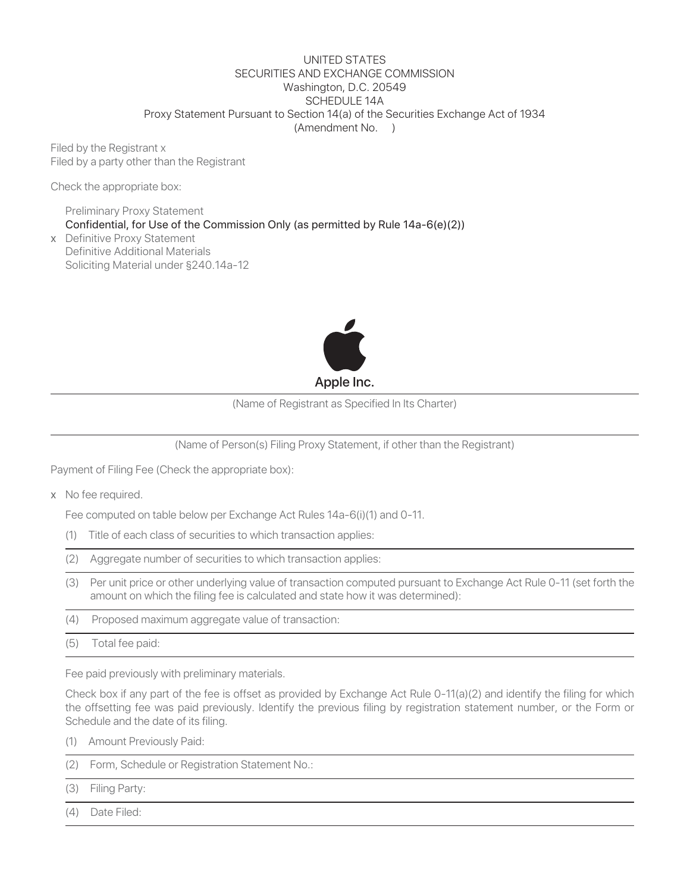#### UNITED STATES SECURITIES AND EXCHANGE COMMISSION Washington, D.C. 20549 SCHEDULE 14A Proxy Statement Pursuant to Section 14(a) of the Securities Exchange Act of 1934 (Amendment No. )

Filed by the Registrant x Filed by a party other than the Registrant

Check the appropriate box:

Preliminary Proxy Statement Confidential, for Use of the Commission Only (as permitted by Rule 14a-6(e)(2))

x Definitive Proxy Statement Definitive Additional Materials Soliciting Material under §240.14a-12



(Name of Registrant as Specified In Its Charter)

(Name of Person(s) Filing Proxy Statement, if other than the Registrant)

Payment of Filing Fee (Check the appropriate box):

x No fee required.

Fee computed on table below per Exchange Act Rules 14a-6(i)(1) and 0-11.

- (1) Title of each class of securities to which transaction applies:
- (2) Aggregate number of securities to which transaction applies:
- (3) Per unit price or other underlying value of transaction computed pursuant to Exchange Act Rule 0-11 (set forth the amount on which the filing fee is calculated and state how it was determined):
- (4) Proposed maximum aggregate value of transaction:
- (5) Total fee paid:

Fee paid previously with preliminary materials.

Check box if any part of the fee is offset as provided by Exchange Act Rule 0-11(a)(2) and identify the filing for which the offsetting fee was paid previously. Identify the previous filing by registration statement number, or the Form or Schedule and the date of its filing.

- (1) Amount Previously Paid:
- (2) Form, Schedule or Registration Statement No.:
- (3) Filing Party:
- (4) Date Filed: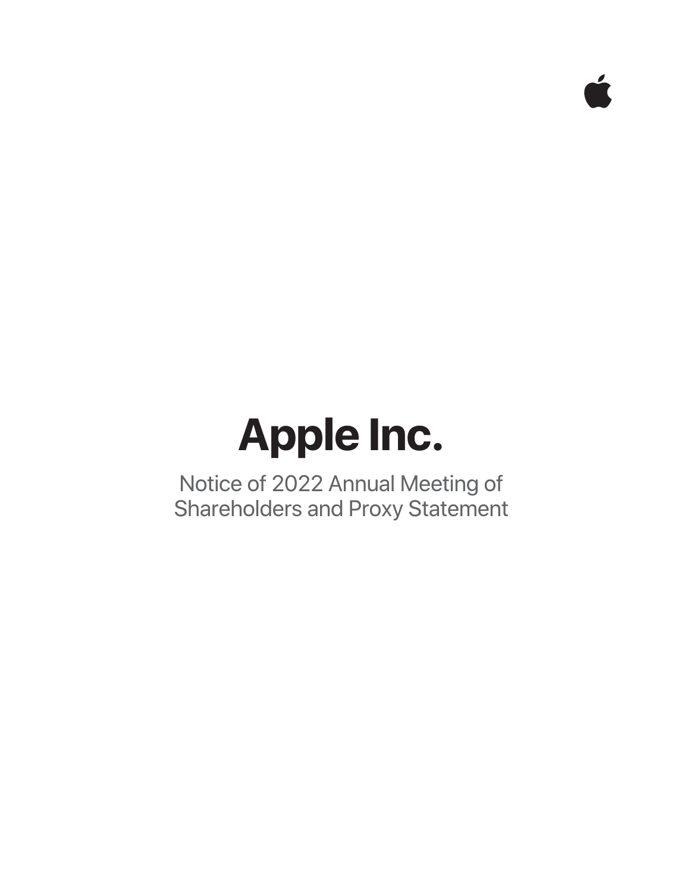# **Apple Inc.**

Notice of 2022 Annual Meeting of Shareholders and Proxy Statement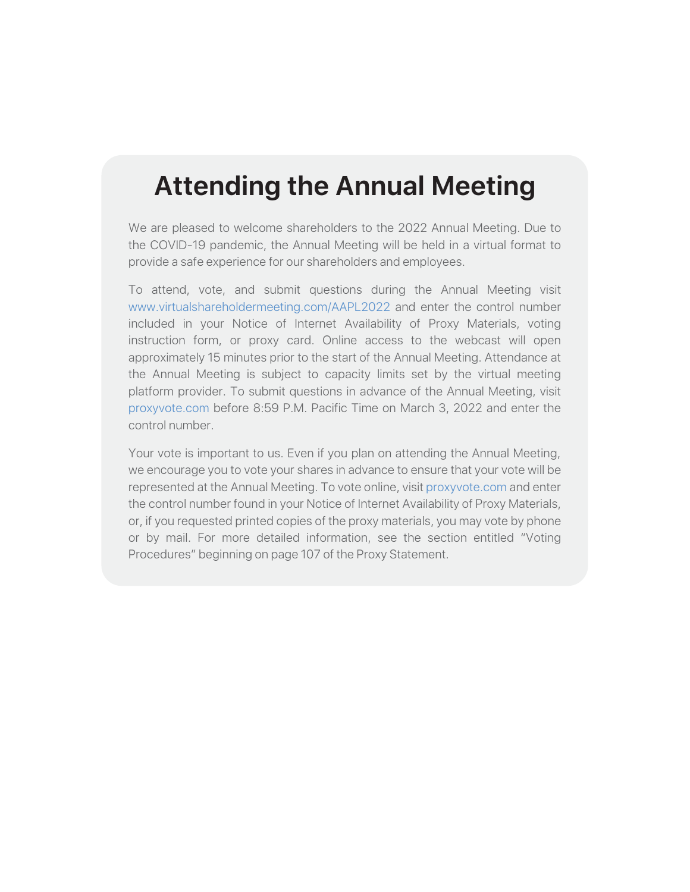# **Attending the Annual Meeting**

We are pleased to welcome shareholders to the 2022 Annual Meeting. Due to the COVID-19 pandemic, the Annual Meeting will be held in a virtual format to provide a safe experience for our shareholders and employees.

To attend, vote, and submit questions during the Annual Meeting visit www.virtualshareholdermeeting.com/AAPL2022 and enter the control number included in your Notice of Internet Availability of Proxy Materials, voting instruction form, or proxy card. Online access to the webcast will open approximately 15 minutes prior to the start of the Annual Meeting. Attendance at the Annual Meeting is subject to capacity limits set by the virtual meeting platform provider. To submit questions in advance of the Annual Meeting, visit proxyvote.com before 8:59 P.M. Pacific Time on March 3, 2022 and enter the control number.

Your vote is important to us. Even if you plan on attending the Annual Meeting, we encourage you to vote your shares in advance to ensure that your vote will be represented at the Annual Meeting. To vote online, visit proxyvote.com and enter the control number found in your Notice of Internet Availability of Proxy Materials, or, if you requested printed copies of the proxy materials, you may vote by phone or by mail. For more detailed information, see the section entitled "Voting Procedures" beginning on page 107 of the Proxy Statement.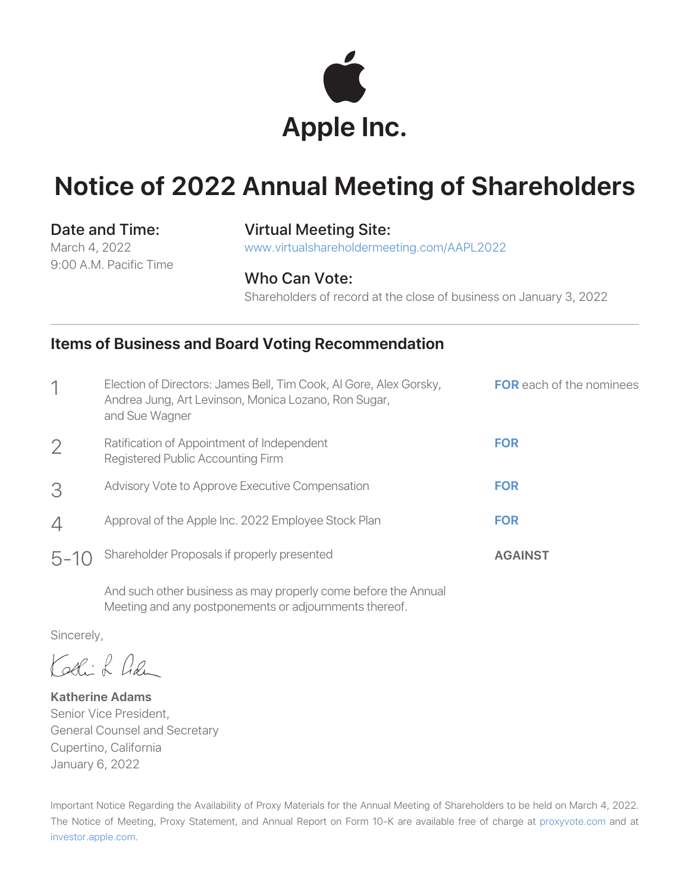

# **Notice of 2022 Annual Meeting of Shareholders**

March 4, 2022 9:00 A.M. Pacific Time

### Date and Time: Virtual Meeting Site:

www.virtualshareholdermeeting.com/AAPL2022

### Who Can Vote:

Shareholders of record at the close of business on January 3, 2022

### **Items of Business and Board Voting Recommendation**

|                | Election of Directors: James Bell, Tim Cook, Al Gore, Alex Gorsky,<br>Andrea Jung, Art Levinson, Monica Lozano, Ron Sugar,<br>and Sue Wagner | <b>FOR</b> each of the nominees |
|----------------|----------------------------------------------------------------------------------------------------------------------------------------------|---------------------------------|
| $\overline{2}$ | Ratification of Appointment of Independent<br>Registered Public Accounting Firm                                                              | <b>FOR</b>                      |
| 3              | Advisory Vote to Approve Executive Compensation                                                                                              | <b>FOR</b>                      |
| $\overline{4}$ | Approval of the Apple Inc. 2022 Employee Stock Plan                                                                                          | <b>FOR</b>                      |
| $5 - 10$       | Shareholder Proposals if properly presented                                                                                                  | <b>AGAINST</b>                  |

And such other business as may properly come before the Annual Meeting and any postponements or adjournments thereof.

Sincerely,

Kathik han

**Katherine Adams** Senior Vice President, General Counsel and Secretary Cupertino, California January 6, 2022

Important Notice Regarding the Availability of Proxy Materials for the Annual Meeting of Shareholders to be held on March 4, 2022. The Notice of Meeting, Proxy Statement, and Annual Report on Form 10-K are available free of charge at proxyvote.com and at investor.apple.com.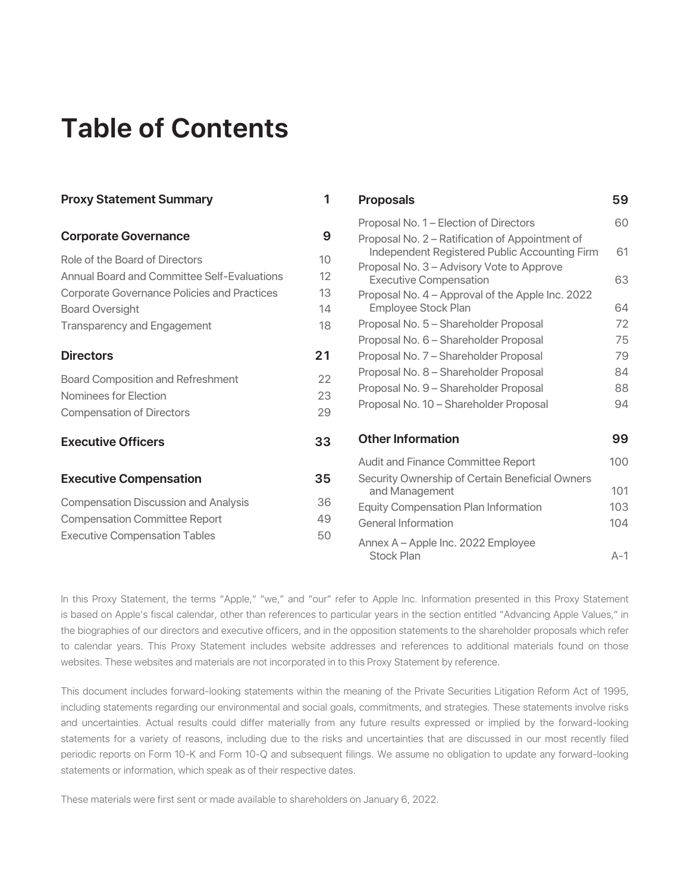# **Table of Contents**

| <b>Proxy Statement Summary</b>                     | 1                 | <b>Proposals</b>                                                           | 59    |
|----------------------------------------------------|-------------------|----------------------------------------------------------------------------|-------|
|                                                    |                   | Proposal No. 1 - Election of Directors                                     | 60    |
| <b>Corporate Governance</b>                        | 9                 | Proposal No. 2 – Ratification of Appointment of                            |       |
| Role of the Board of Directors                     | 10 <sup>°</sup>   | Independent Registered Public Accounting Firm                              | 61    |
| Annual Board and Committee Self-Evaluations        | $12 \overline{ }$ | Proposal No. 3 - Advisory Vote to Approve<br><b>Executive Compensation</b> | 63    |
| <b>Corporate Governance Policies and Practices</b> | 13                | Proposal No. 4 - Approval of the Apple Inc. 2022                           |       |
| <b>Board Oversight</b>                             | 14                | Employee Stock Plan                                                        | 64    |
| <b>Transparency and Engagement</b>                 | 18                | Proposal No. 5 - Shareholder Proposal                                      | 72    |
|                                                    |                   | Proposal No. 6 - Shareholder Proposal                                      | 75    |
| <b>Directors</b>                                   | 21                | Proposal No. 7 - Shareholder Proposal                                      | 79    |
| <b>Board Composition and Refreshment</b>           | 22                | Proposal No. 8 - Shareholder Proposal                                      | 84    |
| Nominees for Election                              | 23                | Proposal No. 9 - Shareholder Proposal                                      | 88    |
|                                                    |                   | Proposal No. 10 - Shareholder Proposal                                     | 94    |
| <b>Compensation of Directors</b>                   | 29                |                                                                            |       |
| <b>Executive Officers</b>                          | 33                | <b>Other Information</b>                                                   | 99    |
|                                                    |                   | Audit and Finance Committee Report                                         | 100   |
| <b>Executive Compensation</b>                      | 35                | Security Ownership of Certain Beneficial Owners<br>and Management          | 101   |
| <b>Compensation Discussion and Analysis</b>        | 36                | <b>Equity Compensation Plan Information</b>                                | 103   |
| <b>Compensation Committee Report</b>               | 49                | General Information                                                        | 104   |
| <b>Executive Compensation Tables</b>               | 50                | Annex A - Apple Inc. 2022 Employee                                         |       |
|                                                    |                   | Stock Plan                                                                 | $A-1$ |

In this Proxy Statement, the terms "Apple," "we," and "our" refer to Apple Inc. Information presented in this Proxy Statement is based on Apple's fiscal calendar, other than references to particular years in the section entitled "Advancing Apple Values," in the biographies of our directors and executive officers, and in the opposition statements to the shareholder proposals which refer to calendar years. This Proxy Statement includes website addresses and references to additional materials found on those websites. These websites and materials are not incorporated in to this Proxy Statement by reference.

This document includes forward-looking statements within the meaning of the Private Securities Litigation Reform Act of 1995, including statements regarding our environmental and social goals, commitments, and strategies. These statements involve risks and uncertainties. Actual results could differ materially from any future results expressed or implied by the forward-looking statements for a variety of reasons, including due to the risks and uncertainties that are discussed in our most recently filed periodic reports on Form 10-K and Form 10-Q and subsequent filings. We assume no obligation to update any forward-looking statements or information, which speak as of their respective dates.

These materials were first sent or made available to shareholders on January 6, 2022.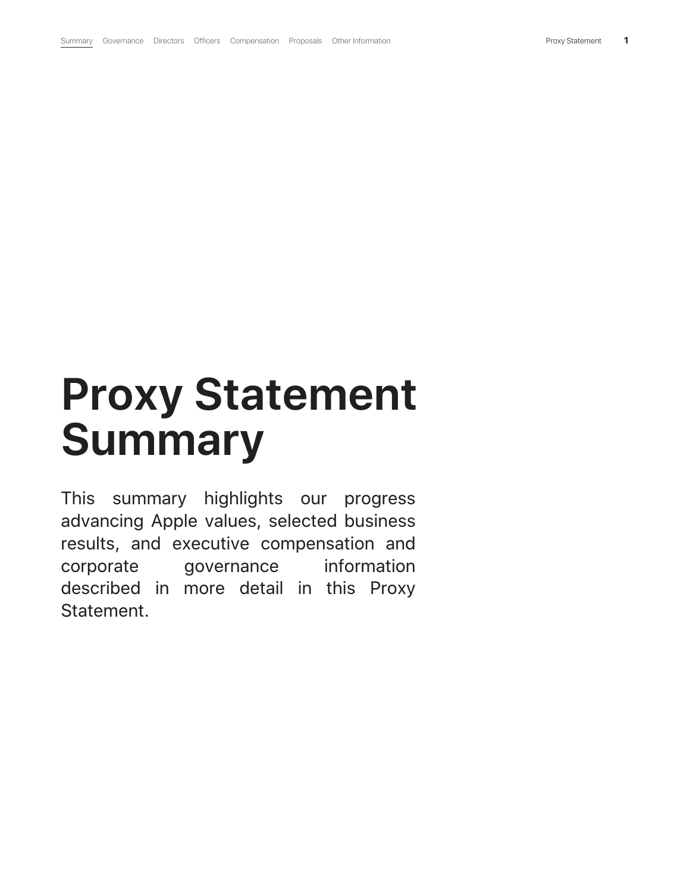# **Proxy Statement Summary**

This summary highlights our progress advancing Apple values, selected business results, and executive compensation and corporate governance information described in more detail in this Proxy Statement.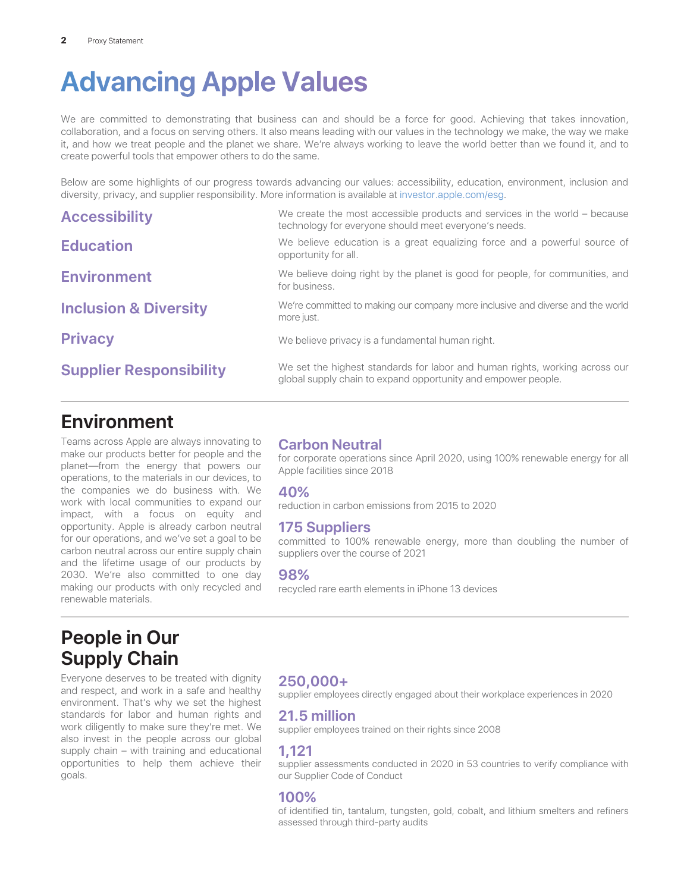# **Advancing Apple Values**

We are committed to demonstrating that business can and should be a force for good. Achieving that takes innovation, collaboration, and a focus on serving others. It also means leading with our values in the technology we make, the way we make it, and how we treat people and the planet we share. We're always working to leave the world better than we found it, and to create powerful tools that empower others to do the same.

Below are some highlights of our progress towards advancing our values: accessibility, education, environment, inclusion and diversity, privacy, and supplier responsibility. More information is available at investor.apple.com/esg.

| <b>Accessibility</b>             | We create the most accessible products and services in the world – because<br>technology for everyone should meet everyone's needs.          |
|----------------------------------|----------------------------------------------------------------------------------------------------------------------------------------------|
| <b>Education</b>                 | We believe education is a great equalizing force and a powerful source of<br>opportunity for all.                                            |
| <b>Environment</b>               | We believe doing right by the planet is good for people, for communities, and<br>for business.                                               |
| <b>Inclusion &amp; Diversity</b> | We're committed to making our company more inclusive and diverse and the world<br>more just.                                                 |
| <b>Privacy</b>                   | We believe privacy is a fundamental human right.                                                                                             |
| <b>Supplier Responsibility</b>   | We set the highest standards for labor and human rights, working across our<br>global supply chain to expand opportunity and empower people. |

### **Environment**

Teams across Apple are always innovating to make our products better for people and the planet—from the energy that powers our operations, to the materials in our devices, to the companies we do business with. We work with local communities to expand our impact, with a focus on equity and opportunity. Apple is already carbon neutral for our operations, and we've set a goal to be carbon neutral across our entire supply chain and the lifetime usage of our products by 2030. We're also committed to one day making our products with only recycled and renewable materials.

### **Carbon Neutral**

for corporate operations since April 2020, using 100% renewable energy for all Apple facilities since 2018

### **40%**

reduction in carbon emissions from 2015 to 2020

### **175 Suppliers**

committed to 100% renewable energy, more than doubling the number of suppliers over the course of 2021

#### **98%**

recycled rare earth elements in iPhone 13 devices

### **People in Our Supply Chain**

Everyone deserves to be treated with dignity and respect, and work in a safe and healthy environment. That's why we set the highest standards for labor and human rights and work diligently to make sure they're met. We also invest in the people across our global supply chain – with training and educational opportunities to help them achieve their goals.

### **250,000+**

supplier employees directly engaged about their workplace experiences in 2020

### **21.5 million**

supplier employees trained on their rights since 2008

### **1,121**

supplier assessments conducted in 2020 in 53 countries to verify compliance with our Supplier Code of Conduct

### **100%**

of identified tin, tantalum, tungsten, gold, cobalt, and lithium smelters and refiners assessed through third-party audits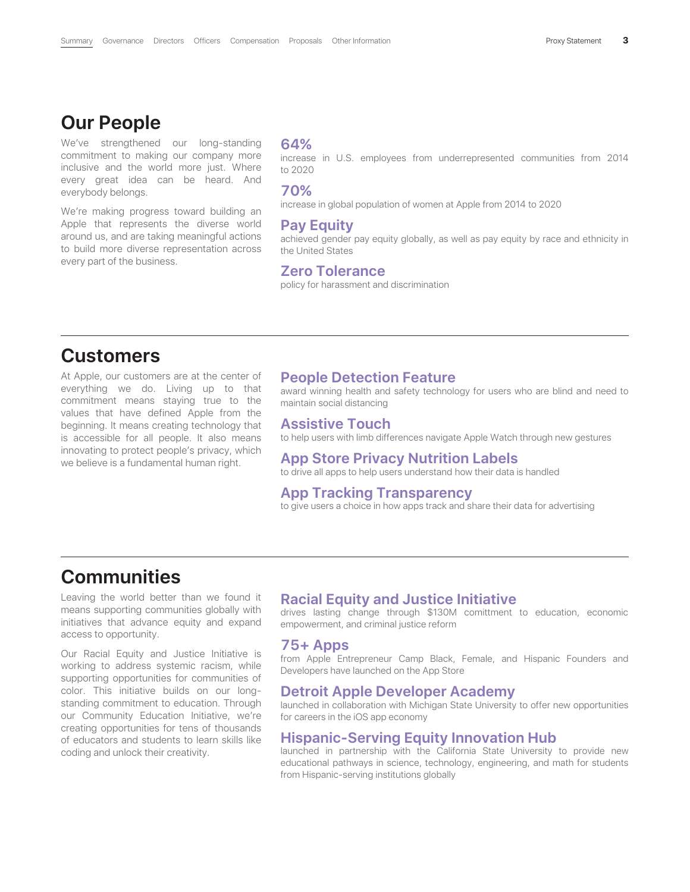### **Our People**

We've strengthened our long-standing commitment to making our company more inclusive and the world more just. Where every great idea can be heard. And everybody belongs.

We're making progress toward building an Apple that represents the diverse world around us, and are taking meaningful actions to build more diverse representation across every part of the business.

#### **64%**

increase in U.S. employees from underrepresented communities from 2014 to 2020

#### **70%**

increase in global population of women at Apple from 2014 to 2020

#### **Pay Equity**

achieved gender pay equity globally, as well as pay equity by race and ethnicity in the United States

#### **Zero Tolerance**

policy for harassment and discrimination

### **Customers**

At Apple, our customers are at the center of everything we do. Living up to that commitment means staying true to the values that have defined Apple from the beginning. It means creating technology that is accessible for all people. It also means innovating to protect people's privacy, which we believe is a fundamental human right.

#### **People Detection Feature**

award winning health and safety technology for users who are blind and need to maintain social distancing

#### **Assistive Touch**

to help users with limb differences navigate Apple Watch through new gestures

#### **App Store Privacy Nutrition Labels**

to drive all apps to help users understand how their data is handled

#### **App Tracking Transparency**

to give users a choice in how apps track and share their data for advertising

### **Communities**

Leaving the world better than we found it means supporting communities globally with initiatives that advance equity and expand access to opportunity.

Our Racial Equity and Justice Initiative is working to address systemic racism, while supporting opportunities for communities of color. This initiative builds on our longstanding commitment to education. Through our Community Education Initiative, we're creating opportunities for tens of thousands of educators and students to learn skills like coding and unlock their creativity.

#### **Racial Equity and Justice Initiative**

drives lasting change through \$130M comittment to education, economic empowerment, and criminal justice reform

#### **75+ Apps**

from Apple Entrepreneur Camp Black, Female, and Hispanic Founders and Developers have launched on the App Store

#### **Detroit Apple Developer Academy**

launched in collaboration with Michigan State University to offer new opportunities for careers in the iOS app economy

#### **Hispanic-Serving Equity Innovation Hub**

launched in partnership with the California State University to provide new educational pathways in science, technology, engineering, and math for students from Hispanic-serving institutions globally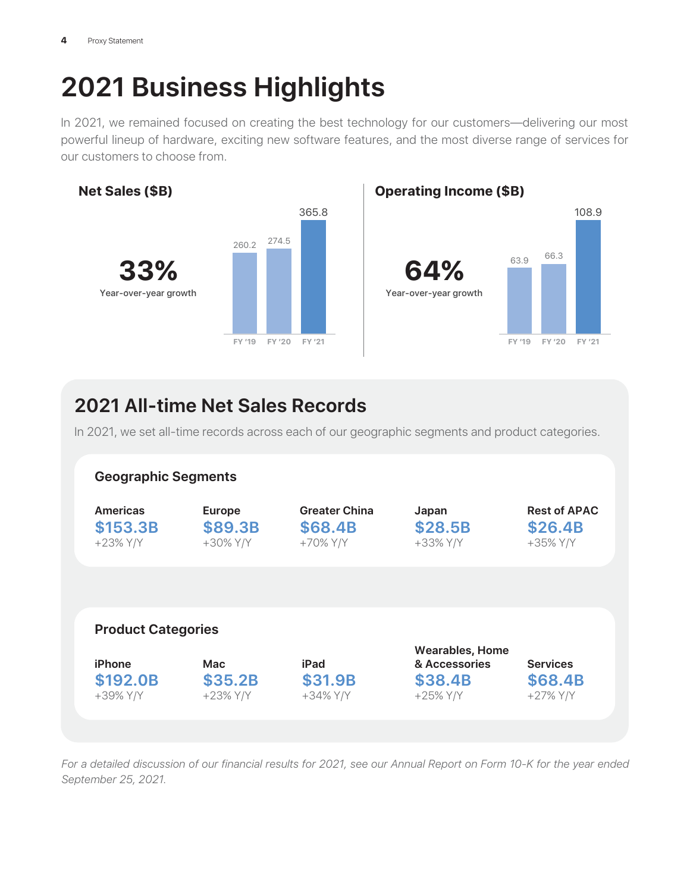# **2021 Business Highlights**

In 2021, we remained focused on creating the best technology for our customers—delivering our most powerful lineup of hardware, exciting new software features, and the most diverse range of services for our customers to choose from.



### **2021 All-time Net Sales Records**

In 2021, we set all-time records across each of our geographic segments and product categories.



*For a detailed discussion of our financial results for 2021, see our Annual Report on Form 10-K for the year ended September 25, 2021.*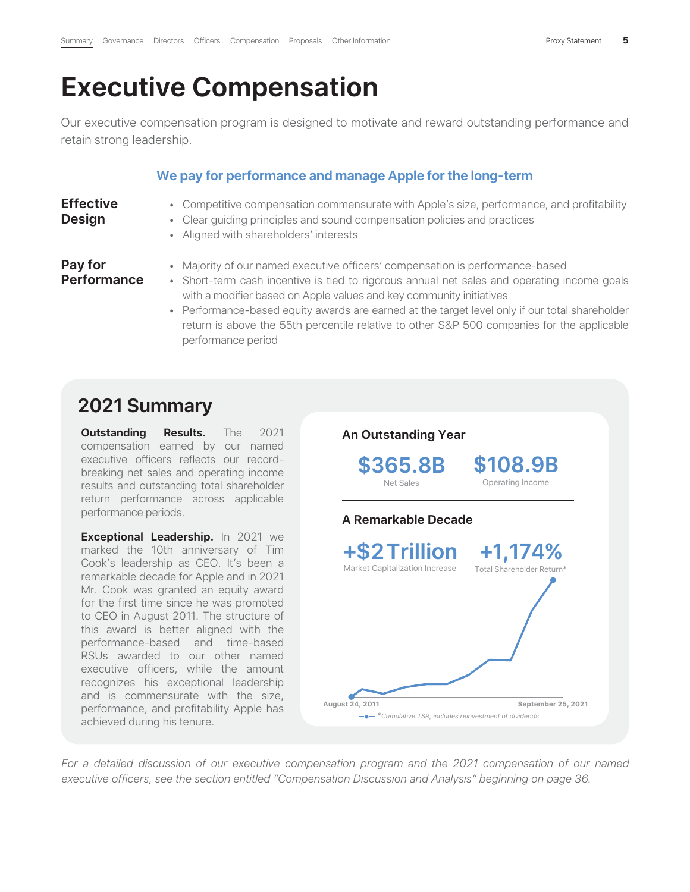# **Executive Compensation**

Our executive compensation program is designed to motivate and reward outstanding performance and retain strong leadership.

### **We pay for performance and manage Apple for the long-term**

| <b>Effective</b><br><b>Design</b> | • Competitive compensation commensurate with Apple's size, performance, and profitability<br>• Clear guiding principles and sound compensation policies and practices<br>• Aligned with shareholders' interests                                                                                                                                                                                                                                                           |
|-----------------------------------|---------------------------------------------------------------------------------------------------------------------------------------------------------------------------------------------------------------------------------------------------------------------------------------------------------------------------------------------------------------------------------------------------------------------------------------------------------------------------|
| Pay for<br><b>Performance</b>     | • Majority of our named executive officers' compensation is performance-based<br>• Short-term cash incentive is tied to rigorous annual net sales and operating income goals<br>with a modifier based on Apple values and key community initiatives<br>• Performance-based equity awards are earned at the target level only if our total shareholder<br>return is above the 55th percentile relative to other S&P 500 companies for the applicable<br>performance period |

### **2021 Summary**

**Outstanding Results.** The 2021 compensation earned by our named executive officers reflects our recordbreaking net sales and operating income results and outstanding total shareholder return performance across applicable performance periods.

**Exceptional Leadership.** In 2021 we marked the 10th anniversary of Tim Cook's leadership as CEO. It's been a remarkable decade for Apple and in 2021 Mr. Cook was granted an equity award for the first time since he was promoted to CEO in August 2011. The structure of this award is better aligned with the performance-based and time-based RSUs awarded to our other named executive officers, while the amount recognizes his exceptional leadership and is commensurate with the size, performance, and profitability Apple has achieved during his tenure.



*For a detailed discussion of our executive compensation program and the 2021 compensation of our named executive officers, see the section entitled "Compensation Discussion and Analysis" beginning on page 36.*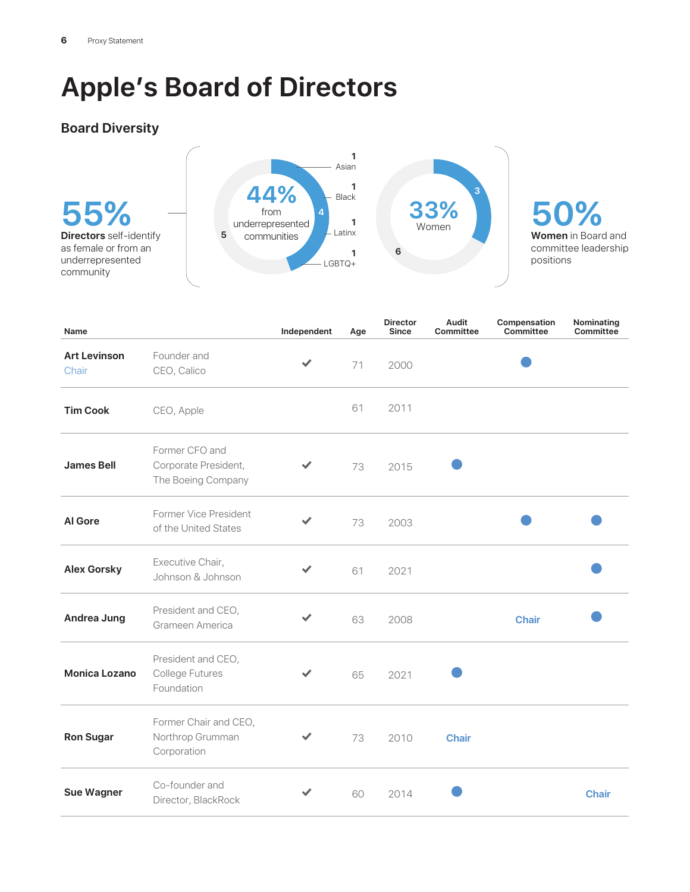# **Apple's Board of Directors**

### **Board Diversity**



**50% Women** in Board and committee leadership positions

| Name                         |                                                              | Independent | Age | <b>Director</b><br><b>Since</b> | <b>Audit</b><br><b>Committee</b> | Compensation<br><b>Committee</b> | Nominating<br>Committee |
|------------------------------|--------------------------------------------------------------|-------------|-----|---------------------------------|----------------------------------|----------------------------------|-------------------------|
| <b>Art Levinson</b><br>Chair | Founder and<br>CEO, Calico                                   | ✓           | 71  | 2000                            |                                  |                                  |                         |
| <b>Tim Cook</b>              | CEO, Apple                                                   |             | 61  | 2011                            |                                  |                                  |                         |
| <b>James Bell</b>            | Former CFO and<br>Corporate President,<br>The Boeing Company | ✔           | 73  | 2015                            |                                  |                                  |                         |
| <b>Al Gore</b>               | Former Vice President<br>of the United States                | ✓           | 73  | 2003                            |                                  |                                  |                         |
| <b>Alex Gorsky</b>           | Executive Chair,<br>Johnson & Johnson                        |             | 61  | 2021                            |                                  |                                  |                         |
| <b>Andrea Jung</b>           | President and CEO,<br>Grameen America                        | ✓           | 63  | 2008                            |                                  | <b>Chair</b>                     |                         |
| <b>Monica Lozano</b>         | President and CEO,<br>College Futures<br>Foundation          |             | 65  | 2021                            |                                  |                                  |                         |
| <b>Ron Sugar</b>             | Former Chair and CEO,<br>Northrop Grumman<br>Corporation     | ✓           | 73  | 2010                            | <b>Chair</b>                     |                                  |                         |
| <b>Sue Wagner</b>            | Co-founder and<br>Director, BlackRock                        |             | 60  | 2014                            |                                  |                                  | <b>Chair</b>            |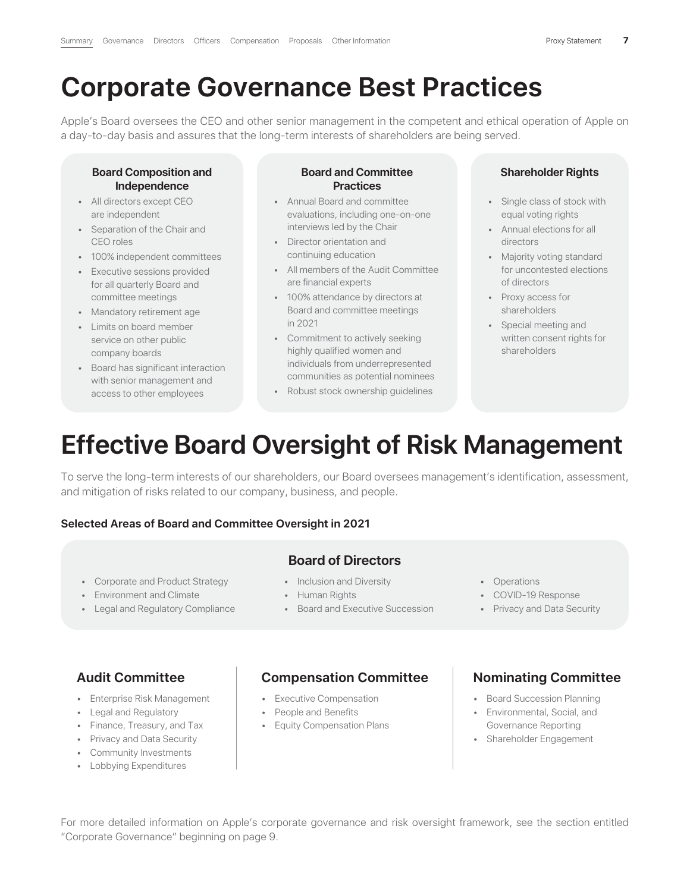## **Corporate Governance Best Practices**

Apple's Board oversees the CEO and other senior management in the competent and ethical operation of Apple on a day-to-day basis and assures that the long-term interests of shareholders are being served.

#### **Board Composition and Independence**

- All directors except CEO are independent
- Separation of the Chair and CEO roles
- 100% independent committees
- Executive sessions provided for all quarterly Board and committee meetings
- Mandatory retirement age
- Limits on board member service on other public company boards
- Board has significant interaction with senior management and access to other employees

#### **Board and Committee Practices**

- Annual Board and committee evaluations, including one-on-one interviews led by the Chair
- Director orientation and continuing education
- All members of the Audit Committee are financial experts
- 100% attendance by directors at Board and committee meetings in 2021
- Commitment to actively seeking highly qualified women and individuals from underrepresented communities as potential nominees
- Robust stock ownership guidelines

#### **Shareholder Rights**

- Single class of stock with equal voting rights
- Annual elections for all directors
- Majority voting standard for uncontested elections of directors
- Proxy access for shareholders
- Special meeting and written consent rights for shareholders

# **Effective Board Oversight of Risk Management**

To serve the long-term interests of our shareholders, our Board oversees management's identification, assessment, and mitigation of risks related to our company, business, and people.

#### **Selected Areas of Board and Committee Oversight in 2021**

### **Board of Directors**

- Corporate and Product Strategy Inclusion and Diversity • Operations
- Environment and Climate **Figure Figure Human Rights** COVID-19 Response
- Legal and Regulatory Compliance **•** Board and Executive Succession Privacy and Data Security
- 
- -
- 
- 
- 

### **Audit Committee**

- Enterprise Risk Management
- Legal and Regulatory
- Finance, Treasury, and Tax
- Privacy and Data Security
- Community Investments
- Lobbying Expenditures

### **Compensation Committee**

- Executive Compensation
- People and Benefits
- Equity Compensation Plans

### **Nominating Committee**

- Board Succession Planning
- Environmental, Social, and Governance Reporting
- Shareholder Engagement

For more detailed information on Apple's corporate governance and risk oversight framework, see the section entitled "Corporate Governance" beginning on page 9.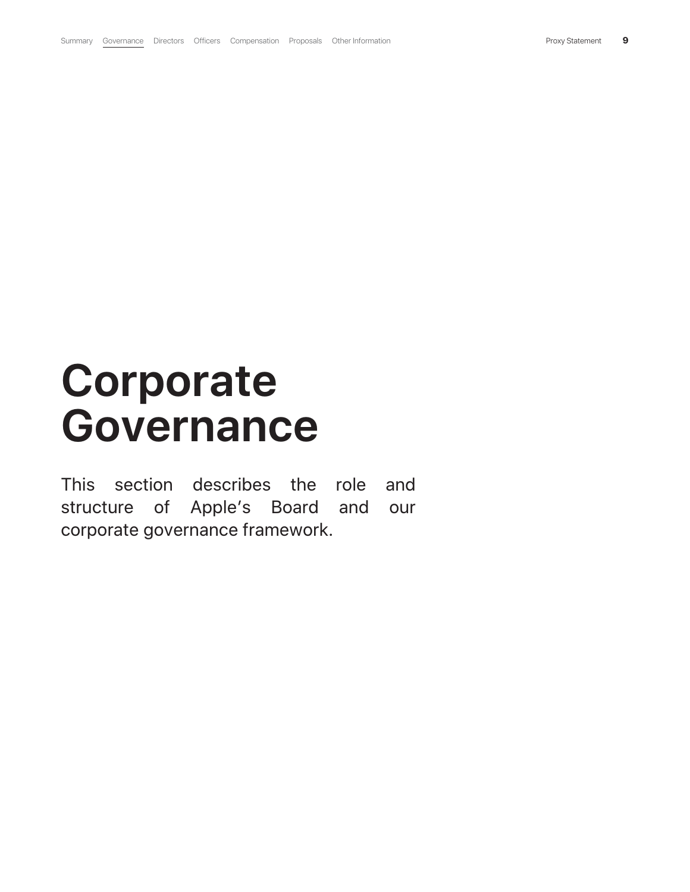# **Corporate Governance**

This section describes the role and structure of Apple's Board and our corporate governance framework.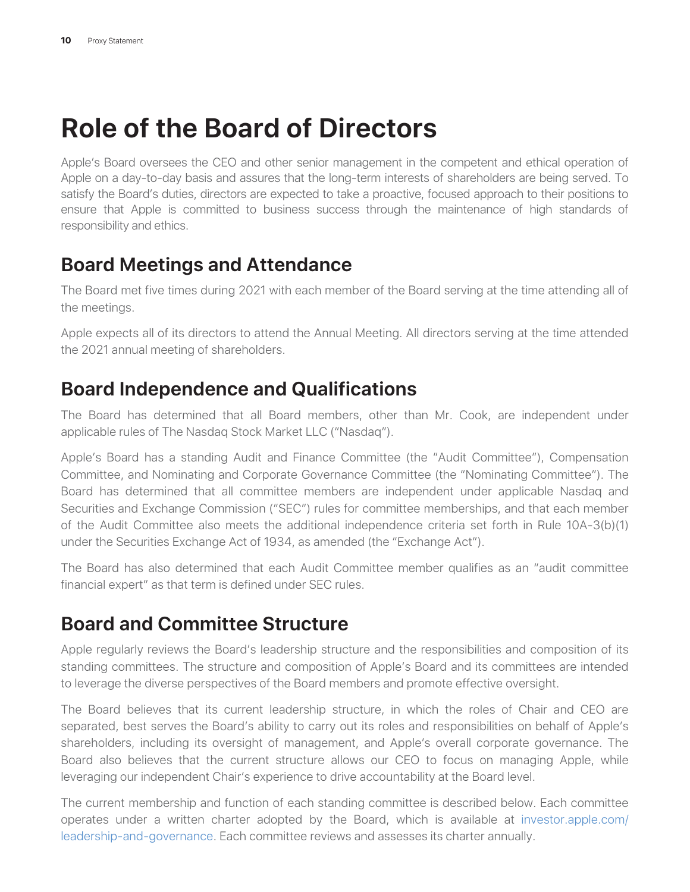# **Role of the Board of Directors**

Apple's Board oversees the CEO and other senior management in the competent and ethical operation of Apple on a day-to-day basis and assures that the long-term interests of shareholders are being served. To satisfy the Board's duties, directors are expected to take a proactive, focused approach to their positions to ensure that Apple is committed to business success through the maintenance of high standards of responsibility and ethics.

### **Board Meetings and Attendance**

The Board met five times during 2021 with each member of the Board serving at the time attending all of the meetings.

Apple expects all of its directors to attend the Annual Meeting. All directors serving at the time attended the 2021 annual meeting of shareholders.

### **Board Independence and Qualifications**

The Board has determined that all Board members, other than Mr. Cook, are independent under applicable rules of The Nasdaq Stock Market LLC ("Nasdaq").

Apple's Board has a standing Audit and Finance Committee (the "Audit Committee"), Compensation Committee, and Nominating and Corporate Governance Committee (the "Nominating Committee"). The Board has determined that all committee members are independent under applicable Nasdaq and Securities and Exchange Commission ("SEC") rules for committee memberships, and that each member of the Audit Committee also meets the additional independence criteria set forth in Rule 10A-3(b)(1) under the Securities Exchange Act of 1934, as amended (the "Exchange Act").

The Board has also determined that each Audit Committee member qualifies as an "audit committee financial expert" as that term is defined under SEC rules.

### **Board and Committee Structure**

Apple regularly reviews the Board's leadership structure and the responsibilities and composition of its standing committees. The structure and composition of Apple's Board and its committees are intended to leverage the diverse perspectives of the Board members and promote effective oversight.

The Board believes that its current leadership structure, in which the roles of Chair and CEO are separated, best serves the Board's ability to carry out its roles and responsibilities on behalf of Apple's shareholders, including its oversight of management, and Apple's overall corporate governance. The Board also believes that the current structure allows our CEO to focus on managing Apple, while leveraging our independent Chair's experience to drive accountability at the Board level.

The current membership and function of each standing committee is described below. Each committee operates under a written charter adopted by the Board, which is available at investor.apple.com/ leadership-and-governance. Each committee reviews and assesses its charter annually.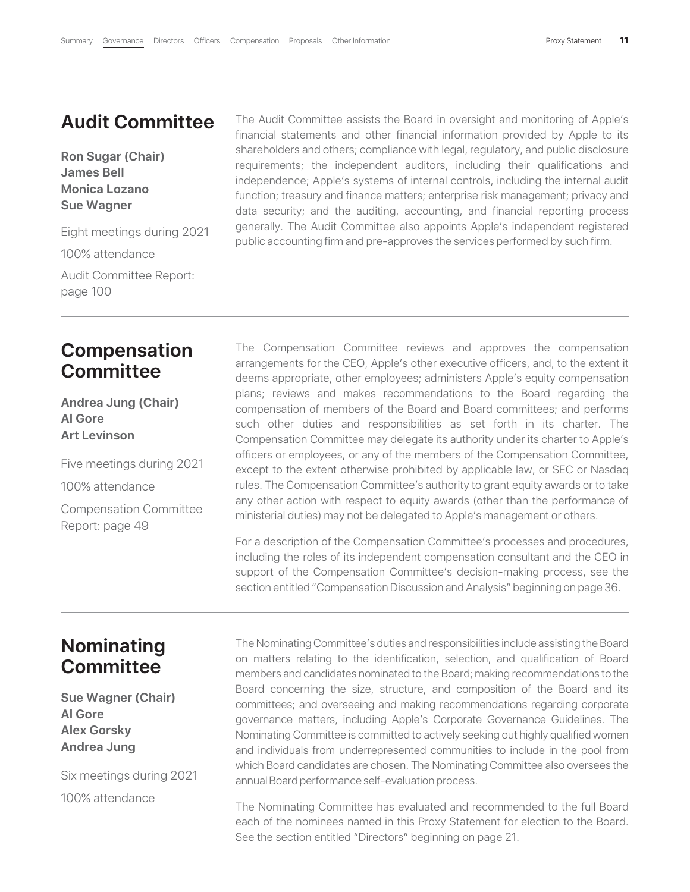### **Audit Committee**

**Ron Sugar (Chair) James Bell Monica Lozano Sue Wagner**

Eight meetings during 2021

100% attendance

Audit Committee Report: page 100

The Audit Committee assists the Board in oversight and monitoring of Apple's financial statements and other financial information provided by Apple to its shareholders and others; compliance with legal, regulatory, and public disclosure requirements; the independent auditors, including their qualifications and independence; Apple's systems of internal controls, including the internal audit function; treasury and finance matters; enterprise risk management; privacy and data security; and the auditing, accounting, and financial reporting process generally. The Audit Committee also appoints Apple's independent registered public accounting firm and pre-approves the services performed by such firm.

### **Compensation Committee**

**Andrea Jung (Chair) Al Gore Art Levinson**

Five meetings during 2021 100% attendance

Compensation Committee Report: page 49

The Compensation Committee reviews and approves the compensation arrangements for the CEO, Apple's other executive officers, and, to the extent it deems appropriate, other employees; administers Apple's equity compensation plans; reviews and makes recommendations to the Board regarding the compensation of members of the Board and Board committees; and performs such other duties and responsibilities as set forth in its charter. The Compensation Committee may delegate its authority under its charter to Apple's officers or employees, or any of the members of the Compensation Committee, except to the extent otherwise prohibited by applicable law, or SEC or Nasdaq rules. The Compensation Committee's authority to grant equity awards or to take any other action with respect to equity awards (other than the performance of ministerial duties) may not be delegated to Apple's management or others.

For a description of the Compensation Committee's processes and procedures, including the roles of its independent compensation consultant and the CEO in support of the Compensation Committee's decision-making process, see the section entitled "Compensation Discussion and Analysis" beginning on page 36.

### **Nominating Committee**

**Sue Wagner (Chair) Al Gore Alex Gorsky Andrea Jung**

Six meetings during 2021 100% attendance

The Nominating Committee's duties and responsibilities include assisting the Board on matters relating to the identification, selection, and qualification of Board members and candidates nominated to the Board; making recommendations to the Board concerning the size, structure, and composition of the Board and its committees; and overseeing and making recommendations regarding corporate governance matters, including Apple's Corporate Governance Guidelines. The Nominating Committee is committed to actively seeking out highly qualified women and individuals from underrepresented communities to include in the pool from which Board candidates are chosen. The Nominating Committee also oversees the annual Board performance self-evaluation process.

The Nominating Committee has evaluated and recommended to the full Board each of the nominees named in this Proxy Statement for election to the Board. See the section entitled "Directors" beginning on page 21.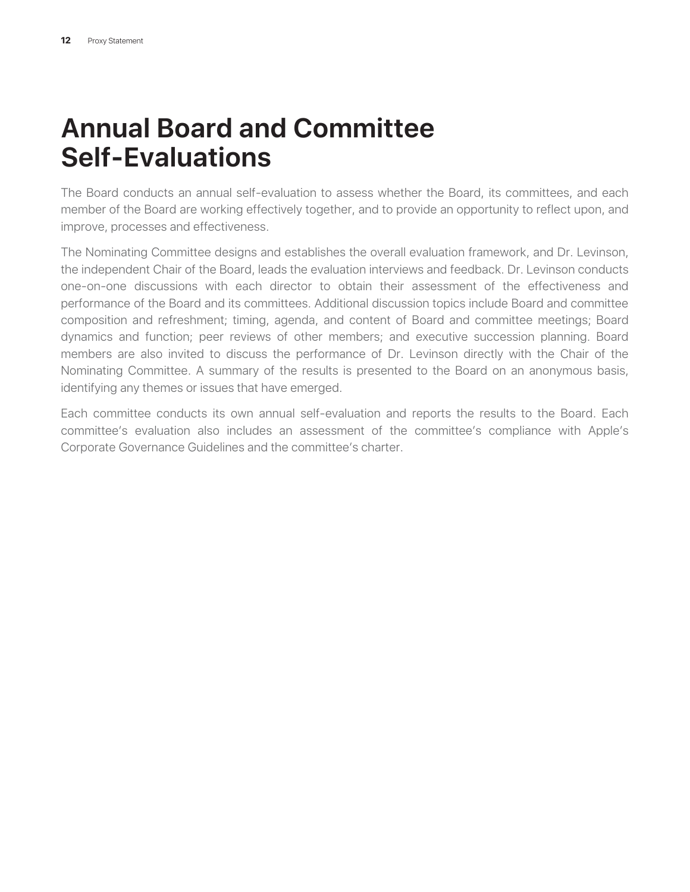# **Annual Board and Committee Self-Evaluations**

The Board conducts an annual self-evaluation to assess whether the Board, its committees, and each member of the Board are working effectively together, and to provide an opportunity to reflect upon, and improve, processes and effectiveness.

The Nominating Committee designs and establishes the overall evaluation framework, and Dr. Levinson, the independent Chair of the Board, leads the evaluation interviews and feedback. Dr. Levinson conducts one-on-one discussions with each director to obtain their assessment of the effectiveness and performance of the Board and its committees. Additional discussion topics include Board and committee composition and refreshment; timing, agenda, and content of Board and committee meetings; Board dynamics and function; peer reviews of other members; and executive succession planning. Board members are also invited to discuss the performance of Dr. Levinson directly with the Chair of the Nominating Committee. A summary of the results is presented to the Board on an anonymous basis, identifying any themes or issues that have emerged.

Each committee conducts its own annual self-evaluation and reports the results to the Board. Each committee's evaluation also includes an assessment of the committee's compliance with Apple's Corporate Governance Guidelines and the committee's charter.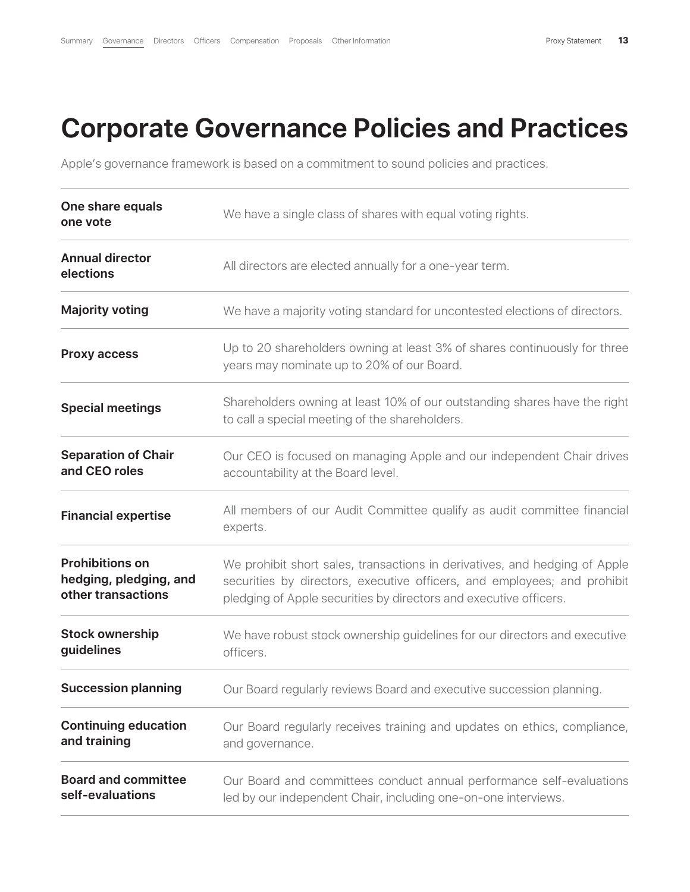## **Corporate Governance Policies and Practices**

Apple's governance framework is based on a commitment to sound policies and practices.

| One share equals<br>one vote                                           | We have a single class of shares with equal voting rights.                                                                                                                                                                  |
|------------------------------------------------------------------------|-----------------------------------------------------------------------------------------------------------------------------------------------------------------------------------------------------------------------------|
| <b>Annual director</b><br>elections                                    | All directors are elected annually for a one-year term.                                                                                                                                                                     |
| <b>Majority voting</b>                                                 | We have a majority voting standard for uncontested elections of directors.                                                                                                                                                  |
| <b>Proxy access</b>                                                    | Up to 20 shareholders owning at least 3% of shares continuously for three<br>years may nominate up to 20% of our Board.                                                                                                     |
| <b>Special meetings</b>                                                | Shareholders owning at least 10% of our outstanding shares have the right<br>to call a special meeting of the shareholders.                                                                                                 |
| <b>Separation of Chair</b><br>and CEO roles                            | Our CEO is focused on managing Apple and our independent Chair drives<br>accountability at the Board level.                                                                                                                 |
| <b>Financial expertise</b>                                             | All members of our Audit Committee qualify as audit committee financial<br>experts.                                                                                                                                         |
| <b>Prohibitions on</b><br>hedging, pledging, and<br>other transactions | We prohibit short sales, transactions in derivatives, and hedging of Apple<br>securities by directors, executive officers, and employees; and prohibit<br>pledging of Apple securities by directors and executive officers. |
| <b>Stock ownership</b><br>guidelines                                   | We have robust stock ownership guidelines for our directors and executive<br>officers.                                                                                                                                      |
| <b>Succession planning</b>                                             | Our Board regularly reviews Board and executive succession planning.                                                                                                                                                        |
| <b>Continuing education</b><br>and training                            | Our Board regularly receives training and updates on ethics, compliance,<br>and governance.                                                                                                                                 |
| <b>Board and committee</b><br>self-evaluations                         | Our Board and committees conduct annual performance self-evaluations<br>led by our independent Chair, including one-on-one interviews.                                                                                      |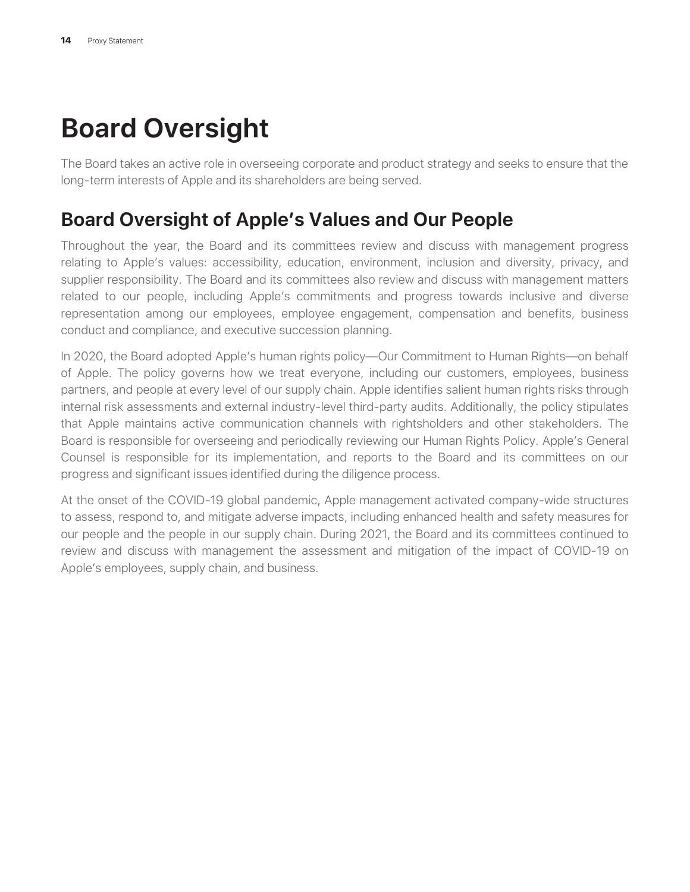# **Board Oversight**

The Board takes an active role in overseeing corporate and product strategy and seeks to ensure that the long-term interests of Apple and its shareholders are being served.

### **Board Oversight of Apple's Values and Our People**

Throughout the year, the Board and its committees review and discuss with management progress relating to Apple's values: accessibility, education, environment, inclusion and diversity, privacy, and supplier responsibility. The Board and its committees also review and discuss with management matters related to our people, including Apple's commitments and progress towards inclusive and diverse representation among our employees, employee engagement, compensation and benefits, business conduct and compliance, and executive succession planning.

In 2020, the Board adopted Apple's human rights policy—Our Commitment to Human Rights—on behalf of Apple. The policy governs how we treat everyone, including our customers, employees, business partners, and people at every level of our supply chain. Apple identifies salient human rights risks through internal risk assessments and external industry-level third-party audits. Additionally, the policy stipulates that Apple maintains active communication channels with rightsholders and other stakeholders. The Board is responsible for overseeing and periodically reviewing our Human Rights Policy. Apple's General Counsel is responsible for its implementation, and reports to the Board and its committees on our progress and significant issues identified during the diligence process.

At the onset of the COVID-19 global pandemic, Apple management activated company-wide structures to assess, respond to, and mitigate adverse impacts, including enhanced health and safety measures for our people and the people in our supply chain. During 2021, the Board and its committees continued to review and discuss with management the assessment and mitigation of the impact of COVID-19 on Apple's employees, supply chain, and business.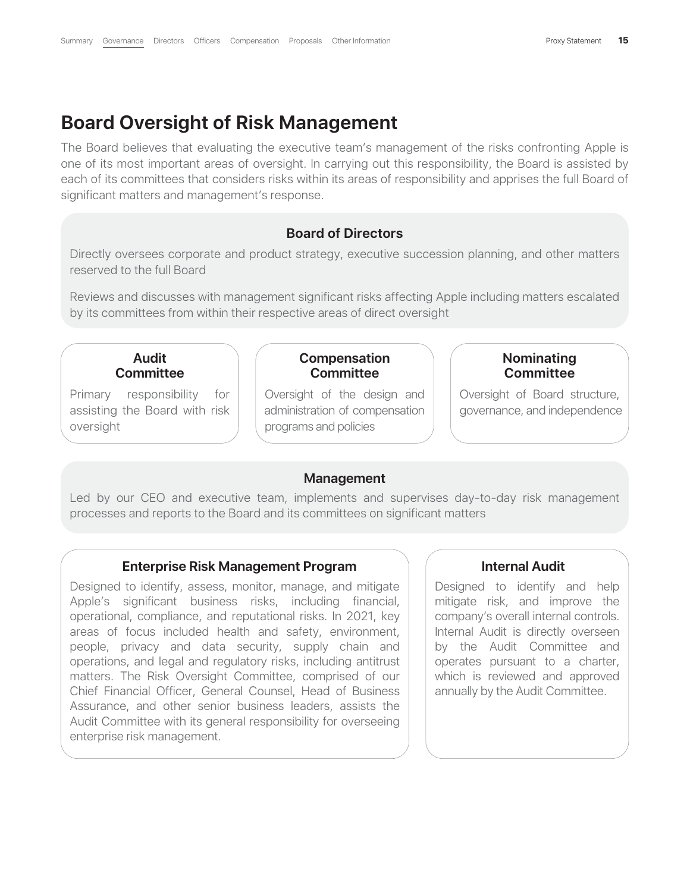### **Board Oversight of Risk Management**

The Board believes that evaluating the executive team's management of the risks confronting Apple is one of its most important areas of oversight. In carrying out this responsibility, the Board is assisted by each of its committees that considers risks within its areas of responsibility and apprises the full Board of significant matters and management's response.

### **Board of Directors**

Directly oversees corporate and product strategy, executive succession planning, and other matters reserved to the full Board

Reviews and discusses with management significant risks affecting Apple including matters escalated by its committees from within their respective areas of direct oversight

### **Audit Committee**

Primary responsibility for assisting the Board with risk oversight

#### **Compensation Committee**

Oversight of the design and administration of compensation programs and policies

### **Nominating Committee**

Oversight of Board structure, governance, and independence

#### **Management**

Led by our CEO and executive team, implements and supervises day-to-day risk management processes and reports to the Board and its committees on significant matters

#### **Enterprise Risk Management Program**

Designed to identify, assess, monitor, manage, and mitigate Apple's significant business risks, including financial, operational, compliance, and reputational risks. In 2021, key areas of focus included health and safety, environment, people, privacy and data security, supply chain and operations, and legal and regulatory risks, including antitrust matters. The Risk Oversight Committee, comprised of our Chief Financial Officer, General Counsel, Head of Business Assurance, and other senior business leaders, assists the Audit Committee with its general responsibility for overseeing enterprise risk management.

### **Internal Audit**

Designed to identify and help mitigate risk, and improve the company's overall internal controls. Internal Audit is directly overseen by the Audit Committee and operates pursuant to a charter, which is reviewed and approved annually by the Audit Committee.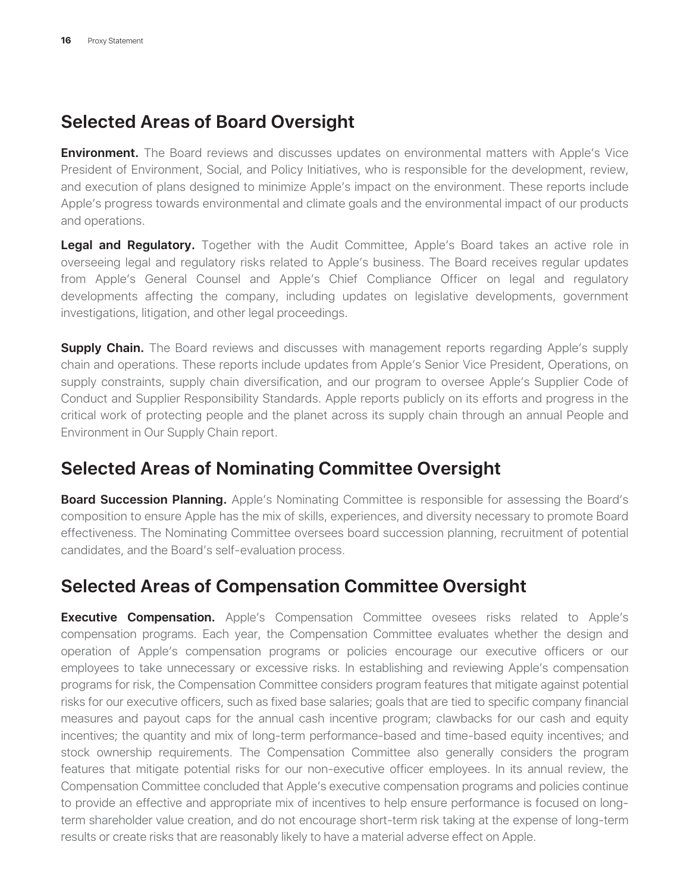### **Selected Areas of Board Oversight**

**Environment.** The Board reviews and discusses updates on environmental matters with Apple's Vice President of Environment, Social, and Policy Initiatives, who is responsible for the development, review, and execution of plans designed to minimize Apple's impact on the environment. These reports include Apple's progress towards environmental and climate goals and the environmental impact of our products and operations.

**Legal and Regulatory.** Together with the Audit Committee, Apple's Board takes an active role in overseeing legal and regulatory risks related to Apple's business. The Board receives regular updates from Apple's General Counsel and Apple's Chief Compliance Officer on legal and regulatory developments affecting the company, including updates on legislative developments, government investigations, litigation, and other legal proceedings.

**Supply Chain.** The Board reviews and discusses with management reports regarding Apple's supply chain and operations. These reports include updates from Apple's Senior Vice President, Operations, on supply constraints, supply chain diversification, and our program to oversee Apple's Supplier Code of Conduct and Supplier Responsibility Standards. Apple reports publicly on its efforts and progress in the critical work of protecting people and the planet across its supply chain through an annual People and Environment in Our Supply Chain report.

### **Selected Areas of Nominating Committee Oversight**

**Board Succession Planning.** Apple's Nominating Committee is responsible for assessing the Board's composition to ensure Apple has the mix of skills, experiences, and diversity necessary to promote Board effectiveness. The Nominating Committee oversees board succession planning, recruitment of potential candidates, and the Board's self-evaluation process.

### **Selected Areas of Compensation Committee Oversight**

**Executive Compensation.** Apple's Compensation Committee ovesees risks related to Apple's compensation programs. Each year, the Compensation Committee evaluates whether the design and operation of Apple's compensation programs or policies encourage our executive officers or our employees to take unnecessary or excessive risks. In establishing and reviewing Apple's compensation programs for risk, the Compensation Committee considers program features that mitigate against potential risks for our executive officers, such as fixed base salaries; goals that are tied to specific company financial measures and payout caps for the annual cash incentive program; clawbacks for our cash and equity incentives; the quantity and mix of long-term performance-based and time-based equity incentives; and stock ownership requirements. The Compensation Committee also generally considers the program features that mitigate potential risks for our non-executive officer employees. In its annual review, the Compensation Committee concluded that Apple's executive compensation programs and policies continue to provide an effective and appropriate mix of incentives to help ensure performance is focused on longterm shareholder value creation, and do not encourage short-term risk taking at the expense of long-term results or create risks that are reasonably likely to have a material adverse effect on Apple.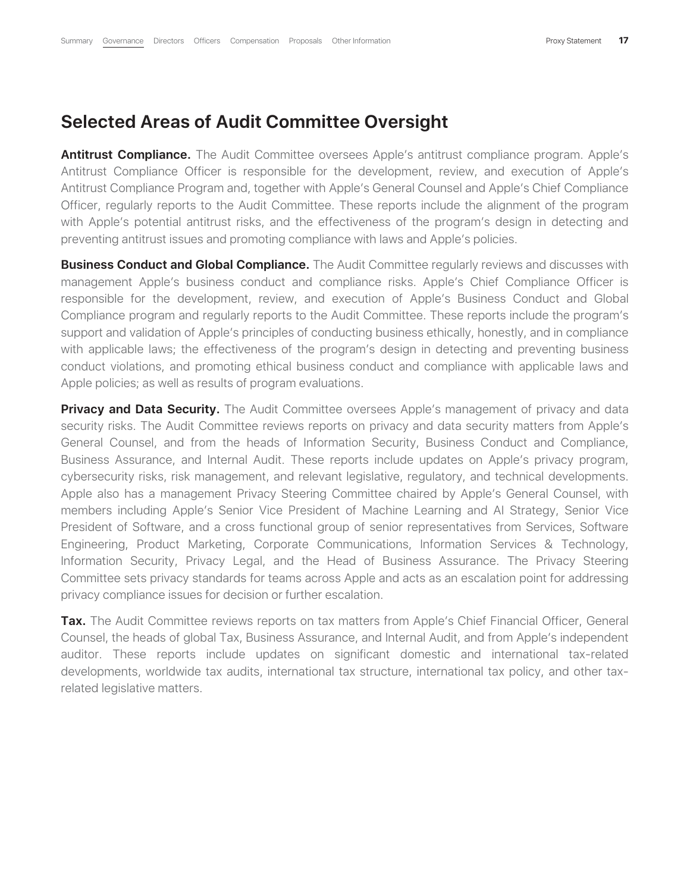### **Selected Areas of Audit Committee Oversight**

Antitrust Compliance. The Audit Committee oversees Apple's antitrust compliance program. Apple's Antitrust Compliance Officer is responsible for the development, review, and execution of Apple's Antitrust Compliance Program and, together with Apple's General Counsel and Apple's Chief Compliance Officer, regularly reports to the Audit Committee. These reports include the alignment of the program with Apple's potential antitrust risks, and the effectiveness of the program's design in detecting and preventing antitrust issues and promoting compliance with laws and Apple's policies.

**Business Conduct and Global Compliance.** The Audit Committee regularly reviews and discusses with management Apple's business conduct and compliance risks. Apple's Chief Compliance Officer is responsible for the development, review, and execution of Apple's Business Conduct and Global Compliance program and regularly reports to the Audit Committee. These reports include the program's support and validation of Apple's principles of conducting business ethically, honestly, and in compliance with applicable laws; the effectiveness of the program's design in detecting and preventing business conduct violations, and promoting ethical business conduct and compliance with applicable laws and Apple policies; as well as results of program evaluations.

**Privacy and Data Security.** The Audit Committee oversees Apple's management of privacy and data security risks. The Audit Committee reviews reports on privacy and data security matters from Apple's General Counsel, and from the heads of Information Security, Business Conduct and Compliance, Business Assurance, and Internal Audit. These reports include updates on Apple's privacy program, cybersecurity risks, risk management, and relevant legislative, regulatory, and technical developments. Apple also has a management Privacy Steering Committee chaired by Apple's General Counsel, with members including Apple's Senior Vice President of Machine Learning and AI Strategy, Senior Vice President of Software, and a cross functional group of senior representatives from Services, Software Engineering, Product Marketing, Corporate Communications, Information Services & Technology, Information Security, Privacy Legal, and the Head of Business Assurance. The Privacy Steering Committee sets privacy standards for teams across Apple and acts as an escalation point for addressing privacy compliance issues for decision or further escalation.

**Tax.** The Audit Committee reviews reports on tax matters from Apple's Chief Financial Officer, General Counsel, the heads of global Tax, Business Assurance, and Internal Audit, and from Apple's independent auditor. These reports include updates on significant domestic and international tax-related developments, worldwide tax audits, international tax structure, international tax policy, and other taxrelated legislative matters.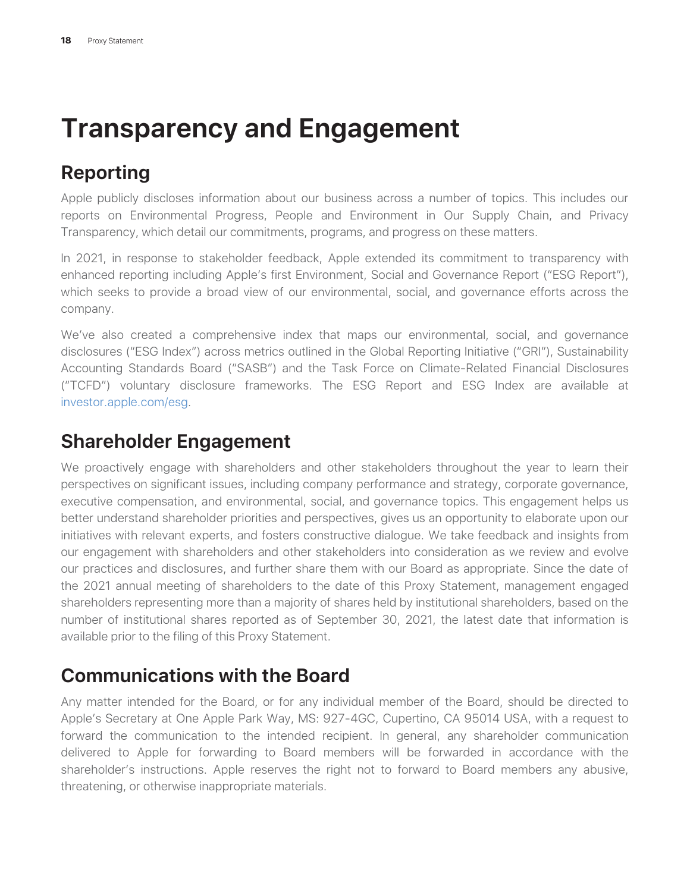# **Transparency and Engagement**

### **Reporting**

Apple publicly discloses information about our business across a number of topics. This includes our reports on Environmental Progress, People and Environment in Our Supply Chain, and Privacy Transparency, which detail our commitments, programs, and progress on these matters.

In 2021, in response to stakeholder feedback, Apple extended its commitment to transparency with enhanced reporting including Apple's first Environment, Social and Governance Report ("ESG Report"), which seeks to provide a broad view of our environmental, social, and governance efforts across the company.

We've also created a comprehensive index that maps our environmental, social, and governance disclosures ("ESG Index") across metrics outlined in the Global Reporting Initiative ("GRI"), Sustainability Accounting Standards Board ("SASB") and the Task Force on Climate-Related Financial Disclosures ("TCFD") voluntary disclosure frameworks. The ESG Report and ESG Index are available at investor.apple.com/esg.

### **Shareholder Engagement**

We proactively engage with shareholders and other stakeholders throughout the year to learn their perspectives on significant issues, including company performance and strategy, corporate governance, executive compensation, and environmental, social, and governance topics. This engagement helps us better understand shareholder priorities and perspectives, gives us an opportunity to elaborate upon our initiatives with relevant experts, and fosters constructive dialogue. We take feedback and insights from our engagement with shareholders and other stakeholders into consideration as we review and evolve our practices and disclosures, and further share them with our Board as appropriate. Since the date of the 2021 annual meeting of shareholders to the date of this Proxy Statement, management engaged shareholders representing more than a majority of shares held by institutional shareholders, based on the number of institutional shares reported as of September 30, 2021, the latest date that information is available prior to the filing of this Proxy Statement.

### **Communications with the Board**

Any matter intended for the Board, or for any individual member of the Board, should be directed to Apple's Secretary at One Apple Park Way, MS: 927-4GC, Cupertino, CA 95014 USA, with a request to forward the communication to the intended recipient. In general, any shareholder communication delivered to Apple for forwarding to Board members will be forwarded in accordance with the shareholder's instructions. Apple reserves the right not to forward to Board members any abusive, threatening, or otherwise inappropriate materials.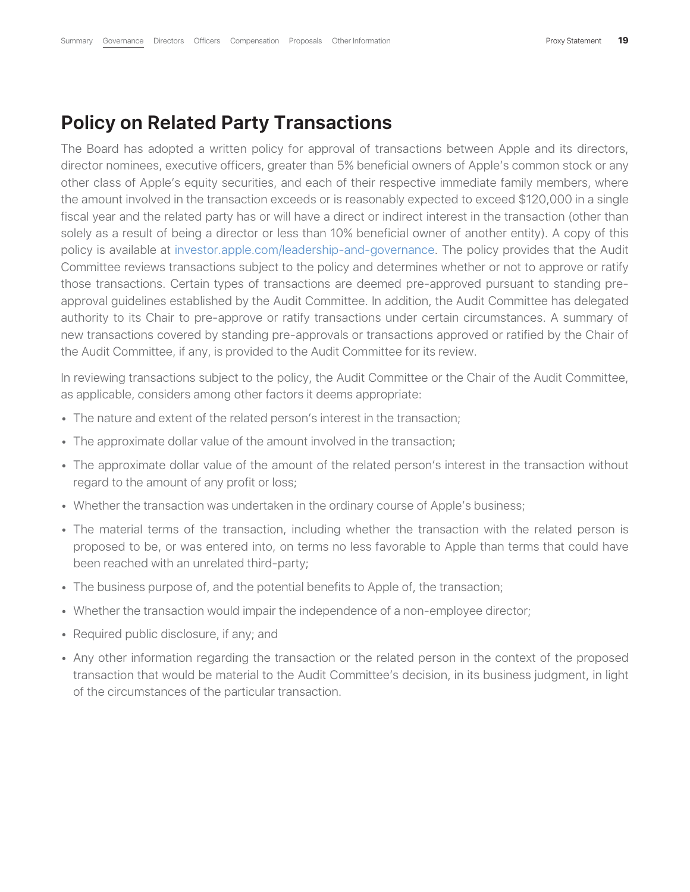### **Policy on Related Party Transactions**

The Board has adopted a written policy for approval of transactions between Apple and its directors, director nominees, executive officers, greater than 5% beneficial owners of Apple's common stock or any other class of Apple's equity securities, and each of their respective immediate family members, where the amount involved in the transaction exceeds or is reasonably expected to exceed \$120,000 in a single fiscal year and the related party has or will have a direct or indirect interest in the transaction (other than solely as a result of being a director or less than 10% beneficial owner of another entity). A copy of this policy is available at investor.apple.com/leadership-and-governance. The policy provides that the Audit Committee reviews transactions subject to the policy and determines whether or not to approve or ratify those transactions. Certain types of transactions are deemed pre-approved pursuant to standing preapproval guidelines established by the Audit Committee. In addition, the Audit Committee has delegated authority to its Chair to pre-approve or ratify transactions under certain circumstances. A summary of new transactions covered by standing pre-approvals or transactions approved or ratified by the Chair of the Audit Committee, if any, is provided to the Audit Committee for its review.

In reviewing transactions subject to the policy, the Audit Committee or the Chair of the Audit Committee, as applicable, considers among other factors it deems appropriate:

- The nature and extent of the related person's interest in the transaction;
- The approximate dollar value of the amount involved in the transaction;
- The approximate dollar value of the amount of the related person's interest in the transaction without regard to the amount of any profit or loss;
- Whether the transaction was undertaken in the ordinary course of Apple's business;
- The material terms of the transaction, including whether the transaction with the related person is proposed to be, or was entered into, on terms no less favorable to Apple than terms that could have been reached with an unrelated third-party;
- The business purpose of, and the potential benefits to Apple of, the transaction;
- Whether the transaction would impair the independence of a non-employee director;
- Required public disclosure, if any; and
- Any other information regarding the transaction or the related person in the context of the proposed transaction that would be material to the Audit Committee's decision, in its business judgment, in light of the circumstances of the particular transaction.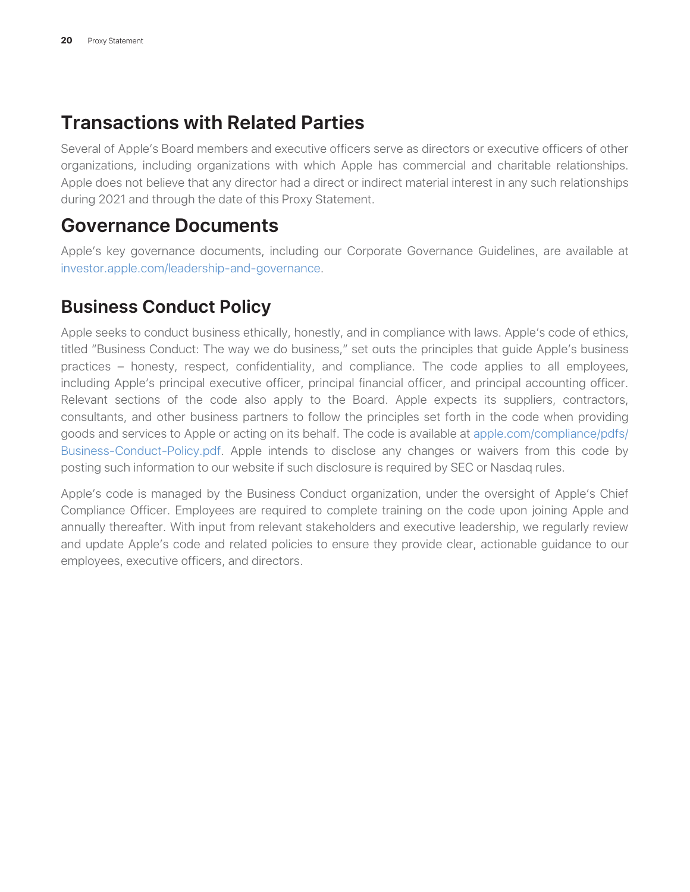### **Transactions with Related Parties**

Several of Apple's Board members and executive officers serve as directors or executive officers of other organizations, including organizations with which Apple has commercial and charitable relationships. Apple does not believe that any director had a direct or indirect material interest in any such relationships during 2021 and through the date of this Proxy Statement.

### **Governance Documents**

Apple's key governance documents, including our Corporate Governance Guidelines, are available at investor.apple.com/leadership-and-governance.

### **Business Conduct Policy**

Apple seeks to conduct business ethically, honestly, and in compliance with laws. Apple's code of ethics, titled "Business Conduct: The way we do business," set outs the principles that guide Apple's business practices – honesty, respect, confidentiality, and compliance. The code applies to all employees, including Apple's principal executive officer, principal financial officer, and principal accounting officer. Relevant sections of the code also apply to the Board. Apple expects its suppliers, contractors, consultants, and other business partners to follow the principles set forth in the code when providing goods and services to Apple or acting on its behalf. The code is available at apple.com/compliance/pdfs/ Business-Conduct-Policy.pdf. Apple intends to disclose any changes or waivers from this code by posting such information to our website if such disclosure is required by SEC or Nasdaq rules.

Apple's code is managed by the Business Conduct organization, under the oversight of Apple's Chief Compliance Officer. Employees are required to complete training on the code upon joining Apple and annually thereafter. With input from relevant stakeholders and executive leadership, we regularly review and update Apple's code and related policies to ensure they provide clear, actionable guidance to our employees, executive officers, and directors.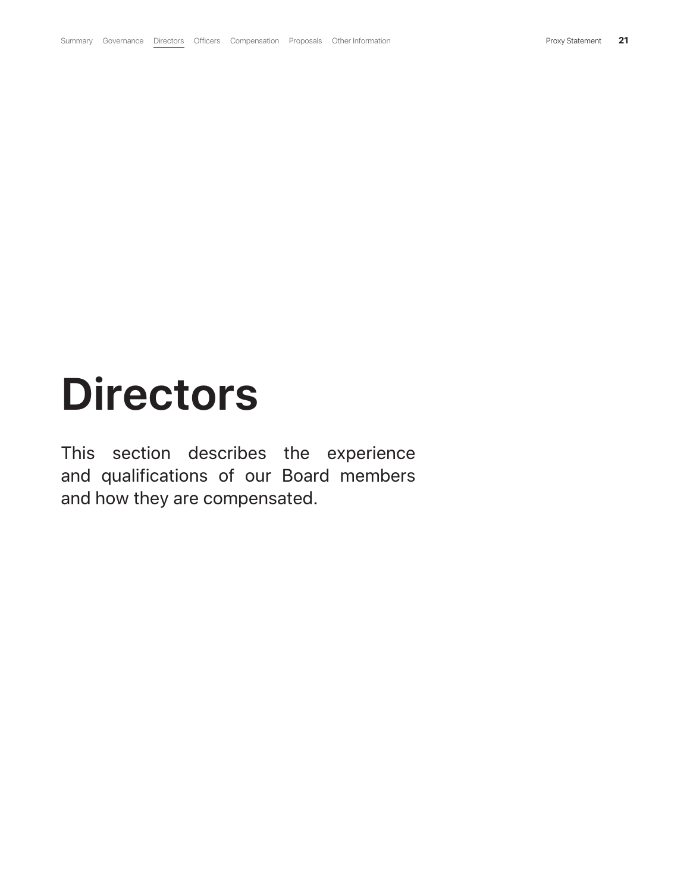# **Directors**

This section describes the experience and qualifications of our Board members and how they are compensated.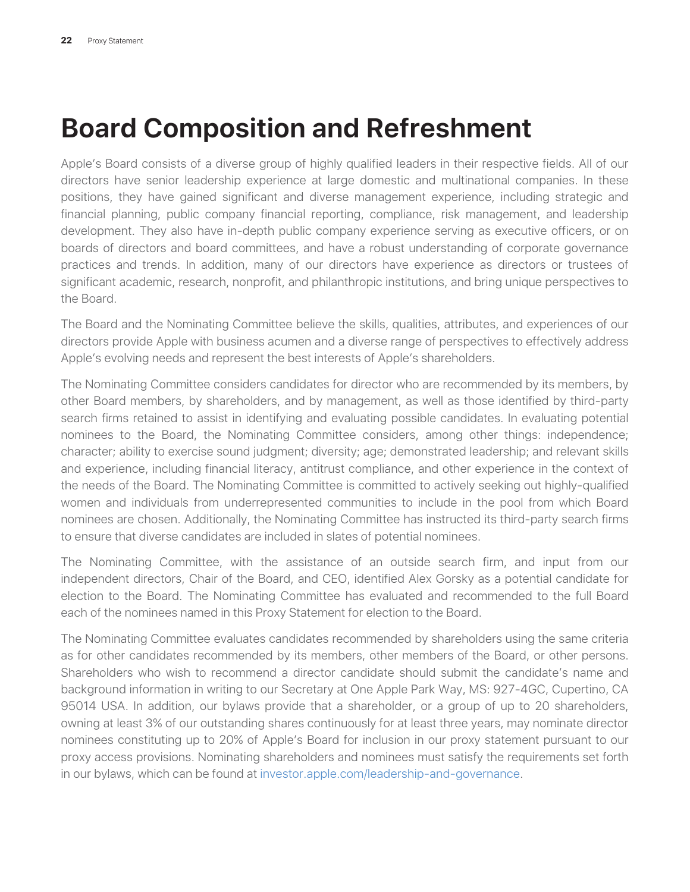# **Board Composition and Refreshment**

Apple's Board consists of a diverse group of highly qualified leaders in their respective fields. All of our directors have senior leadership experience at large domestic and multinational companies. In these positions, they have gained significant and diverse management experience, including strategic and financial planning, public company financial reporting, compliance, risk management, and leadership development. They also have in-depth public company experience serving as executive officers, or on boards of directors and board committees, and have a robust understanding of corporate governance practices and trends. In addition, many of our directors have experience as directors or trustees of significant academic, research, nonprofit, and philanthropic institutions, and bring unique perspectives to the Board.

The Board and the Nominating Committee believe the skills, qualities, attributes, and experiences of our directors provide Apple with business acumen and a diverse range of perspectives to effectively address Apple's evolving needs and represent the best interests of Apple's shareholders.

The Nominating Committee considers candidates for director who are recommended by its members, by other Board members, by shareholders, and by management, as well as those identified by third-party search firms retained to assist in identifying and evaluating possible candidates. In evaluating potential nominees to the Board, the Nominating Committee considers, among other things: independence; character; ability to exercise sound judgment; diversity; age; demonstrated leadership; and relevant skills and experience, including financial literacy, antitrust compliance, and other experience in the context of the needs of the Board. The Nominating Committee is committed to actively seeking out highly-qualified women and individuals from underrepresented communities to include in the pool from which Board nominees are chosen. Additionally, the Nominating Committee has instructed its third-party search firms to ensure that diverse candidates are included in slates of potential nominees.

The Nominating Committee, with the assistance of an outside search firm, and input from our independent directors, Chair of the Board, and CEO, identified Alex Gorsky as a potential candidate for election to the Board. The Nominating Committee has evaluated and recommended to the full Board each of the nominees named in this Proxy Statement for election to the Board.

The Nominating Committee evaluates candidates recommended by shareholders using the same criteria as for other candidates recommended by its members, other members of the Board, or other persons. Shareholders who wish to recommend a director candidate should submit the candidate's name and background information in writing to our Secretary at One Apple Park Way, MS: 927-4GC, Cupertino, CA 95014 USA. In addition, our bylaws provide that a shareholder, or a group of up to 20 shareholders, owning at least 3% of our outstanding shares continuously for at least three years, may nominate director nominees constituting up to 20% of Apple's Board for inclusion in our proxy statement pursuant to our proxy access provisions. Nominating shareholders and nominees must satisfy the requirements set forth in our bylaws, which can be found at investor.apple.com/leadership-and-governance.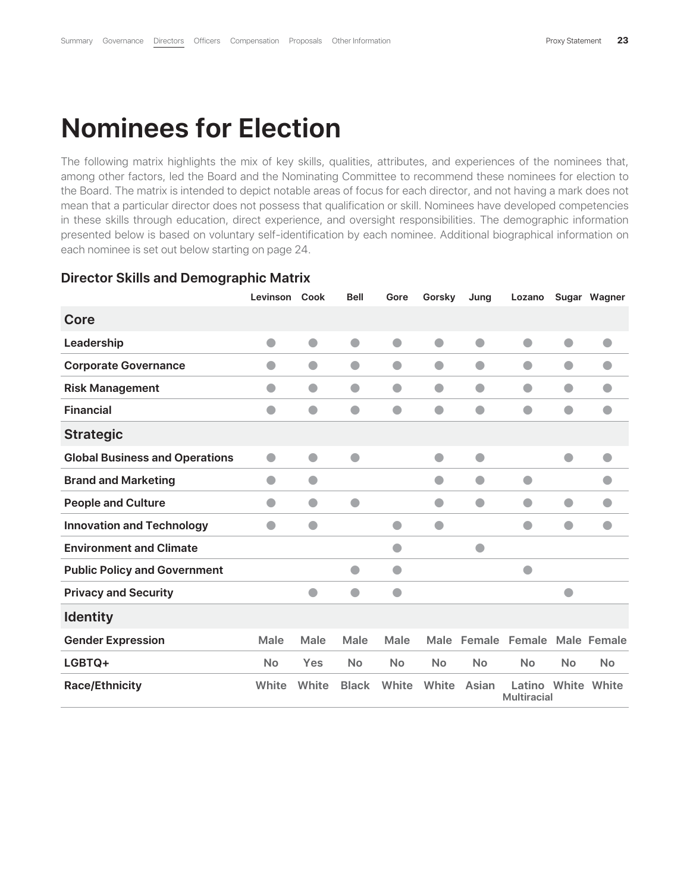## **Nominees for Election**

The following matrix highlights the mix of key skills, qualities, attributes, and experiences of the nominees that, among other factors, led the Board and the Nominating Committee to recommend these nominees for election to the Board. The matrix is intended to depict notable areas of focus for each director, and not having a mark does not mean that a particular director does not possess that qualification or skill. Nominees have developed competencies in these skills through education, direct experience, and oversight responsibilities. The demographic information presented below is based on voluntary self-identification by each nominee. Additional biographical information on each nominee is set out below starting on page 24.

|                                       | Levinson       | Cook           | <b>Bell</b>  | Gore        | Gorsky      | Jung           | Lozano                                   |                | Sugar Wagner |
|---------------------------------------|----------------|----------------|--------------|-------------|-------------|----------------|------------------------------------------|----------------|--------------|
| Core                                  |                |                |              |             |             |                |                                          |                |              |
| Leadership                            | $\bullet$      | $\bullet$      | $\bullet$    | $\bullet$   | $\bullet$   | $\bullet$      | $\bullet$                                | $\bullet$      | $\bullet$    |
| <b>Corporate Governance</b>           | O              | $\bullet$      | $\bullet$    | $\bullet$   | $\bullet$   | $\bullet$      | $\bullet$                                | $\blacksquare$ |              |
| <b>Risk Management</b>                | $\bullet$      | $\bullet$      | $\bullet$    | $\bullet$   | $\bullet$   | $\bullet$      | $\bullet$                                | $\blacksquare$ |              |
| <b>Financial</b>                      | $\blacksquare$ |                |              |             | $\bullet$   |                | $\bullet$                                |                |              |
| <b>Strategic</b>                      |                |                |              |             |             |                |                                          |                |              |
| <b>Global Business and Operations</b> | $\bullet$      | $\bullet$      | $\bullet$    |             | $\bullet$   | $\bullet$      |                                          | $\bullet$      | $\bullet$    |
| <b>Brand and Marketing</b>            | $\blacksquare$ | $\blacksquare$ |              |             | a           | $\blacksquare$ | $\bullet$                                |                |              |
| <b>People and Culture</b>             | O              | O              |              |             |             | a              | o                                        | $\bullet$      |              |
| <b>Innovation and Technology</b>      | a              | $\bullet$      |              |             |             |                | a                                        |                |              |
| <b>Environment and Climate</b>        |                |                |              |             |             |                |                                          |                |              |
| <b>Public Policy and Government</b>   |                |                | $\bullet$    | A           |             |                | a                                        |                |              |
| <b>Privacy and Security</b>           |                |                |              |             |             |                |                                          |                |              |
| <b>Identity</b>                       |                |                |              |             |             |                |                                          |                |              |
| <b>Gender Expression</b>              | Male           | <b>Male</b>    | Male         | <b>Male</b> | <b>Male</b> | Female         | Female                                   |                | Male Female  |
| LGBTQ+                                | <b>No</b>      | Yes            | <b>No</b>    | <b>No</b>   | <b>No</b>   | <b>No</b>      | <b>No</b>                                | <b>No</b>      | <b>No</b>    |
| <b>Race/Ethnicity</b>                 | White          | White          | <b>Black</b> | White       | White       | Asian          | Latino White White<br><b>Multiracial</b> |                |              |

#### **Director Skills and Demographic Matrix**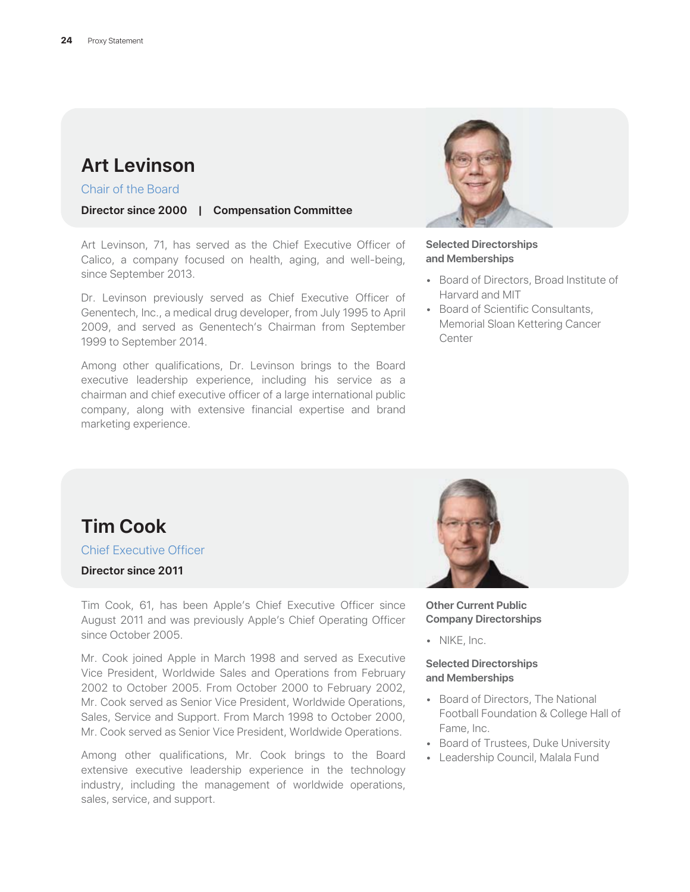### **Art Levinson**

Chair of the Board

**Director since 2000 | Compensation Committee**

Art Levinson, 71, has served as the Chief Executive Officer of Calico, a company focused on health, aging, and well-being, since September 2013.

Dr. Levinson previously served as Chief Executive Officer of Genentech, Inc., a medical drug developer, from July 1995 to April 2009, and served as Genentech's Chairman from September 1999 to September 2014.

Among other qualifications, Dr. Levinson brings to the Board executive leadership experience, including his service as a chairman and chief executive officer of a large international public company, along with extensive financial expertise and brand marketing experience.



#### **Selected Directorships and Memberships**

- Board of Directors, Broad Institute of Harvard and MIT
- Board of Scientific Consultants, Memorial Sloan Kettering Cancer Center

### **Tim Cook**

Chief Executive Officer

**Director since 2011**

Tim Cook, 61, has been Apple's Chief Executive Officer since August 2011 and was previously Apple's Chief Operating Officer since October 2005.

Mr. Cook joined Apple in March 1998 and served as Executive Vice President, Worldwide Sales and Operations from February 2002 to October 2005. From October 2000 to February 2002, Mr. Cook served as Senior Vice President, Worldwide Operations, Sales, Service and Support. From March 1998 to October 2000, Mr. Cook served as Senior Vice President, Worldwide Operations.

Among other qualifications, Mr. Cook brings to the Board extensive executive leadership experience in the technology industry, including the management of worldwide operations, sales, service, and support.



**Other Current Public Company Directorships**

• NIKE, Inc.

#### **Selected Directorships and Memberships**

- Board of Directors, The National Football Foundation & College Hall of Fame, Inc.
- Board of Trustees, Duke University
- Leadership Council, Malala Fund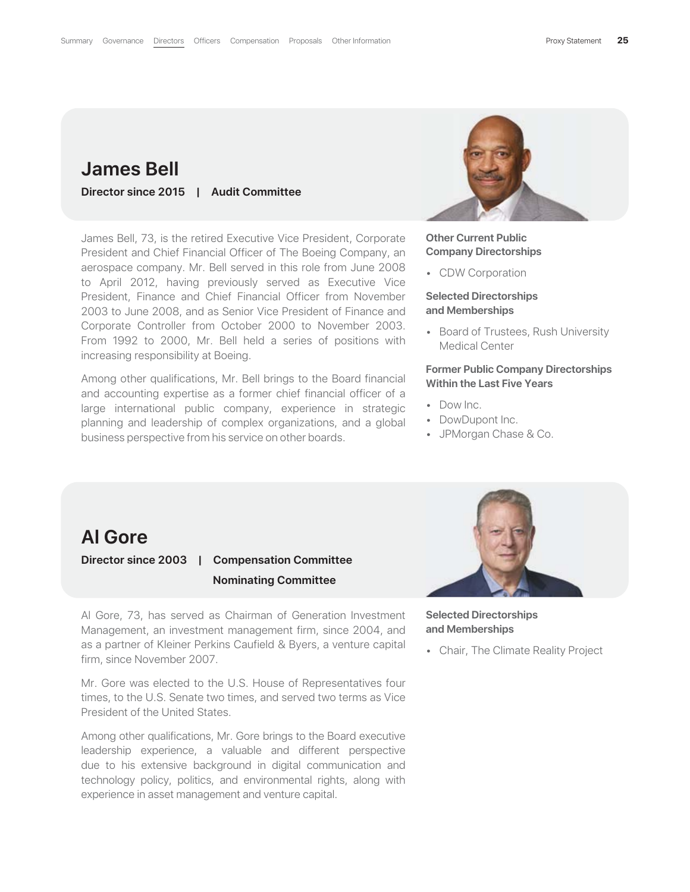### **James Bell**

**Director since 2015 | Audit Committee**

James Bell, 73, is the retired Executive Vice President, Corporate President and Chief Financial Officer of The Boeing Company, an aerospace company. Mr. Bell served in this role from June 2008 to April 2012, having previously served as Executive Vice President, Finance and Chief Financial Officer from November 2003 to June 2008, and as Senior Vice President of Finance and Corporate Controller from October 2000 to November 2003. From 1992 to 2000, Mr. Bell held a series of positions with increasing responsibility at Boeing.

Among other qualifications, Mr. Bell brings to the Board financial and accounting expertise as a former chief financial officer of a large international public company, experience in strategic planning and leadership of complex organizations, and a global business perspective from his service on other boards.



#### **Other Current Public Company Directorships**

• CDW Corporation

#### **Selected Directorships and Memberships**

• Board of Trustees, Rush University Medical Center

### **Former Public Company Directorships Within the Last Five Years**

- Dow Inc.
- DowDupont Inc.
- JPMorgan Chase & Co.

### **Al Gore**

### **Director since 2003 | Compensation Committee Nominating Committee**

Al Gore, 73, has served as Chairman of Generation Investment Management, an investment management firm, since 2004, and as a partner of Kleiner Perkins Caufield & Byers, a venture capital firm, since November 2007.

Mr. Gore was elected to the U.S. House of Representatives four times, to the U.S. Senate two times, and served two terms as Vice President of the United States.

Among other qualifications, Mr. Gore brings to the Board executive leadership experience, a valuable and different perspective due to his extensive background in digital communication and technology policy, politics, and environmental rights, along with experience in asset management and venture capital.



**Selected Directorships and Memberships**

• Chair, The Climate Reality Project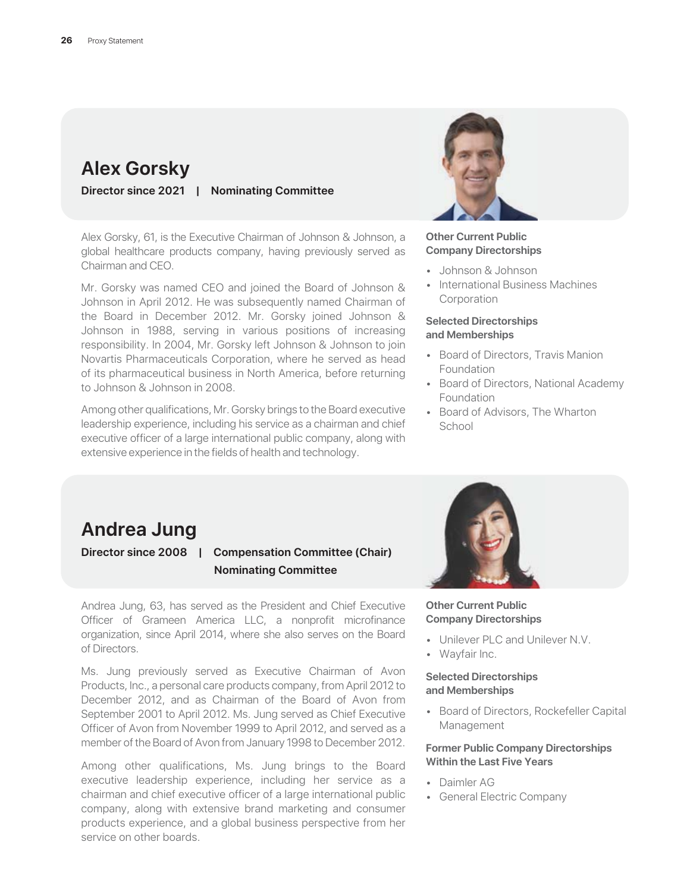### **Alex Gorsky**

**Director since 2021 | Nominating Committee**

Alex Gorsky, 61, is the Executive Chairman of Johnson & Johnson, a global healthcare products company, having previously served as Chairman and CEO.

Mr. Gorsky was named CEO and joined the Board of Johnson & Johnson in April 2012. He was subsequently named Chairman of the Board in December 2012. Mr. Gorsky joined Johnson & Johnson in 1988, serving in various positions of increasing responsibility. In 2004, Mr. Gorsky left Johnson & Johnson to join Novartis Pharmaceuticals Corporation, where he served as head of its pharmaceutical business in North America, before returning to Johnson & Johnson in 2008.

Among other qualifications, Mr. Gorsky brings to the Board executive leadership experience, including his service as a chairman and chief executive officer of a large international public company, along with extensive experience in the fields of health and technology.



#### **Other Current Public Company Directorships**

- Johnson & Johnson
- International Business Machines **Corporation**

#### **Selected Directorships and Memberships**

- Board of Directors, Travis Manion Foundation
- Board of Directors, National Academy Foundation
- Board of Advisors, The Wharton School

### **Andrea Jung**

### **Director since 2008 | Compensation Committee (Chair) Nominating Committee**

Andrea Jung, 63, has served as the President and Chief Executive Officer of Grameen America LLC, a nonprofit microfinance organization, since April 2014, where she also serves on the Board of Directors.

Ms. Jung previously served as Executive Chairman of Avon Products, Inc., a personal care products company, from April 2012 to December 2012, and as Chairman of the Board of Avon from September 2001 to April 2012. Ms. Jung served as Chief Executive Officer of Avon from November 1999 to April 2012, and served as a member of the Board of Avon from January 1998 to December 2012.

Among other qualifications, Ms. Jung brings to the Board executive leadership experience, including her service as a chairman and chief executive officer of a large international public company, along with extensive brand marketing and consumer products experience, and a global business perspective from her service on other boards.



#### **Other Current Public Company Directorships**

- Unilever PLC and Unilever N.V.
- Wayfair Inc.

#### **Selected Directorships and Memberships**

• Board of Directors, Rockefeller Capital Management

#### **Former Public Company Directorships Within the Last Five Years**

- Daimler AG
- General Electric Company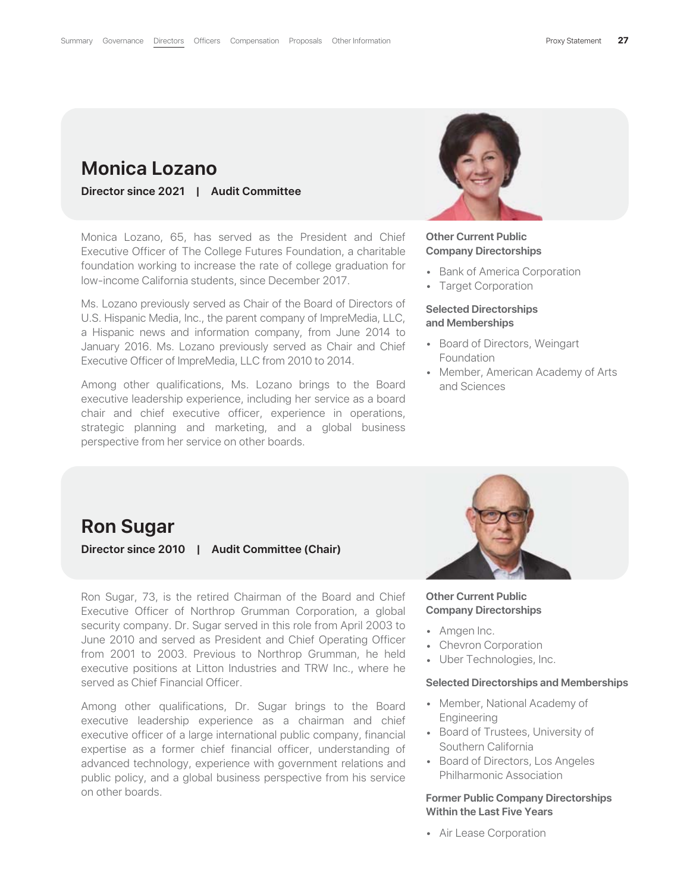### **Monica Lozano**

**Director since 2021 | Audit Committee**

Monica Lozano, 65, has served as the President and Chief Executive Officer of The College Futures Foundation, a charitable foundation working to increase the rate of college graduation for low-income California students, since December 2017.

Ms. Lozano previously served as Chair of the Board of Directors of U.S. Hispanic Media, Inc., the parent company of ImpreMedia, LLC, a Hispanic news and information company, from June 2014 to January 2016. Ms. Lozano previously served as Chair and Chief Executive Officer of ImpreMedia, LLC from 2010 to 2014.

Among other qualifications, Ms. Lozano brings to the Board executive leadership experience, including her service as a board chair and chief executive officer, experience in operations, strategic planning and marketing, and a global business perspective from her service on other boards.



#### **Other Current Public Company Directorships**

- Bank of America Corporation
- Target Corporation

#### **Selected Directorships and Memberships**

- Board of Directors, Weingart Foundation
- Member, American Academy of Arts and Sciences

### **Ron Sugar**

**Director since 2010 | Audit Committee (Chair)**

Ron Sugar, 73, is the retired Chairman of the Board and Chief Executive Officer of Northrop Grumman Corporation, a global security company. Dr. Sugar served in this role from April 2003 to June 2010 and served as President and Chief Operating Officer from 2001 to 2003. Previous to Northrop Grumman, he held executive positions at Litton Industries and TRW Inc., where he served as Chief Financial Officer.

Among other qualifications, Dr. Sugar brings to the Board executive leadership experience as a chairman and chief executive officer of a large international public company, financial expertise as a former chief financial officer, understanding of advanced technology, experience with government relations and public policy, and a global business perspective from his service on other boards.



#### **Other Current Public Company Directorships**

- Amgen Inc.
- Chevron Corporation
- Uber Technologies, Inc.

#### **Selected Directorships and Memberships**

- Member, National Academy of Engineering
- Board of Trustees, University of Southern California
- Board of Directors, Los Angeles Philharmonic Association

#### **Former Public Company Directorships Within the Last Five Years**

• Air Lease Corporation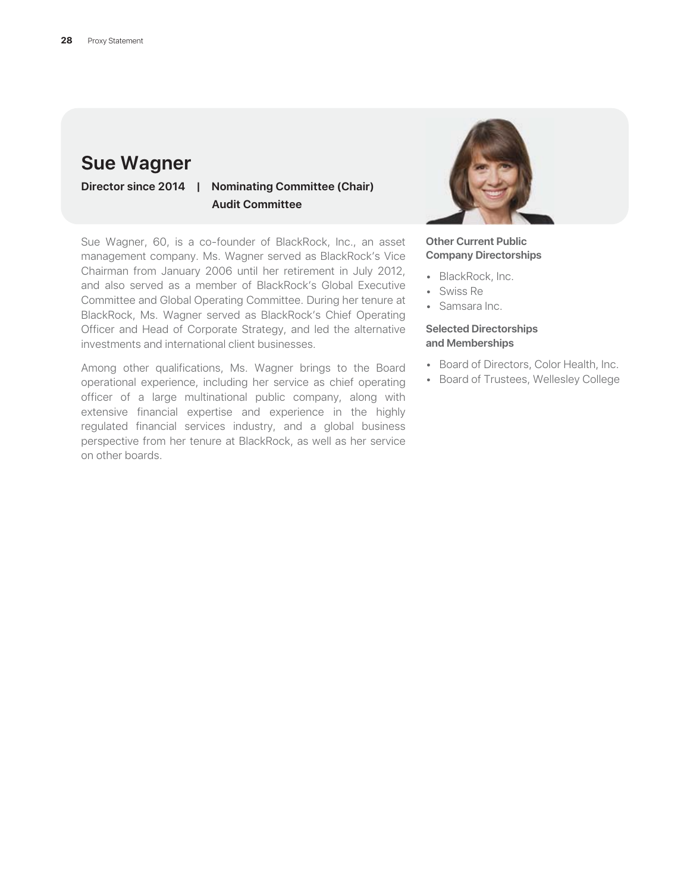### **Sue Wagner**

**Director since 2014 | Nominating Committee (Chair) Audit Committee**

Sue Wagner, 60, is a co-founder of BlackRock, Inc., an asset management company. Ms. Wagner served as BlackRock's Vice Chairman from January 2006 until her retirement in July 2012, and also served as a member of BlackRock's Global Executive Committee and Global Operating Committee. During her tenure at BlackRock, Ms. Wagner served as BlackRock's Chief Operating Officer and Head of Corporate Strategy, and led the alternative investments and international client businesses.

Among other qualifications, Ms. Wagner brings to the Board operational experience, including her service as chief operating officer of a large multinational public company, along with extensive financial expertise and experience in the highly regulated financial services industry, and a global business perspective from her tenure at BlackRock, as well as her service on other boards.



**Other Current Public Company Directorships**

- BlackRock, Inc.
- Swiss Re
- Samsara Inc.

#### **Selected Directorships and Memberships**

- Board of Directors, Color Health, Inc.
- Board of Trustees, Wellesley College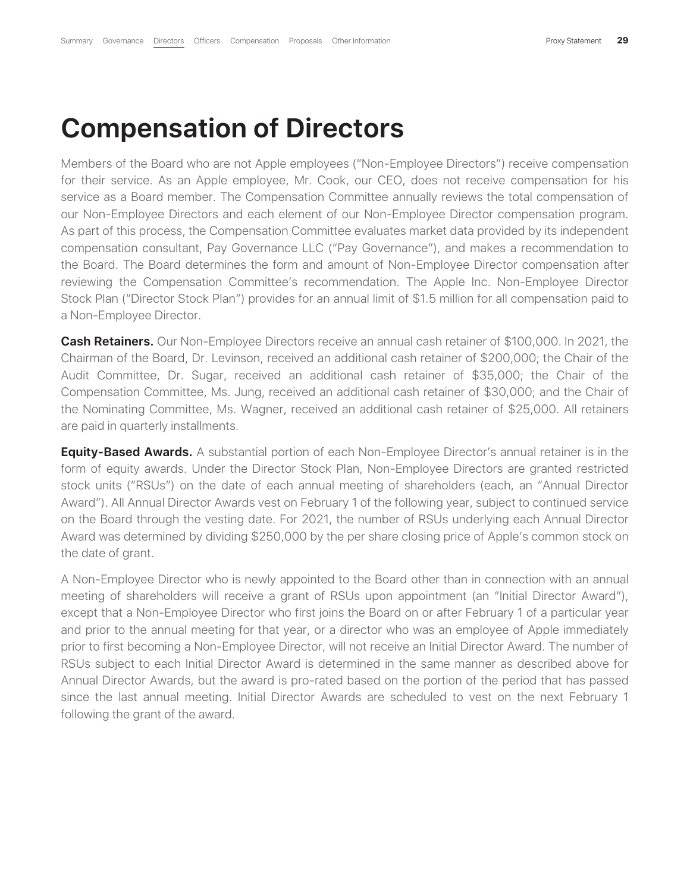# **Compensation of Directors**

Members of the Board who are not Apple employees ("Non-Employee Directors") receive compensation for their service. As an Apple employee, Mr. Cook, our CEO, does not receive compensation for his service as a Board member. The Compensation Committee annually reviews the total compensation of our Non-Employee Directors and each element of our Non-Employee Director compensation program. As part of this process, the Compensation Committee evaluates market data provided by its independent compensation consultant, Pay Governance LLC ("Pay Governance"), and makes a recommendation to the Board. The Board determines the form and amount of Non-Employee Director compensation after reviewing the Compensation Committee's recommendation. The Apple Inc. Non-Employee Director Stock Plan ("Director Stock Plan") provides for an annual limit of \$1.5 million for all compensation paid to a Non-Employee Director.

**Cash Retainers.** Our Non-Employee Directors receive an annual cash retainer of \$100,000. In 2021, the Chairman of the Board, Dr. Levinson, received an additional cash retainer of \$200,000; the Chair of the Audit Committee, Dr. Sugar, received an additional cash retainer of \$35,000; the Chair of the Compensation Committee, Ms. Jung, received an additional cash retainer of \$30,000; and the Chair of the Nominating Committee, Ms. Wagner, received an additional cash retainer of \$25,000. All retainers are paid in quarterly installments.

**Equity-Based Awards.** A substantial portion of each Non-Employee Director's annual retainer is in the form of equity awards. Under the Director Stock Plan, Non-Employee Directors are granted restricted stock units ("RSUs") on the date of each annual meeting of shareholders (each, an "Annual Director Award"). All Annual Director Awards vest on February 1 of the following year, subject to continued service on the Board through the vesting date. For 2021, the number of RSUs underlying each Annual Director Award was determined by dividing \$250,000 by the per share closing price of Apple's common stock on the date of grant.

A Non-Employee Director who is newly appointed to the Board other than in connection with an annual meeting of shareholders will receive a grant of RSUs upon appointment (an "Initial Director Award"), except that a Non-Employee Director who first joins the Board on or after February 1 of a particular year and prior to the annual meeting for that year, or a director who was an employee of Apple immediately prior to first becoming a Non-Employee Director, will not receive an Initial Director Award. The number of RSUs subject to each Initial Director Award is determined in the same manner as described above for Annual Director Awards, but the award is pro-rated based on the portion of the period that has passed since the last annual meeting. Initial Director Awards are scheduled to vest on the next February 1 following the grant of the award.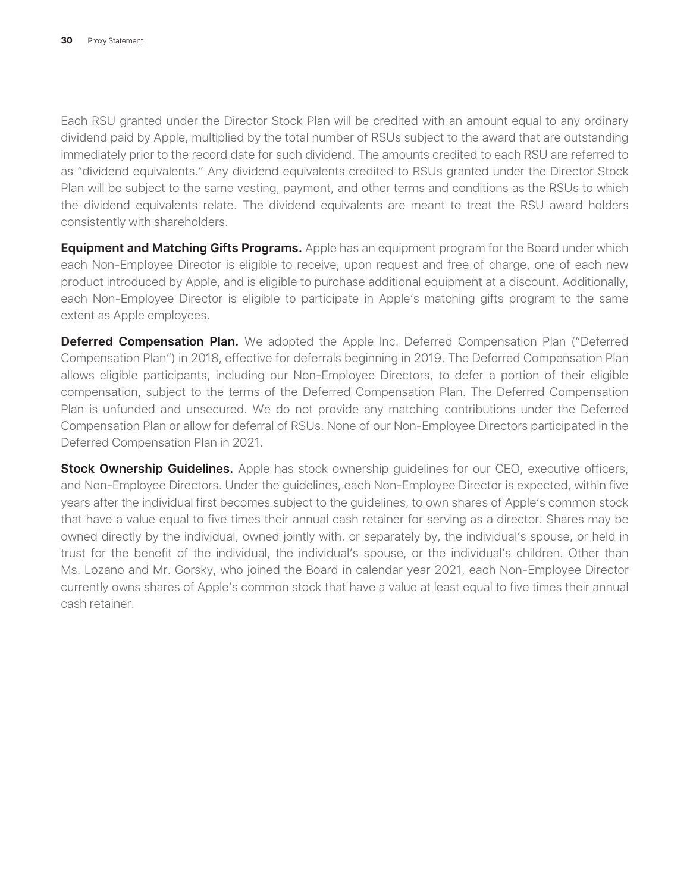Each RSU granted under the Director Stock Plan will be credited with an amount equal to any ordinary dividend paid by Apple, multiplied by the total number of RSUs subject to the award that are outstanding immediately prior to the record date for such dividend. The amounts credited to each RSU are referred to as "dividend equivalents." Any dividend equivalents credited to RSUs granted under the Director Stock Plan will be subject to the same vesting, payment, and other terms and conditions as the RSUs to which the dividend equivalents relate. The dividend equivalents are meant to treat the RSU award holders consistently with shareholders.

**Equipment and Matching Gifts Programs.** Apple has an equipment program for the Board under which each Non-Employee Director is eligible to receive, upon request and free of charge, one of each new product introduced by Apple, and is eligible to purchase additional equipment at a discount. Additionally, each Non-Employee Director is eligible to participate in Apple's matching gifts program to the same extent as Apple employees.

**Deferred Compensation Plan.** We adopted the Apple Inc. Deferred Compensation Plan ("Deferred Compensation Plan") in 2018, effective for deferrals beginning in 2019. The Deferred Compensation Plan allows eligible participants, including our Non-Employee Directors, to defer a portion of their eligible compensation, subject to the terms of the Deferred Compensation Plan. The Deferred Compensation Plan is unfunded and unsecured. We do not provide any matching contributions under the Deferred Compensation Plan or allow for deferral of RSUs. None of our Non-Employee Directors participated in the Deferred Compensation Plan in 2021.

**Stock Ownership Guidelines.** Apple has stock ownership guidelines for our CEO, executive officers, and Non-Employee Directors. Under the guidelines, each Non-Employee Director is expected, within five years after the individual first becomes subject to the guidelines, to own shares of Apple's common stock that have a value equal to five times their annual cash retainer for serving as a director. Shares may be owned directly by the individual, owned jointly with, or separately by, the individual's spouse, or held in trust for the benefit of the individual, the individual's spouse, or the individual's children. Other than Ms. Lozano and Mr. Gorsky, who joined the Board in calendar year 2021, each Non-Employee Director currently owns shares of Apple's common stock that have a value at least equal to five times their annual cash retainer.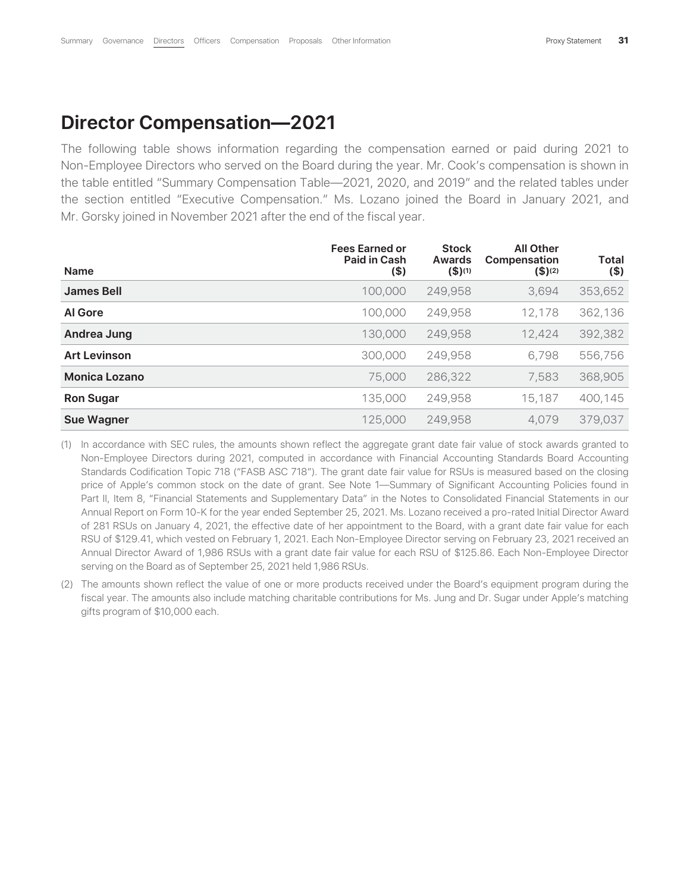### **Director Compensation—2021**

The following table shows information regarding the compensation earned or paid during 2021 to Non-Employee Directors who served on the Board during the year. Mr. Cook's compensation is shown in the table entitled "Summary Compensation Table—2021, 2020, and 2019" and the related tables under the section entitled "Executive Compensation." Ms. Lozano joined the Board in January 2021, and Mr. Gorsky joined in November 2021 after the end of the fiscal year.

| <b>Name</b>          | <b>Fees Earned or</b><br><b>Paid in Cash</b><br>$($ \$) | <b>Stock</b><br>Awards<br>$($ \$)(1) | <b>All Other</b><br><b>Compensation</b><br>$($ \$) $(2)$ | <b>Total</b><br>$($ \$) |
|----------------------|---------------------------------------------------------|--------------------------------------|----------------------------------------------------------|-------------------------|
| <b>James Bell</b>    | 100,000                                                 | 249,958                              | 3,694                                                    | 353,652                 |
| <b>Al Gore</b>       | 100,000                                                 | 249,958                              | 12,178                                                   | 362,136                 |
| Andrea Jung          | 130,000                                                 | 249,958                              | 12,424                                                   | 392,382                 |
| <b>Art Levinson</b>  | 300,000                                                 | 249,958                              | 6,798                                                    | 556,756                 |
| <b>Monica Lozano</b> | 75,000                                                  | 286,322                              | 7,583                                                    | 368,905                 |
| <b>Ron Sugar</b>     | 135,000                                                 | 249,958                              | 15,187                                                   | 400,145                 |
| <b>Sue Wagner</b>    | 125,000                                                 | 249,958                              | 4,079                                                    | 379,037                 |

(1) In accordance with SEC rules, the amounts shown reflect the aggregate grant date fair value of stock awards granted to Non-Employee Directors during 2021, computed in accordance with Financial Accounting Standards Board Accounting Standards Codification Topic 718 ("FASB ASC 718"). The grant date fair value for RSUs is measured based on the closing price of Apple's common stock on the date of grant. See Note 1—Summary of Significant Accounting Policies found in Part II, Item 8, "Financial Statements and Supplementary Data" in the Notes to Consolidated Financial Statements in our Annual Report on Form 10-K for the year ended September 25, 2021. Ms. Lozano received a pro-rated Initial Director Award of 281 RSUs on January 4, 2021, the effective date of her appointment to the Board, with a grant date fair value for each RSU of \$129.41, which vested on February 1, 2021. Each Non-Employee Director serving on February 23, 2021 received an Annual Director Award of 1,986 RSUs with a grant date fair value for each RSU of \$125.86. Each Non-Employee Director serving on the Board as of September 25, 2021 held 1,986 RSUs.

(2) The amounts shown reflect the value of one or more products received under the Board's equipment program during the fiscal year. The amounts also include matching charitable contributions for Ms. Jung and Dr. Sugar under Apple's matching gifts program of \$10,000 each.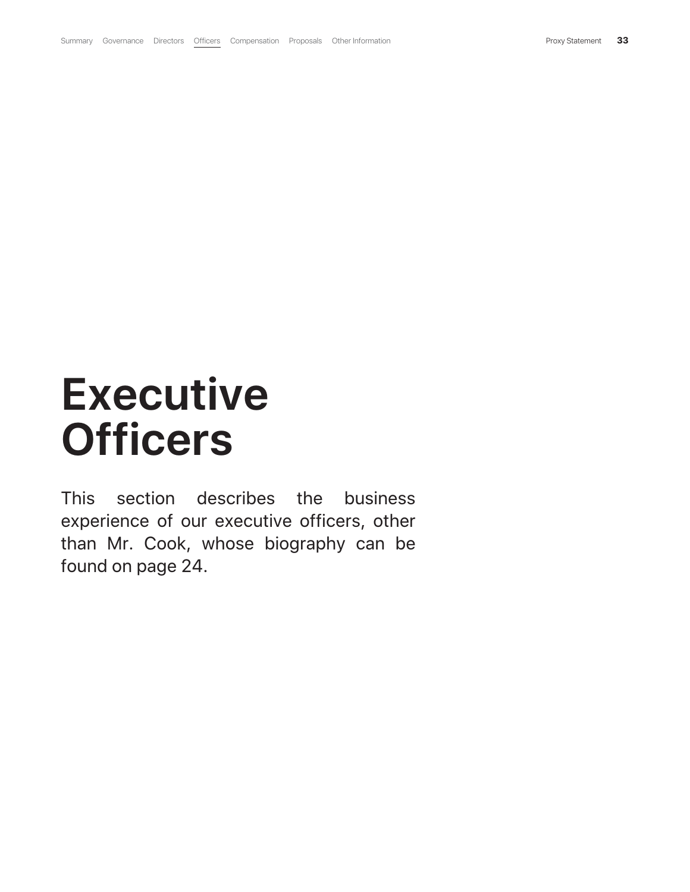# **Executive Officers**

This section describes the business experience of our executive officers, other than Mr. Cook, whose biography can be found on page 24.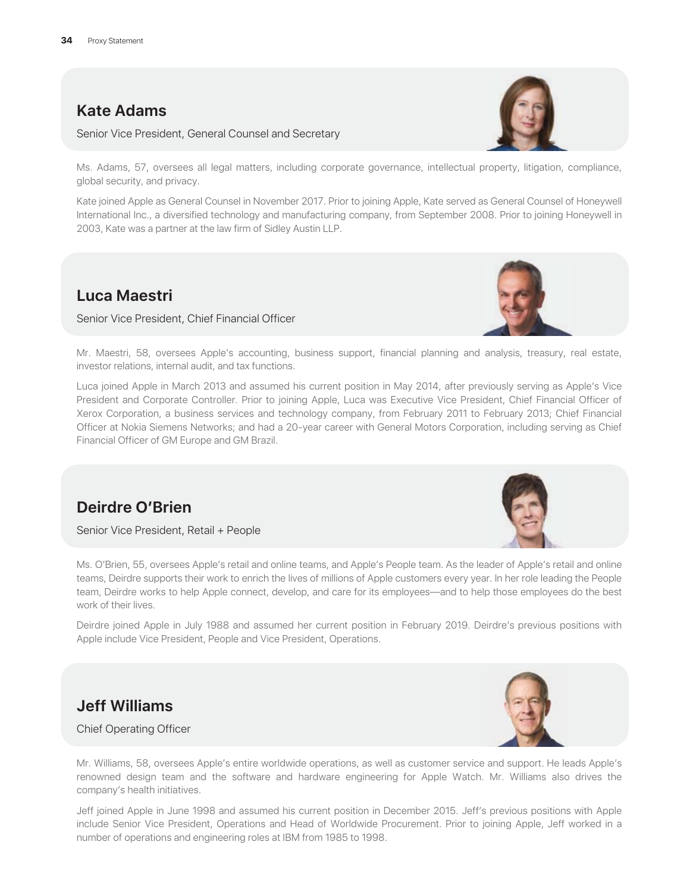#### **Kate Adams**

Senior Vice President, General Counsel and Secretary

Ms. Adams, 57, oversees all legal matters, including corporate governance, intellectual property, litigation, compliance, global security, and privacy.

Kate joined Apple as General Counsel in November 2017. Prior to joining Apple, Kate served as General Counsel of Honeywell International Inc., a diversified technology and manufacturing company, from September 2008. Prior to joining Honeywell in 2003, Kate was a partner at the law firm of Sidley Austin LLP.

#### **Luca Maestri**

Senior Vice President, Chief Financial Officer

Mr. Maestri, 58, oversees Apple's accounting, business support, financial planning and analysis, treasury, real estate, investor relations, internal audit, and tax functions.

Luca joined Apple in March 2013 and assumed his current position in May 2014, after previously serving as Apple's Vice President and Corporate Controller. Prior to joining Apple, Luca was Executive Vice President, Chief Financial Officer of Xerox Corporation, a business services and technology company, from February 2011 to February 2013; Chief Financial Officer at Nokia Siemens Networks; and had a 20-year career with General Motors Corporation, including serving as Chief Financial Officer of GM Europe and GM Brazil.

#### **Deirdre O'Brien**

Senior Vice President, Retail + People

Ms. O'Brien, 55, oversees Apple's retail and online teams, and Apple's People team. As the leader of Apple's retail and online teams, Deirdre supports their work to enrich the lives of millions of Apple customers every year. In her role leading the People team, Deirdre works to help Apple connect, develop, and care for its employees—and to help those employees do the best work of their lives.

Deirdre joined Apple in July 1988 and assumed her current position in February 2019. Deirdre's previous positions with Apple include Vice President, People and Vice President, Operations.

### **Jeff Williams**

Chief Operating Officer

Mr. Williams, 58, oversees Apple's entire worldwide operations, as well as customer service and support. He leads Apple's renowned design team and the software and hardware engineering for Apple Watch. Mr. Williams also drives the company's health initiatives.

Jeff joined Apple in June 1998 and assumed his current position in December 2015. Jeff's previous positions with Apple include Senior Vice President, Operations and Head of Worldwide Procurement. Prior to joining Apple, Jeff worked in a number of operations and engineering roles at IBM from 1985 to 1998.







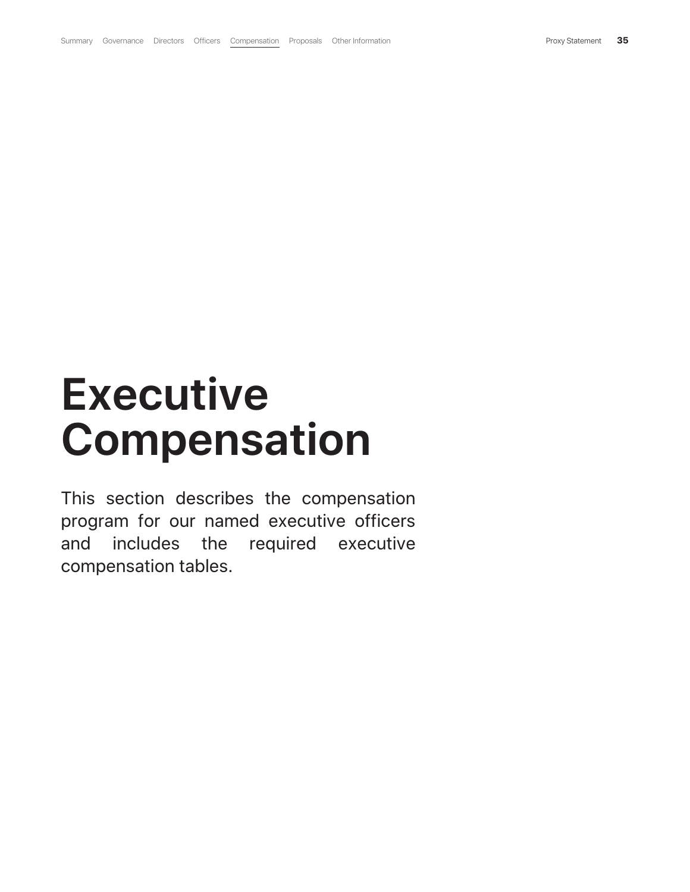# **Executive Compensation**

This section describes the compensation program for our named executive officers and includes the required executive compensation tables.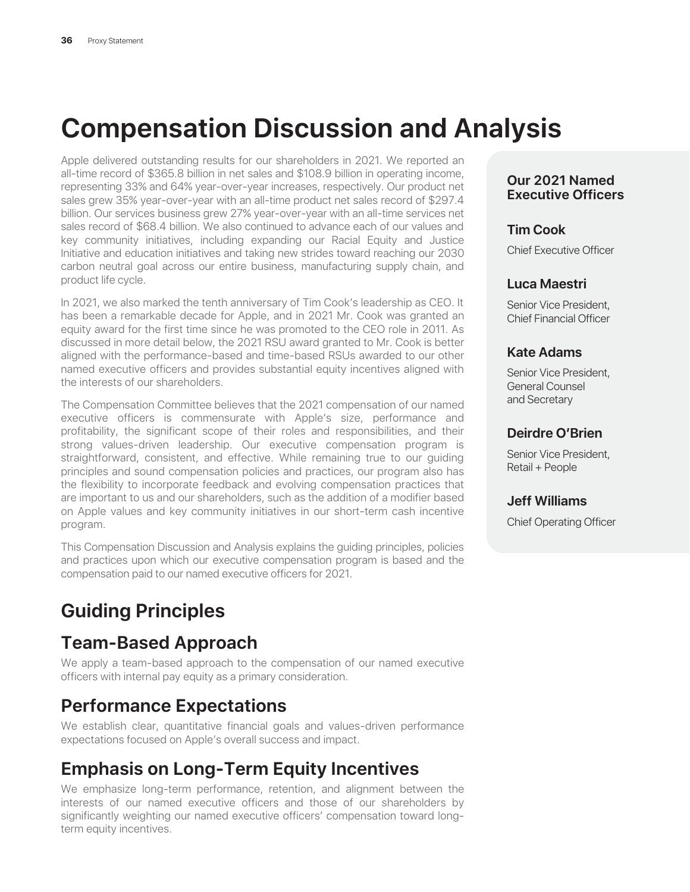# **Compensation Discussion and Analysis**

Apple delivered outstanding results for our shareholders in 2021. We reported an all-time record of \$365.8 billion in net sales and \$108.9 billion in operating income, representing 33% and 64% year-over-year increases, respectively. Our product net sales grew 35% year-over-year with an all-time product net sales record of \$297.4 billion. Our services business grew 27% year-over-year with an all-time services net sales record of \$68.4 billion. We also continued to advance each of our values and key community initiatives, including expanding our Racial Equity and Justice Initiative and education initiatives and taking new strides toward reaching our 2030 carbon neutral goal across our entire business, manufacturing supply chain, and product life cycle.

In 2021, we also marked the tenth anniversary of Tim Cook's leadership as CEO. It has been a remarkable decade for Apple, and in 2021 Mr. Cook was granted an equity award for the first time since he was promoted to the CEO role in 2011. As discussed in more detail below, the 2021 RSU award granted to Mr. Cook is better aligned with the performance-based and time-based RSUs awarded to our other named executive officers and provides substantial equity incentives aligned with the interests of our shareholders.

The Compensation Committee believes that the 2021 compensation of our named executive officers is commensurate with Apple's size, performance and profitability, the significant scope of their roles and responsibilities, and their strong values-driven leadership. Our executive compensation program is straightforward, consistent, and effective. While remaining true to our guiding principles and sound compensation policies and practices, our program also has the flexibility to incorporate feedback and evolving compensation practices that are important to us and our shareholders, such as the addition of a modifier based on Apple values and key community initiatives in our short-term cash incentive program.

This Compensation Discussion and Analysis explains the guiding principles, policies and practices upon which our executive compensation program is based and the compensation paid to our named executive officers for 2021.

# **Guiding Principles**

## **Team-Based Approach**

We apply a team-based approach to the compensation of our named executive officers with internal pay equity as a primary consideration.

## **Performance Expectations**

We establish clear, quantitative financial goals and values-driven performance expectations focused on Apple's overall success and impact.

## **Emphasis on Long-Term Equity Incentives**

We emphasize long-term performance, retention, and alignment between the interests of our named executive officers and those of our shareholders by significantly weighting our named executive officers' compensation toward longterm equity incentives.

#### **Our 2021 Named Executive Officers**

#### **Tim Cook**

Chief Executive Officer

#### **Luca Maestri**

Senior Vice President, Chief Financial Officer

#### **Kate Adams**

Senior Vice President, General Counsel and Secretary

#### **Deirdre O'Brien**

Senior Vice President, Retail + People

#### **Jeff Williams**

Chief Operating Officer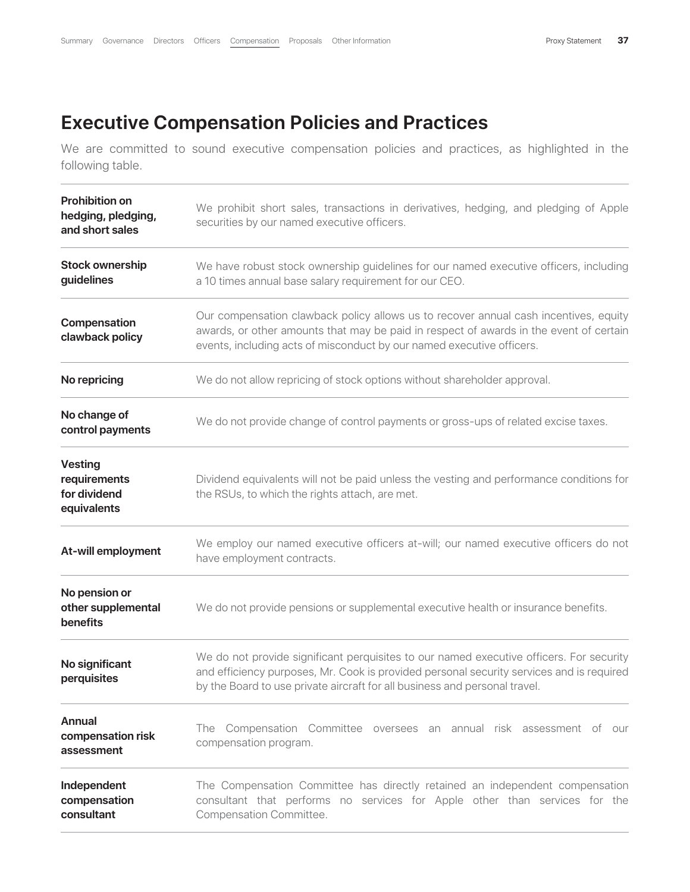# **Executive Compensation Policies and Practices**

We are committed to sound executive compensation policies and practices, as highlighted in the following table.

| <b>Prohibition on</b><br>hedging, pledging,<br>and short sales | We prohibit short sales, transactions in derivatives, hedging, and pledging of Apple<br>securities by our named executive officers.                                                                                                                               |
|----------------------------------------------------------------|-------------------------------------------------------------------------------------------------------------------------------------------------------------------------------------------------------------------------------------------------------------------|
| <b>Stock ownership</b><br>guidelines                           | We have robust stock ownership guidelines for our named executive officers, including<br>a 10 times annual base salary requirement for our CEO.                                                                                                                   |
| Compensation<br>clawback policy                                | Our compensation clawback policy allows us to recover annual cash incentives, equity<br>awards, or other amounts that may be paid in respect of awards in the event of certain<br>events, including acts of misconduct by our named executive officers.           |
| No repricing                                                   | We do not allow repricing of stock options without shareholder approval.                                                                                                                                                                                          |
| No change of<br>control payments                               | We do not provide change of control payments or gross-ups of related excise taxes.                                                                                                                                                                                |
| <b>Vesting</b><br>requirements<br>for dividend<br>equivalents  | Dividend equivalents will not be paid unless the vesting and performance conditions for<br>the RSUs, to which the rights attach, are met.                                                                                                                         |
| At-will employment                                             | We employ our named executive officers at-will; our named executive officers do not<br>have employment contracts.                                                                                                                                                 |
| No pension or<br>other supplemental<br>benefits                | We do not provide pensions or supplemental executive health or insurance benefits.                                                                                                                                                                                |
| No significant<br>perquisites                                  | We do not provide significant perquisites to our named executive officers. For security<br>and efficiency purposes, Mr. Cook is provided personal security services and is required<br>by the Board to use private aircraft for all business and personal travel. |
| Annual<br>compensation risk<br>assessment                      | The Compensation Committee oversees an annual risk assessment of our<br>compensation program.                                                                                                                                                                     |
| Independent<br>compensation<br>consultant                      | The Compensation Committee has directly retained an independent compensation<br>consultant that performs no services for Apple other than services for the<br>Compensation Committee.                                                                             |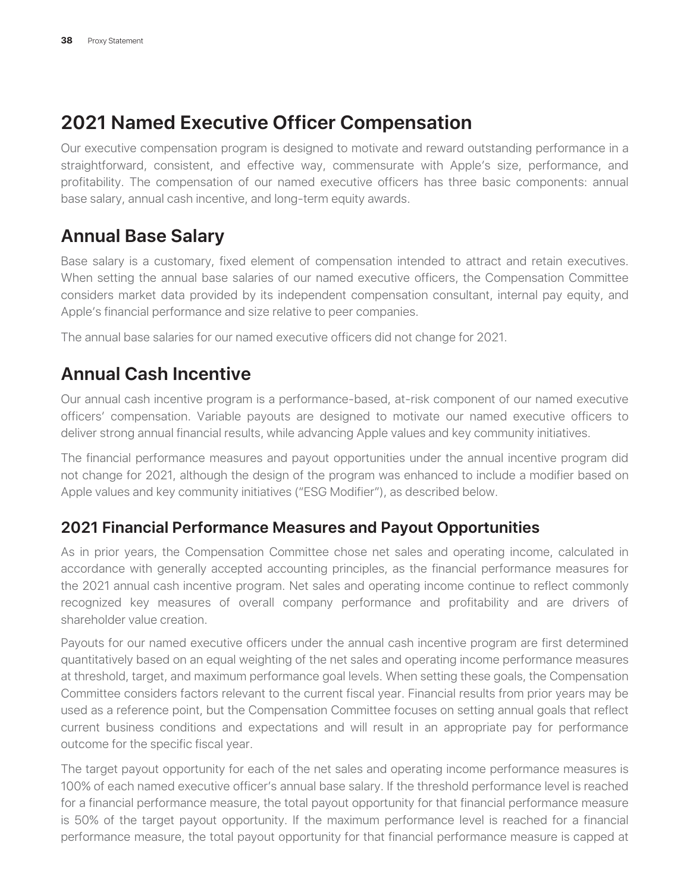# **2021 Named Executive Officer Compensation**

Our executive compensation program is designed to motivate and reward outstanding performance in a straightforward, consistent, and effective way, commensurate with Apple's size, performance, and profitability. The compensation of our named executive officers has three basic components: annual base salary, annual cash incentive, and long-term equity awards.

# **Annual Base Salary**

Base salary is a customary, fixed element of compensation intended to attract and retain executives. When setting the annual base salaries of our named executive officers, the Compensation Committee considers market data provided by its independent compensation consultant, internal pay equity, and Apple's financial performance and size relative to peer companies.

The annual base salaries for our named executive officers did not change for 2021.

# **Annual Cash Incentive**

Our annual cash incentive program is a performance-based, at-risk component of our named executive officers' compensation. Variable payouts are designed to motivate our named executive officers to deliver strong annual financial results, while advancing Apple values and key community initiatives.

The financial performance measures and payout opportunities under the annual incentive program did not change for 2021, although the design of the program was enhanced to include a modifier based on Apple values and key community initiatives ("ESG Modifier"), as described below.

#### **2021 Financial Performance Measures and Payout Opportunities**

As in prior years, the Compensation Committee chose net sales and operating income, calculated in accordance with generally accepted accounting principles, as the financial performance measures for the 2021 annual cash incentive program. Net sales and operating income continue to reflect commonly recognized key measures of overall company performance and profitability and are drivers of shareholder value creation.

Payouts for our named executive officers under the annual cash incentive program are first determined quantitatively based on an equal weighting of the net sales and operating income performance measures at threshold, target, and maximum performance goal levels. When setting these goals, the Compensation Committee considers factors relevant to the current fiscal year. Financial results from prior years may be used as a reference point, but the Compensation Committee focuses on setting annual goals that reflect current business conditions and expectations and will result in an appropriate pay for performance outcome for the specific fiscal year.

The target payout opportunity for each of the net sales and operating income performance measures is 100% of each named executive officer's annual base salary. If the threshold performance level is reached for a financial performance measure, the total payout opportunity for that financial performance measure is 50% of the target payout opportunity. If the maximum performance level is reached for a financial performance measure, the total payout opportunity for that financial performance measure is capped at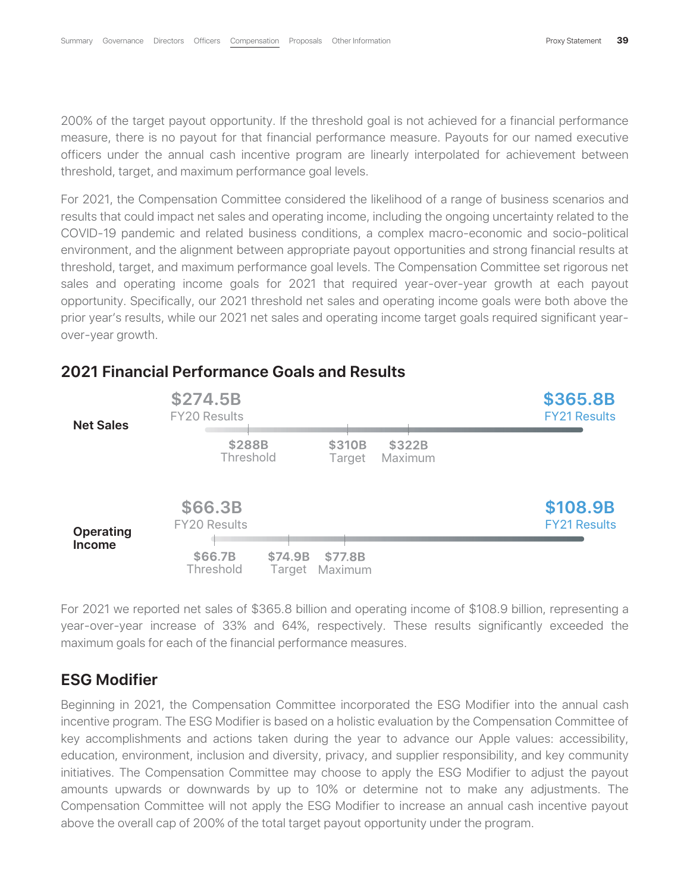200% of the target payout opportunity. If the threshold goal is not achieved for a financial performance measure, there is no payout for that financial performance measure. Payouts for our named executive officers under the annual cash incentive program are linearly interpolated for achievement between threshold, target, and maximum performance goal levels.

For 2021, the Compensation Committee considered the likelihood of a range of business scenarios and results that could impact net sales and operating income, including the ongoing uncertainty related to the COVID-19 pandemic and related business conditions, a complex macro-economic and socio-political environment, and the alignment between appropriate payout opportunities and strong financial results at threshold, target, and maximum performance goal levels. The Compensation Committee set rigorous net sales and operating income goals for 2021 that required year-over-year growth at each payout opportunity. Specifically, our 2021 threshold net sales and operating income goals were both above the prior year's results, while our 2021 net sales and operating income target goals required significant yearover-year growth.



#### **2021 Financial Performance Goals and Results**

For 2021 we reported net sales of \$365.8 billion and operating income of \$108.9 billion, representing a year-over-year increase of 33% and 64%, respectively. These results significantly exceeded the maximum goals for each of the financial performance measures.

#### **ESG Modifier**

Beginning in 2021, the Compensation Committee incorporated the ESG Modifier into the annual cash incentive program. The ESG Modifier is based on a holistic evaluation by the Compensation Committee of key accomplishments and actions taken during the year to advance our Apple values: accessibility, education, environment, inclusion and diversity, privacy, and supplier responsibility, and key community initiatives. The Compensation Committee may choose to apply the ESG Modifier to adjust the payout amounts upwards or downwards by up to 10% or determine not to make any adjustments. The Compensation Committee will not apply the ESG Modifier to increase an annual cash incentive payout above the overall cap of 200% of the total target payout opportunity under the program.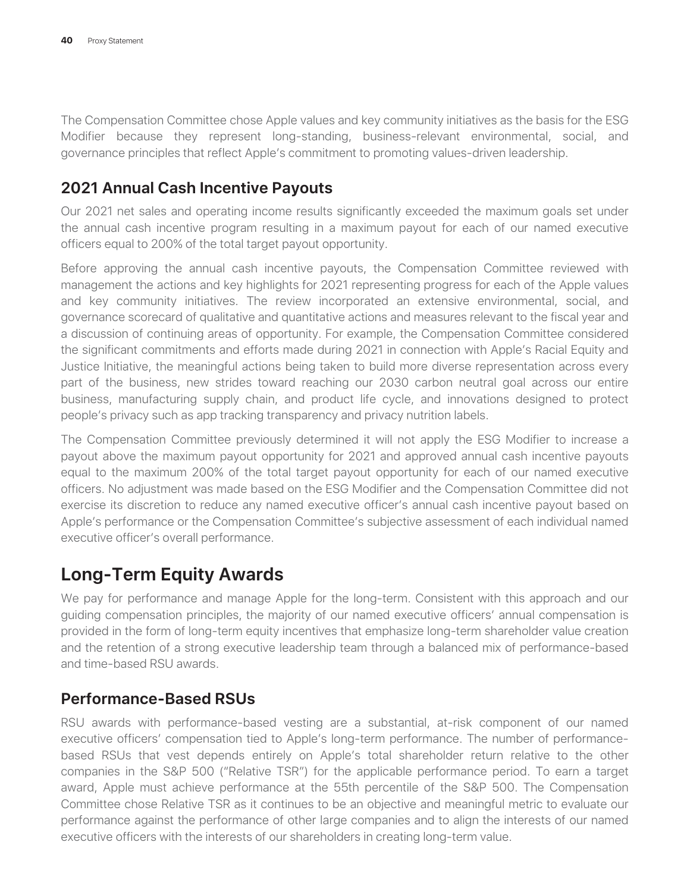The Compensation Committee chose Apple values and key community initiatives as the basis for the ESG Modifier because they represent long-standing, business-relevant environmental, social, and governance principles that reflect Apple's commitment to promoting values-driven leadership.

#### **2021 Annual Cash Incentive Payouts**

Our 2021 net sales and operating income results significantly exceeded the maximum goals set under the annual cash incentive program resulting in a maximum payout for each of our named executive officers equal to 200% of the total target payout opportunity.

Before approving the annual cash incentive payouts, the Compensation Committee reviewed with management the actions and key highlights for 2021 representing progress for each of the Apple values and key community initiatives. The review incorporated an extensive environmental, social, and governance scorecard of qualitative and quantitative actions and measures relevant to the fiscal year and a discussion of continuing areas of opportunity. For example, the Compensation Committee considered the significant commitments and efforts made during 2021 in connection with Apple's Racial Equity and Justice Initiative, the meaningful actions being taken to build more diverse representation across every part of the business, new strides toward reaching our 2030 carbon neutral goal across our entire business, manufacturing supply chain, and product life cycle, and innovations designed to protect people's privacy such as app tracking transparency and privacy nutrition labels.

The Compensation Committee previously determined it will not apply the ESG Modifier to increase a payout above the maximum payout opportunity for 2021 and approved annual cash incentive payouts equal to the maximum 200% of the total target payout opportunity for each of our named executive officers. No adjustment was made based on the ESG Modifier and the Compensation Committee did not exercise its discretion to reduce any named executive officer's annual cash incentive payout based on Apple's performance or the Compensation Committee's subjective assessment of each individual named executive officer's overall performance.

# **Long-Term Equity Awards**

We pay for performance and manage Apple for the long-term. Consistent with this approach and our guiding compensation principles, the majority of our named executive officers' annual compensation is provided in the form of long-term equity incentives that emphasize long-term shareholder value creation and the retention of a strong executive leadership team through a balanced mix of performance-based and time-based RSU awards.

#### **Performance-Based RSUs**

RSU awards with performance-based vesting are a substantial, at-risk component of our named executive officers' compensation tied to Apple's long-term performance. The number of performancebased RSUs that vest depends entirely on Apple's total shareholder return relative to the other companies in the S&P 500 ("Relative TSR") for the applicable performance period. To earn a target award, Apple must achieve performance at the 55th percentile of the S&P 500. The Compensation Committee chose Relative TSR as it continues to be an objective and meaningful metric to evaluate our performance against the performance of other large companies and to align the interests of our named executive officers with the interests of our shareholders in creating long-term value.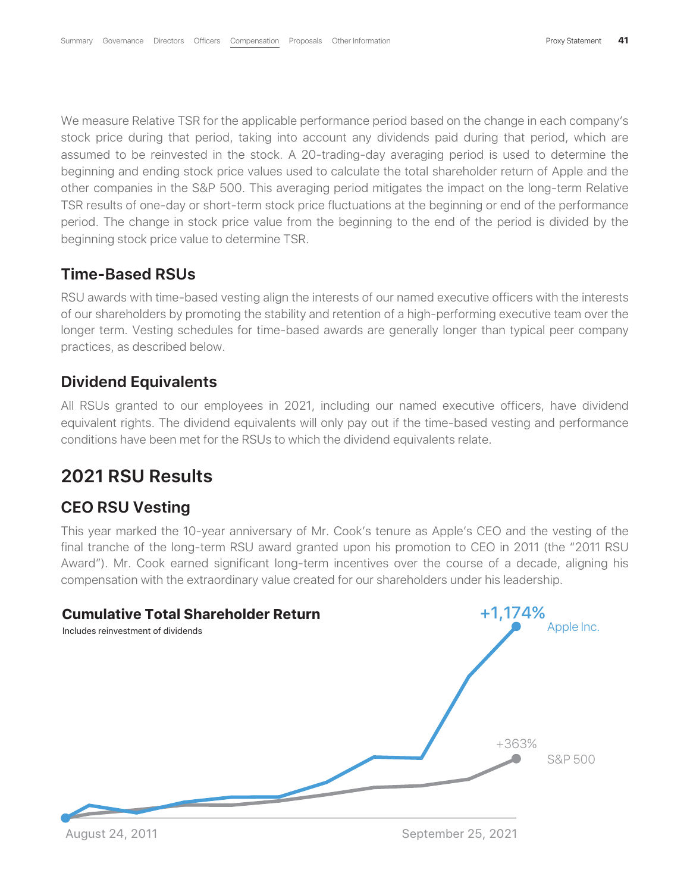We measure Relative TSR for the applicable performance period based on the change in each company's stock price during that period, taking into account any dividends paid during that period, which are assumed to be reinvested in the stock. A 20-trading-day averaging period is used to determine the beginning and ending stock price values used to calculate the total shareholder return of Apple and the other companies in the S&P 500. This averaging period mitigates the impact on the long-term Relative TSR results of one-day or short-term stock price fluctuations at the beginning or end of the performance period. The change in stock price value from the beginning to the end of the period is divided by the beginning stock price value to determine TSR.

#### **Time-Based RSUs**

RSU awards with time-based vesting align the interests of our named executive officers with the interests of our shareholders by promoting the stability and retention of a high-performing executive team over the longer term. Vesting schedules for time-based awards are generally longer than typical peer company practices, as described below.

#### **Dividend Equivalents**

All RSUs granted to our employees in 2021, including our named executive officers, have dividend equivalent rights. The dividend equivalents will only pay out if the time-based vesting and performance conditions have been met for the RSUs to which the dividend equivalents relate.

### **2021 RSU Results**

#### **CEO RSU Vesting**

This year marked the 10-year anniversary of Mr. Cook's tenure as Apple's CEO and the vesting of the final tranche of the long-term RSU award granted upon his promotion to CEO in 2011 (the "2011 RSU Award"). Mr. Cook earned significant long-term incentives over the course of a decade, aligning his compensation with the extraordinary value created for our shareholders under his leadership.



August 24, 2011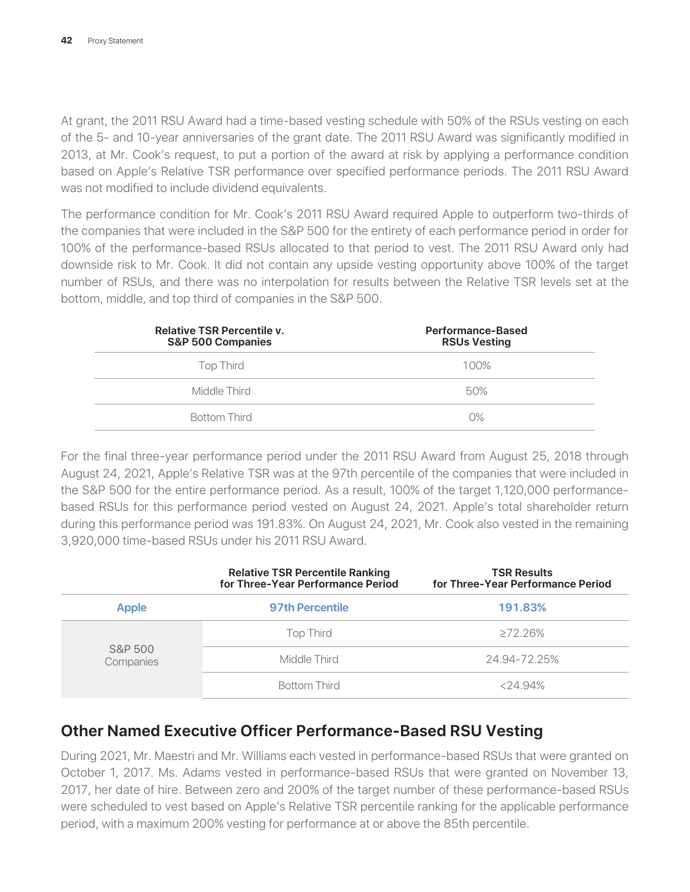At grant, the 2011 RSU Award had a time-based vesting schedule with 50% of the RSUs vesting on each of the 5- and 10-year anniversaries of the grant date. The 2011 RSU Award was significantly modified in 2013, at Mr. Cook's request, to put a portion of the award at risk by applying a performance condition based on Apple's Relative TSR performance over specified performance periods. The 2011 RSU Award was not modified to include dividend equivalents.

The performance condition for Mr. Cook's 2011 RSU Award required Apple to outperform two-thirds of the companies that were included in the S&P 500 for the entirety of each performance period in order for 100% of the performance-based RSUs allocated to that period to vest. The 2011 RSU Award only had downside risk to Mr. Cook. It did not contain any upside vesting opportunity above 100% of the target number of RSUs, and there was no interpolation for results between the Relative TSR levels set at the bottom, middle, and top third of companies in the S&P 500.

| <b>Relative TSR Percentile v.</b><br><b>S&amp;P 500 Companies</b> | <b>Performance-Based</b><br><b>RSUs Vesting</b> |
|-------------------------------------------------------------------|-------------------------------------------------|
| Top Third                                                         | 100%                                            |
| Middle Third                                                      | 50%                                             |
| <b>Bottom Third</b>                                               | $O\%$                                           |

For the final three-year performance period under the 2011 RSU Award from August 25, 2018 through August 24, 2021, Apple's Relative TSR was at the 97th percentile of the companies that were included in the S&P 500 for the entire performance period. As a result, 100% of the target 1,120,000 performancebased RSUs for this performance period vested on August 24, 2021. Apple's total shareholder return during this performance period was 191.83%. On August 24, 2021, Mr. Cook also vested in the remaining 3,920,000 time-based RSUs under his 2011 RSU Award.

|                      | <b>Relative TSR Percentile Ranking</b><br>for Three-Year Performance Period | <b>TSR Results</b><br>for Three-Year Performance Period |
|----------------------|-----------------------------------------------------------------------------|---------------------------------------------------------|
| <b>Apple</b>         | <b>97th Percentile</b>                                                      | 191.83%                                                 |
|                      | <b>Top Third</b>                                                            | $>72.26\%$                                              |
| S&P 500<br>Companies | Middle Third                                                                | 24.94-72.25%                                            |
|                      | <b>Bottom Third</b>                                                         | $< 24.94\%$                                             |

#### **Other Named Executive Officer Performance-Based RSU Vesting**

During 2021, Mr. Maestri and Mr. Williams each vested in performance-based RSUs that were granted on October 1, 2017. Ms. Adams vested in performance-based RSUs that were granted on November 13, 2017, her date of hire. Between zero and 200% of the target number of these performance-based RSUs were scheduled to vest based on Apple's Relative TSR percentile ranking for the applicable performance period, with a maximum 200% vesting for performance at or above the 85th percentile.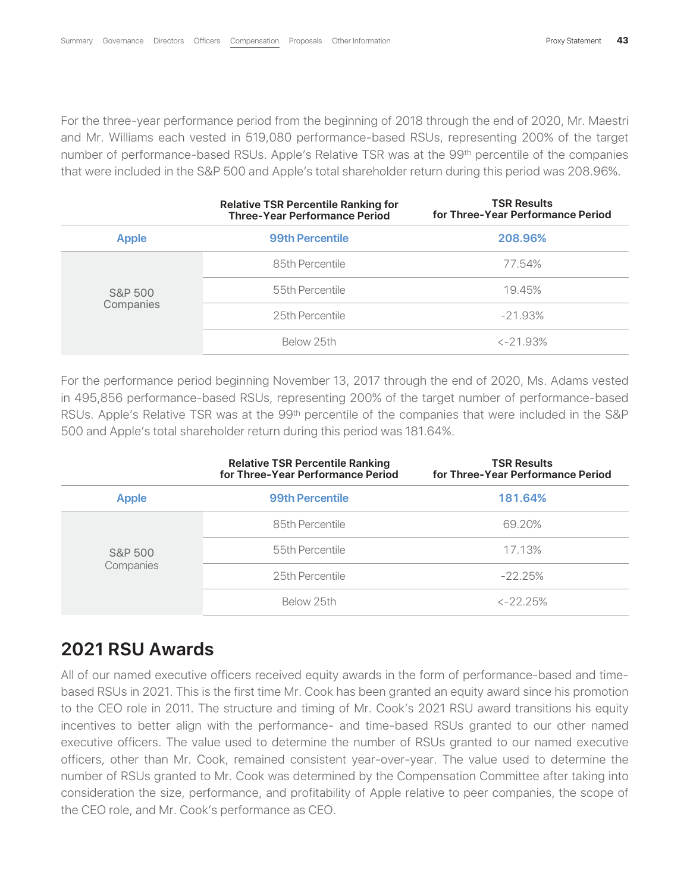For the three-year performance period from the beginning of 2018 through the end of 2020, Mr. Maestri and Mr. Williams each vested in 519,080 performance-based RSUs, representing 200% of the target number of performance-based RSUs. Apple's Relative TSR was at the 99<sup>th</sup> percentile of the companies that were included in the S&P 500 and Apple's total shareholder return during this period was 208.96%.

|              | <b>Relative TSR Percentile Ranking for</b><br><b>Three-Year Performance Period</b> | <b>TSR Results</b><br>for Three-Year Performance Period |
|--------------|------------------------------------------------------------------------------------|---------------------------------------------------------|
| <b>Apple</b> | <b>99th Percentile</b>                                                             | 208.96%                                                 |
|              | 85th Percentile                                                                    | 77.54%                                                  |
| S&P 500      | 55th Percentile                                                                    | 19.45%                                                  |
| Companies    | 25th Percentile                                                                    | $-21.93\%$                                              |
|              | Below 25th                                                                         | $< -21.93\%$                                            |

For the performance period beginning November 13, 2017 through the end of 2020, Ms. Adams vested in 495,856 performance-based RSUs, representing 200% of the target number of performance-based RSUs. Apple's Relative TSR was at the 99<sup>th</sup> percentile of the companies that were included in the S&P 500 and Apple's total shareholder return during this period was 181.64%.

|              | <b>Relative TSR Percentile Ranking</b><br>for Three-Year Performance Period | <b>TSR Results</b><br>for Three-Year Performance Period |
|--------------|-----------------------------------------------------------------------------|---------------------------------------------------------|
| <b>Apple</b> | <b>99th Percentile</b>                                                      | 181.64%                                                 |
|              | 85th Percentile                                                             | 69.20%                                                  |
| S&P 500      | 55th Percentile                                                             | 17.13%                                                  |
| Companies    | 25th Percentile                                                             | $-22.25\%$                                              |
|              | Below 25th                                                                  | $\langle -22.25\%$                                      |

## **2021 RSU Awards**

All of our named executive officers received equity awards in the form of performance-based and timebased RSUs in 2021. This is the first time Mr. Cook has been granted an equity award since his promotion to the CEO role in 2011. The structure and timing of Mr. Cook's 2021 RSU award transitions his equity incentives to better align with the performance- and time-based RSUs granted to our other named executive officers. The value used to determine the number of RSUs granted to our named executive officers, other than Mr. Cook, remained consistent year-over-year. The value used to determine the number of RSUs granted to Mr. Cook was determined by the Compensation Committee after taking into consideration the size, performance, and profitability of Apple relative to peer companies, the scope of the CEO role, and Mr. Cook's performance as CEO.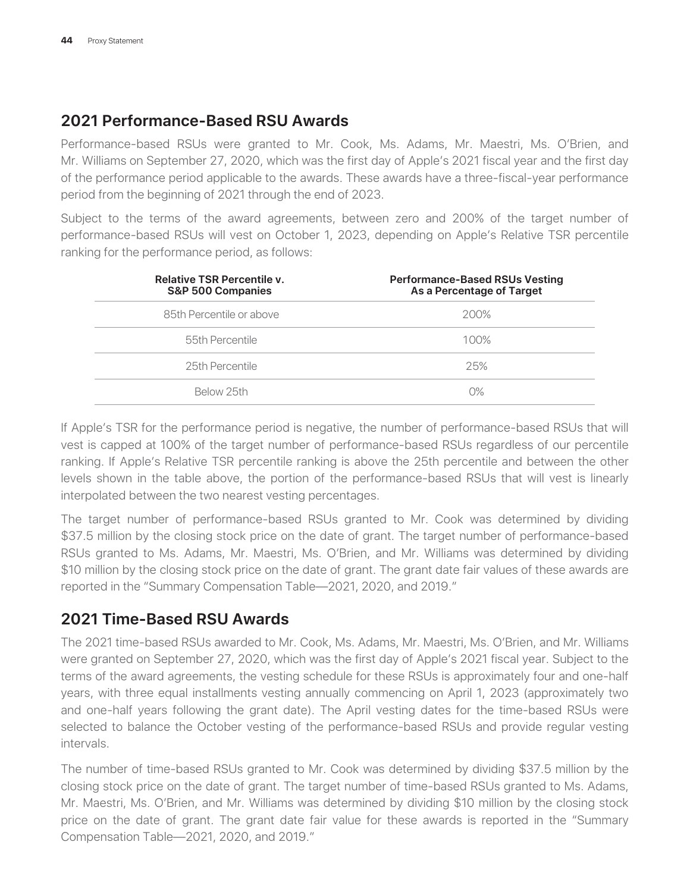#### **2021 Performance-Based RSU Awards**

Performance-based RSUs were granted to Mr. Cook, Ms. Adams, Mr. Maestri, Ms. O'Brien, and Mr. Williams on September 27, 2020, which was the first day of Apple's 2021 fiscal year and the first day of the performance period applicable to the awards. These awards have a three-fiscal-year performance period from the beginning of 2021 through the end of 2023.

Subject to the terms of the award agreements, between zero and 200% of the target number of performance-based RSUs will vest on October 1, 2023, depending on Apple's Relative TSR percentile ranking for the performance period, as follows:

| <b>Relative TSR Percentile v.</b><br><b>S&amp;P 500 Companies</b> | <b>Performance-Based RSUs Vesting</b><br>As a Percentage of Target |
|-------------------------------------------------------------------|--------------------------------------------------------------------|
| 85th Percentile or above                                          | 200%                                                               |
| 55th Percentile                                                   | 100%                                                               |
| 25th Percentile                                                   | 25%                                                                |
| Below 25th                                                        | $O\%$                                                              |

If Apple's TSR for the performance period is negative, the number of performance-based RSUs that will vest is capped at 100% of the target number of performance-based RSUs regardless of our percentile ranking. If Apple's Relative TSR percentile ranking is above the 25th percentile and between the other levels shown in the table above, the portion of the performance-based RSUs that will vest is linearly interpolated between the two nearest vesting percentages.

The target number of performance-based RSUs granted to Mr. Cook was determined by dividing \$37.5 million by the closing stock price on the date of grant. The target number of performance-based RSUs granted to Ms. Adams, Mr. Maestri, Ms. O'Brien, and Mr. Williams was determined by dividing \$10 million by the closing stock price on the date of grant. The grant date fair values of these awards are reported in the "Summary Compensation Table—2021, 2020, and 2019."

#### **2021 Time-Based RSU Awards**

The 2021 time-based RSUs awarded to Mr. Cook, Ms. Adams, Mr. Maestri, Ms. O'Brien, and Mr. Williams were granted on September 27, 2020, which was the first day of Apple's 2021 fiscal year. Subject to the terms of the award agreements, the vesting schedule for these RSUs is approximately four and one-half years, with three equal installments vesting annually commencing on April 1, 2023 (approximately two and one-half years following the grant date). The April vesting dates for the time-based RSUs were selected to balance the October vesting of the performance-based RSUs and provide regular vesting intervals.

The number of time-based RSUs granted to Mr. Cook was determined by dividing \$37.5 million by the closing stock price on the date of grant. The target number of time-based RSUs granted to Ms. Adams, Mr. Maestri, Ms. O'Brien, and Mr. Williams was determined by dividing \$10 million by the closing stock price on the date of grant. The grant date fair value for these awards is reported in the "Summary Compensation Table—2021, 2020, and 2019."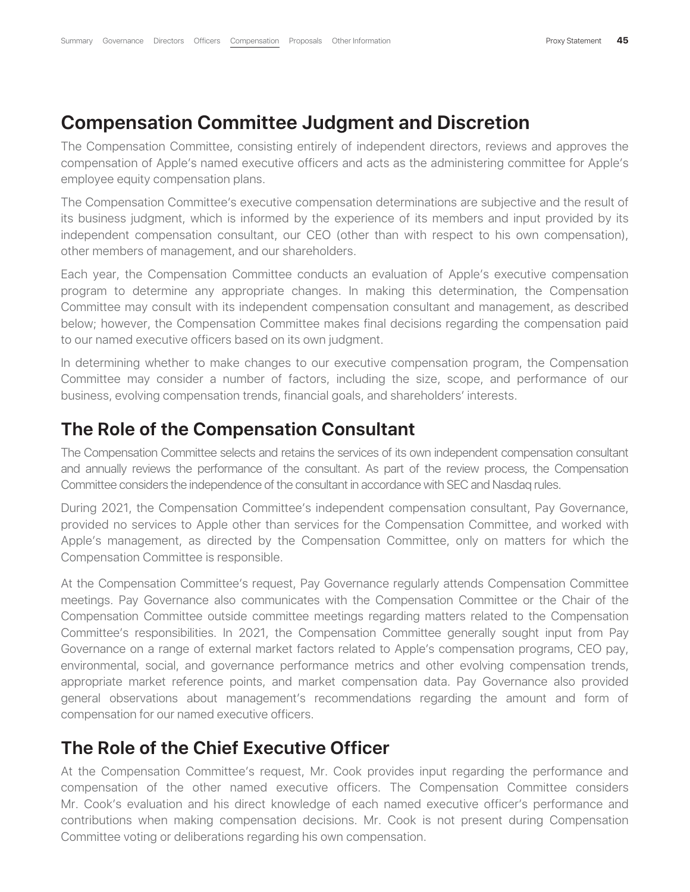#### **Compensation Committee Judgment and Discretion**

The Compensation Committee, consisting entirely of independent directors, reviews and approves the compensation of Apple's named executive officers and acts as the administering committee for Apple's employee equity compensation plans.

The Compensation Committee's executive compensation determinations are subjective and the result of its business judgment, which is informed by the experience of its members and input provided by its independent compensation consultant, our CEO (other than with respect to his own compensation), other members of management, and our shareholders.

Each year, the Compensation Committee conducts an evaluation of Apple's executive compensation program to determine any appropriate changes. In making this determination, the Compensation Committee may consult with its independent compensation consultant and management, as described below; however, the Compensation Committee makes final decisions regarding the compensation paid to our named executive officers based on its own judgment.

In determining whether to make changes to our executive compensation program, the Compensation Committee may consider a number of factors, including the size, scope, and performance of our business, evolving compensation trends, financial goals, and shareholders' interests.

#### **The Role of the Compensation Consultant**

The Compensation Committee selects and retains the services of its own independent compensation consultant and annually reviews the performance of the consultant. As part of the review process, the Compensation Committee considers the independence of the consultant in accordance with SEC and Nasdaq rules.

During 2021, the Compensation Committee's independent compensation consultant, Pay Governance, provided no services to Apple other than services for the Compensation Committee, and worked with Apple's management, as directed by the Compensation Committee, only on matters for which the Compensation Committee is responsible.

At the Compensation Committee's request, Pay Governance regularly attends Compensation Committee meetings. Pay Governance also communicates with the Compensation Committee or the Chair of the Compensation Committee outside committee meetings regarding matters related to the Compensation Committee's responsibilities. In 2021, the Compensation Committee generally sought input from Pay Governance on a range of external market factors related to Apple's compensation programs, CEO pay, environmental, social, and governance performance metrics and other evolving compensation trends, appropriate market reference points, and market compensation data. Pay Governance also provided general observations about management's recommendations regarding the amount and form of compensation for our named executive officers.

#### **The Role of the Chief Executive Officer**

At the Compensation Committee's request, Mr. Cook provides input regarding the performance and compensation of the other named executive officers. The Compensation Committee considers Mr. Cook's evaluation and his direct knowledge of each named executive officer's performance and contributions when making compensation decisions. Mr. Cook is not present during Compensation Committee voting or deliberations regarding his own compensation.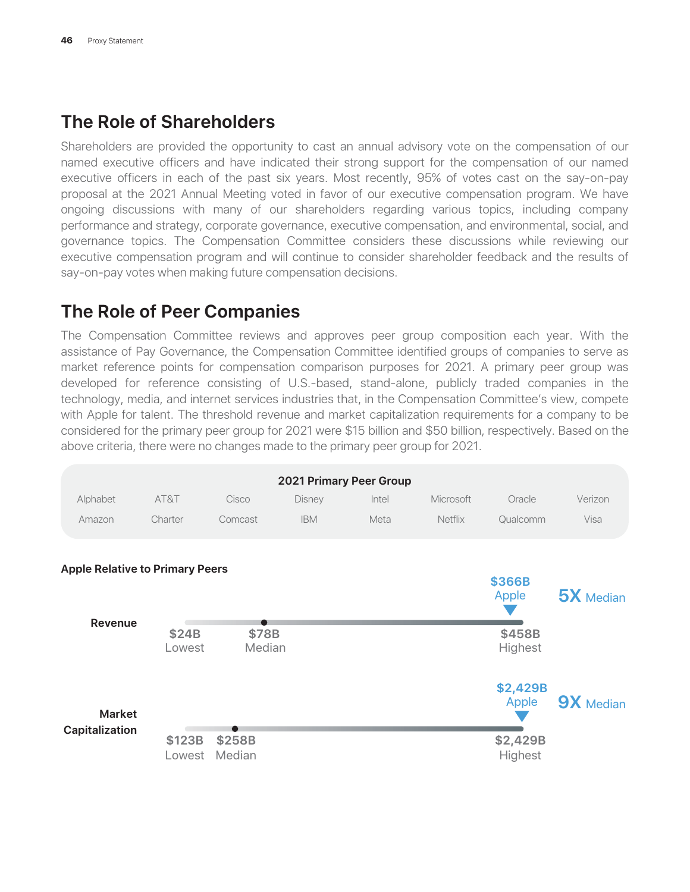# **The Role of Shareholders**

Shareholders are provided the opportunity to cast an annual advisory vote on the compensation of our named executive officers and have indicated their strong support for the compensation of our named executive officers in each of the past six years. Most recently, 95% of votes cast on the say-on-pay proposal at the 2021 Annual Meeting voted in favor of our executive compensation program. We have ongoing discussions with many of our shareholders regarding various topics, including company performance and strategy, corporate governance, executive compensation, and environmental, social, and governance topics. The Compensation Committee considers these discussions while reviewing our executive compensation program and will continue to consider shareholder feedback and the results of say-on-pay votes when making future compensation decisions.

# **The Role of Peer Companies**

The Compensation Committee reviews and approves peer group composition each year. With the assistance of Pay Governance, the Compensation Committee identified groups of companies to serve as market reference points for compensation comparison purposes for 2021. A primary peer group was developed for reference consisting of U.S.-based, stand-alone, publicly traded companies in the technology, media, and internet services industries that, in the Compensation Committee's view, compete with Apple for talent. The threshold revenue and market capitalization requirements for a company to be considered for the primary peer group for 2021 were \$15 billion and \$50 billion, respectively. Based on the above criteria, there were no changes made to the primary peer group for 2021.

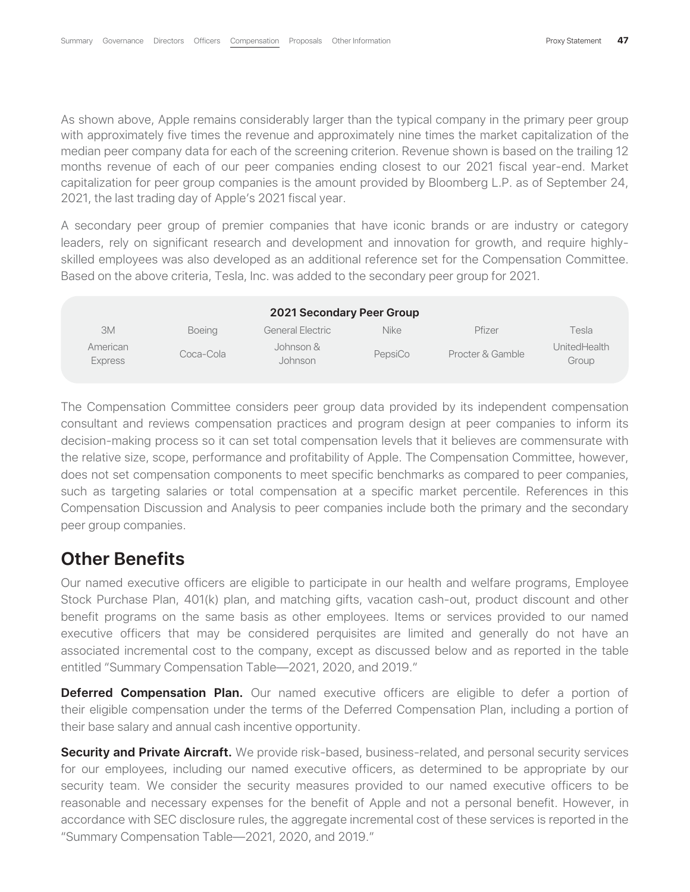As shown above, Apple remains considerably larger than the typical company in the primary peer group with approximately five times the revenue and approximately nine times the market capitalization of the median peer company data for each of the screening criterion. Revenue shown is based on the trailing 12 months revenue of each of our peer companies ending closest to our 2021 fiscal year-end. Market capitalization for peer group companies is the amount provided by Bloomberg L.P. as of September 24, 2021, the last trading day of Apple's 2021 fiscal year.

A secondary peer group of premier companies that have iconic brands or are industry or category leaders, rely on significant research and development and innovation for growth, and require highlyskilled employees was also developed as an additional reference set for the Compensation Committee. Based on the above criteria, Tesla, Inc. was added to the secondary peer group for 2021.

| <b>2021 Secondary Peer Group</b> |               |                      |             |                  |                       |  |  |
|----------------------------------|---------------|----------------------|-------------|------------------|-----------------------|--|--|
| 3M                               | <b>Boeing</b> | General Electric     | <b>Nike</b> | Pfizer           | Tesla                 |  |  |
| American<br><b>Express</b>       | Coca-Cola     | Johnson &<br>Johnson | PepsiCo     | Procter & Gamble | UnitedHealth<br>Group |  |  |

The Compensation Committee considers peer group data provided by its independent compensation consultant and reviews compensation practices and program design at peer companies to inform its decision-making process so it can set total compensation levels that it believes are commensurate with the relative size, scope, performance and profitability of Apple. The Compensation Committee, however, does not set compensation components to meet specific benchmarks as compared to peer companies, such as targeting salaries or total compensation at a specific market percentile. References in this Compensation Discussion and Analysis to peer companies include both the primary and the secondary peer group companies.

### **Other Benefits**

Our named executive officers are eligible to participate in our health and welfare programs, Employee Stock Purchase Plan, 401(k) plan, and matching gifts, vacation cash-out, product discount and other benefit programs on the same basis as other employees. Items or services provided to our named executive officers that may be considered perquisites are limited and generally do not have an associated incremental cost to the company, except as discussed below and as reported in the table entitled "Summary Compensation Table—2021, 2020, and 2019."

**Deferred Compensation Plan.** Our named executive officers are eligible to defer a portion of their eligible compensation under the terms of the Deferred Compensation Plan, including a portion of their base salary and annual cash incentive opportunity.

**Security and Private Aircraft.** We provide risk-based, business-related, and personal security services for our employees, including our named executive officers, as determined to be appropriate by our security team. We consider the security measures provided to our named executive officers to be reasonable and necessary expenses for the benefit of Apple and not a personal benefit. However, in accordance with SEC disclosure rules, the aggregate incremental cost of these services is reported in the "Summary Compensation Table—2021, 2020, and 2019."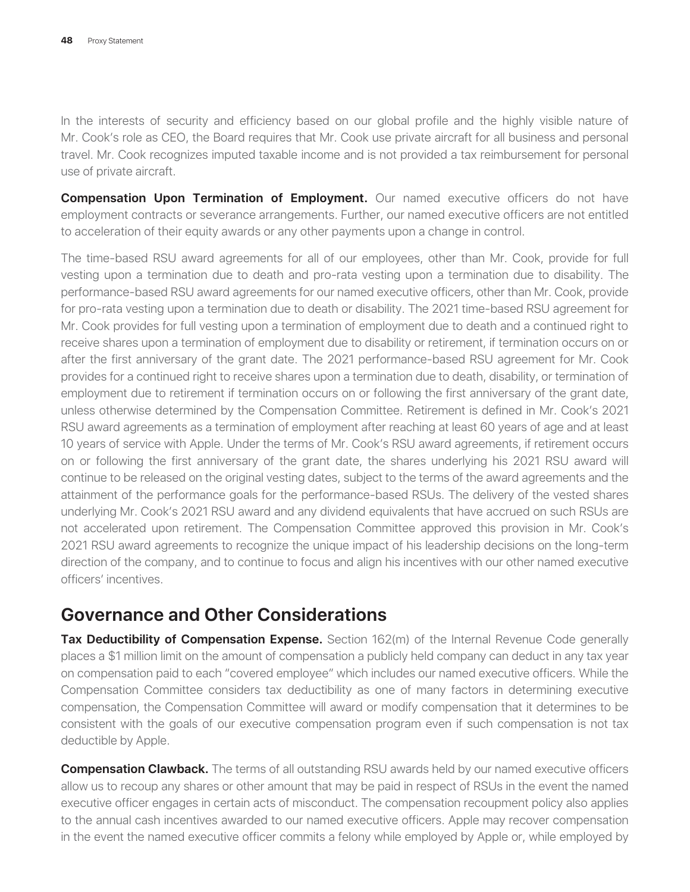In the interests of security and efficiency based on our global profile and the highly visible nature of Mr. Cook's role as CEO, the Board requires that Mr. Cook use private aircraft for all business and personal travel. Mr. Cook recognizes imputed taxable income and is not provided a tax reimbursement for personal use of private aircraft.

**Compensation Upon Termination of Employment.** Our named executive officers do not have employment contracts or severance arrangements. Further, our named executive officers are not entitled to acceleration of their equity awards or any other payments upon a change in control.

The time-based RSU award agreements for all of our employees, other than Mr. Cook, provide for full vesting upon a termination due to death and pro-rata vesting upon a termination due to disability. The performance-based RSU award agreements for our named executive officers, other than Mr. Cook, provide for pro-rata vesting upon a termination due to death or disability. The 2021 time-based RSU agreement for Mr. Cook provides for full vesting upon a termination of employment due to death and a continued right to receive shares upon a termination of employment due to disability or retirement, if termination occurs on or after the first anniversary of the grant date. The 2021 performance-based RSU agreement for Mr. Cook provides for a continued right to receive shares upon a termination due to death, disability, or termination of employment due to retirement if termination occurs on or following the first anniversary of the grant date, unless otherwise determined by the Compensation Committee. Retirement is defined in Mr. Cook's 2021 RSU award agreements as a termination of employment after reaching at least 60 years of age and at least 10 years of service with Apple. Under the terms of Mr. Cook's RSU award agreements, if retirement occurs on or following the first anniversary of the grant date, the shares underlying his 2021 RSU award will continue to be released on the original vesting dates, subject to the terms of the award agreements and the attainment of the performance goals for the performance-based RSUs. The delivery of the vested shares underlying Mr. Cook's 2021 RSU award and any dividend equivalents that have accrued on such RSUs are not accelerated upon retirement. The Compensation Committee approved this provision in Mr. Cook's 2021 RSU award agreements to recognize the unique impact of his leadership decisions on the long-term direction of the company, and to continue to focus and align his incentives with our other named executive officers' incentives.

### **Governance and Other Considerations**

**Tax Deductibility of Compensation Expense.** Section 162(m) of the Internal Revenue Code generally places a \$1 million limit on the amount of compensation a publicly held company can deduct in any tax year on compensation paid to each "covered employee" which includes our named executive officers. While the Compensation Committee considers tax deductibility as one of many factors in determining executive compensation, the Compensation Committee will award or modify compensation that it determines to be consistent with the goals of our executive compensation program even if such compensation is not tax deductible by Apple.

**Compensation Clawback.** The terms of all outstanding RSU awards held by our named executive officers allow us to recoup any shares or other amount that may be paid in respect of RSUs in the event the named executive officer engages in certain acts of misconduct. The compensation recoupment policy also applies to the annual cash incentives awarded to our named executive officers. Apple may recover compensation in the event the named executive officer commits a felony while employed by Apple or, while employed by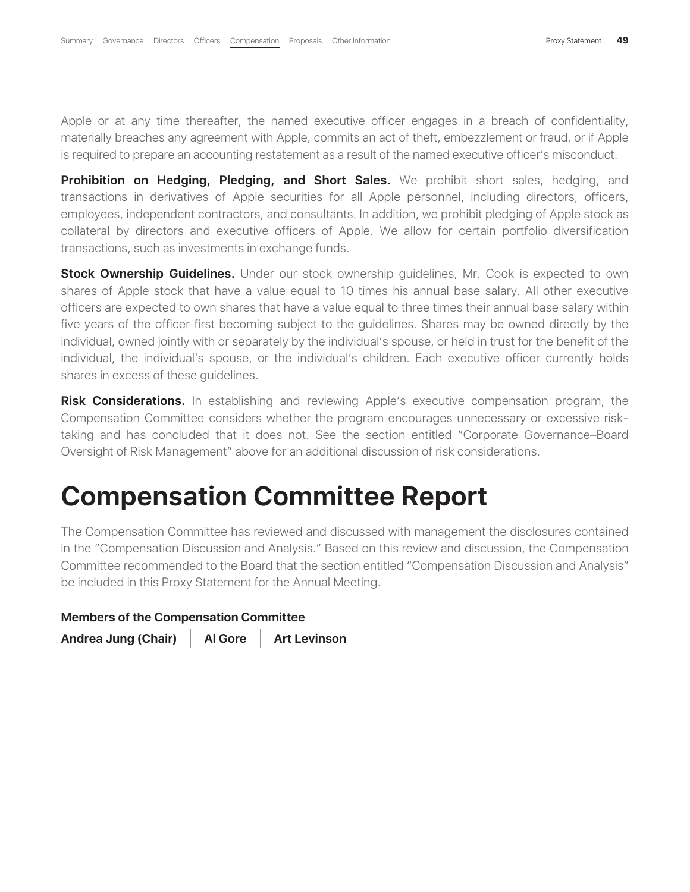Apple or at any time thereafter, the named executive officer engages in a breach of confidentiality, materially breaches any agreement with Apple, commits an act of theft, embezzlement or fraud, or if Apple is required to prepare an accounting restatement as a result of the named executive officer's misconduct.

**Prohibition on Hedging, Pledging, and Short Sales.** We prohibit short sales, hedging, and transactions in derivatives of Apple securities for all Apple personnel, including directors, officers, employees, independent contractors, and consultants. In addition, we prohibit pledging of Apple stock as collateral by directors and executive officers of Apple. We allow for certain portfolio diversification transactions, such as investments in exchange funds.

**Stock Ownership Guidelines.** Under our stock ownership quidelines, Mr. Cook is expected to own shares of Apple stock that have a value equal to 10 times his annual base salary. All other executive officers are expected to own shares that have a value equal to three times their annual base salary within five years of the officer first becoming subject to the guidelines. Shares may be owned directly by the individual, owned jointly with or separately by the individual's spouse, or held in trust for the benefit of the individual, the individual's spouse, or the individual's children. Each executive officer currently holds shares in excess of these guidelines.

**Risk Considerations.** In establishing and reviewing Apple's executive compensation program, the Compensation Committee considers whether the program encourages unnecessary or excessive risktaking and has concluded that it does not. See the section entitled "Corporate Governance–Board Oversight of Risk Management" above for an additional discussion of risk considerations.

# **Compensation Committee Report**

The Compensation Committee has reviewed and discussed with management the disclosures contained in the "Compensation Discussion and Analysis." Based on this review and discussion, the Compensation Committee recommended to the Board that the section entitled "Compensation Discussion and Analysis" be included in this Proxy Statement for the Annual Meeting.

| <b>Members of the Compensation Committee</b>                                            |  |
|-----------------------------------------------------------------------------------------|--|
| be included in this Proxy Statement for the Annual Meeting.                             |  |
| COMMUNICATION INTERNATION OF THE DUAL OF THE SECTION BUTTLED COMPENSATION DISCUSSION AT |  |

Andrea Jung (Chair) | Al Gore | Art Levinson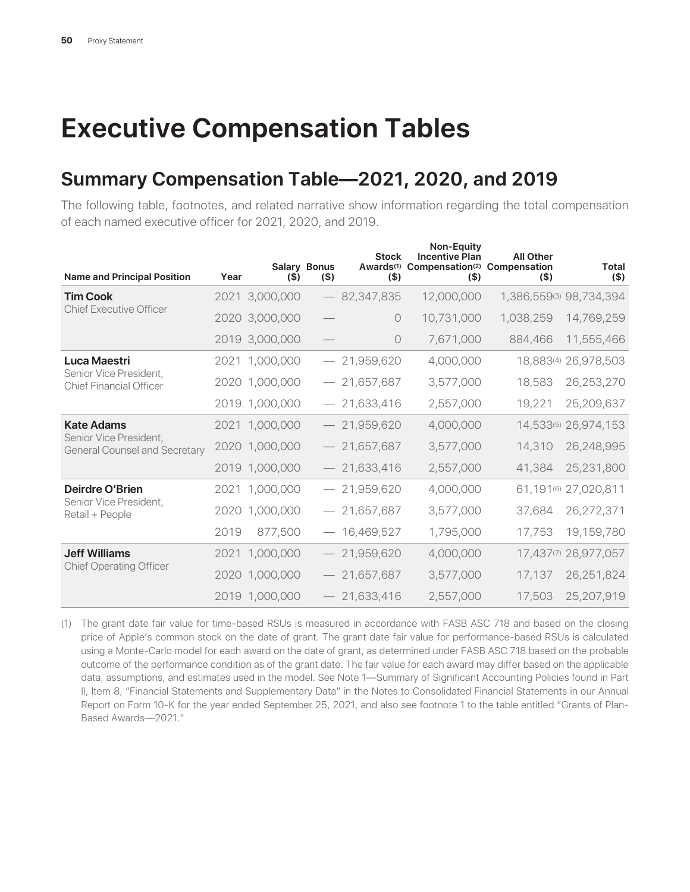# **Executive Compensation Tables**

# **Summary Compensation Table—2021, 2020, and 2019**

The following table, footnotes, and related narrative show information regarding the total compensation of each named executive officer for 2021, 2020, and 2019.

| <b>Name and Principal Position</b>                             | Year | $($ \$)        | <b>Salary Bonus</b><br>(S) | <b>Stock</b><br>$($ \$) | <b>Non-Equity</b><br><b>Incentive Plan</b><br>Awards <sup>(1)</sup> Compensation <sup>(2)</sup> Compensation<br>$($ \$) | <b>All Other</b><br>$($ \$) | Total<br>$($ \$)        |
|----------------------------------------------------------------|------|----------------|----------------------------|-------------------------|-------------------------------------------------------------------------------------------------------------------------|-----------------------------|-------------------------|
| <b>Tim Cook</b>                                                |      | 2021 3,000,000 |                            | $-82,347,835$           | 12,000,000                                                                                                              |                             | 1,386,559(3) 98,734,394 |
| <b>Chief Executive Officer</b>                                 |      | 2020 3,000,000 |                            | $\circ$                 | 10,731,000                                                                                                              | 1,038,259                   | 14,769,259              |
|                                                                |      | 2019 3,000,000 |                            | $\circ$                 | 7,671,000                                                                                                               | 884,466                     | 11,555,466              |
| Luca Maestri                                                   |      | 2021 1,000,000 |                            | $-21,959,620$           | 4,000,000                                                                                                               |                             | 18,883(4) 26,978,503    |
| Senior Vice President,<br><b>Chief Financial Officer</b>       |      | 2020 1,000,000 |                            | $-21,657,687$           | 3,577,000                                                                                                               | 18,583                      | 26,253,270              |
|                                                                |      | 2019 1,000,000 |                            | $-21,633,416$           | 2,557,000                                                                                                               | 19,221                      | 25,209,637              |
| <b>Kate Adams</b>                                              |      | 2021 1,000,000 |                            | $-21,959,620$           | 4,000,000                                                                                                               |                             | 14,533(5) 26,974,153    |
| Senior Vice President,<br><b>General Counsel and Secretary</b> |      | 2020 1,000,000 |                            | $-21,657,687$           | 3,577,000                                                                                                               | 14,310                      | 26,248,995              |
|                                                                |      | 2019 1,000,000 |                            | $-21,633,416$           | 2,557,000                                                                                                               | 41,384                      | 25,231,800              |
| Deirdre O'Brien                                                |      | 2021 1,000,000 |                            | $-21,959,620$           | 4,000,000                                                                                                               | 61,191(6)                   | 27,020,811              |
| Senior Vice President,<br>Retail + People                      |      | 2020 1,000,000 |                            | $-21,657,687$           | 3,577,000                                                                                                               | 37,684                      | 26,272,371              |
|                                                                | 2019 | 877,500        |                            | $-16,469,527$           | 1,795,000                                                                                                               | 17,753                      | 19,159,780              |
| <b>Jeff Williams</b>                                           | 2021 | 1,000,000      |                            | $-21,959,620$           | 4,000,000                                                                                                               | 17,437(7)                   | 26,977,057              |
| <b>Chief Operating Officer</b>                                 |      | 2020 1,000,000 |                            | $-21,657,687$           | 3,577,000                                                                                                               | 17,137                      | 26,251,824              |
|                                                                |      | 2019 1,000,000 |                            | $-21,633,416$           | 2,557,000                                                                                                               | 17,503                      | 25,207,919              |

(1) The grant date fair value for time-based RSUs is measured in accordance with FASB ASC 718 and based on the closing price of Apple's common stock on the date of grant. The grant date fair value for performance-based RSUs is calculated using a Monte-Carlo model for each award on the date of grant, as determined under FASB ASC 718 based on the probable outcome of the performance condition as of the grant date. The fair value for each award may differ based on the applicable data, assumptions, and estimates used in the model. See Note 1—Summary of Significant Accounting Policies found in Part II, Item 8, "Financial Statements and Supplementary Data" in the Notes to Consolidated Financial Statements in our Annual Report on Form 10-K for the year ended September 25, 2021, and also see footnote 1 to the table entitled "Grants of Plan-Based Awards—2021."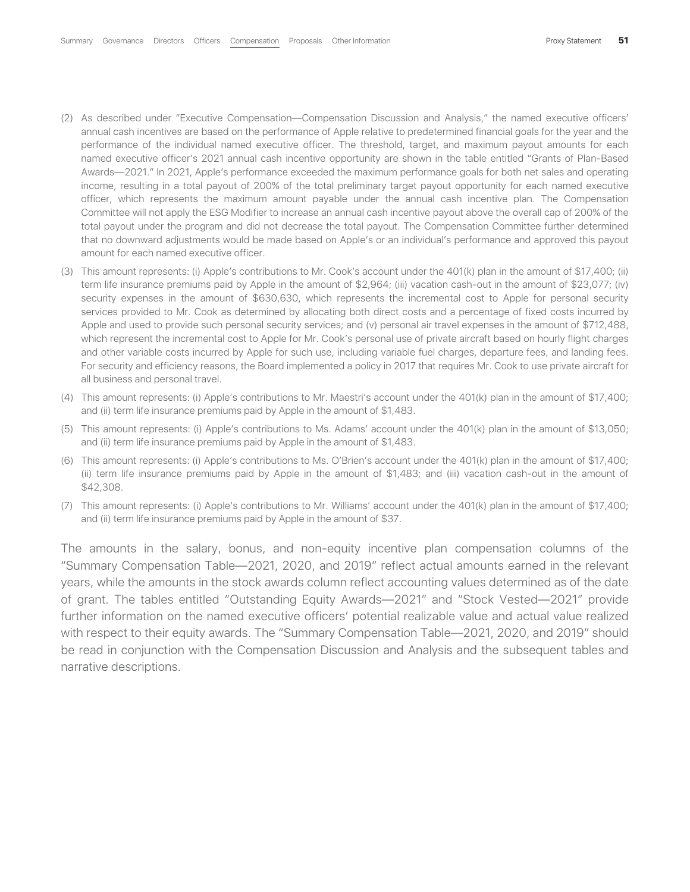- (2) As described under "Executive Compensation—Compensation Discussion and Analysis," the named executive officers' annual cash incentives are based on the performance of Apple relative to predetermined financial goals for the year and the performance of the individual named executive officer. The threshold, target, and maximum payout amounts for each named executive officer's 2021 annual cash incentive opportunity are shown in the table entitled "Grants of Plan-Based Awards—2021." In 2021, Apple's performance exceeded the maximum performance goals for both net sales and operating income, resulting in a total payout of 200% of the total preliminary target payout opportunity for each named executive officer, which represents the maximum amount payable under the annual cash incentive plan. The Compensation Committee will not apply the ESG Modifier to increase an annual cash incentive payout above the overall cap of 200% of the total payout under the program and did not decrease the total payout. The Compensation Committee further determined that no downward adjustments would be made based on Apple's or an individual's performance and approved this payout amount for each named executive officer.
- (3) This amount represents: (i) Apple's contributions to Mr. Cook's account under the 401(k) plan in the amount of \$17,400; (ii) term life insurance premiums paid by Apple in the amount of \$2,964; (iii) vacation cash-out in the amount of \$23,077; (iv) security expenses in the amount of \$630,630, which represents the incremental cost to Apple for personal security services provided to Mr. Cook as determined by allocating both direct costs and a percentage of fixed costs incurred by Apple and used to provide such personal security services; and (v) personal air travel expenses in the amount of \$712,488, which represent the incremental cost to Apple for Mr. Cook's personal use of private aircraft based on hourly flight charges and other variable costs incurred by Apple for such use, including variable fuel charges, departure fees, and landing fees. For security and efficiency reasons, the Board implemented a policy in 2017 that requires Mr. Cook to use private aircraft for all business and personal travel.
- (4) This amount represents: (i) Apple's contributions to Mr. Maestri's account under the 401(k) plan in the amount of \$17,400; and (ii) term life insurance premiums paid by Apple in the amount of \$1,483.
- (5) This amount represents: (i) Apple's contributions to Ms. Adams' account under the 401(k) plan in the amount of \$13,050; and (ii) term life insurance premiums paid by Apple in the amount of \$1,483.
- (6) This amount represents: (i) Apple's contributions to Ms. O'Brien's account under the 401(k) plan in the amount of \$17,400; (ii) term life insurance premiums paid by Apple in the amount of \$1,483; and (iii) vacation cash-out in the amount of \$42,308.
- (7) This amount represents: (i) Apple's contributions to Mr. Williams' account under the 401(k) plan in the amount of \$17,400; and (ii) term life insurance premiums paid by Apple in the amount of \$37.

The amounts in the salary, bonus, and non-equity incentive plan compensation columns of the "Summary Compensation Table—2021, 2020, and 2019" reflect actual amounts earned in the relevant years, while the amounts in the stock awards column reflect accounting values determined as of the date of grant. The tables entitled "Outstanding Equity Awards—2021" and "Stock Vested—2021" provide further information on the named executive officers' potential realizable value and actual value realized with respect to their equity awards. The "Summary Compensation Table—2021, 2020, and 2019" should be read in conjunction with the Compensation Discussion and Analysis and the subsequent tables and narrative descriptions.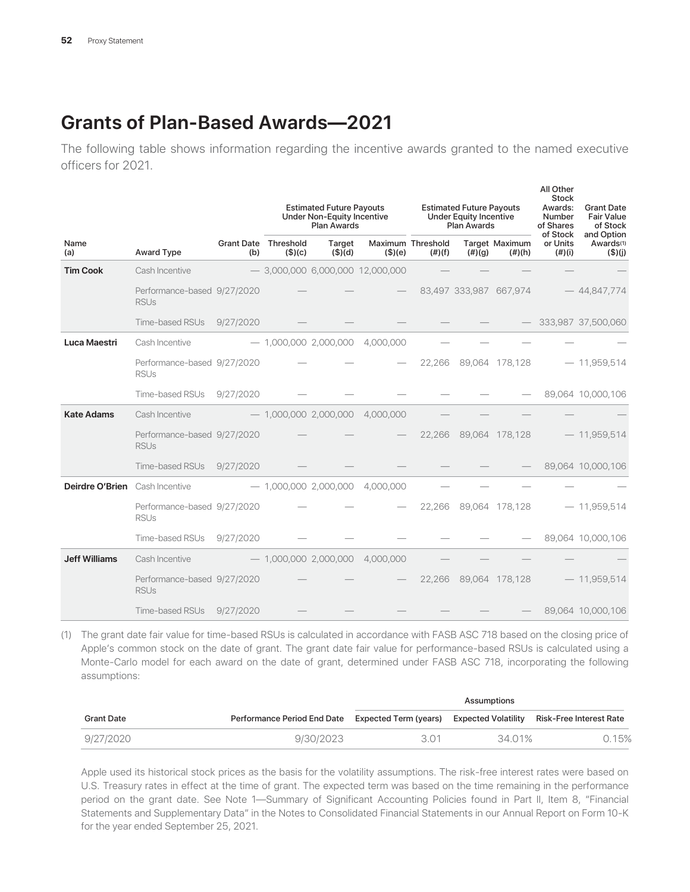# **Grants of Plan-Based Awards—2021**

The following table shows information regarding the incentive awards granted to the named executive officers for 2021.

|                                       |                                            |     | <b>Estimated Future Payouts</b><br><b>Under Non-Equity Incentive</b><br><b>Plan Awards</b> |                         |                                    | <b>Estimated Future Payouts</b><br><b>Under Equity Incentive</b><br><b>Plan Awards</b> |           |                                                       | All Other<br><b>Stock</b><br>Awards:<br>Number<br>of Shares | <b>Grant Date</b><br><b>Fair Value</b><br>of Stock |
|---------------------------------------|--------------------------------------------|-----|--------------------------------------------------------------------------------------------|-------------------------|------------------------------------|----------------------------------------------------------------------------------------|-----------|-------------------------------------------------------|-------------------------------------------------------------|----------------------------------------------------|
| Name<br>(a)                           | Award Type                                 | (b) | <b>Grant Date Threshold</b><br>$($ \$) $(c)$                                               | Target<br>$($ \$) $(d)$ | (\$)(e)                            | Maximum Threshold<br>(f#)(f)                                                           | $(\#)(g)$ | Target Maximum<br>$(\#)(h)$                           | of Stock<br>or Units<br>(#)(i)                              | and Option<br>Awards <sup>(1)</sup><br>(\$)(j)     |
| <b>Tim Cook</b>                       | Cash Incentive                             |     |                                                                                            |                         | $-$ 3,000,000 6,000,000 12,000,000 |                                                                                        |           |                                                       |                                                             |                                                    |
|                                       | Performance-based 9/27/2020<br><b>RSUs</b> |     |                                                                                            |                         |                                    |                                                                                        |           | 83,497 333,987 667,974                                |                                                             | $-44,847,774$                                      |
|                                       | Time-based RSUs 9/27/2020                  |     |                                                                                            |                         |                                    |                                                                                        |           | $\overline{\phantom{a}}$ and $\overline{\phantom{a}}$ |                                                             | $-$ 333,987 37,500,060                             |
| Luca Maestri                          | Cash Incentive                             |     |                                                                                            |                         | $-$ 1,000,000 2,000,000 4,000,000  |                                                                                        |           |                                                       |                                                             |                                                    |
|                                       | Performance-based 9/27/2020<br><b>RSUs</b> |     |                                                                                            |                         |                                    |                                                                                        |           | 22,266 89,064 178,128                                 |                                                             | $-11,959,514$                                      |
|                                       | Time-based RSUs 9/27/2020                  |     |                                                                                            |                         |                                    |                                                                                        |           |                                                       |                                                             | $-$ 89,064 10,000,106                              |
| <b>Kate Adams</b>                     | Cash Incentive                             |     |                                                                                            |                         | $-$ 1,000,000 2,000,000 4,000,000  |                                                                                        |           |                                                       |                                                             |                                                    |
|                                       | Performance-based 9/27/2020<br><b>RSUs</b> |     |                                                                                            |                         |                                    |                                                                                        |           | 22,266 89,064 178,128                                 |                                                             | $-11,959,514$                                      |
|                                       | Time-based RSUs 9/27/2020                  |     |                                                                                            |                         |                                    |                                                                                        |           |                                                       |                                                             | $-$ 89,064 10,000,106                              |
| <b>Deirdre O'Brien</b> Cash Incentive |                                            |     |                                                                                            | $-$ 1,000,000 2,000,000 | 4,000,000                          |                                                                                        |           |                                                       |                                                             |                                                    |
|                                       | Performance-based 9/27/2020<br><b>RSUs</b> |     |                                                                                            |                         |                                    |                                                                                        |           | 22,266 89,064 178,128                                 |                                                             | $-11,959,514$                                      |
|                                       | Time-based RSUs 9/27/2020                  |     |                                                                                            |                         |                                    |                                                                                        |           |                                                       |                                                             | 89,064 10,000,106                                  |
| <b>Jeff Williams</b>                  | Cash Incentive                             |     |                                                                                            | $-$ 1,000,000 2,000,000 | 4,000,000                          |                                                                                        |           |                                                       |                                                             |                                                    |
|                                       | Performance-based 9/27/2020<br><b>RSUs</b> |     |                                                                                            |                         |                                    |                                                                                        |           | 22,266 89,064 178,128                                 |                                                             | $-11,959,514$                                      |
|                                       | Time-based RSUs 9/27/2020                  |     |                                                                                            |                         |                                    |                                                                                        |           |                                                       |                                                             | 89,064 10,000,106                                  |

(1) The grant date fair value for time-based RSUs is calculated in accordance with FASB ASC 718 based on the closing price of Apple's common stock on the date of grant. The grant date fair value for performance-based RSUs is calculated using a Monte-Carlo model for each award on the date of grant, determined under FASB ASC 718, incorporating the following assumptions:

|            |                             |                                           | Assumptions |                         |
|------------|-----------------------------|-------------------------------------------|-------------|-------------------------|
| Grant Date | Performance Period End Date | Expected Term (years) Expected Volatility |             | Risk-Free Interest Rate |
| 9/27/2020  | 9/30/2023                   | 301                                       | 34.01%      | 0.15%                   |

Apple used its historical stock prices as the basis for the volatility assumptions. The risk-free interest rates were based on U.S. Treasury rates in effect at the time of grant. The expected term was based on the time remaining in the performance period on the grant date. See Note 1—Summary of Significant Accounting Policies found in Part II, Item 8, "Financial Statements and Supplementary Data" in the Notes to Consolidated Financial Statements in our Annual Report on Form 10-K for the year ended September 25, 2021.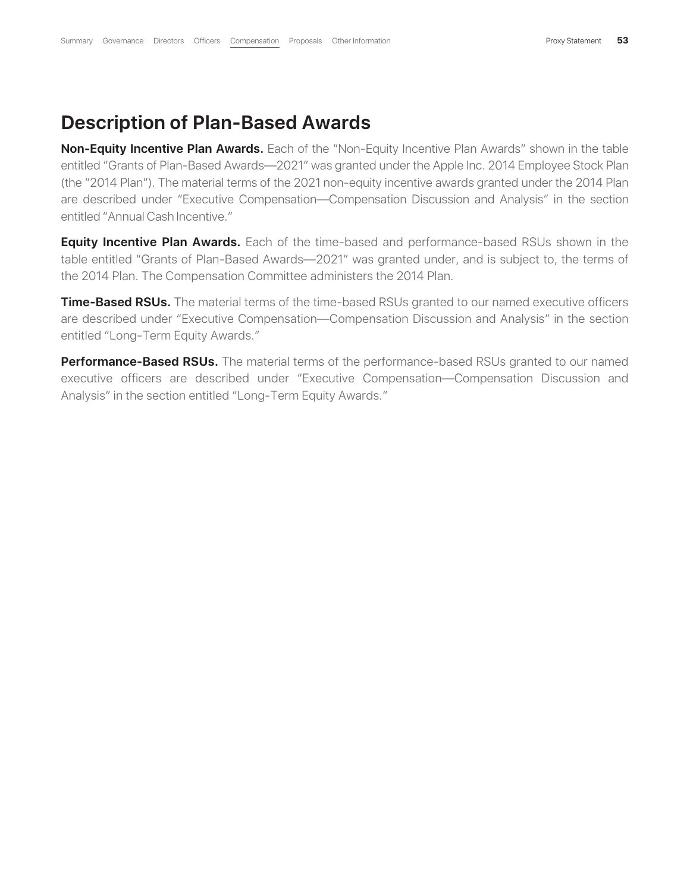#### **Description of Plan-Based Awards**

**Non-Equity Incentive Plan Awards.** Each of the "Non-Equity Incentive Plan Awards" shown in the table entitled "Grants of Plan-Based Awards—2021" was granted under the Apple Inc. 2014 Employee Stock Plan (the "2014 Plan"). The material terms of the 2021 non-equity incentive awards granted under the 2014 Plan are described under "Executive Compensation—Compensation Discussion and Analysis" in the section entitled "Annual Cash Incentive."

**Equity Incentive Plan Awards.** Each of the time-based and performance-based RSUs shown in the table entitled "Grants of Plan-Based Awards—2021" was granted under, and is subject to, the terms of the 2014 Plan. The Compensation Committee administers the 2014 Plan.

**Time-Based RSUs.** The material terms of the time-based RSUs granted to our named executive officers are described under "Executive Compensation—Compensation Discussion and Analysis" in the section entitled "Long-Term Equity Awards."

**Performance-Based RSUs.** The material terms of the performance-based RSUs granted to our named executive officers are described under "Executive Compensation—Compensation Discussion and Analysis" in the section entitled "Long-Term Equity Awards."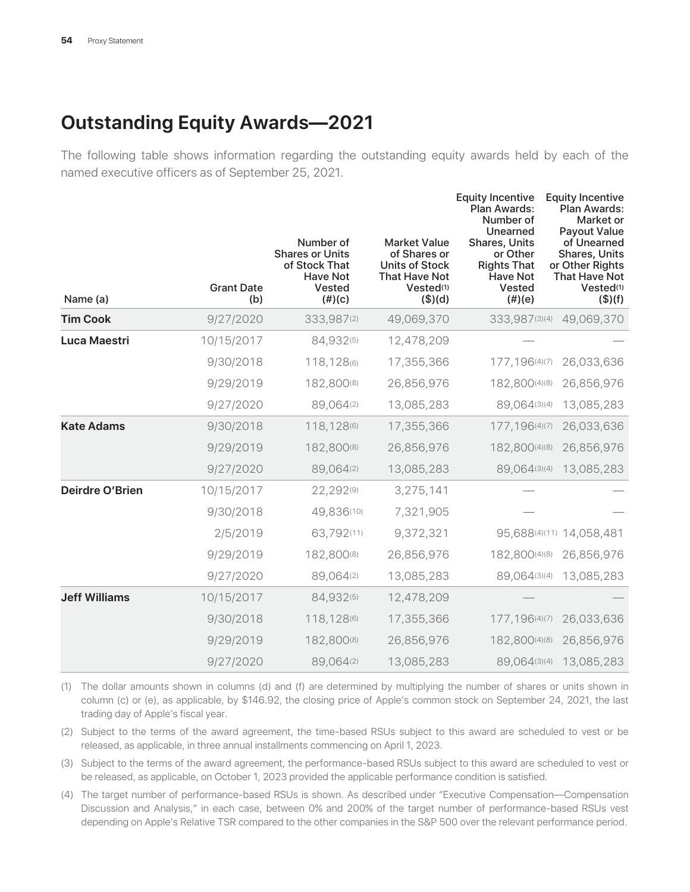# **Outstanding Equity Awards—2021**

The following table shows information regarding the outstanding equity awards held by each of the named executive officers as of September 25, 2021.

| Name (a)               | <b>Grant Date</b><br>(b) | Number of<br><b>Shares or Units</b><br>of Stock That<br><b>Have Not</b><br>Vested<br>$(\#)(c)$ | <b>Market Value</b><br>of Shares or<br><b>Units of Stock</b><br><b>That Have Not</b><br>Vested <sup>(1)</sup><br>$($ \$)(d) | <b>Equity Incentive</b><br><b>Plan Awards:</b><br>Number of<br>Unearned<br>Shares, Units<br>or Other<br><b>Rights That</b><br><b>Have Not</b><br>Vested<br>$(\#)(e)$ | <b>Equity Incentive</b><br><b>Plan Awards:</b><br>Market or<br>Payout Value<br>of Unearned<br><b>Shares, Units</b><br>or Other Rights<br><b>That Have Not</b><br>Vested <sup>(1)</sup><br>(\$)(f) |
|------------------------|--------------------------|------------------------------------------------------------------------------------------------|-----------------------------------------------------------------------------------------------------------------------------|----------------------------------------------------------------------------------------------------------------------------------------------------------------------|---------------------------------------------------------------------------------------------------------------------------------------------------------------------------------------------------|
| <b>Tim Cook</b>        | 9/27/2020                | 333,987(2)                                                                                     | 49,069,370                                                                                                                  | 333,987(3)(4)                                                                                                                                                        | 49,069,370                                                                                                                                                                                        |
| Luca Maestri           | 10/15/2017               | 84,932(5)                                                                                      | 12,478,209                                                                                                                  |                                                                                                                                                                      |                                                                                                                                                                                                   |
|                        | 9/30/2018                | 118,128(6)                                                                                     | 17,355,366                                                                                                                  | 177, 196(4)(7)                                                                                                                                                       | 26,033,636                                                                                                                                                                                        |
|                        | 9/29/2019                | 182,800(8)                                                                                     | 26,856,976                                                                                                                  | 182,800(4)(8)                                                                                                                                                        | 26,856,976                                                                                                                                                                                        |
|                        | 9/27/2020                | 89,064(2)                                                                                      | 13,085,283                                                                                                                  | 89,064(3)(4)                                                                                                                                                         | 13,085,283                                                                                                                                                                                        |
| <b>Kate Adams</b>      | 9/30/2018                | 118,128(6)                                                                                     | 17,355,366                                                                                                                  | 177, 196(4)(7)                                                                                                                                                       | 26,033,636                                                                                                                                                                                        |
|                        | 9/29/2019                | 182,800(8)                                                                                     | 26,856,976                                                                                                                  | 182,800(4)(8)                                                                                                                                                        | 26,856,976                                                                                                                                                                                        |
|                        | 9/27/2020                | 89,064(2)                                                                                      | 13,085,283                                                                                                                  | 89,064(3)(4)                                                                                                                                                         | 13,085,283                                                                                                                                                                                        |
| <b>Deirdre O'Brien</b> | 10/15/2017               | 22,292(9)                                                                                      | 3,275,141                                                                                                                   |                                                                                                                                                                      |                                                                                                                                                                                                   |
|                        | 9/30/2018                | 49,836(10)                                                                                     | 7,321,905                                                                                                                   |                                                                                                                                                                      |                                                                                                                                                                                                   |
|                        | 2/5/2019                 | 63,792(11)                                                                                     | 9,372,321                                                                                                                   | 95,688(4)(11)                                                                                                                                                        | 14,058,481                                                                                                                                                                                        |
|                        | 9/29/2019                | 182,800(8)                                                                                     | 26,856,976                                                                                                                  | 182,800(4)(8)                                                                                                                                                        | 26,856,976                                                                                                                                                                                        |
|                        | 9/27/2020                | 89,064(2)                                                                                      | 13,085,283                                                                                                                  | 89,064(3)(4)                                                                                                                                                         | 13,085,283                                                                                                                                                                                        |
| <b>Jeff Williams</b>   | 10/15/2017               | 84,932(5)                                                                                      | 12,478,209                                                                                                                  |                                                                                                                                                                      |                                                                                                                                                                                                   |
|                        | 9/30/2018                | 118,128(6)                                                                                     | 17,355,366                                                                                                                  | 177, 196(4)(7)                                                                                                                                                       | 26,033,636                                                                                                                                                                                        |
|                        | 9/29/2019                | 182,800(8)                                                                                     | 26,856,976                                                                                                                  | 182,800(4)(8)                                                                                                                                                        | 26,856,976                                                                                                                                                                                        |
|                        | 9/27/2020                | 89,064(2)                                                                                      | 13,085,283                                                                                                                  | 89,064(3)(4)                                                                                                                                                         | 13,085,283                                                                                                                                                                                        |

(1) The dollar amounts shown in columns (d) and (f) are determined by multiplying the number of shares or units shown in column (c) or (e), as applicable, by \$146.92, the closing price of Apple's common stock on September 24, 2021, the last trading day of Apple's fiscal year.

(2) Subject to the terms of the award agreement, the time-based RSUs subject to this award are scheduled to vest or be released, as applicable, in three annual installments commencing on April 1, 2023.

(3) Subject to the terms of the award agreement, the performance-based RSUs subject to this award are scheduled to vest or be released, as applicable, on October 1, 2023 provided the applicable performance condition is satisfied.

(4) The target number of performance-based RSUs is shown. As described under "Executive Compensation—Compensation Discussion and Analysis," in each case, between 0% and 200% of the target number of performance-based RSUs vest depending on Apple's Relative TSR compared to the other companies in the S&P 500 over the relevant performance period.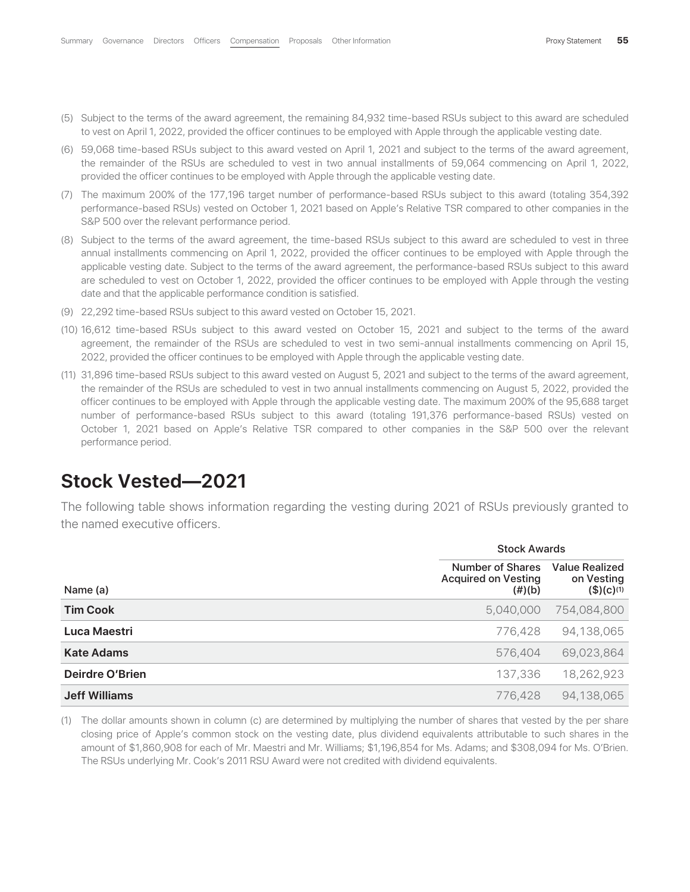- (5) Subject to the terms of the award agreement, the remaining 84,932 time-based RSUs subject to this award are scheduled to vest on April 1, 2022, provided the officer continues to be employed with Apple through the applicable vesting date.
- (6) 59,068 time-based RSUs subject to this award vested on April 1, 2021 and subject to the terms of the award agreement, the remainder of the RSUs are scheduled to vest in two annual installments of 59,064 commencing on April 1, 2022, provided the officer continues to be employed with Apple through the applicable vesting date.
- (7) The maximum 200% of the 177,196 target number of performance-based RSUs subject to this award (totaling 354,392 performance-based RSUs) vested on October 1, 2021 based on Apple's Relative TSR compared to other companies in the S&P 500 over the relevant performance period.
- (8) Subject to the terms of the award agreement, the time-based RSUs subject to this award are scheduled to vest in three annual installments commencing on April 1, 2022, provided the officer continues to be employed with Apple through the applicable vesting date. Subject to the terms of the award agreement, the performance-based RSUs subject to this award are scheduled to vest on October 1, 2022, provided the officer continues to be employed with Apple through the vesting date and that the applicable performance condition is satisfied.
- (9) 22,292 time-based RSUs subject to this award vested on October 15, 2021.
- (10) 16,612 time-based RSUs subject to this award vested on October 15, 2021 and subject to the terms of the award agreement, the remainder of the RSUs are scheduled to vest in two semi-annual installments commencing on April 15, 2022, provided the officer continues to be employed with Apple through the applicable vesting date.
- (11) 31,896 time-based RSUs subject to this award vested on August 5, 2021 and subject to the terms of the award agreement, the remainder of the RSUs are scheduled to vest in two annual installments commencing on August 5, 2022, provided the officer continues to be employed with Apple through the applicable vesting date. The maximum 200% of the 95,688 target number of performance-based RSUs subject to this award (totaling 191,376 performance-based RSUs) vested on October 1, 2021 based on Apple's Relative TSR compared to other companies in the S&P 500 over the relevant performance period.

#### **Stock Vested—2021**

The following table shows information regarding the vesting during 2021 of RSUs previously granted to the named executive officers.

|                        | <b>Stock Awards</b>                                         |                                                                |
|------------------------|-------------------------------------------------------------|----------------------------------------------------------------|
| Name (a)               | Number of Shares<br><b>Acquired on Vesting</b><br>$(\#)(b)$ | <b>Value Realized</b><br>on Vesting<br>$($)(c)$ <sup>(1)</sup> |
| <b>Tim Cook</b>        | 5,040,000                                                   | 754,084,800                                                    |
| Luca Maestri           | 776,428                                                     | 94,138,065                                                     |
| <b>Kate Adams</b>      | 576,404                                                     | 69,023,864                                                     |
| <b>Deirdre O'Brien</b> | 137,336                                                     | 18,262,923                                                     |
| <b>Jeff Williams</b>   | 776,428                                                     | 94,138,065                                                     |

(1) The dollar amounts shown in column (c) are determined by multiplying the number of shares that vested by the per share closing price of Apple's common stock on the vesting date, plus dividend equivalents attributable to such shares in the amount of \$1,860,908 for each of Mr. Maestri and Mr. Williams; \$1,196,854 for Ms. Adams; and \$308,094 for Ms. O'Brien. The RSUs underlying Mr. Cook's 2011 RSU Award were not credited with dividend equivalents.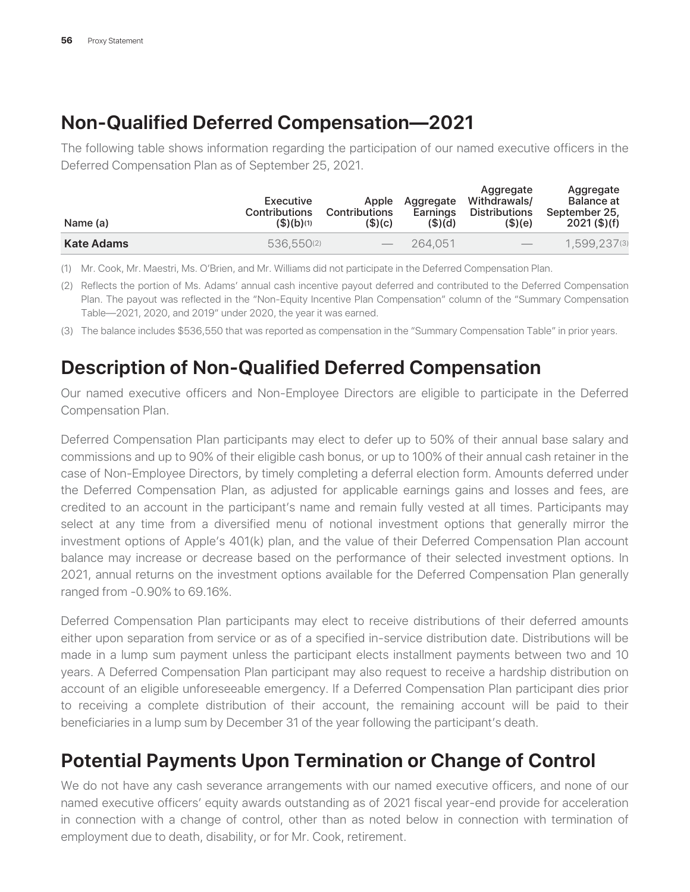# **Non-Qualified Deferred Compensation—2021**

The following table shows information regarding the participation of our named executive officers in the Deferred Compensation Plan as of September 25, 2021.

| Name (a)   | Executive<br><b>Contributions</b><br>\$)(b)(1) | Apple<br><b>Contributions</b><br>$($ \$) $(c)$ | Aggregate<br>Earnings<br>$($ \$) $(d)$ | Aggregate<br>Withdrawals/<br><b>Distributions</b><br>(\$)(e) | Aggregate<br><b>Balance</b> at<br>September 25.<br>$2021$ (\$)(f) |
|------------|------------------------------------------------|------------------------------------------------|----------------------------------------|--------------------------------------------------------------|-------------------------------------------------------------------|
| Kate Adams | 536.550(2)                                     | $\hspace{0.1mm}-\hspace{0.1mm}$                | 264.051                                | $\hspace{0.1mm}-\hspace{0.1mm}$                              | 1,599,237(3)                                                      |

(1) Mr. Cook, Mr. Maestri, Ms. O'Brien, and Mr. Williams did not participate in the Deferred Compensation Plan.

(2) Reflects the portion of Ms. Adams' annual cash incentive payout deferred and contributed to the Deferred Compensation Plan. The payout was reflected in the "Non-Equity Incentive Plan Compensation" column of the "Summary Compensation Table—2021, 2020, and 2019" under 2020, the year it was earned.

(3) The balance includes \$536,550 that was reported as compensation in the "Summary Compensation Table" in prior years.

# **Description of Non-Qualified Deferred Compensation**

Our named executive officers and Non-Employee Directors are eligible to participate in the Deferred Compensation Plan.

Deferred Compensation Plan participants may elect to defer up to 50% of their annual base salary and commissions and up to 90% of their eligible cash bonus, or up to 100% of their annual cash retainer in the case of Non-Employee Directors, by timely completing a deferral election form. Amounts deferred under the Deferred Compensation Plan, as adjusted for applicable earnings gains and losses and fees, are credited to an account in the participant's name and remain fully vested at all times. Participants may select at any time from a diversified menu of notional investment options that generally mirror the investment options of Apple's 401(k) plan, and the value of their Deferred Compensation Plan account balance may increase or decrease based on the performance of their selected investment options. In 2021, annual returns on the investment options available for the Deferred Compensation Plan generally ranged from -0.90% to 69.16%.

Deferred Compensation Plan participants may elect to receive distributions of their deferred amounts either upon separation from service or as of a specified in-service distribution date. Distributions will be made in a lump sum payment unless the participant elects installment payments between two and 10 years. A Deferred Compensation Plan participant may also request to receive a hardship distribution on account of an eligible unforeseeable emergency. If a Deferred Compensation Plan participant dies prior to receiving a complete distribution of their account, the remaining account will be paid to their beneficiaries in a lump sum by December 31 of the year following the participant's death.

# **Potential Payments Upon Termination or Change of Control**

We do not have any cash severance arrangements with our named executive officers, and none of our named executive officers' equity awards outstanding as of 2021 fiscal year-end provide for acceleration in connection with a change of control, other than as noted below in connection with termination of employment due to death, disability, or for Mr. Cook, retirement.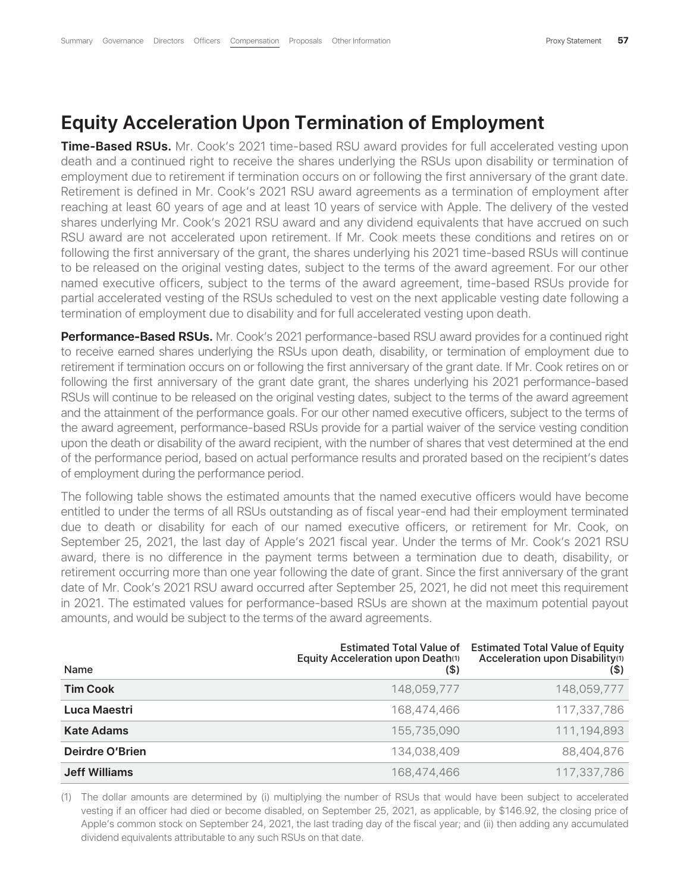#### **Equity Acceleration Upon Termination of Employment**

**Time-Based RSUs.** Mr. Cook's 2021 time-based RSU award provides for full accelerated vesting upon death and a continued right to receive the shares underlying the RSUs upon disability or termination of employment due to retirement if termination occurs on or following the first anniversary of the grant date. Retirement is defined in Mr. Cook's 2021 RSU award agreements as a termination of employment after reaching at least 60 years of age and at least 10 years of service with Apple. The delivery of the vested shares underlying Mr. Cook's 2021 RSU award and any dividend equivalents that have accrued on such RSU award are not accelerated upon retirement. If Mr. Cook meets these conditions and retires on or following the first anniversary of the grant, the shares underlying his 2021 time-based RSUs will continue to be released on the original vesting dates, subject to the terms of the award agreement. For our other named executive officers, subject to the terms of the award agreement, time-based RSUs provide for partial accelerated vesting of the RSUs scheduled to vest on the next applicable vesting date following a termination of employment due to disability and for full accelerated vesting upon death.

**Performance-Based RSUs.** Mr. Cook's 2021 performance-based RSU award provides for a continued right to receive earned shares underlying the RSUs upon death, disability, or termination of employment due to retirement if termination occurs on or following the first anniversary of the grant date. If Mr. Cook retires on or following the first anniversary of the grant date grant, the shares underlying his 2021 performance-based RSUs will continue to be released on the original vesting dates, subject to the terms of the award agreement and the attainment of the performance goals. For our other named executive officers, subject to the terms of the award agreement, performance-based RSUs provide for a partial waiver of the service vesting condition upon the death or disability of the award recipient, with the number of shares that vest determined at the end of the performance period, based on actual performance results and prorated based on the recipient's dates of employment during the performance period.

The following table shows the estimated amounts that the named executive officers would have become entitled to under the terms of all RSUs outstanding as of fiscal year-end had their employment terminated due to death or disability for each of our named executive officers, or retirement for Mr. Cook, on September 25, 2021, the last day of Apple's 2021 fiscal year. Under the terms of Mr. Cook's 2021 RSU award, there is no difference in the payment terms between a termination due to death, disability, or retirement occurring more than one year following the date of grant. Since the first anniversary of the grant date of Mr. Cook's 2021 RSU award occurred after September 25, 2021, he did not meet this requirement in 2021. The estimated values for performance-based RSUs are shown at the maximum potential payout amounts, and would be subject to the terms of the award agreements.

| Name                 | <b>Estimated Total Value of</b><br>Equity Acceleration upon Death(1)<br>(\$) | <b>Estimated Total Value of Equity</b><br>Acceleration upon Disability <sup>(1)</sup><br>(\$) |
|----------------------|------------------------------------------------------------------------------|-----------------------------------------------------------------------------------------------|
| <b>Tim Cook</b>      | 148,059,777                                                                  | 148,059,777                                                                                   |
| Luca Maestri         | 168,474,466                                                                  | 117,337,786                                                                                   |
| <b>Kate Adams</b>    | 155,735,090                                                                  | 111,194,893                                                                                   |
| Deirdre O'Brien      | 134,038,409                                                                  | 88,404,876                                                                                    |
| <b>Jeff Williams</b> | 168,474,466                                                                  | 117,337,786                                                                                   |

(1) The dollar amounts are determined by (i) multiplying the number of RSUs that would have been subject to accelerated vesting if an officer had died or become disabled, on September 25, 2021, as applicable, by \$146.92, the closing price of Apple's common stock on September 24, 2021, the last trading day of the fiscal year; and (ii) then adding any accumulated dividend equivalents attributable to any such RSUs on that date.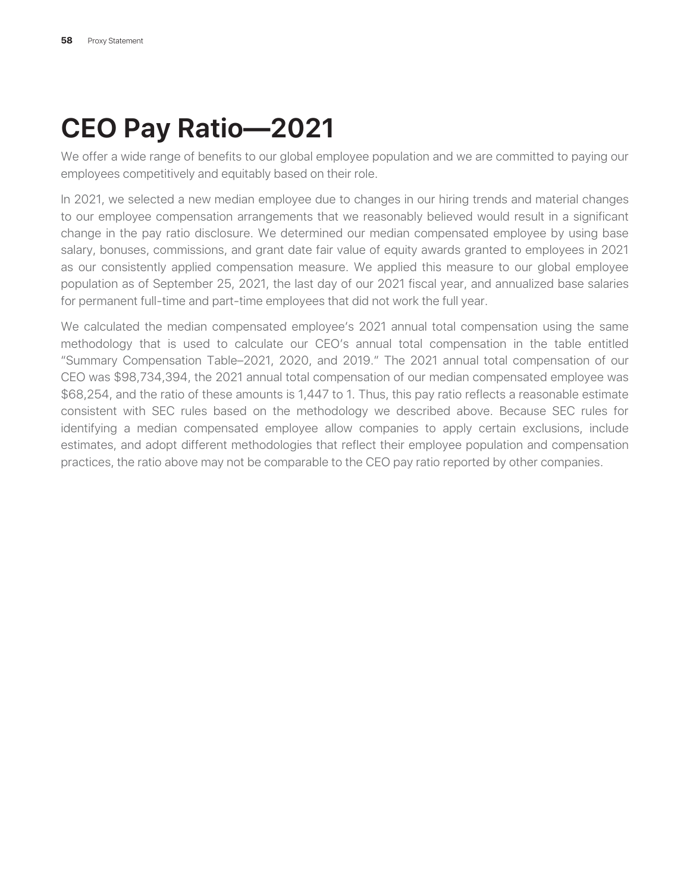# **CEO Pay Ratio—2021**

We offer a wide range of benefits to our global employee population and we are committed to paying our employees competitively and equitably based on their role.

In 2021, we selected a new median employee due to changes in our hiring trends and material changes to our employee compensation arrangements that we reasonably believed would result in a significant change in the pay ratio disclosure. We determined our median compensated employee by using base salary, bonuses, commissions, and grant date fair value of equity awards granted to employees in 2021 as our consistently applied compensation measure. We applied this measure to our global employee population as of September 25, 2021, the last day of our 2021 fiscal year, and annualized base salaries for permanent full-time and part-time employees that did not work the full year.

We calculated the median compensated employee's 2021 annual total compensation using the same methodology that is used to calculate our CEO's annual total compensation in the table entitled "Summary Compensation Table–2021, 2020, and 2019." The 2021 annual total compensation of our CEO was \$98,734,394, the 2021 annual total compensation of our median compensated employee was \$68,254, and the ratio of these amounts is 1,447 to 1. Thus, this pay ratio reflects a reasonable estimate consistent with SEC rules based on the methodology we described above. Because SEC rules for identifying a median compensated employee allow companies to apply certain exclusions, include estimates, and adopt different methodologies that reflect their employee population and compensation practices, the ratio above may not be comparable to the CEO pay ratio reported by other companies.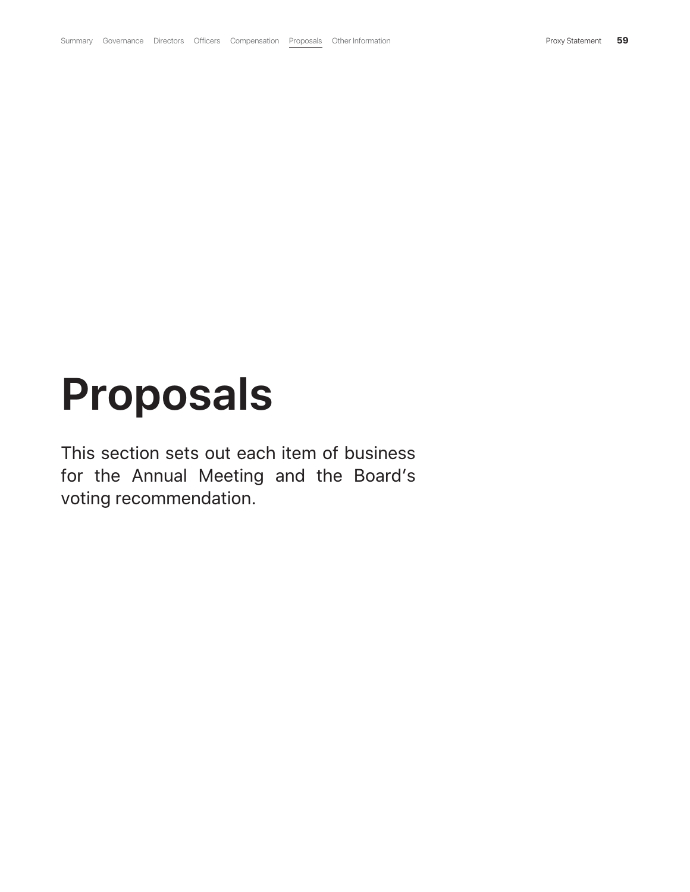# **Proposals**

This section sets out each item of business for the Annual Meeting and the Board's voting recommendation.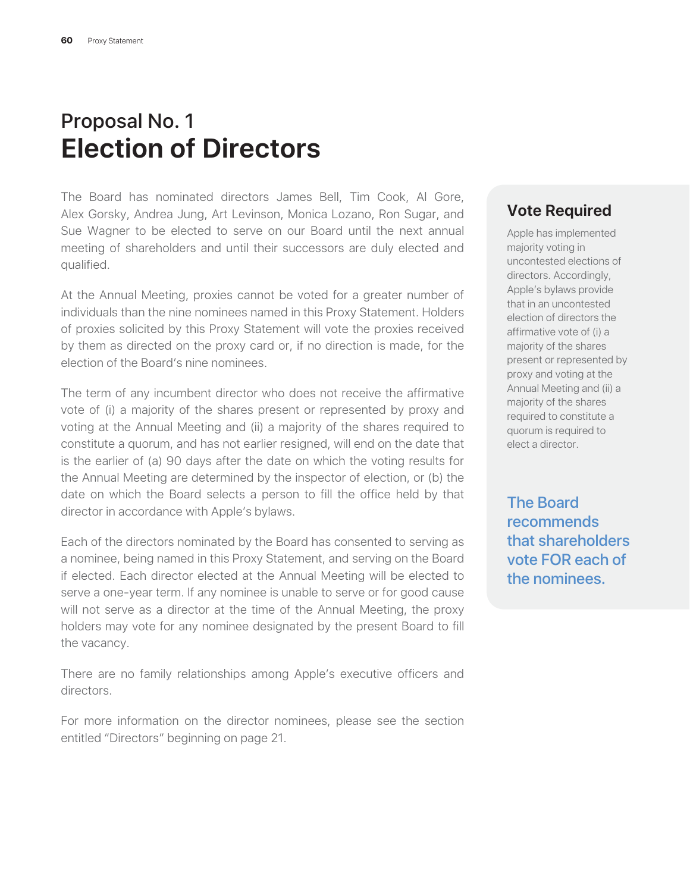# Proposal No. 1 **Election of Directors**

The Board has nominated directors James Bell, Tim Cook, Al Gore, Alex Gorsky, Andrea Jung, Art Levinson, Monica Lozano, Ron Sugar, and Sue Wagner to be elected to serve on our Board until the next annual meeting of shareholders and until their successors are duly elected and qualified.

At the Annual Meeting, proxies cannot be voted for a greater number of individuals than the nine nominees named in this Proxy Statement. Holders of proxies solicited by this Proxy Statement will vote the proxies received by them as directed on the proxy card or, if no direction is made, for the election of the Board's nine nominees.

The term of any incumbent director who does not receive the affirmative vote of (i) a majority of the shares present or represented by proxy and voting at the Annual Meeting and (ii) a majority of the shares required to constitute a quorum, and has not earlier resigned, will end on the date that is the earlier of (a) 90 days after the date on which the voting results for the Annual Meeting are determined by the inspector of election, or (b) the date on which the Board selects a person to fill the office held by that director in accordance with Apple's bylaws.

Each of the directors nominated by the Board has consented to serving as a nominee, being named in this Proxy Statement, and serving on the Board if elected. Each director elected at the Annual Meeting will be elected to serve a one-year term. If any nominee is unable to serve or for good cause will not serve as a director at the time of the Annual Meeting, the proxy holders may vote for any nominee designated by the present Board to fill the vacancy.

There are no family relationships among Apple's executive officers and directors.

For more information on the director nominees, please see the section entitled "Directors" beginning on page 21.

#### **Vote Required**

Apple has implemented majority voting in uncontested elections of directors. Accordingly, Apple's bylaws provide that in an uncontested election of directors the affirmative vote of (i) a majority of the shares present or represented by proxy and voting at the Annual Meeting and (ii) a majority of the shares required to constitute a quorum is required to elect a director.

The Board recommends that shareholders vote FOR each of the nominees.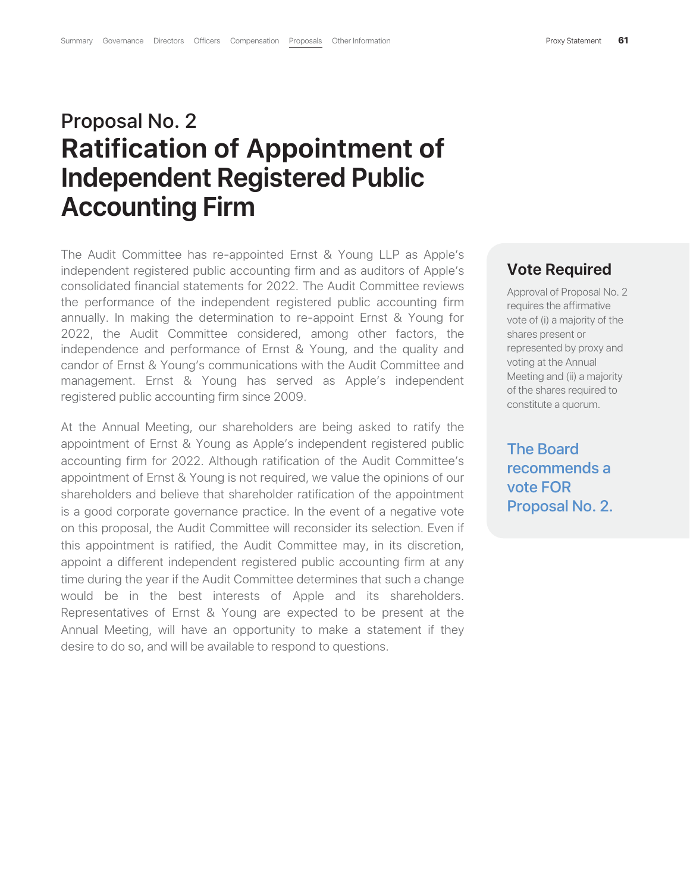# Proposal No. 2 **Ratification of Appointment of Independent Registered Public Accounting Firm**

The Audit Committee has re-appointed Ernst & Young LLP as Apple's independent registered public accounting firm and as auditors of Apple's consolidated financial statements for 2022. The Audit Committee reviews the performance of the independent registered public accounting firm annually. In making the determination to re-appoint Ernst & Young for 2022, the Audit Committee considered, among other factors, the independence and performance of Ernst & Young, and the quality and candor of Ernst & Young's communications with the Audit Committee and management. Ernst & Young has served as Apple's independent registered public accounting firm since 2009.

At the Annual Meeting, our shareholders are being asked to ratify the appointment of Ernst & Young as Apple's independent registered public accounting firm for 2022. Although ratification of the Audit Committee's appointment of Ernst & Young is not required, we value the opinions of our shareholders and believe that shareholder ratification of the appointment is a good corporate governance practice. In the event of a negative vote on this proposal, the Audit Committee will reconsider its selection. Even if this appointment is ratified, the Audit Committee may, in its discretion, appoint a different independent registered public accounting firm at any time during the year if the Audit Committee determines that such a change would be in the best interests of Apple and its shareholders. Representatives of Ernst & Young are expected to be present at the Annual Meeting, will have an opportunity to make a statement if they desire to do so, and will be available to respond to questions.

#### **Vote Required**

Approval of Proposal No. 2 requires the affirmative vote of (i) a majority of the shares present or represented by proxy and voting at the Annual Meeting and (ii) a majority of the shares required to constitute a quorum.

The Board recommends a vote FOR Proposal No. 2.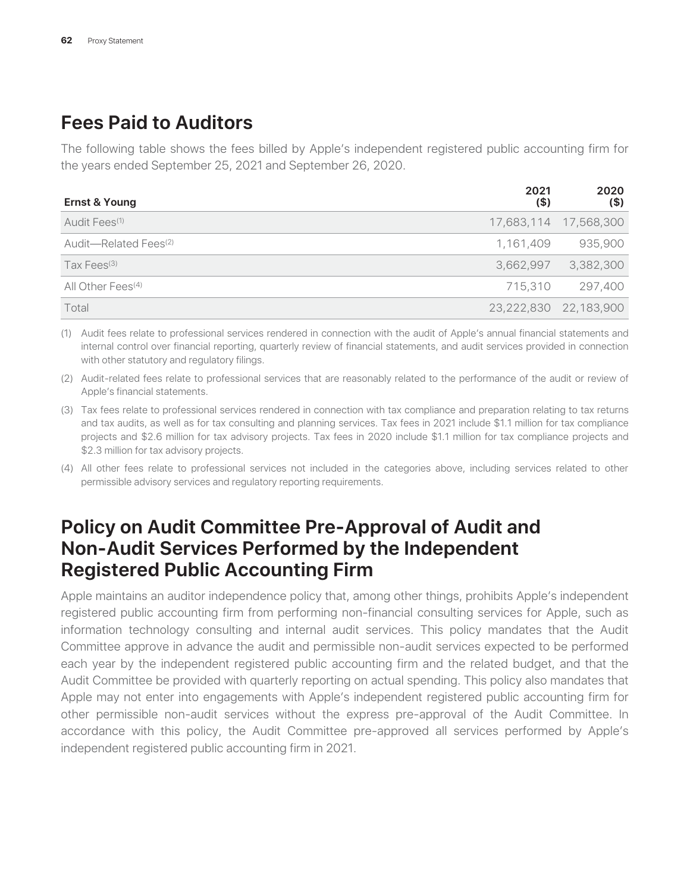# **Fees Paid to Auditors**

The following table shows the fees billed by Apple's independent registered public accounting firm for the years ended September 25, 2021 and September 26, 2020.

| <b>Ernst &amp; Young</b>          | 2021<br>$($ \$) | 2020<br>$($ \$)       |
|-----------------------------------|-----------------|-----------------------|
| Audit Fees <sup>(1)</sup>         |                 | 17,683,114 17,568,300 |
| Audit-Related Fees <sup>(2)</sup> | 1,161,409       | 935,900               |
| Tax Fees $(3)$                    | 3,662,997       | 3,382,300             |
| All Other Fees <sup>(4)</sup>     | 715,310         | 297,400               |
| Total                             | 23,222,830      | 22,183,900            |

(1) Audit fees relate to professional services rendered in connection with the audit of Apple's annual financial statements and internal control over financial reporting, quarterly review of financial statements, and audit services provided in connection with other statutory and regulatory filings.

(2) Audit-related fees relate to professional services that are reasonably related to the performance of the audit or review of Apple's financial statements.

- (3) Tax fees relate to professional services rendered in connection with tax compliance and preparation relating to tax returns and tax audits, as well as for tax consulting and planning services. Tax fees in 2021 include \$1.1 million for tax compliance projects and \$2.6 million for tax advisory projects. Tax fees in 2020 include \$1.1 million for tax compliance projects and \$2.3 million for tax advisory projects.
- (4) All other fees relate to professional services not included in the categories above, including services related to other permissible advisory services and regulatory reporting requirements.

# **Policy on Audit Committee Pre-Approval of Audit and Non-Audit Services Performed by the Independent Registered Public Accounting Firm**

Apple maintains an auditor independence policy that, among other things, prohibits Apple's independent registered public accounting firm from performing non-financial consulting services for Apple, such as information technology consulting and internal audit services. This policy mandates that the Audit Committee approve in advance the audit and permissible non-audit services expected to be performed each year by the independent registered public accounting firm and the related budget, and that the Audit Committee be provided with quarterly reporting on actual spending. This policy also mandates that Apple may not enter into engagements with Apple's independent registered public accounting firm for other permissible non-audit services without the express pre-approval of the Audit Committee. In accordance with this policy, the Audit Committee pre-approved all services performed by Apple's independent registered public accounting firm in 2021.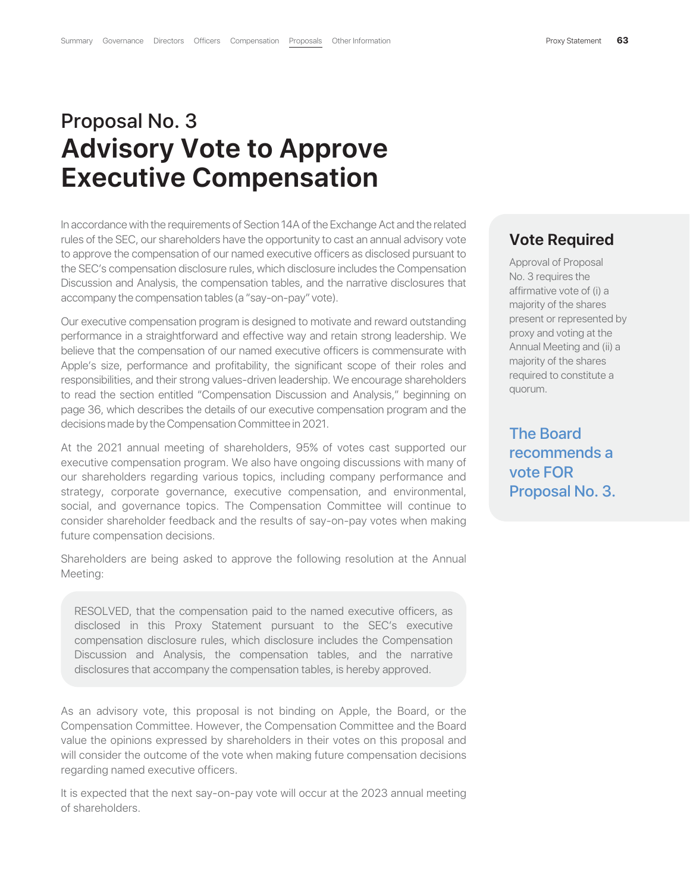# Proposal No. 3 **Advisory Vote to Approve Executive Compensation**

In accordance with the requirements of Section 14A of the Exchange Act and the related rules of the SEC, our shareholders have the opportunity to cast an annual advisory vote to approve the compensation of our named executive officers as disclosed pursuant to the SEC's compensation disclosure rules, which disclosure includes the Compensation Discussion and Analysis, the compensation tables, and the narrative disclosures that accompany the compensation tables (a "say-on-pay" vote).

Our executive compensation program is designed to motivate and reward outstanding performance in a straightforward and effective way and retain strong leadership. We believe that the compensation of our named executive officers is commensurate with Apple's size, performance and profitability, the significant scope of their roles and responsibilities, and their strong values-driven leadership. We encourage shareholders to read the section entitled "Compensation Discussion and Analysis," beginning on page 36, which describes the details of our executive compensation program and the decisions made by the Compensation Committee in 2021.

At the 2021 annual meeting of shareholders, 95% of votes cast supported our executive compensation program. We also have ongoing discussions with many of our shareholders regarding various topics, including company performance and strategy, corporate governance, executive compensation, and environmental, social, and governance topics. The Compensation Committee will continue to consider shareholder feedback and the results of say-on-pay votes when making future compensation decisions.

Shareholders are being asked to approve the following resolution at the Annual Meeting:

RESOLVED, that the compensation paid to the named executive officers, as disclosed in this Proxy Statement pursuant to the SEC's executive compensation disclosure rules, which disclosure includes the Compensation Discussion and Analysis, the compensation tables, and the narrative disclosures that accompany the compensation tables, is hereby approved.

As an advisory vote, this proposal is not binding on Apple, the Board, or the Compensation Committee. However, the Compensation Committee and the Board value the opinions expressed by shareholders in their votes on this proposal and will consider the outcome of the vote when making future compensation decisions regarding named executive officers.

It is expected that the next say-on-pay vote will occur at the 2023 annual meeting of shareholders.

#### **Vote Required**

Approval of Proposal No. 3 requires the affirmative vote of (i) a majority of the shares present or represented by proxy and voting at the Annual Meeting and (ii) a majority of the shares required to constitute a quorum.

The Board recommends a vote FOR Proposal No. 3.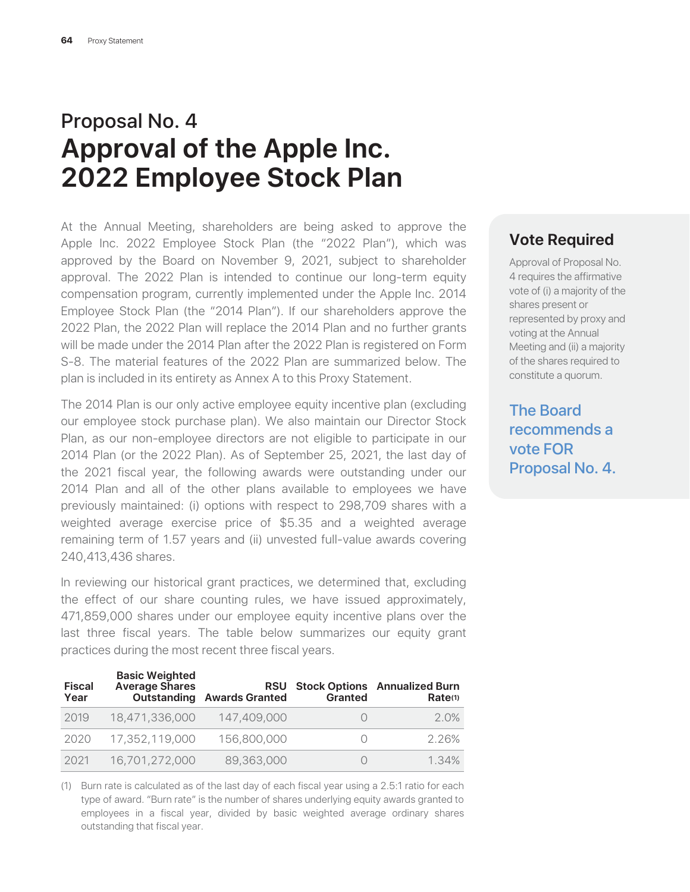# Proposal No. 4 **Approval of the Apple Inc. 2022 Employee Stock Plan**

At the Annual Meeting, shareholders are being asked to approve the Apple Inc. 2022 Employee Stock Plan (the "2022 Plan"), which was approved by the Board on November 9, 2021, subject to shareholder approval. The 2022 Plan is intended to continue our long-term equity compensation program, currently implemented under the Apple Inc. 2014 Employee Stock Plan (the "2014 Plan"). If our shareholders approve the 2022 Plan, the 2022 Plan will replace the 2014 Plan and no further grants will be made under the 2014 Plan after the 2022 Plan is registered on Form S-8. The material features of the 2022 Plan are summarized below. The plan is included in its entirety as Annex A to this Proxy Statement.

The 2014 Plan is our only active employee equity incentive plan (excluding our employee stock purchase plan). We also maintain our Director Stock Plan, as our non-employee directors are not eligible to participate in our 2014 Plan (or the 2022 Plan). As of September 25, 2021, the last day of the 2021 fiscal year, the following awards were outstanding under our 2014 Plan and all of the other plans available to employees we have previously maintained: (i) options with respect to 298,709 shares with a weighted average exercise price of \$5.35 and a weighted average remaining term of 1.57 years and (ii) unvested full-value awards covering 240,413,436 shares.

In reviewing our historical grant practices, we determined that, excluding the effect of our share counting rules, we have issued approximately, 471,859,000 shares under our employee equity incentive plans over the last three fiscal years. The table below summarizes our equity grant practices during the most recent three fiscal years.

| <b>Fiscal</b><br>Year | <b>Basic Weighted</b><br><b>Average Shares</b><br>Outstanding | <b>RSU</b><br><b>Awards Granted</b> | <b>Granted</b> | <b>Stock Options</b> Annualized Burn<br>Rate <sup>(1)</sup> |
|-----------------------|---------------------------------------------------------------|-------------------------------------|----------------|-------------------------------------------------------------|
| 2019                  | 18,471,336,000                                                | 147,409,000                         |                | $2.0\%$                                                     |
| 2020                  | 17,352,119,000                                                | 156,800,000                         |                | 2.26%                                                       |
| 2021                  | 16,701,272,000                                                | 89,363,000                          |                | 1.34%                                                       |

(1) Burn rate is calculated as of the last day of each fiscal year using a 2.5:1 ratio for each type of award. "Burn rate" is the number of shares underlying equity awards granted to employees in a fiscal year, divided by basic weighted average ordinary shares outstanding that fiscal year.

#### **Vote Required**

Approval of Proposal No. 4 requires the affirmative vote of (i) a majority of the shares present or represented by proxy and voting at the Annual Meeting and (ii) a majority of the shares required to constitute a quorum.

The Board recommends a vote FOR Proposal No. 4.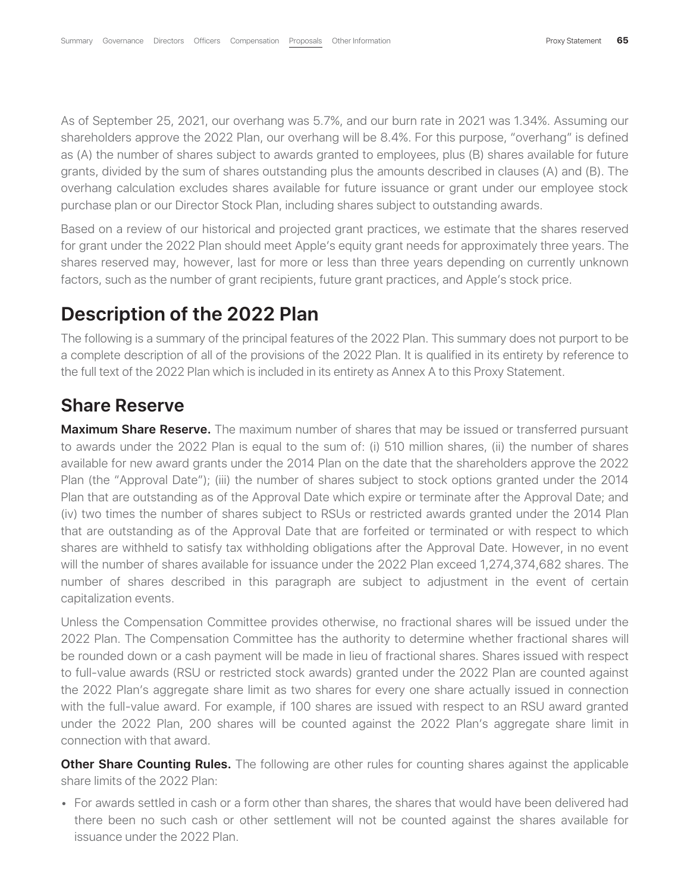As of September 25, 2021, our overhang was 5.7%, and our burn rate in 2021 was 1.34%. Assuming our shareholders approve the 2022 Plan, our overhang will be 8.4%. For this purpose, "overhang" is defined as (A) the number of shares subject to awards granted to employees, plus (B) shares available for future grants, divided by the sum of shares outstanding plus the amounts described in clauses (A) and (B). The overhang calculation excludes shares available for future issuance or grant under our employee stock purchase plan or our Director Stock Plan, including shares subject to outstanding awards.

Based on a review of our historical and projected grant practices, we estimate that the shares reserved for grant under the 2022 Plan should meet Apple's equity grant needs for approximately three years. The shares reserved may, however, last for more or less than three years depending on currently unknown factors, such as the number of grant recipients, future grant practices, and Apple's stock price.

# **Description of the 2022 Plan**

The following is a summary of the principal features of the 2022 Plan. This summary does not purport to be a complete description of all of the provisions of the 2022 Plan. It is qualified in its entirety by reference to the full text of the 2022 Plan which is included in its entirety as Annex A to this Proxy Statement.

## **Share Reserve**

**Maximum Share Reserve.** The maximum number of shares that may be issued or transferred pursuant to awards under the 2022 Plan is equal to the sum of: (i) 510 million shares, (ii) the number of shares available for new award grants under the 2014 Plan on the date that the shareholders approve the 2022 Plan (the "Approval Date"); (iii) the number of shares subject to stock options granted under the 2014 Plan that are outstanding as of the Approval Date which expire or terminate after the Approval Date; and (iv) two times the number of shares subject to RSUs or restricted awards granted under the 2014 Plan that are outstanding as of the Approval Date that are forfeited or terminated or with respect to which shares are withheld to satisfy tax withholding obligations after the Approval Date. However, in no event will the number of shares available for issuance under the 2022 Plan exceed 1,274,374,682 shares. The number of shares described in this paragraph are subject to adjustment in the event of certain capitalization events.

Unless the Compensation Committee provides otherwise, no fractional shares will be issued under the 2022 Plan. The Compensation Committee has the authority to determine whether fractional shares will be rounded down or a cash payment will be made in lieu of fractional shares. Shares issued with respect to full-value awards (RSU or restricted stock awards) granted under the 2022 Plan are counted against the 2022 Plan's aggregate share limit as two shares for every one share actually issued in connection with the full-value award. For example, if 100 shares are issued with respect to an RSU award granted under the 2022 Plan, 200 shares will be counted against the 2022 Plan's aggregate share limit in connection with that award.

**Other Share Counting Rules.** The following are other rules for counting shares against the applicable share limits of the 2022 Plan:

• For awards settled in cash or a form other than shares, the shares that would have been delivered had there been no such cash or other settlement will not be counted against the shares available for issuance under the 2022 Plan.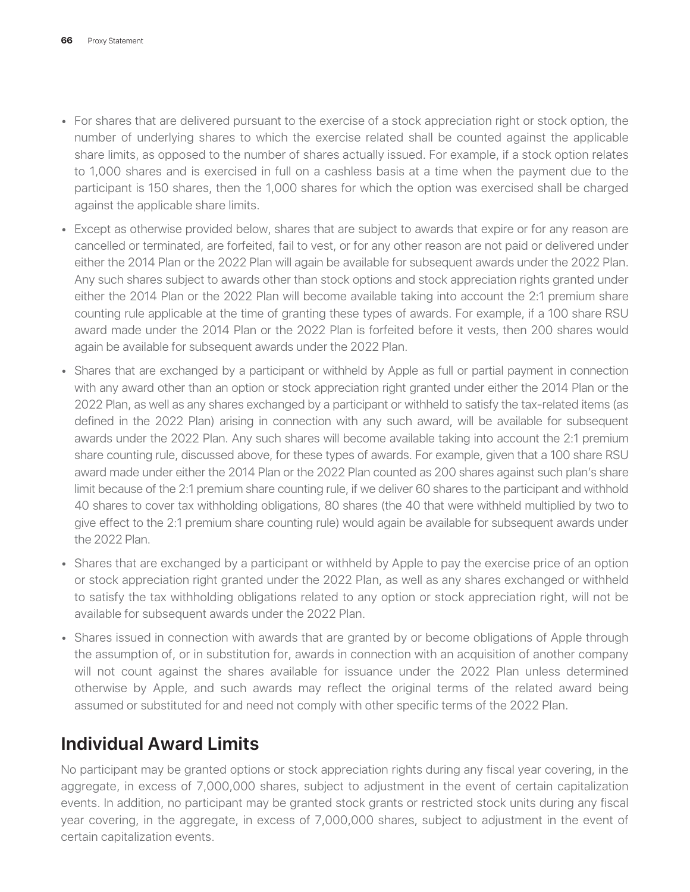- For shares that are delivered pursuant to the exercise of a stock appreciation right or stock option, the number of underlying shares to which the exercise related shall be counted against the applicable share limits, as opposed to the number of shares actually issued. For example, if a stock option relates to 1,000 shares and is exercised in full on a cashless basis at a time when the payment due to the participant is 150 shares, then the 1,000 shares for which the option was exercised shall be charged against the applicable share limits.
- Except as otherwise provided below, shares that are subject to awards that expire or for any reason are cancelled or terminated, are forfeited, fail to vest, or for any other reason are not paid or delivered under either the 2014 Plan or the 2022 Plan will again be available for subsequent awards under the 2022 Plan. Any such shares subject to awards other than stock options and stock appreciation rights granted under either the 2014 Plan or the 2022 Plan will become available taking into account the 2:1 premium share counting rule applicable at the time of granting these types of awards. For example, if a 100 share RSU award made under the 2014 Plan or the 2022 Plan is forfeited before it vests, then 200 shares would again be available for subsequent awards under the 2022 Plan.
- Shares that are exchanged by a participant or withheld by Apple as full or partial payment in connection with any award other than an option or stock appreciation right granted under either the 2014 Plan or the 2022 Plan, as well as any shares exchanged by a participant or withheld to satisfy the tax-related items (as defined in the 2022 Plan) arising in connection with any such award, will be available for subsequent awards under the 2022 Plan. Any such shares will become available taking into account the 2:1 premium share counting rule, discussed above, for these types of awards. For example, given that a 100 share RSU award made under either the 2014 Plan or the 2022 Plan counted as 200 shares against such plan's share limit because of the 2:1 premium share counting rule, if we deliver 60 shares to the participant and withhold 40 shares to cover tax withholding obligations, 80 shares (the 40 that were withheld multiplied by two to give effect to the 2:1 premium share counting rule) would again be available for subsequent awards under the 2022 Plan.
- Shares that are exchanged by a participant or withheld by Apple to pay the exercise price of an option or stock appreciation right granted under the 2022 Plan, as well as any shares exchanged or withheld to satisfy the tax withholding obligations related to any option or stock appreciation right, will not be available for subsequent awards under the 2022 Plan.
- Shares issued in connection with awards that are granted by or become obligations of Apple through the assumption of, or in substitution for, awards in connection with an acquisition of another company will not count against the shares available for issuance under the 2022 Plan unless determined otherwise by Apple, and such awards may reflect the original terms of the related award being assumed or substituted for and need not comply with other specific terms of the 2022 Plan.

# **Individual Award Limits**

No participant may be granted options or stock appreciation rights during any fiscal year covering, in the aggregate, in excess of 7,000,000 shares, subject to adjustment in the event of certain capitalization events. In addition, no participant may be granted stock grants or restricted stock units during any fiscal year covering, in the aggregate, in excess of 7,000,000 shares, subject to adjustment in the event of certain capitalization events.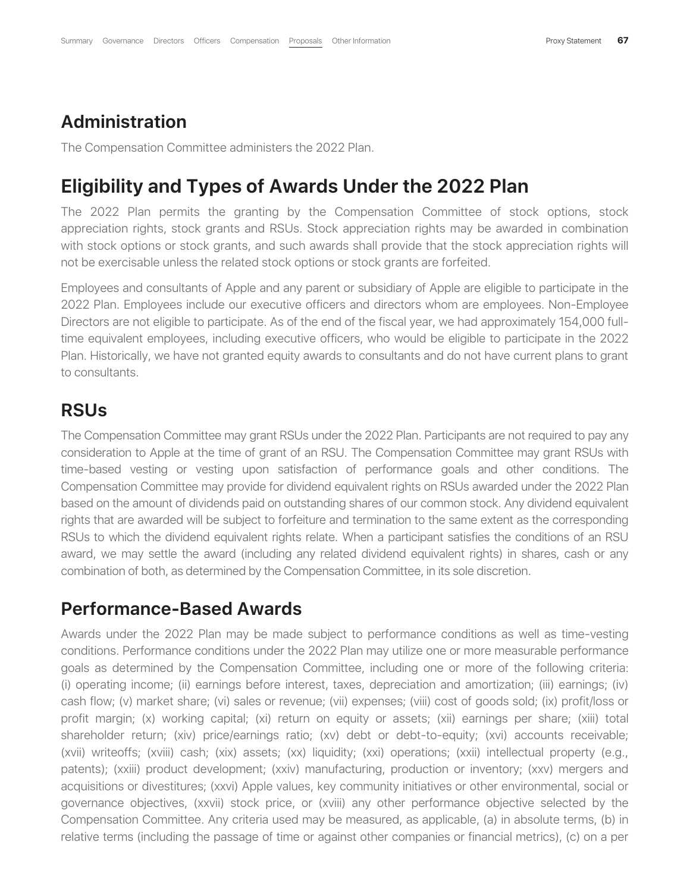#### **Administration**

The Compensation Committee administers the 2022 Plan.

# **Eligibility and Types of Awards Under the 2022 Plan**

The 2022 Plan permits the granting by the Compensation Committee of stock options, stock appreciation rights, stock grants and RSUs. Stock appreciation rights may be awarded in combination with stock options or stock grants, and such awards shall provide that the stock appreciation rights will not be exercisable unless the related stock options or stock grants are forfeited.

Employees and consultants of Apple and any parent or subsidiary of Apple are eligible to participate in the 2022 Plan. Employees include our executive officers and directors whom are employees. Non-Employee Directors are not eligible to participate. As of the end of the fiscal year, we had approximately 154,000 fulltime equivalent employees, including executive officers, who would be eligible to participate in the 2022 Plan. Historically, we have not granted equity awards to consultants and do not have current plans to grant to consultants.

### **RSUs**

The Compensation Committee may grant RSUs under the 2022 Plan. Participants are not required to pay any consideration to Apple at the time of grant of an RSU. The Compensation Committee may grant RSUs with time-based vesting or vesting upon satisfaction of performance goals and other conditions. The Compensation Committee may provide for dividend equivalent rights on RSUs awarded under the 2022 Plan based on the amount of dividends paid on outstanding shares of our common stock. Any dividend equivalent rights that are awarded will be subject to forfeiture and termination to the same extent as the corresponding RSUs to which the dividend equivalent rights relate. When a participant satisfies the conditions of an RSU award, we may settle the award (including any related dividend equivalent rights) in shares, cash or any combination of both, as determined by the Compensation Committee, in its sole discretion.

## **Performance-Based Awards**

Awards under the 2022 Plan may be made subject to performance conditions as well as time-vesting conditions. Performance conditions under the 2022 Plan may utilize one or more measurable performance goals as determined by the Compensation Committee, including one or more of the following criteria: (i) operating income; (ii) earnings before interest, taxes, depreciation and amortization; (iii) earnings; (iv) cash flow; (v) market share; (vi) sales or revenue; (vii) expenses; (viii) cost of goods sold; (ix) profit/loss or profit margin; (x) working capital; (xi) return on equity or assets; (xii) earnings per share; (xiii) total shareholder return; (xiv) price/earnings ratio; (xv) debt or debt-to-equity; (xvi) accounts receivable; (xvii) writeoffs; (xviii) cash; (xix) assets; (xx) liquidity; (xxi) operations; (xxii) intellectual property (e.g., patents); (xxiii) product development; (xxiv) manufacturing, production or inventory; (xxv) mergers and acquisitions or divestitures; (xxvi) Apple values, key community initiatives or other environmental, social or governance objectives, (xxvii) stock price, or (xviii) any other performance objective selected by the Compensation Committee. Any criteria used may be measured, as applicable, (a) in absolute terms, (b) in relative terms (including the passage of time or against other companies or financial metrics), (c) on a per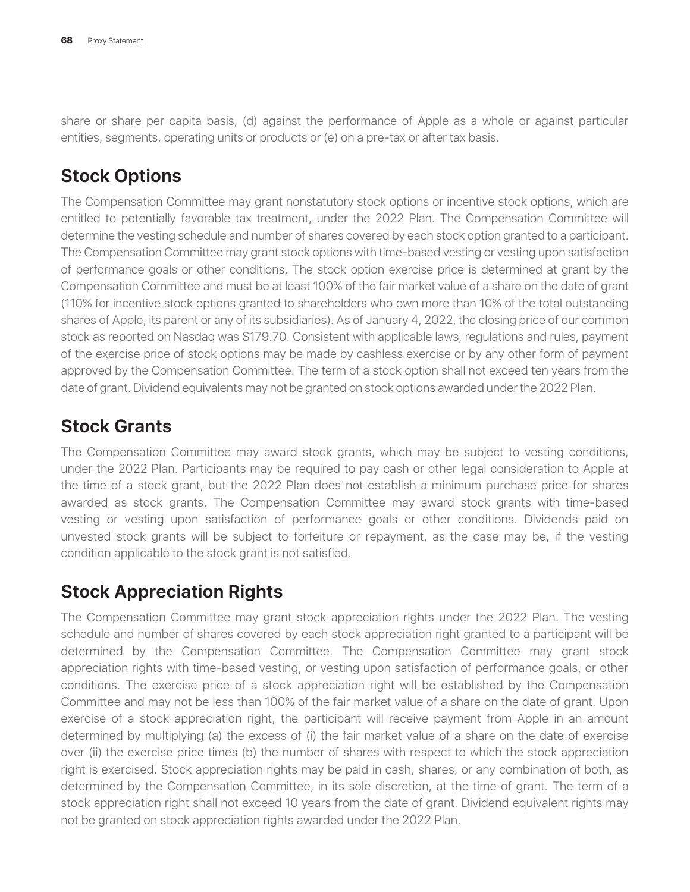share or share per capita basis, (d) against the performance of Apple as a whole or against particular entities, segments, operating units or products or (e) on a pre-tax or after tax basis.

# **Stock Options**

The Compensation Committee may grant nonstatutory stock options or incentive stock options, which are entitled to potentially favorable tax treatment, under the 2022 Plan. The Compensation Committee will determine the vesting schedule and number of shares covered by each stock option granted to a participant. The Compensation Committee may grant stock options with time-based vesting or vesting upon satisfaction of performance goals or other conditions. The stock option exercise price is determined at grant by the Compensation Committee and must be at least 100% of the fair market value of a share on the date of grant (110% for incentive stock options granted to shareholders who own more than 10% of the total outstanding shares of Apple, its parent or any of its subsidiaries). As of January 4, 2022, the closing price of our common stock as reported on Nasdaq was \$179.70. Consistent with applicable laws, regulations and rules, payment of the exercise price of stock options may be made by cashless exercise or by any other form of payment approved by the Compensation Committee. The term of a stock option shall not exceed ten years from the date of grant. Dividend equivalents may not be granted on stock options awarded under the 2022 Plan.

# **Stock Grants**

The Compensation Committee may award stock grants, which may be subject to vesting conditions, under the 2022 Plan. Participants may be required to pay cash or other legal consideration to Apple at the time of a stock grant, but the 2022 Plan does not establish a minimum purchase price for shares awarded as stock grants. The Compensation Committee may award stock grants with time-based vesting or vesting upon satisfaction of performance goals or other conditions. Dividends paid on unvested stock grants will be subject to forfeiture or repayment, as the case may be, if the vesting condition applicable to the stock grant is not satisfied.

# **Stock Appreciation Rights**

The Compensation Committee may grant stock appreciation rights under the 2022 Plan. The vesting schedule and number of shares covered by each stock appreciation right granted to a participant will be determined by the Compensation Committee. The Compensation Committee may grant stock appreciation rights with time-based vesting, or vesting upon satisfaction of performance goals, or other conditions. The exercise price of a stock appreciation right will be established by the Compensation Committee and may not be less than 100% of the fair market value of a share on the date of grant. Upon exercise of a stock appreciation right, the participant will receive payment from Apple in an amount determined by multiplying (a) the excess of (i) the fair market value of a share on the date of exercise over (ii) the exercise price times (b) the number of shares with respect to which the stock appreciation right is exercised. Stock appreciation rights may be paid in cash, shares, or any combination of both, as determined by the Compensation Committee, in its sole discretion, at the time of grant. The term of a stock appreciation right shall not exceed 10 years from the date of grant. Dividend equivalent rights may not be granted on stock appreciation rights awarded under the 2022 Plan.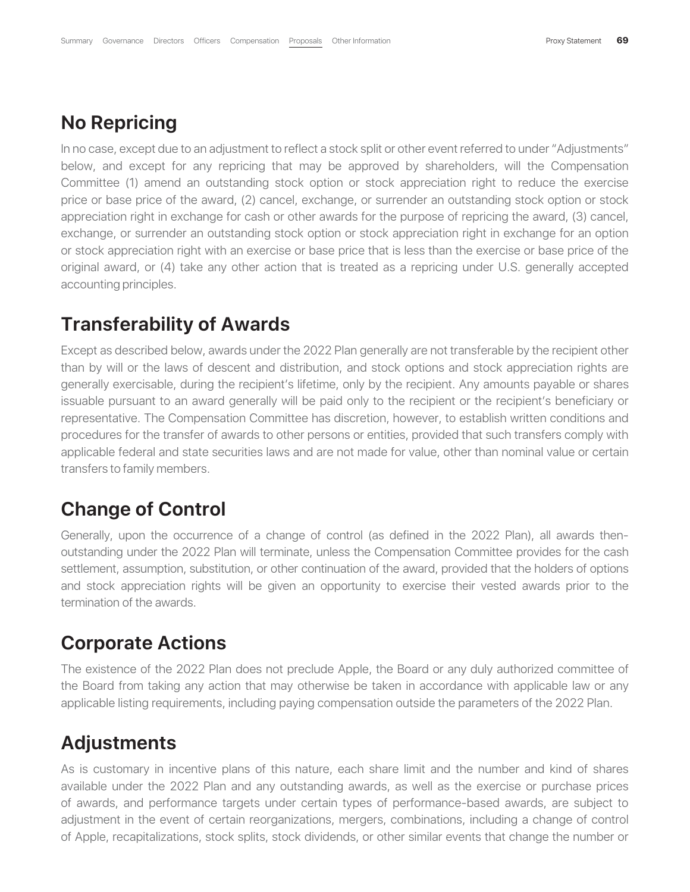## **No Repricing**

In no case, except due to an adjustment to reflect a stock split or other event referred to under "Adjustments" below, and except for any repricing that may be approved by shareholders, will the Compensation Committee (1) amend an outstanding stock option or stock appreciation right to reduce the exercise price or base price of the award, (2) cancel, exchange, or surrender an outstanding stock option or stock appreciation right in exchange for cash or other awards for the purpose of repricing the award, (3) cancel, exchange, or surrender an outstanding stock option or stock appreciation right in exchange for an option or stock appreciation right with an exercise or base price that is less than the exercise or base price of the original award, or (4) take any other action that is treated as a repricing under U.S. generally accepted accounting principles.

## **Transferability of Awards**

Except as described below, awards under the 2022 Plan generally are not transferable by the recipient other than by will or the laws of descent and distribution, and stock options and stock appreciation rights are generally exercisable, during the recipient's lifetime, only by the recipient. Any amounts payable or shares issuable pursuant to an award generally will be paid only to the recipient or the recipient's beneficiary or representative. The Compensation Committee has discretion, however, to establish written conditions and procedures for the transfer of awards to other persons or entities, provided that such transfers comply with applicable federal and state securities laws and are not made for value, other than nominal value or certain transfers to family members.

## **Change of Control**

Generally, upon the occurrence of a change of control (as defined in the 2022 Plan), all awards thenoutstanding under the 2022 Plan will terminate, unless the Compensation Committee provides for the cash settlement, assumption, substitution, or other continuation of the award, provided that the holders of options and stock appreciation rights will be given an opportunity to exercise their vested awards prior to the termination of the awards.

## **Corporate Actions**

The existence of the 2022 Plan does not preclude Apple, the Board or any duly authorized committee of the Board from taking any action that may otherwise be taken in accordance with applicable law or any applicable listing requirements, including paying compensation outside the parameters of the 2022 Plan.

# **Adjustments**

As is customary in incentive plans of this nature, each share limit and the number and kind of shares available under the 2022 Plan and any outstanding awards, as well as the exercise or purchase prices of awards, and performance targets under certain types of performance-based awards, are subject to adjustment in the event of certain reorganizations, mergers, combinations, including a change of control of Apple, recapitalizations, stock splits, stock dividends, or other similar events that change the number or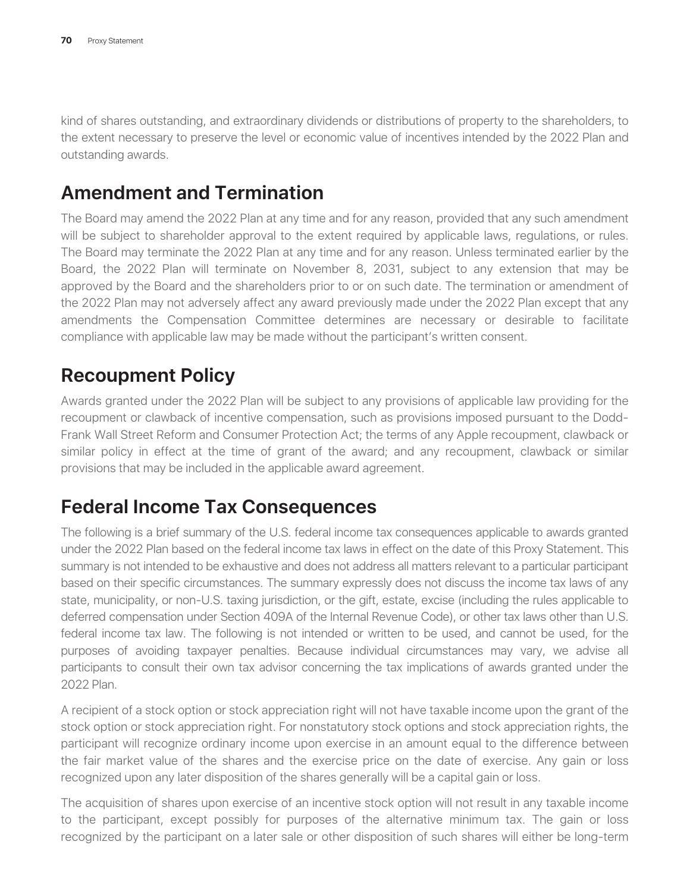kind of shares outstanding, and extraordinary dividends or distributions of property to the shareholders, to the extent necessary to preserve the level or economic value of incentives intended by the 2022 Plan and outstanding awards.

# **Amendment and Termination**

The Board may amend the 2022 Plan at any time and for any reason, provided that any such amendment will be subject to shareholder approval to the extent required by applicable laws, regulations, or rules. The Board may terminate the 2022 Plan at any time and for any reason. Unless terminated earlier by the Board, the 2022 Plan will terminate on November 8, 2031, subject to any extension that may be approved by the Board and the shareholders prior to or on such date. The termination or amendment of the 2022 Plan may not adversely affect any award previously made under the 2022 Plan except that any amendments the Compensation Committee determines are necessary or desirable to facilitate compliance with applicable law may be made without the participant's written consent.

# **Recoupment Policy**

Awards granted under the 2022 Plan will be subject to any provisions of applicable law providing for the recoupment or clawback of incentive compensation, such as provisions imposed pursuant to the Dodd-Frank Wall Street Reform and Consumer Protection Act; the terms of any Apple recoupment, clawback or similar policy in effect at the time of grant of the award; and any recoupment, clawback or similar provisions that may be included in the applicable award agreement.

# **Federal Income Tax Consequences**

The following is a brief summary of the U.S. federal income tax consequences applicable to awards granted under the 2022 Plan based on the federal income tax laws in effect on the date of this Proxy Statement. This summary is not intended to be exhaustive and does not address all matters relevant to a particular participant based on their specific circumstances. The summary expressly does not discuss the income tax laws of any state, municipality, or non-U.S. taxing jurisdiction, or the gift, estate, excise (including the rules applicable to deferred compensation under Section 409A of the Internal Revenue Code), or other tax laws other than U.S. federal income tax law. The following is not intended or written to be used, and cannot be used, for the purposes of avoiding taxpayer penalties. Because individual circumstances may vary, we advise all participants to consult their own tax advisor concerning the tax implications of awards granted under the 2022 Plan.

A recipient of a stock option or stock appreciation right will not have taxable income upon the grant of the stock option or stock appreciation right. For nonstatutory stock options and stock appreciation rights, the participant will recognize ordinary income upon exercise in an amount equal to the difference between the fair market value of the shares and the exercise price on the date of exercise. Any gain or loss recognized upon any later disposition of the shares generally will be a capital gain or loss.

The acquisition of shares upon exercise of an incentive stock option will not result in any taxable income to the participant, except possibly for purposes of the alternative minimum tax. The gain or loss recognized by the participant on a later sale or other disposition of such shares will either be long-term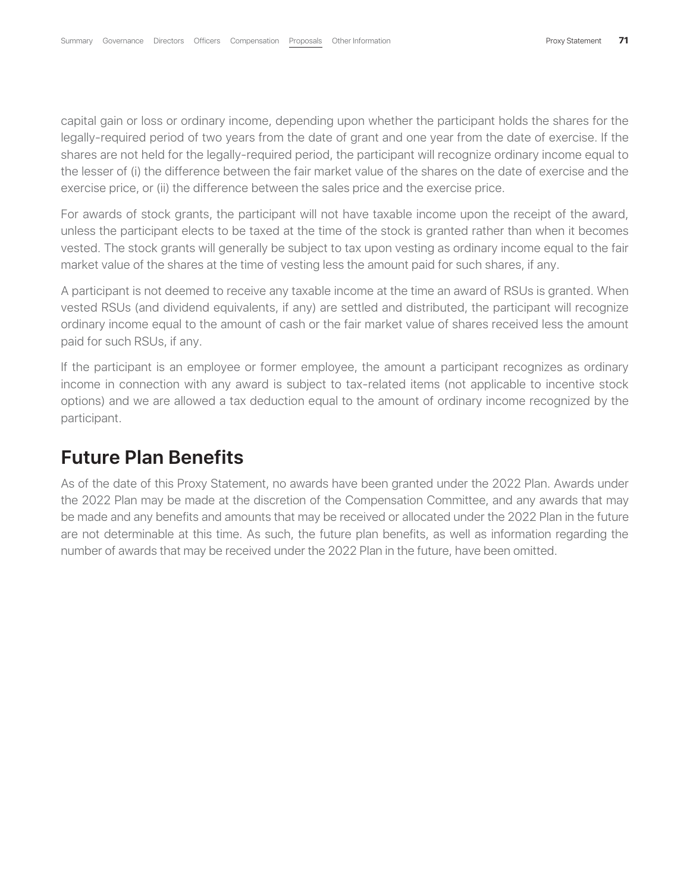capital gain or loss or ordinary income, depending upon whether the participant holds the shares for the legally-required period of two years from the date of grant and one year from the date of exercise. If the shares are not held for the legally-required period, the participant will recognize ordinary income equal to the lesser of (i) the difference between the fair market value of the shares on the date of exercise and the exercise price, or (ii) the difference between the sales price and the exercise price.

For awards of stock grants, the participant will not have taxable income upon the receipt of the award, unless the participant elects to be taxed at the time of the stock is granted rather than when it becomes vested. The stock grants will generally be subject to tax upon vesting as ordinary income equal to the fair market value of the shares at the time of vesting less the amount paid for such shares, if any.

A participant is not deemed to receive any taxable income at the time an award of RSUs is granted. When vested RSUs (and dividend equivalents, if any) are settled and distributed, the participant will recognize ordinary income equal to the amount of cash or the fair market value of shares received less the amount paid for such RSUs, if any.

If the participant is an employee or former employee, the amount a participant recognizes as ordinary income in connection with any award is subject to tax-related items (not applicable to incentive stock options) and we are allowed a tax deduction equal to the amount of ordinary income recognized by the participant.

## **Future Plan Benefits**

As of the date of this Proxy Statement, no awards have been granted under the 2022 Plan. Awards under the 2022 Plan may be made at the discretion of the Compensation Committee, and any awards that may be made and any benefits and amounts that may be received or allocated under the 2022 Plan in the future are not determinable at this time. As such, the future plan benefits, as well as information regarding the number of awards that may be received under the 2022 Plan in the future, have been omitted.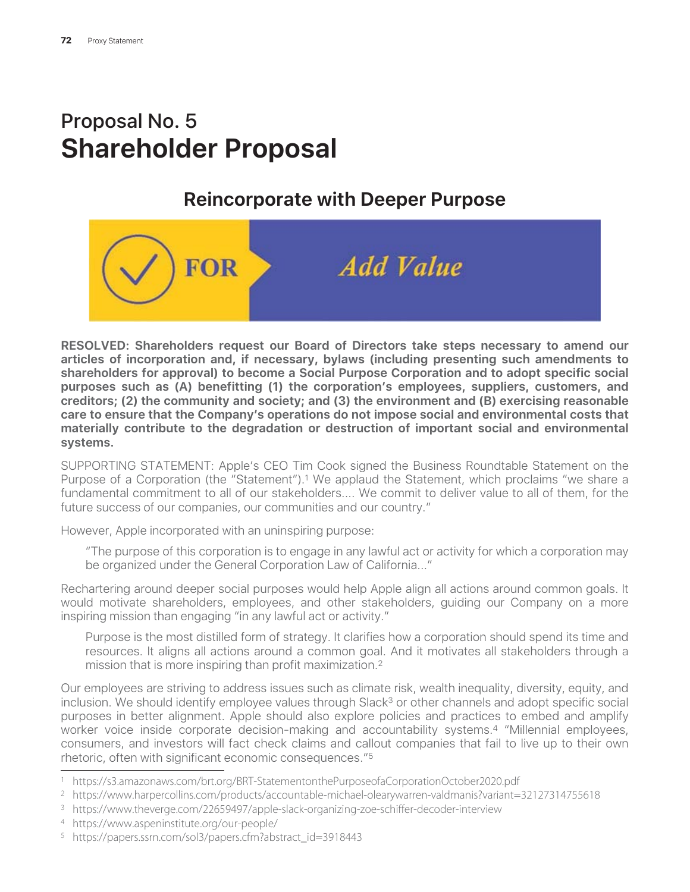# Proposal No. 5 **Shareholder Proposal**

# **Reincorporate with Deeper Purpose**



**RESOLVED: Shareholders request our Board of Directors take steps necessary to amend our articles of incorporation and, if necessary, bylaws (including presenting such amendments to shareholders for approval) to become a Social Purpose Corporation and to adopt specific social purposes such as (A) benefitting (1) the corporation's employees, suppliers, customers, and creditors; (2) the community and society; and (3) the environment and (B) exercising reasonable care to ensure that the Company's operations do not impose social and environmental costs that materially contribute to the degradation or destruction of important social and environmental systems.**

SUPPORTING STATEMENT: Apple's CEO Tim Cook signed the Business Roundtable Statement on the Purpose of a Corporation (the "Statement").<sup>1</sup> We applaud the Statement, which proclaims "we share a fundamental commitment to all of our stakeholders.... We commit to deliver value to all of them, for the future success of our companies, our communities and our country."

However, Apple incorporated with an uninspiring purpose:

"The purpose of this corporation is to engage in any lawful act or activity for which a corporation may be organized under the General Corporation Law of California..."

Rechartering around deeper social purposes would help Apple align all actions around common goals. It would motivate shareholders, employees, and other stakeholders, guiding our Company on a more inspiring mission than engaging "in any lawful act or activity."

Purpose is the most distilled form of strategy. It clarifies how a corporation should spend its time and resources. It aligns all actions around a common goal. And it motivates all stakeholders through a mission that is more inspiring than profit maximization.2

Our employees are striving to address issues such as climate risk, wealth inequality, diversity, equity, and inclusion. We should identify employee values through Slack<sup>3</sup> or other channels and adopt specific social purposes in better alignment. Apple should also explore policies and practices to embed and amplify worker voice inside corporate decision-making and accountability systems.4 "Millennial employees, consumers, and investors will fact check claims and callout companies that fail to live up to their own rhetoric, often with significant economic consequences."5

<sup>1</sup> https://s3.amazonaws.com/brt.org/BRT-StatementonthePurposeofaCorporationOctober2020.pdf

<sup>2</sup> https://www.harpercollins.com/products/accountable-michael-olearywarren-valdmanis?variant=32127314755618

<sup>3</sup> https://www.theverge.com/22659497/apple-slack-organizing-zoe-schiffer-decoder-interview

<sup>4</sup> https://www.aspeninstitute.org/our-people/

<sup>5</sup> https://papers.ssrn.com/sol3/papers.cfm?abstract\_id=3918443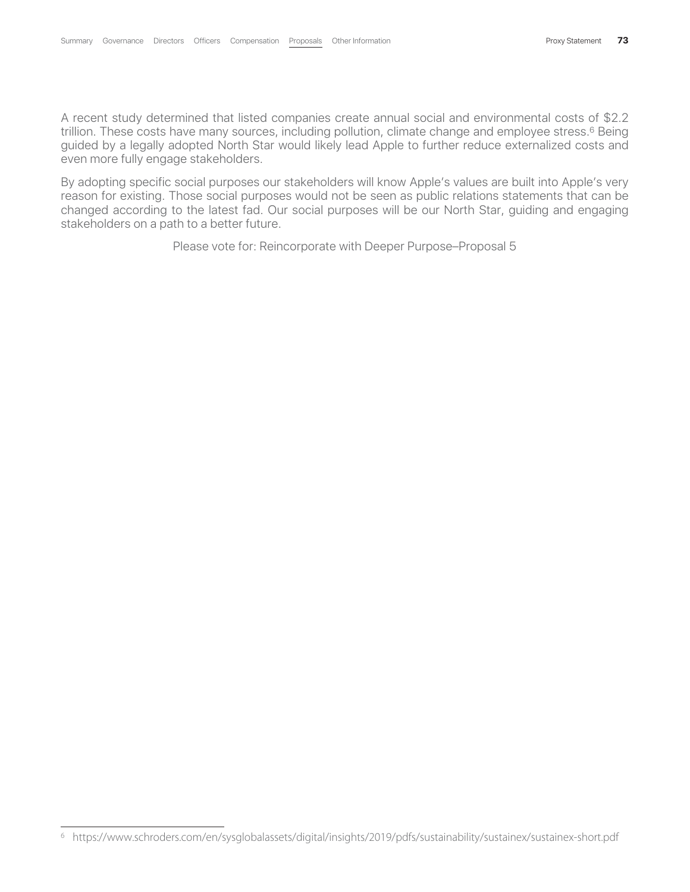A recent study determined that listed companies create annual social and environmental costs of \$2.2 trillion. These costs have many sources, including pollution, climate change and employee stress.<sup>6</sup> Being guided by a legally adopted North Star would likely lead Apple to further reduce externalized costs and even more fully engage stakeholders.

By adopting specific social purposes our stakeholders will know Apple's values are built into Apple's very reason for existing. Those social purposes would not be seen as public relations statements that can be changed according to the latest fad. Our social purposes will be our North Star, guiding and engaging stakeholders on a path to a better future.

Please vote for: Reincorporate with Deeper Purpose–Proposal 5

<sup>6</sup> https://www.schroders.com/en/sysglobalassets/digital/insights/2019/pdfs/sustainability/sustainex/sustainex-short.pdf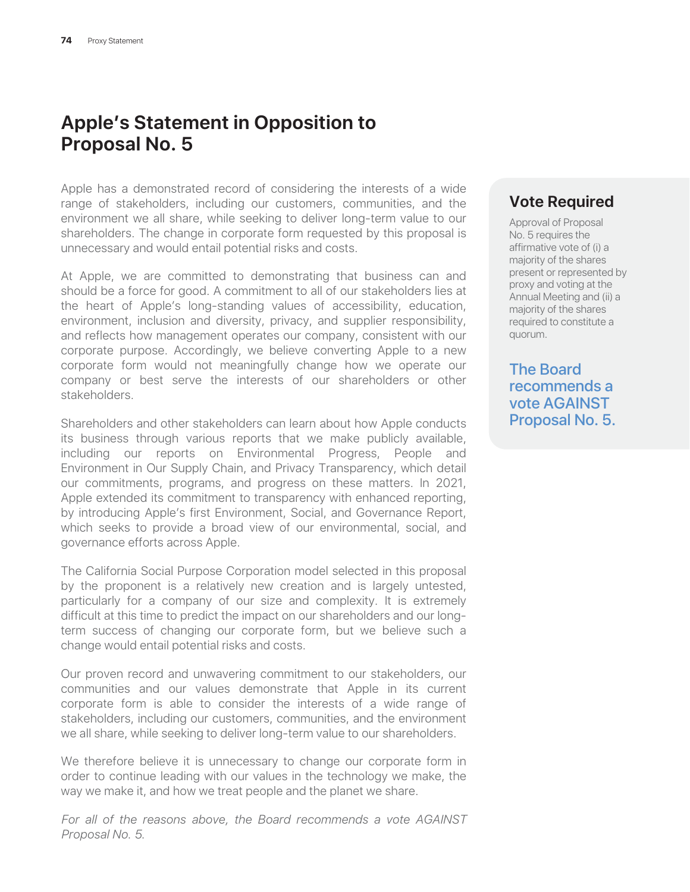# **Apple's Statement in Opposition to Proposal No. 5**

Apple has a demonstrated record of considering the interests of a wide range of stakeholders, including our customers, communities, and the environment we all share, while seeking to deliver long-term value to our shareholders. The change in corporate form requested by this proposal is unnecessary and would entail potential risks and costs.

At Apple, we are committed to demonstrating that business can and should be a force for good. A commitment to all of our stakeholders lies at the heart of Apple's long-standing values of accessibility, education, environment, inclusion and diversity, privacy, and supplier responsibility, and reflects how management operates our company, consistent with our corporate purpose. Accordingly, we believe converting Apple to a new corporate form would not meaningfully change how we operate our company or best serve the interests of our shareholders or other stakeholders.

Shareholders and other stakeholders can learn about how Apple conducts its business through various reports that we make publicly available, including our reports on Environmental Progress, People and Environment in Our Supply Chain, and Privacy Transparency, which detail our commitments, programs, and progress on these matters. In 2021, Apple extended its commitment to transparency with enhanced reporting, by introducing Apple's first Environment, Social, and Governance Report, which seeks to provide a broad view of our environmental, social, and governance efforts across Apple.

The California Social Purpose Corporation model selected in this proposal by the proponent is a relatively new creation and is largely untested, particularly for a company of our size and complexity. It is extremely difficult at this time to predict the impact on our shareholders and our longterm success of changing our corporate form, but we believe such a change would entail potential risks and costs.

Our proven record and unwavering commitment to our stakeholders, our communities and our values demonstrate that Apple in its current corporate form is able to consider the interests of a wide range of stakeholders, including our customers, communities, and the environment we all share, while seeking to deliver long-term value to our shareholders.

We therefore believe it is unnecessary to change our corporate form in order to continue leading with our values in the technology we make, the way we make it, and how we treat people and the planet we share.

*For all of the reasons above, the Board recommends a vote AGAINST Proposal No. 5*.

#### **Vote Required**

Approval of Proposal No. 5 requires the affirmative vote of (i) a majority of the shares present or represented by proxy and voting at the Annual Meeting and (ii) a majority of the shares required to constitute a quorum.

The Board recommends a vote AGAINST Proposal No. 5.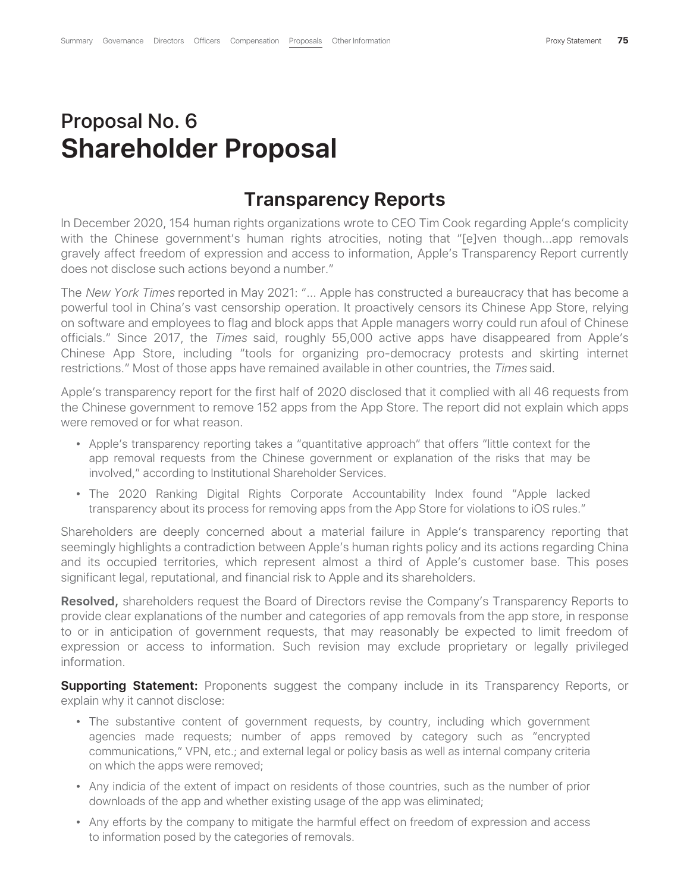# Proposal No. 6 **Shareholder Proposal**

#### **Transparency Reports**

In December 2020, 154 human rights organizations wrote to CEO Tim Cook regarding Apple's complicity with the Chinese government's human rights atrocities, noting that "[e]ven though...app removals gravely affect freedom of expression and access to information, Apple's Transparency Report currently does not disclose such actions beyond a number."

The *New York Times* reported in May 2021: "... Apple has constructed a bureaucracy that has become a powerful tool in China's vast censorship operation. It proactively censors its Chinese App Store, relying on software and employees to flag and block apps that Apple managers worry could run afoul of Chinese officials." Since 2017, the *Times* said, roughly 55,000 active apps have disappeared from Apple's Chinese App Store, including "tools for organizing pro-democracy protests and skirting internet restrictions." Most of those apps have remained available in other countries, the *Times* said.

Apple's transparency report for the first half of 2020 disclosed that it complied with all 46 requests from the Chinese government to remove 152 apps from the App Store. The report did not explain which apps were removed or for what reason.

- ‰ Apple's transparency reporting takes a "quantitative approach" that offers "little context for the app removal requests from the Chinese government or explanation of the risks that may be involved," according to Institutional Shareholder Services.
- The 2020 Ranking Digital Rights Corporate Accountability Index found "Apple lacked transparency about its process for removing apps from the App Store for violations to iOS rules."

Shareholders are deeply concerned about a material failure in Apple's transparency reporting that seemingly highlights a contradiction between Apple's human rights policy and its actions regarding China and its occupied territories, which represent almost a third of Apple's customer base. This poses significant legal, reputational, and financial risk to Apple and its shareholders.

**Resolved,** shareholders request the Board of Directors revise the Company's Transparency Reports to provide clear explanations of the number and categories of app removals from the app store, in response to or in anticipation of government requests, that may reasonably be expected to limit freedom of expression or access to information. Such revision may exclude proprietary or legally privileged information.

**Supporting Statement:** Proponents suggest the company include in its Transparency Reports, or explain why it cannot disclose:

- The substantive content of government requests, by country, including which government agencies made requests; number of apps removed by category such as "encrypted communications," VPN, etc.; and external legal or policy basis as well as internal company criteria on which the apps were removed;
- ‰ Any indicia of the extent of impact on residents of those countries, such as the number of prior downloads of the app and whether existing usage of the app was eliminated;
- Any efforts by the company to mitigate the harmful effect on freedom of expression and access to information posed by the categories of removals.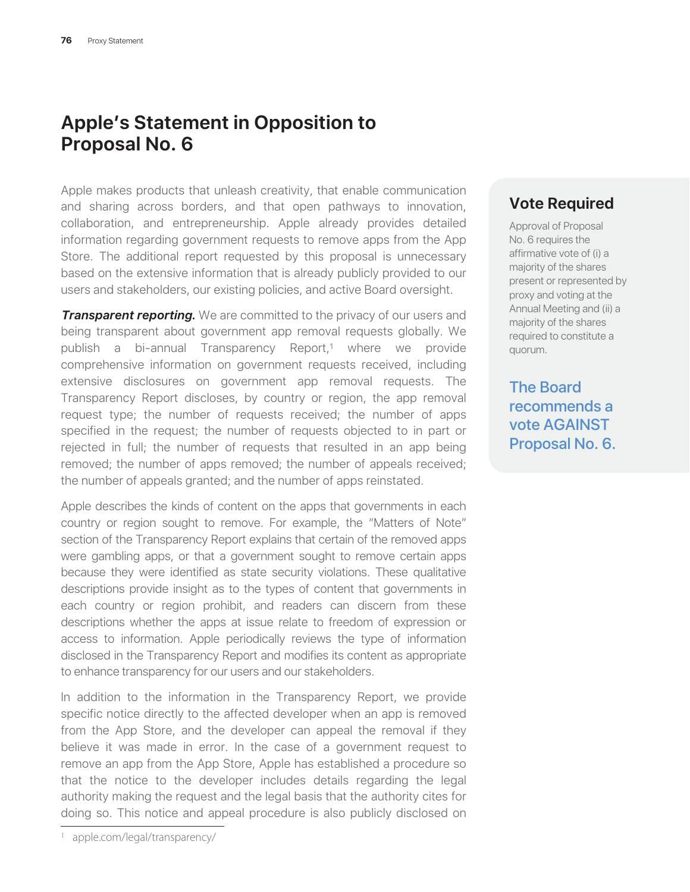# **Apple's Statement in Opposition to Proposal No. 6**

Apple makes products that unleash creativity, that enable communication and sharing across borders, and that open pathways to innovation, collaboration, and entrepreneurship. Apple already provides detailed information regarding government requests to remove apps from the App Store. The additional report requested by this proposal is unnecessary based on the extensive information that is already publicly provided to our users and stakeholders, our existing policies, and active Board oversight.

**Transparent reporting.** We are committed to the privacy of our users and being transparent about government app removal requests globally. We publish a bi-annual Transparency Report,1 where we provide comprehensive information on government requests received, including extensive disclosures on government app removal requests. The Transparency Report discloses, by country or region, the app removal request type; the number of requests received; the number of apps specified in the request; the number of requests objected to in part or rejected in full; the number of requests that resulted in an app being removed; the number of apps removed; the number of appeals received; the number of appeals granted; and the number of apps reinstated.

Apple describes the kinds of content on the apps that governments in each country or region sought to remove. For example, the "Matters of Note" section of the Transparency Report explains that certain of the removed apps were gambling apps, or that a government sought to remove certain apps because they were identified as state security violations. These qualitative descriptions provide insight as to the types of content that governments in each country or region prohibit, and readers can discern from these descriptions whether the apps at issue relate to freedom of expression or access to information. Apple periodically reviews the type of information disclosed in the Transparency Report and modifies its content as appropriate to enhance transparency for our users and our stakeholders.

In addition to the information in the Transparency Report, we provide specific notice directly to the affected developer when an app is removed from the App Store, and the developer can appeal the removal if they believe it was made in error. In the case of a government request to remove an app from the App Store, Apple has established a procedure so that the notice to the developer includes details regarding the legal authority making the request and the legal basis that the authority cites for doing so. This notice and appeal procedure is also publicly disclosed on

#### **Vote Required**

Approval of Proposal No. 6 requires the affirmative vote of (i) a majority of the shares present or represented by proxy and voting at the Annual Meeting and (ii) a majority of the shares required to constitute a quorum.

The Board recommends a vote AGAINST Proposal No. 6.

<sup>1</sup> apple.com/legal/transparency/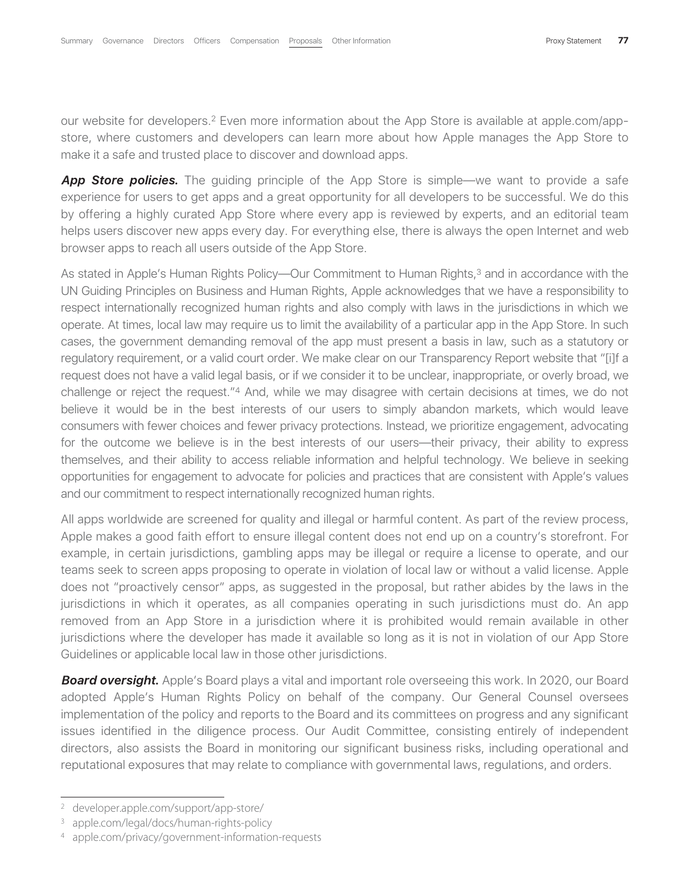our website for developers.2 Even more information about the App Store is available at apple.com/appstore, where customers and developers can learn more about how Apple manages the App Store to make it a safe and trusted place to discover and download apps.

**App Store policies.** The guiding principle of the App Store is simple—we want to provide a safe experience for users to get apps and a great opportunity for all developers to be successful. We do this by offering a highly curated App Store where every app is reviewed by experts, and an editorial team helps users discover new apps every day. For everything else, there is always the open Internet and web browser apps to reach all users outside of the App Store.

As stated in Apple's Human Rights Policy—Our Commitment to Human Rights,<sup>3</sup> and in accordance with the UN Guiding Principles on Business and Human Rights, Apple acknowledges that we have a responsibility to respect internationally recognized human rights and also comply with laws in the jurisdictions in which we operate. At times, local law may require us to limit the availability of a particular app in the App Store. In such cases, the government demanding removal of the app must present a basis in law, such as a statutory or regulatory requirement, or a valid court order. We make clear on our Transparency Report website that "[i]f a request does not have a valid legal basis, or if we consider it to be unclear, inappropriate, or overly broad, we challenge or reject the request."4 And, while we may disagree with certain decisions at times, we do not believe it would be in the best interests of our users to simply abandon markets, which would leave consumers with fewer choices and fewer privacy protections. Instead, we prioritize engagement, advocating for the outcome we believe is in the best interests of our users—their privacy, their ability to express themselves, and their ability to access reliable information and helpful technology. We believe in seeking opportunities for engagement to advocate for policies and practices that are consistent with Apple's values and our commitment to respect internationally recognized human rights.

All apps worldwide are screened for quality and illegal or harmful content. As part of the review process, Apple makes a good faith effort to ensure illegal content does not end up on a country's storefront. For example, in certain jurisdictions, gambling apps may be illegal or require a license to operate, and our teams seek to screen apps proposing to operate in violation of local law or without a valid license. Apple does not "proactively censor" apps, as suggested in the proposal, but rather abides by the laws in the jurisdictions in which it operates, as all companies operating in such jurisdictions must do. An app removed from an App Store in a jurisdiction where it is prohibited would remain available in other jurisdictions where the developer has made it available so long as it is not in violation of our App Store Guidelines or applicable local law in those other jurisdictions.

*Board oversight***.** Apple's Board plays a vital and important role overseeing this work. In 2020, our Board adopted Apple's Human Rights Policy on behalf of the company. Our General Counsel oversees implementation of the policy and reports to the Board and its committees on progress and any significant issues identified in the diligence process. Our Audit Committee, consisting entirely of independent directors, also assists the Board in monitoring our significant business risks, including operational and reputational exposures that may relate to compliance with governmental laws, regulations, and orders.

<sup>2</sup> developer.apple.com/support/app-store/

<sup>3</sup> apple.com/legal/docs/human-rights-policy

<sup>4</sup> apple.com/privacy/government-information-requests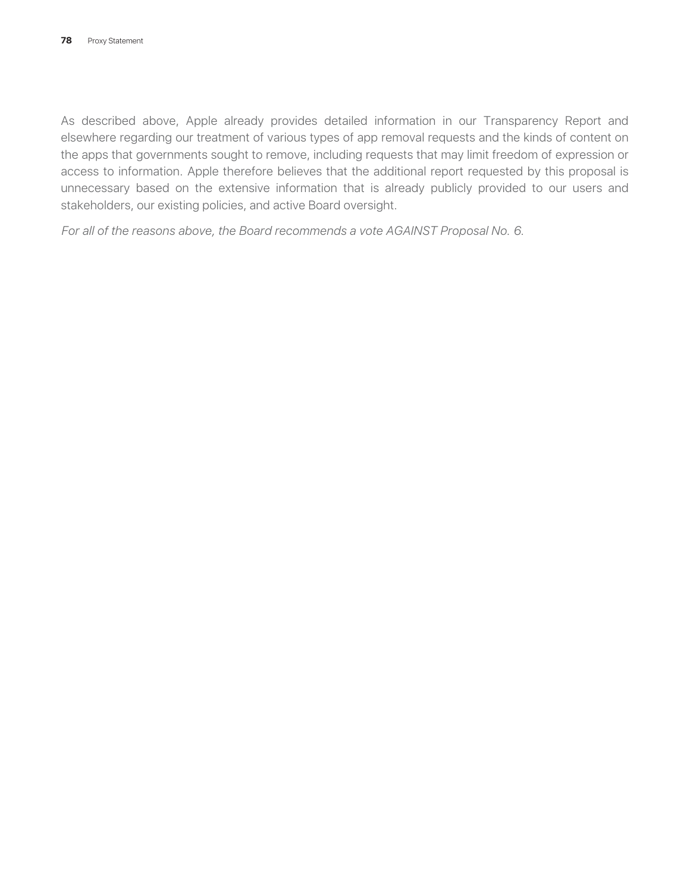As described above, Apple already provides detailed information in our Transparency Report and elsewhere regarding our treatment of various types of app removal requests and the kinds of content on the apps that governments sought to remove, including requests that may limit freedom of expression or access to information. Apple therefore believes that the additional report requested by this proposal is unnecessary based on the extensive information that is already publicly provided to our users and stakeholders, our existing policies, and active Board oversight.

*For all of the reasons above, the Board recommends a vote AGAINST Proposal No. 6*.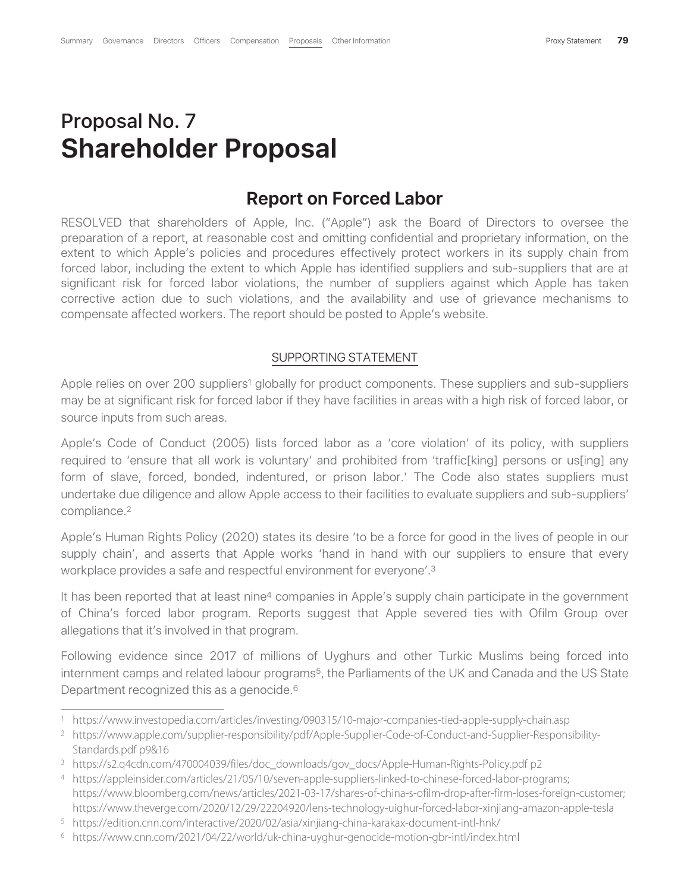# Proposal No. 7 **Shareholder Proposal**

#### **Report on Forced Labor**

RESOLVED that shareholders of Apple, Inc. ("Apple") ask the Board of Directors to oversee the preparation of a report, at reasonable cost and omitting confidential and proprietary information, on the extent to which Apple's policies and procedures effectively protect workers in its supply chain from forced labor, including the extent to which Apple has identified suppliers and sub-suppliers that are at significant risk for forced labor violations, the number of suppliers against which Apple has taken corrective action due to such violations, and the availability and use of grievance mechanisms to compensate affected workers. The report should be posted to Apple's website.

#### SUPPORTING STATEMENT

Apple relies on over 200 suppliers<sup>1</sup> globally for product components. These suppliers and sub-suppliers may be at significant risk for forced labor if they have facilities in areas with a high risk of forced labor, or source inputs from such areas.

Apple's Code of Conduct (2005) lists forced labor as a 'core violation' of its policy, with suppliers required to 'ensure that all work is voluntary' and prohibited from 'traffic[king] persons or us[ing] any form of slave, forced, bonded, indentured, or prison labor.' The Code also states suppliers must undertake due diligence and allow Apple access to their facilities to evaluate suppliers and sub-suppliers' compliance.2

Apple's Human Rights Policy (2020) states its desire 'to be a force for good in the lives of people in our supply chain', and asserts that Apple works 'hand in hand with our suppliers to ensure that every workplace provides a safe and respectful environment for everyone'.3

It has been reported that at least nine<sup>4</sup> companies in Apple's supply chain participate in the government of China's forced labor program. Reports suggest that Apple severed ties with Ofilm Group over allegations that it's involved in that program.

Following evidence since 2017 of millions of Uyghurs and other Turkic Muslims being forced into internment camps and related labour programs<sup>5</sup>, the Parliaments of the UK and Canada and the US State Department recognized this as a genocide.<sup>6</sup>

<sup>1</sup> https://www.investopedia.com/articles/investing/090315/10-major-companies-tied-apple-supply-chain.asp

<sup>2</sup> https://www.apple.com/supplier-responsibility/pdf/Apple-Supplier-Code-of-Conduct-and-Supplier-Responsibility-Standards.pdf p9&16

<sup>&</sup>lt;sup>3</sup> https://s2.q4cdn.com/470004039/files/doc\_downloads/gov\_docs/Apple-Human-Rights-Policy.pdf p2

<sup>4</sup> https://appleinsider.com/articles/21/05/10/seven-apple-suppliers-linked-to-chinese-forced-labor-programs; https://www.bloomberg.com/news/articles/2021-03-17/shares-of-china-s-ofilm-drop-after-firm-loses-foreign-customer; https://www.theverge.com/2020/12/29/22204920/lens-technology-uighur-forced-labor-xinjiang-amazon-apple-tesla

<sup>5</sup> https://edition.cnn.com/interactive/2020/02/asia/xinjiang-china-karakax-document-intl-hnk/

<sup>6</sup> https://www.cnn.com/2021/04/22/world/uk-china-uyghur-genocide-motion-gbr-intl/index.html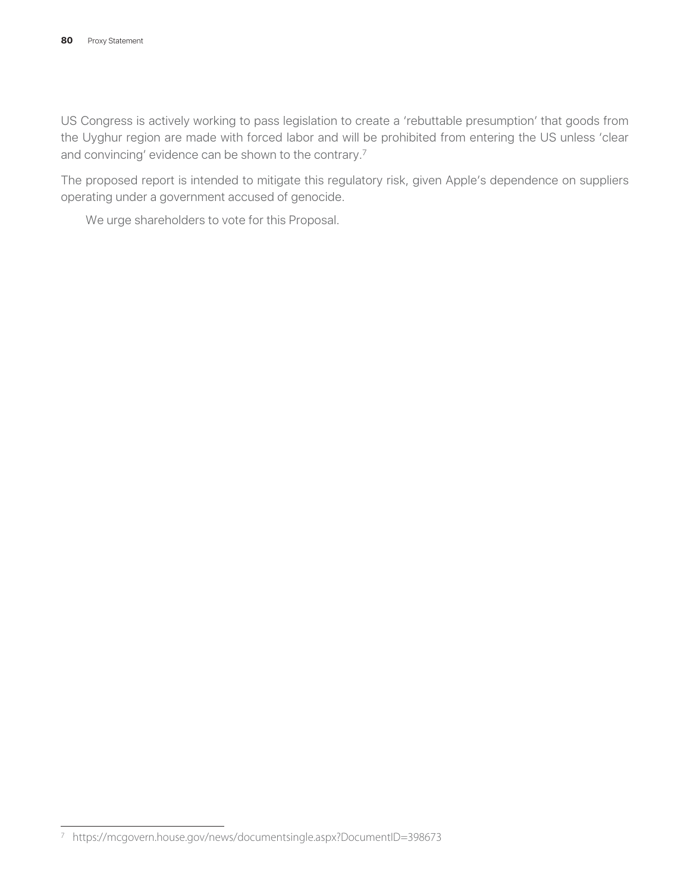US Congress is actively working to pass legislation to create a 'rebuttable presumption' that goods from the Uyghur region are made with forced labor and will be prohibited from entering the US unless 'clear and convincing' evidence can be shown to the contrary.7

The proposed report is intended to mitigate this regulatory risk, given Apple's dependence on suppliers operating under a government accused of genocide.

We urge shareholders to vote for this Proposal.

<sup>7</sup> https://mcgovern.house.gov/news/documentsingle.aspx?DocumentID=398673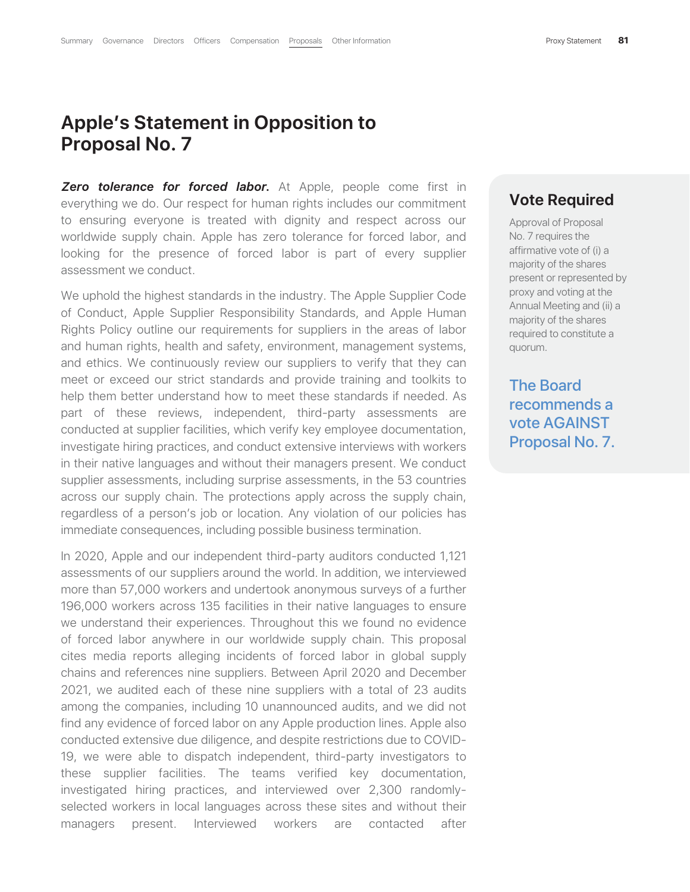## **Apple's Statement in Opposition to Proposal No. 7**

*Zero tolerance for forced labor***.** At Apple, people come first in everything we do. Our respect for human rights includes our commitment to ensuring everyone is treated with dignity and respect across our worldwide supply chain. Apple has zero tolerance for forced labor, and looking for the presence of forced labor is part of every supplier assessment we conduct.

We uphold the highest standards in the industry. The Apple Supplier Code of Conduct, Apple Supplier Responsibility Standards, and Apple Human Rights Policy outline our requirements for suppliers in the areas of labor and human rights, health and safety, environment, management systems, and ethics. We continuously review our suppliers to verify that they can meet or exceed our strict standards and provide training and toolkits to help them better understand how to meet these standards if needed. As part of these reviews, independent, third-party assessments are conducted at supplier facilities, which verify key employee documentation, investigate hiring practices, and conduct extensive interviews with workers in their native languages and without their managers present. We conduct supplier assessments, including surprise assessments, in the 53 countries across our supply chain. The protections apply across the supply chain, regardless of a person's job or location. Any violation of our policies has immediate consequences, including possible business termination.

In 2020, Apple and our independent third-party auditors conducted 1,121 assessments of our suppliers around the world. In addition, we interviewed more than 57,000 workers and undertook anonymous surveys of a further 196,000 workers across 135 facilities in their native languages to ensure we understand their experiences. Throughout this we found no evidence of forced labor anywhere in our worldwide supply chain. This proposal cites media reports alleging incidents of forced labor in global supply chains and references nine suppliers. Between April 2020 and December 2021, we audited each of these nine suppliers with a total of 23 audits among the companies, including 10 unannounced audits, and we did not find any evidence of forced labor on any Apple production lines. Apple also conducted extensive due diligence, and despite restrictions due to COVID-19, we were able to dispatch independent, third-party investigators to these supplier facilities. The teams verified key documentation, investigated hiring practices, and interviewed over 2,300 randomlyselected workers in local languages across these sites and without their managers present. Interviewed workers are contacted after

#### **Vote Required**

Approval of Proposal No. 7 requires the affirmative vote of (i) a majority of the shares present or represented by proxy and voting at the Annual Meeting and (ii) a majority of the shares required to constitute a quorum.

The Board recommends a vote AGAINST Proposal No. 7.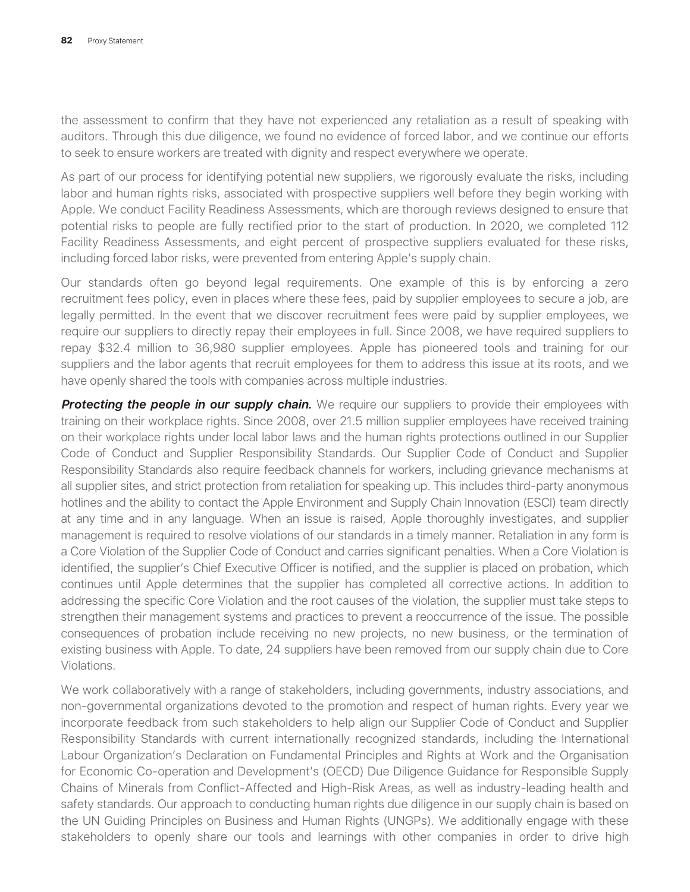the assessment to confirm that they have not experienced any retaliation as a result of speaking with auditors. Through this due diligence, we found no evidence of forced labor, and we continue our efforts to seek to ensure workers are treated with dignity and respect everywhere we operate.

As part of our process for identifying potential new suppliers, we rigorously evaluate the risks, including labor and human rights risks, associated with prospective suppliers well before they begin working with Apple. We conduct Facility Readiness Assessments, which are thorough reviews designed to ensure that potential risks to people are fully rectified prior to the start of production. In 2020, we completed 112 Facility Readiness Assessments, and eight percent of prospective suppliers evaluated for these risks, including forced labor risks, were prevented from entering Apple's supply chain.

Our standards often go beyond legal requirements. One example of this is by enforcing a zero recruitment fees policy, even in places where these fees, paid by supplier employees to secure a job, are legally permitted. In the event that we discover recruitment fees were paid by supplier employees, we require our suppliers to directly repay their employees in full. Since 2008, we have required suppliers to repay \$32.4 million to 36,980 supplier employees. Apple has pioneered tools and training for our suppliers and the labor agents that recruit employees for them to address this issue at its roots, and we have openly shared the tools with companies across multiple industries.

**Protecting the people in our supply chain.** We require our suppliers to provide their employees with training on their workplace rights. Since 2008, over 21.5 million supplier employees have received training on their workplace rights under local labor laws and the human rights protections outlined in our Supplier Code of Conduct and Supplier Responsibility Standards. Our Supplier Code of Conduct and Supplier Responsibility Standards also require feedback channels for workers, including grievance mechanisms at all supplier sites, and strict protection from retaliation for speaking up. This includes third-party anonymous hotlines and the ability to contact the Apple Environment and Supply Chain Innovation (ESCI) team directly at any time and in any language. When an issue is raised, Apple thoroughly investigates, and supplier management is required to resolve violations of our standards in a timely manner. Retaliation in any form is a Core Violation of the Supplier Code of Conduct and carries significant penalties. When a Core Violation is identified, the supplier's Chief Executive Officer is notified, and the supplier is placed on probation, which continues until Apple determines that the supplier has completed all corrective actions. In addition to addressing the specific Core Violation and the root causes of the violation, the supplier must take steps to strengthen their management systems and practices to prevent a reoccurrence of the issue. The possible consequences of probation include receiving no new projects, no new business, or the termination of existing business with Apple. To date, 24 suppliers have been removed from our supply chain due to Core Violations.

We work collaboratively with a range of stakeholders, including governments, industry associations, and non-governmental organizations devoted to the promotion and respect of human rights. Every year we incorporate feedback from such stakeholders to help align our Supplier Code of Conduct and Supplier Responsibility Standards with current internationally recognized standards, including the International Labour Organization's Declaration on Fundamental Principles and Rights at Work and the Organisation for Economic Co-operation and Development's (OECD) Due Diligence Guidance for Responsible Supply Chains of Minerals from Conflict-Affected and High-Risk Areas, as well as industry-leading health and safety standards. Our approach to conducting human rights due diligence in our supply chain is based on the UN Guiding Principles on Business and Human Rights (UNGPs). We additionally engage with these stakeholders to openly share our tools and learnings with other companies in order to drive high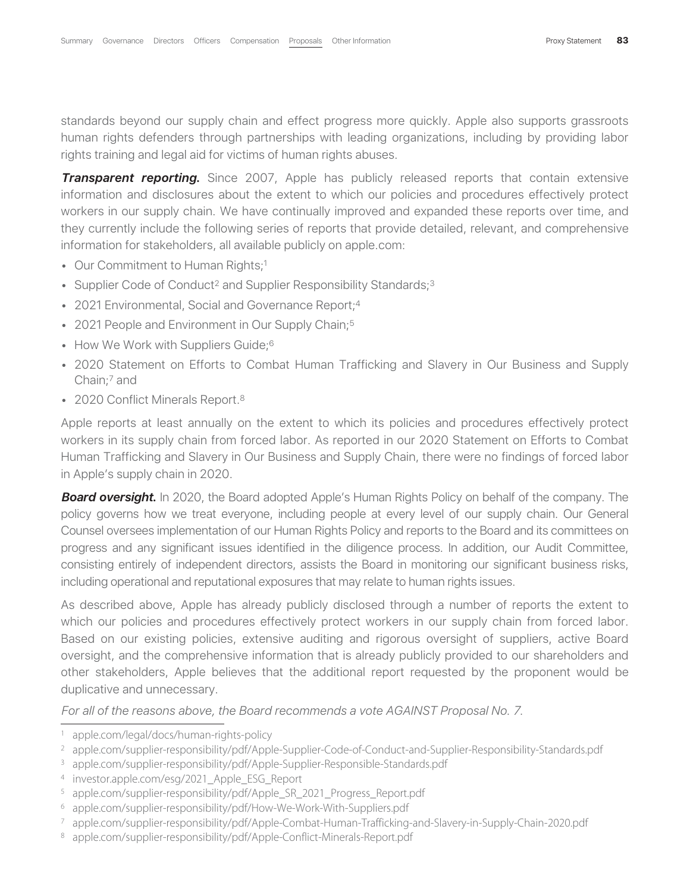standards beyond our supply chain and effect progress more quickly. Apple also supports grassroots human rights defenders through partnerships with leading organizations, including by providing labor rights training and legal aid for victims of human rights abuses.

**Transparent reporting.** Since 2007, Apple has publicly released reports that contain extensive information and disclosures about the extent to which our policies and procedures effectively protect workers in our supply chain. We have continually improved and expanded these reports over time, and they currently include the following series of reports that provide detailed, relevant, and comprehensive information for stakeholders, all available publicly on apple.com:

- Our Commitment to Human Rights;<sup>1</sup>
- Supplier Code of Conduct<sup>2</sup> and Supplier Responsibility Standards;<sup>3</sup>
- 2021 Environmental, Social and Governance Report;<sup>4</sup>
- 2021 People and Environment in Our Supply Chain;<sup>5</sup>
- How We Work with Suppliers Guide;<sup>6</sup>
- 2020 Statement on Efforts to Combat Human Trafficking and Slavery in Our Business and Supply Chain;7 and
- 2020 Conflict Minerals Report.<sup>8</sup>

Apple reports at least annually on the extent to which its policies and procedures effectively protect workers in its supply chain from forced labor. As reported in our 2020 Statement on Efforts to Combat Human Trafficking and Slavery in Our Business and Supply Chain, there were no findings of forced labor in Apple's supply chain in 2020.

**Board oversight.** In 2020, the Board adopted Apple's Human Rights Policy on behalf of the company. The policy governs how we treat everyone, including people at every level of our supply chain. Our General Counsel oversees implementation of our Human Rights Policy and reports to the Board and its committees on progress and any significant issues identified in the diligence process. In addition, our Audit Committee, consisting entirely of independent directors, assists the Board in monitoring our significant business risks, including operational and reputational exposures that may relate to human rights issues.

As described above, Apple has already publicly disclosed through a number of reports the extent to which our policies and procedures effectively protect workers in our supply chain from forced labor. Based on our existing policies, extensive auditing and rigorous oversight of suppliers, active Board oversight, and the comprehensive information that is already publicly provided to our shareholders and other stakeholders, Apple believes that the additional report requested by the proponent would be duplicative and unnecessary.

*For all of the reasons above, the Board recommends a vote AGAINST Proposal No. 7*.

<sup>1</sup> apple.com/legal/docs/human-rights-policy

<sup>2</sup> apple.com/supplier-responsibility/pdf/Apple-Supplier-Code-of-Conduct-and-Supplier-Responsibility-Standards.pdf

<sup>3</sup> apple.com/supplier-responsibility/pdf/Apple-Supplier-Responsible-Standards.pdf

<sup>4</sup> investor.apple.com/esg/2021\_Apple\_ESG\_Report

<sup>&</sup>lt;sup>5</sup> apple.com/supplier-responsibility/pdf/Apple\_SR\_2021\_Progress\_Report.pdf

<sup>6</sup> apple.com/supplier-responsibility/pdf/How-We-Work-With-Suppliers.pdf

<sup>7</sup> apple.com/supplier-responsibility/pdf/Apple-Combat-Human-Trafficking-and-Slavery-in-Supply-Chain-2020.pdf

<sup>8</sup> apple.com/supplier-responsibility/pdf/Apple-Conflict-Minerals-Report.pdf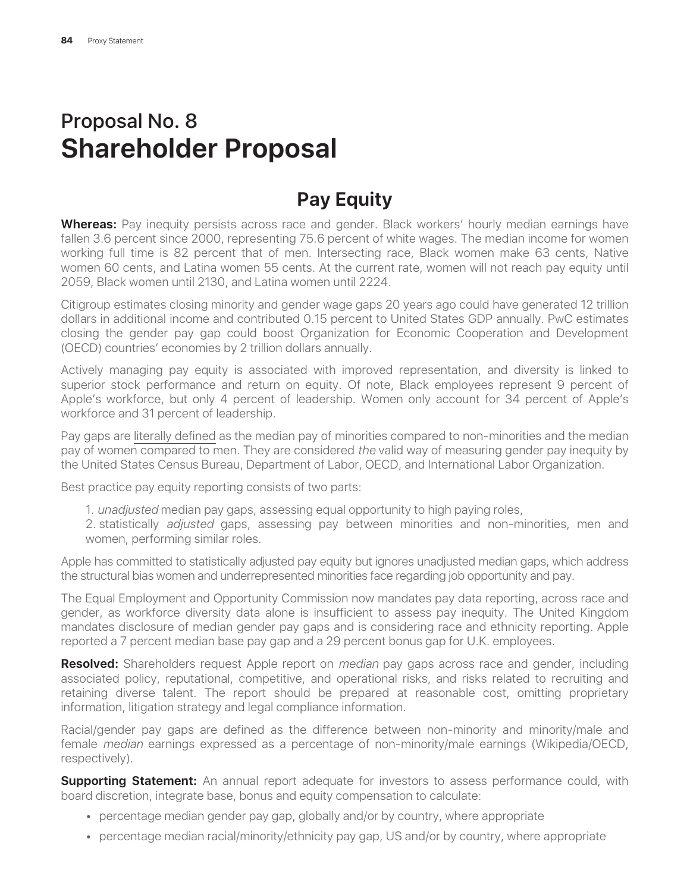# Proposal No. 8 **Shareholder Proposal**

# **Pay Equity**

**Whereas:** Pay inequity persists across race and gender. Black workers' hourly median earnings have fallen 3.6 percent since 2000, representing 75.6 percent of white wages. The median income for women working full time is 82 percent that of men. Intersecting race, Black women make 63 cents, Native women 60 cents, and Latina women 55 cents. At the current rate, women will not reach pay equity until 2059, Black women until 2130, and Latina women until 2224.

Citigroup estimates closing minority and gender wage gaps 20 years ago could have generated 12 trillion dollars in additional income and contributed 0.15 percent to United States GDP annually. PwC estimates closing the gender pay gap could boost Organization for Economic Cooperation and Development (OECD) countries' economies by 2 trillion dollars annually.

Actively managing pay equity is associated with improved representation, and diversity is linked to superior stock performance and return on equity. Of note, Black employees represent 9 percent of Apple's workforce, but only 4 percent of leadership. Women only account for 34 percent of Apple's workforce and 31 percent of leadership.

Pay gaps are literally defined as the median pay of minorities compared to non-minorities and the median pay of women compared to men. They are considered *the* valid way of measuring gender pay inequity by the United States Census Bureau, Department of Labor, OECD, and International Labor Organization.

Best practice pay equity reporting consists of two parts:

- 1. *unadjusted* median pay gaps, assessing equal opportunity to high paying roles,
- 2. statistically *adjusted* gaps, assessing pay between minorities and non-minorities, men and women, performing similar roles.

Apple has committed to statistically adjusted pay equity but ignores unadjusted median gaps, which address the structural bias women and underrepresented minorities face regarding job opportunity and pay.

The Equal Employment and Opportunity Commission now mandates pay data reporting, across race and gender, as workforce diversity data alone is insufficient to assess pay inequity. The United Kingdom mandates disclosure of median gender pay gaps and is considering race and ethnicity reporting. Apple reported a 7 percent median base pay gap and a 29 percent bonus gap for U.K. employees.

**Resolved:** Shareholders request Apple report on *median* pay gaps across race and gender, including associated policy, reputational, competitive, and operational risks, and risks related to recruiting and retaining diverse talent. The report should be prepared at reasonable cost, omitting proprietary information, litigation strategy and legal compliance information.

Racial/gender pay gaps are defined as the difference between non-minority and minority/male and female *median* earnings expressed as a percentage of non-minority/male earnings (Wikipedia/OECD, respectively).

**Supporting Statement:** An annual report adequate for investors to assess performance could, with board discretion, integrate base, bonus and equity compensation to calculate:

- percentage median gender pay gap, globally and/or by country, where appropriate
- percentage median racial/minority/ethnicity pay gap, US and/or by country, where appropriate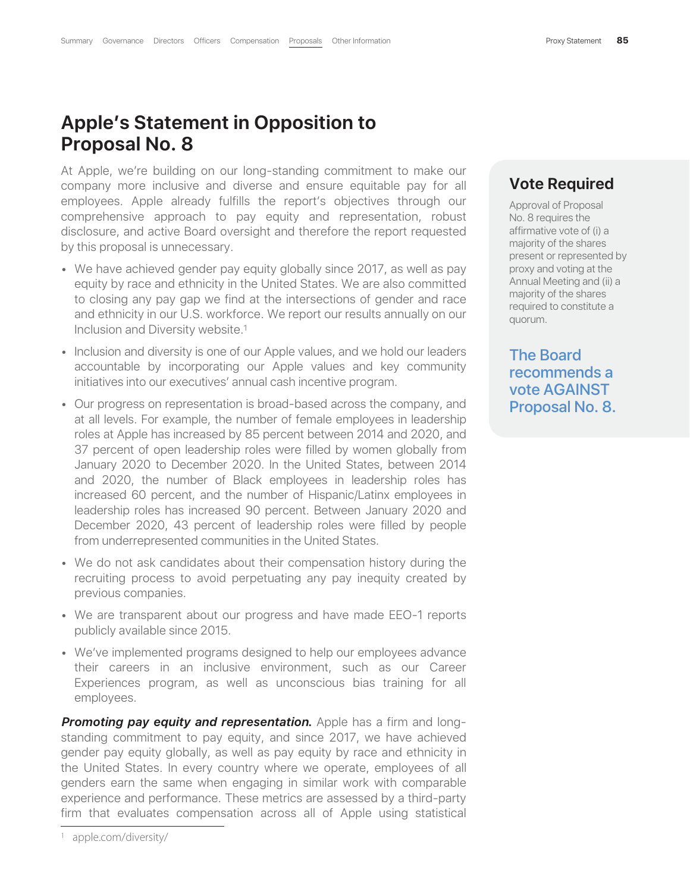## **Apple's Statement in Opposition to Proposal No. 8**

At Apple, we're building on our long-standing commitment to make our company more inclusive and diverse and ensure equitable pay for all employees. Apple already fulfills the report's objectives through our comprehensive approach to pay equity and representation, robust disclosure, and active Board oversight and therefore the report requested by this proposal is unnecessary.

- We have achieved gender pay equity globally since 2017, as well as pay equity by race and ethnicity in the United States. We are also committed to closing any pay gap we find at the intersections of gender and race and ethnicity in our U.S. workforce. We report our results annually on our Inclusion and Diversity website.1
- Inclusion and diversity is one of our Apple values, and we hold our leaders accountable by incorporating our Apple values and key community initiatives into our executives' annual cash incentive program.
- Our progress on representation is broad-based across the company, and at all levels. For example, the number of female employees in leadership roles at Apple has increased by 85 percent between 2014 and 2020, and 37 percent of open leadership roles were filled by women globally from January 2020 to December 2020. In the United States, between 2014 and 2020, the number of Black employees in leadership roles has increased 60 percent, and the number of Hispanic/Latinx employees in leadership roles has increased 90 percent. Between January 2020 and December 2020, 43 percent of leadership roles were filled by people from underrepresented communities in the United States.
- We do not ask candidates about their compensation history during the recruiting process to avoid perpetuating any pay inequity created by previous companies.
- We are transparent about our progress and have made EEO-1 reports publicly available since 2015.
- We've implemented programs designed to help our employees advance their careers in an inclusive environment, such as our Career Experiences program, as well as unconscious bias training for all employees.

**Promoting pay equity and representation.** Apple has a firm and longstanding commitment to pay equity, and since 2017, we have achieved gender pay equity globally, as well as pay equity by race and ethnicity in the United States. In every country where we operate, employees of all genders earn the same when engaging in similar work with comparable experience and performance. These metrics are assessed by a third-party firm that evaluates compensation across all of Apple using statistical

#### **Vote Required**

Approval of Proposal No. 8 requires the affirmative vote of (i) a majority of the shares present or represented by proxy and voting at the Annual Meeting and (ii) a majority of the shares required to constitute a quorum.

The Board recommends a vote AGAINST Proposal No. 8.

<sup>1</sup> apple.com/diversity/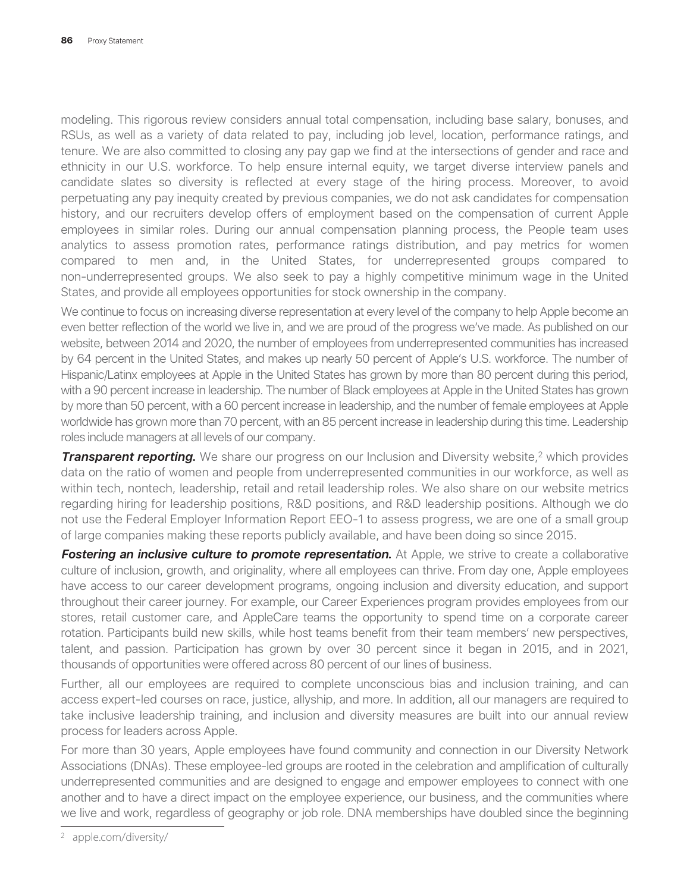modeling. This rigorous review considers annual total compensation, including base salary, bonuses, and RSUs, as well as a variety of data related to pay, including job level, location, performance ratings, and tenure. We are also committed to closing any pay gap we find at the intersections of gender and race and ethnicity in our U.S. workforce. To help ensure internal equity, we target diverse interview panels and candidate slates so diversity is reflected at every stage of the hiring process. Moreover, to avoid perpetuating any pay inequity created by previous companies, we do not ask candidates for compensation history, and our recruiters develop offers of employment based on the compensation of current Apple employees in similar roles. During our annual compensation planning process, the People team uses analytics to assess promotion rates, performance ratings distribution, and pay metrics for women compared to men and, in the United States, for underrepresented groups compared to non-underrepresented groups. We also seek to pay a highly competitive minimum wage in the United States, and provide all employees opportunities for stock ownership in the company.

We continue to focus on increasing diverse representation at every level of the company to help Apple become an even better reflection of the world we live in, and we are proud of the progress we've made. As published on our website, between 2014 and 2020, the number of employees from underrepresented communities has increased by 64 percent in the United States, and makes up nearly 50 percent of Apple's U.S. workforce. The number of Hispanic/Latinx employees at Apple in the United States has grown by more than 80 percent during this period, with a 90 percent increase in leadership. The number of Black employees at Apple in the United States has grown by more than 50 percent, with a 60 percent increase in leadership, and the number of female employees at Apple worldwide has grown more than 70 percent, with an 85 percent increase in leadership during this time. Leadership roles include managers at all levels of our company.

**Transparent reporting.** We share our progress on our Inclusion and Diversity website,<sup>2</sup> which provides data on the ratio of women and people from underrepresented communities in our workforce, as well as within tech, nontech, leadership, retail and retail leadership roles. We also share on our website metrics regarding hiring for leadership positions, R&D positions, and R&D leadership positions. Although we do not use the Federal Employer Information Report EEO-1 to assess progress, we are one of a small group of large companies making these reports publicly available, and have been doing so since 2015.

**Fostering an inclusive culture to promote representation.** At Apple, we strive to create a collaborative culture of inclusion, growth, and originality, where all employees can thrive. From day one, Apple employees have access to our career development programs, ongoing inclusion and diversity education, and support throughout their career journey. For example, our Career Experiences program provides employees from our stores, retail customer care, and AppleCare teams the opportunity to spend time on a corporate career rotation. Participants build new skills, while host teams benefit from their team members' new perspectives, talent, and passion. Participation has grown by over 30 percent since it began in 2015, and in 2021, thousands of opportunities were offered across 80 percent of our lines of business.

Further, all our employees are required to complete unconscious bias and inclusion training, and can access expert-led courses on race, justice, allyship, and more. In addition, all our managers are required to take inclusive leadership training, and inclusion and diversity measures are built into our annual review process for leaders across Apple.

For more than 30 years, Apple employees have found community and connection in our Diversity Network Associations (DNAs). These employee-led groups are rooted in the celebration and amplification of culturally underrepresented communities and are designed to engage and empower employees to connect with one another and to have a direct impact on the employee experience, our business, and the communities where we live and work, regardless of geography or job role. DNA memberships have doubled since the beginning

<sup>2</sup> apple.com/diversity/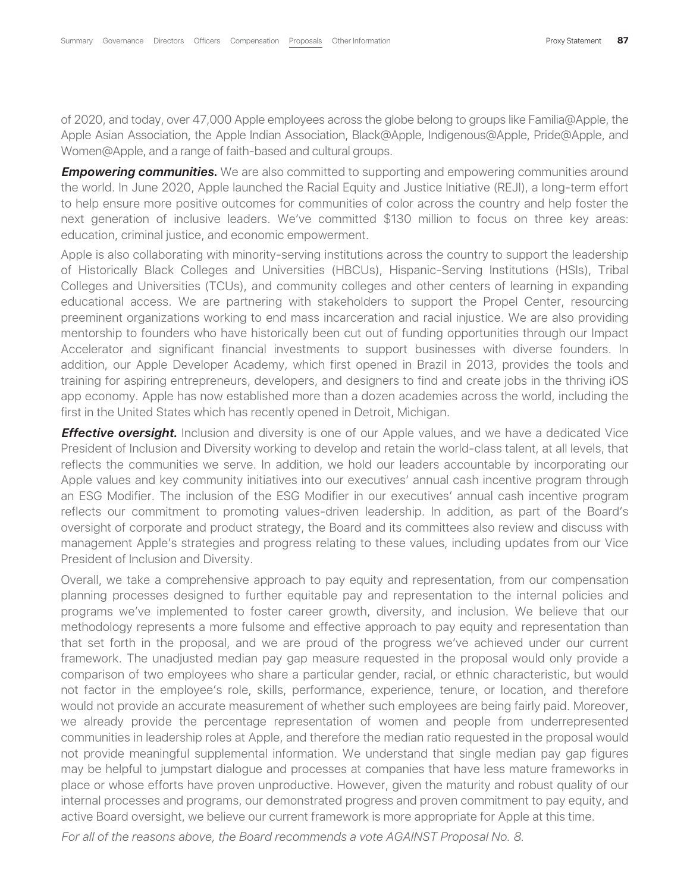of 2020, and today, over 47,000 Apple employees across the globe belong to groups like Familia@Apple, the Apple Asian Association, the Apple Indian Association, Black@Apple, Indigenous@Apple, Pride@Apple, and Women@Apple, and a range of faith-based and cultural groups.

*Empowering communities.* We are also committed to supporting and empowering communities around the world. In June 2020, Apple launched the Racial Equity and Justice Initiative (REJI), a long-term effort to help ensure more positive outcomes for communities of color across the country and help foster the next generation of inclusive leaders. We've committed \$130 million to focus on three key areas: education, criminal justice, and economic empowerment.

Apple is also collaborating with minority-serving institutions across the country to support the leadership of Historically Black Colleges and Universities (HBCUs), Hispanic-Serving Institutions (HSIs), Tribal Colleges and Universities (TCUs), and community colleges and other centers of learning in expanding educational access. We are partnering with stakeholders to support the Propel Center, resourcing preeminent organizations working to end mass incarceration and racial injustice. We are also providing mentorship to founders who have historically been cut out of funding opportunities through our Impact Accelerator and significant financial investments to support businesses with diverse founders. In addition, our Apple Developer Academy, which first opened in Brazil in 2013, provides the tools and training for aspiring entrepreneurs, developers, and designers to find and create jobs in the thriving iOS app economy. Apple has now established more than a dozen academies across the world, including the first in the United States which has recently opened in Detroit, Michigan.

*Effective oversight*. Inclusion and diversity is one of our Apple values, and we have a dedicated Vice President of Inclusion and Diversity working to develop and retain the world-class talent, at all levels, that reflects the communities we serve. In addition, we hold our leaders accountable by incorporating our Apple values and key community initiatives into our executives' annual cash incentive program through an ESG Modifier. The inclusion of the ESG Modifier in our executives' annual cash incentive program reflects our commitment to promoting values-driven leadership. In addition, as part of the Board's oversight of corporate and product strategy, the Board and its committees also review and discuss with management Apple's strategies and progress relating to these values, including updates from our Vice President of Inclusion and Diversity.

Overall, we take a comprehensive approach to pay equity and representation, from our compensation planning processes designed to further equitable pay and representation to the internal policies and programs we've implemented to foster career growth, diversity, and inclusion. We believe that our methodology represents a more fulsome and effective approach to pay equity and representation than that set forth in the proposal, and we are proud of the progress we've achieved under our current framework. The unadjusted median pay gap measure requested in the proposal would only provide a comparison of two employees who share a particular gender, racial, or ethnic characteristic, but would not factor in the employee's role, skills, performance, experience, tenure, or location, and therefore would not provide an accurate measurement of whether such employees are being fairly paid. Moreover, we already provide the percentage representation of women and people from underrepresented communities in leadership roles at Apple, and therefore the median ratio requested in the proposal would not provide meaningful supplemental information. We understand that single median pay gap figures may be helpful to jumpstart dialogue and processes at companies that have less mature frameworks in place or whose efforts have proven unproductive. However, given the maturity and robust quality of our internal processes and programs, our demonstrated progress and proven commitment to pay equity, and active Board oversight, we believe our current framework is more appropriate for Apple at this time.

*For all of the reasons above, the Board recommends a vote AGAINST Proposal No. 8*.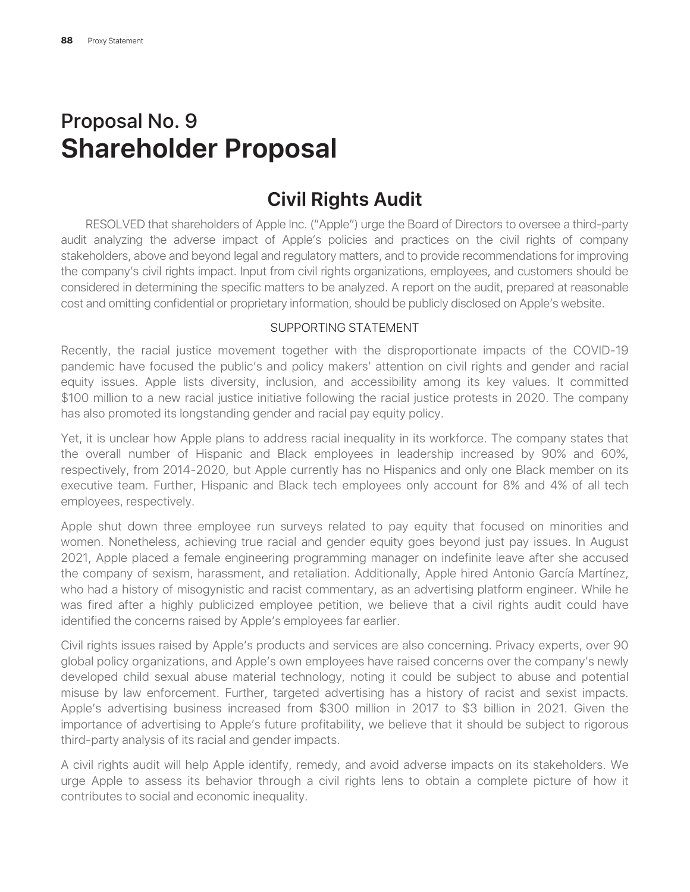# Proposal No. 9 **Shareholder Proposal**

# **Civil Rights Audit**

RESOLVED that shareholders of Apple Inc. ("Apple") urge the Board of Directors to oversee a third-party audit analyzing the adverse impact of Apple's policies and practices on the civil rights of company stakeholders, above and beyond legal and regulatory matters, and to provide recommendations for improving the company's civil rights impact. Input from civil rights organizations, employees, and customers should be considered in determining the specific matters to be analyzed. A report on the audit, prepared at reasonable cost and omitting confidential or proprietary information, should be publicly disclosed on Apple's website.

#### SUPPORTING STATEMENT

Recently, the racial justice movement together with the disproportionate impacts of the COVID-19 pandemic have focused the public's and policy makers' attention on civil rights and gender and racial equity issues. Apple lists diversity, inclusion, and accessibility among its key values. It committed \$100 million to a new racial justice initiative following the racial justice protests in 2020. The company has also promoted its longstanding gender and racial pay equity policy.

Yet, it is unclear how Apple plans to address racial inequality in its workforce. The company states that the overall number of Hispanic and Black employees in leadership increased by 90% and 60%, respectively, from 2014-2020, but Apple currently has no Hispanics and only one Black member on its executive team. Further, Hispanic and Black tech employees only account for 8% and 4% of all tech employees, respectively.

Apple shut down three employee run surveys related to pay equity that focused on minorities and women. Nonetheless, achieving true racial and gender equity goes beyond just pay issues. In August 2021, Apple placed a female engineering programming manager on indefinite leave after she accused the company of sexism, harassment, and retaliation. Additionally, Apple hired Antonio García Martínez, who had a history of misogynistic and racist commentary, as an advertising platform engineer. While he was fired after a highly publicized employee petition, we believe that a civil rights audit could have identified the concerns raised by Apple's employees far earlier.

Civil rights issues raised by Apple's products and services are also concerning. Privacy experts, over 90 global policy organizations, and Apple's own employees have raised concerns over the company's newly developed child sexual abuse material technology, noting it could be subject to abuse and potential misuse by law enforcement. Further, targeted advertising has a history of racist and sexist impacts. Apple's advertising business increased from \$300 million in 2017 to \$3 billion in 2021. Given the importance of advertising to Apple's future profitability, we believe that it should be subject to rigorous third-party analysis of its racial and gender impacts.

A civil rights audit will help Apple identify, remedy, and avoid adverse impacts on its stakeholders. We urge Apple to assess its behavior through a civil rights lens to obtain a complete picture of how it contributes to social and economic inequality.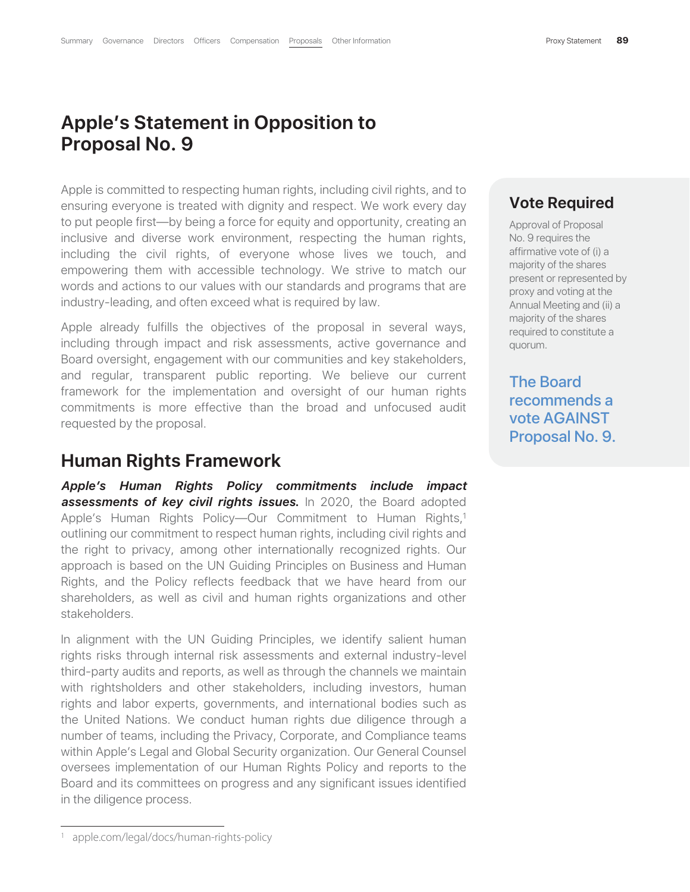## **Apple's Statement in Opposition to Proposal No. 9**

Apple is committed to respecting human rights, including civil rights, and to ensuring everyone is treated with dignity and respect. We work every day to put people first—by being a force for equity and opportunity, creating an inclusive and diverse work environment, respecting the human rights, including the civil rights, of everyone whose lives we touch, and empowering them with accessible technology. We strive to match our words and actions to our values with our standards and programs that are industry-leading, and often exceed what is required by law.

Apple already fulfills the objectives of the proposal in several ways, including through impact and risk assessments, active governance and Board oversight, engagement with our communities and key stakeholders, and regular, transparent public reporting. We believe our current framework for the implementation and oversight of our human rights commitments is more effective than the broad and unfocused audit requested by the proposal.

#### **Human Rights Framework**

*Apple's Human Rights Policy commitments include impact* **assessments of key civil rights issues.** In 2020, the Board adopted Apple's Human Rights Policy—Our Commitment to Human Rights,<sup>1</sup> outlining our commitment to respect human rights, including civil rights and the right to privacy, among other internationally recognized rights. Our approach is based on the UN Guiding Principles on Business and Human Rights, and the Policy reflects feedback that we have heard from our shareholders, as well as civil and human rights organizations and other stakeholders.

In alignment with the UN Guiding Principles, we identify salient human rights risks through internal risk assessments and external industry-level third-party audits and reports, as well as through the channels we maintain with rightsholders and other stakeholders, including investors, human rights and labor experts, governments, and international bodies such as the United Nations. We conduct human rights due diligence through a number of teams, including the Privacy, Corporate, and Compliance teams within Apple's Legal and Global Security organization. Our General Counsel oversees implementation of our Human Rights Policy and reports to the Board and its committees on progress and any significant issues identified in the diligence process.

#### **Vote Required**

Approval of Proposal No. 9 requires the affirmative vote of (i) a majority of the shares present or represented by proxy and voting at the Annual Meeting and (ii) a majority of the shares required to constitute a quorum.

The Board recommends a vote AGAINST Proposal No. 9.

<sup>1</sup> apple.com/legal/docs/human-rights-policy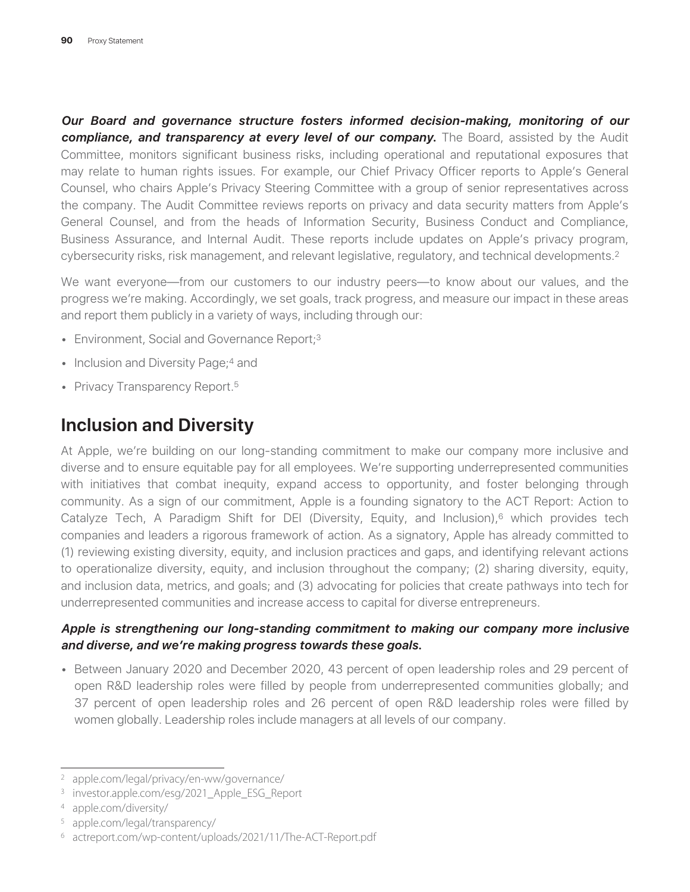*Our Board and governance structure fosters informed decision-making, monitoring of our compliance, and transparency at every level of our company***.** The Board, assisted by the Audit Committee, monitors significant business risks, including operational and reputational exposures that may relate to human rights issues. For example, our Chief Privacy Officer reports to Apple's General Counsel, who chairs Apple's Privacy Steering Committee with a group of senior representatives across the company. The Audit Committee reviews reports on privacy and data security matters from Apple's General Counsel, and from the heads of Information Security, Business Conduct and Compliance, Business Assurance, and Internal Audit. These reports include updates on Apple's privacy program, cybersecurity risks, risk management, and relevant legislative, regulatory, and technical developments.2

We want everyone—from our customers to our industry peers—to know about our values, and the progress we're making. Accordingly, we set goals, track progress, and measure our impact in these areas and report them publicly in a variety of ways, including through our:

- Environment, Social and Governance Report;<sup>3</sup>
- Inclusion and Diversity Page;<sup>4</sup> and
- Privacy Transparency Report.<sup>5</sup>

# **Inclusion and Diversity**

At Apple, we're building on our long-standing commitment to make our company more inclusive and diverse and to ensure equitable pay for all employees. We're supporting underrepresented communities with initiatives that combat inequity, expand access to opportunity, and foster belonging through community. As a sign of our commitment, Apple is a founding signatory to the ACT Report: Action to Catalyze Tech, A Paradigm Shift for DEI (Diversity, Equity, and Inclusion),<sup>6</sup> which provides tech companies and leaders a rigorous framework of action. As a signatory, Apple has already committed to (1) reviewing existing diversity, equity, and inclusion practices and gaps, and identifying relevant actions to operationalize diversity, equity, and inclusion throughout the company; (2) sharing diversity, equity, and inclusion data, metrics, and goals; and (3) advocating for policies that create pathways into tech for underrepresented communities and increase access to capital for diverse entrepreneurs.

#### *Apple is strengthening our long-standing commitment to making our company more inclusive and diverse, and we're making progress towards these goals.*

• Between January 2020 and December 2020, 43 percent of open leadership roles and 29 percent of open R&D leadership roles were filled by people from underrepresented communities globally; and 37 percent of open leadership roles and 26 percent of open R&D leadership roles were filled by women globally. Leadership roles include managers at all levels of our company.

<sup>2</sup> apple.com/legal/privacy/en-ww/governance/

<sup>3</sup> investor.apple.com/esg/2021\_Apple\_ESG\_Report

<sup>4</sup> apple.com/diversity/

<sup>5</sup> apple.com/legal/transparency/

<sup>6</sup> actreport.com/wp-content/uploads/2021/11/The-ACT-Report.pdf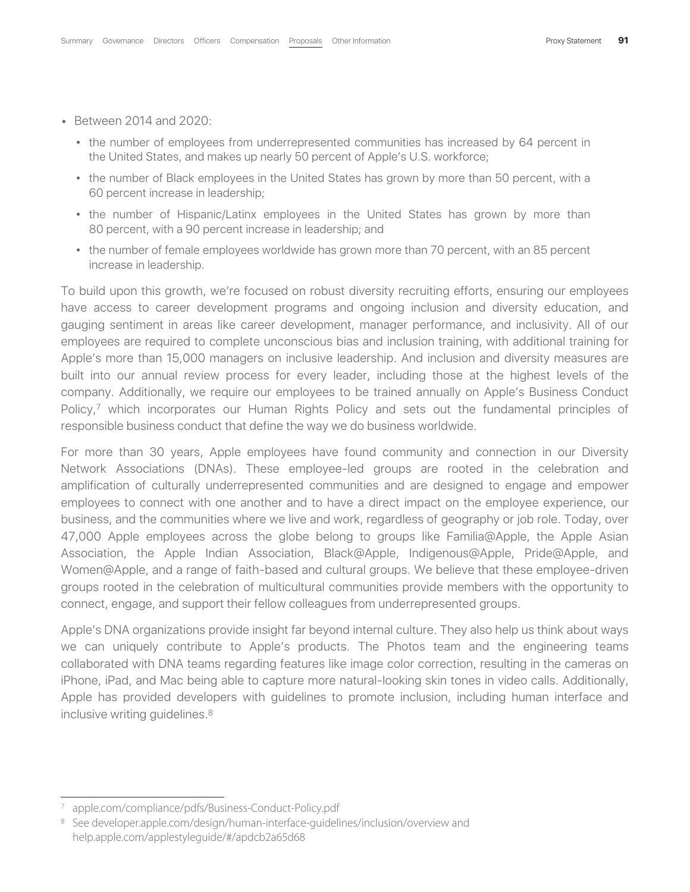- Between 2014 and 2020:
	- the number of employees from underrepresented communities has increased by 64 percent in the United States, and makes up nearly 50 percent of Apple's U.S. workforce;
	- the number of Black employees in the United States has grown by more than 50 percent, with a 60 percent increase in leadership;
	- the number of Hispanic/Latinx employees in the United States has grown by more than 80 percent, with a 90 percent increase in leadership; and
	- the number of female employees worldwide has grown more than 70 percent, with an 85 percent increase in leadership.

To build upon this growth, we're focused on robust diversity recruiting efforts, ensuring our employees have access to career development programs and ongoing inclusion and diversity education, and gauging sentiment in areas like career development, manager performance, and inclusivity. All of our employees are required to complete unconscious bias and inclusion training, with additional training for Apple's more than 15,000 managers on inclusive leadership. And inclusion and diversity measures are built into our annual review process for every leader, including those at the highest levels of the company. Additionally, we require our employees to be trained annually on Apple's Business Conduct Policy,<sup>7</sup> which incorporates our Human Rights Policy and sets out the fundamental principles of responsible business conduct that define the way we do business worldwide.

For more than 30 years, Apple employees have found community and connection in our Diversity Network Associations (DNAs). These employee-led groups are rooted in the celebration and amplification of culturally underrepresented communities and are designed to engage and empower employees to connect with one another and to have a direct impact on the employee experience, our business, and the communities where we live and work, regardless of geography or job role. Today, over 47,000 Apple employees across the globe belong to groups like Familia@Apple, the Apple Asian Association, the Apple Indian Association, Black@Apple, Indigenous@Apple, Pride@Apple, and Women@Apple, and a range of faith-based and cultural groups. We believe that these employee-driven groups rooted in the celebration of multicultural communities provide members with the opportunity to connect, engage, and support their fellow colleagues from underrepresented groups.

Apple's DNA organizations provide insight far beyond internal culture. They also help us think about ways we can uniquely contribute to Apple's products. The Photos team and the engineering teams collaborated with DNA teams regarding features like image color correction, resulting in the cameras on iPhone, iPad, and Mac being able to capture more natural-looking skin tones in video calls. Additionally, Apple has provided developers with guidelines to promote inclusion, including human interface and inclusive writing guidelines.8

apple.com/compliance/pdfs/Business-Conduct-Policy.pdf

<sup>8</sup> See developer.apple.com/design/human-interface-guidelines/inclusion/overview and help.apple.com/applestyleguide/#/apdcb2a65d68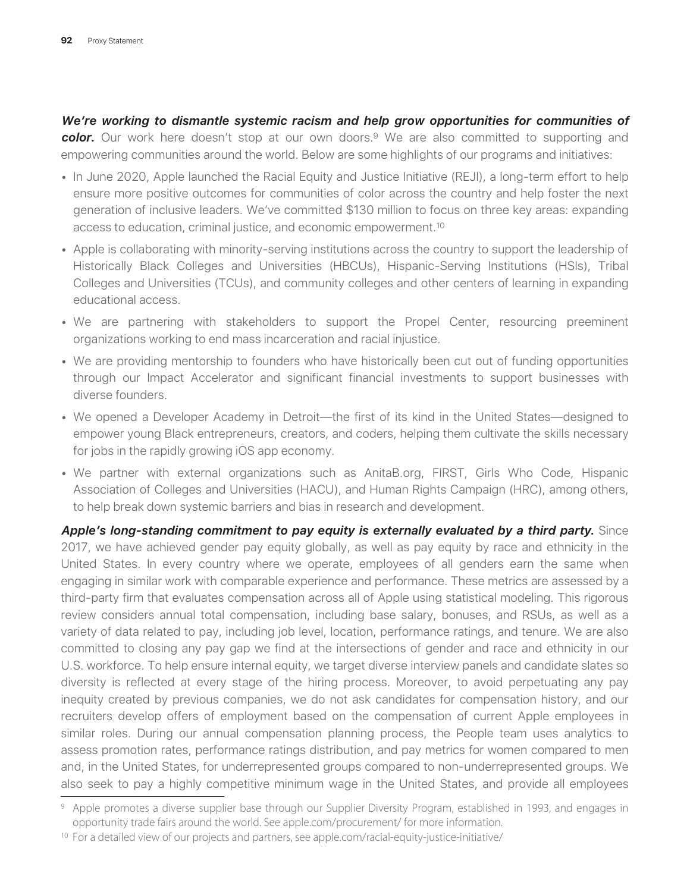#### *We're working to dismantle systemic racism and help grow opportunities for communities of*

*color***.** Our work here doesn't stop at our own doors.9 We are also committed to supporting and empowering communities around the world. Below are some highlights of our programs and initiatives:

- In June 2020, Apple launched the Racial Equity and Justice Initiative (REJI), a long-term effort to help ensure more positive outcomes for communities of color across the country and help foster the next generation of inclusive leaders. We've committed \$130 million to focus on three key areas: expanding access to education, criminal justice, and economic empowerment.10
- Apple is collaborating with minority-serving institutions across the country to support the leadership of Historically Black Colleges and Universities (HBCUs), Hispanic-Serving Institutions (HSIs), Tribal Colleges and Universities (TCUs), and community colleges and other centers of learning in expanding educational access.
- We are partnering with stakeholders to support the Propel Center, resourcing preeminent organizations working to end mass incarceration and racial injustice.
- We are providing mentorship to founders who have historically been cut out of funding opportunities through our Impact Accelerator and significant financial investments to support businesses with diverse founders.
- We opened a Developer Academy in Detroit—the first of its kind in the United States—designed to empower young Black entrepreneurs, creators, and coders, helping them cultivate the skills necessary for jobs in the rapidly growing iOS app economy.
- We partner with external organizations such as AnitaB.org, FIRST, Girls Who Code, Hispanic Association of Colleges and Universities (HACU), and Human Rights Campaign (HRC), among others, to help break down systemic barriers and bias in research and development.

*Apple's long-standing commitment to pay equity is externally evaluated by a third party***.** Since 2017, we have achieved gender pay equity globally, as well as pay equity by race and ethnicity in the United States. In every country where we operate, employees of all genders earn the same when engaging in similar work with comparable experience and performance. These metrics are assessed by a third-party firm that evaluates compensation across all of Apple using statistical modeling. This rigorous review considers annual total compensation, including base salary, bonuses, and RSUs, as well as a variety of data related to pay, including job level, location, performance ratings, and tenure. We are also committed to closing any pay gap we find at the intersections of gender and race and ethnicity in our U.S. workforce. To help ensure internal equity, we target diverse interview panels and candidate slates so diversity is reflected at every stage of the hiring process. Moreover, to avoid perpetuating any pay inequity created by previous companies, we do not ask candidates for compensation history, and our recruiters develop offers of employment based on the compensation of current Apple employees in similar roles. During our annual compensation planning process, the People team uses analytics to assess promotion rates, performance ratings distribution, and pay metrics for women compared to men and, in the United States, for underrepresented groups compared to non-underrepresented groups. We also seek to pay a highly competitive minimum wage in the United States, and provide all employees

<sup>9</sup> Apple promotes a diverse supplier base through our Supplier Diversity Program, established in 1993, and engages in opportunity trade fairs around the world. See apple.com/procurement/ for more information.

<sup>&</sup>lt;sup>10</sup> For a detailed view of our projects and partners, see apple.com/racial-equity-justice-initiative/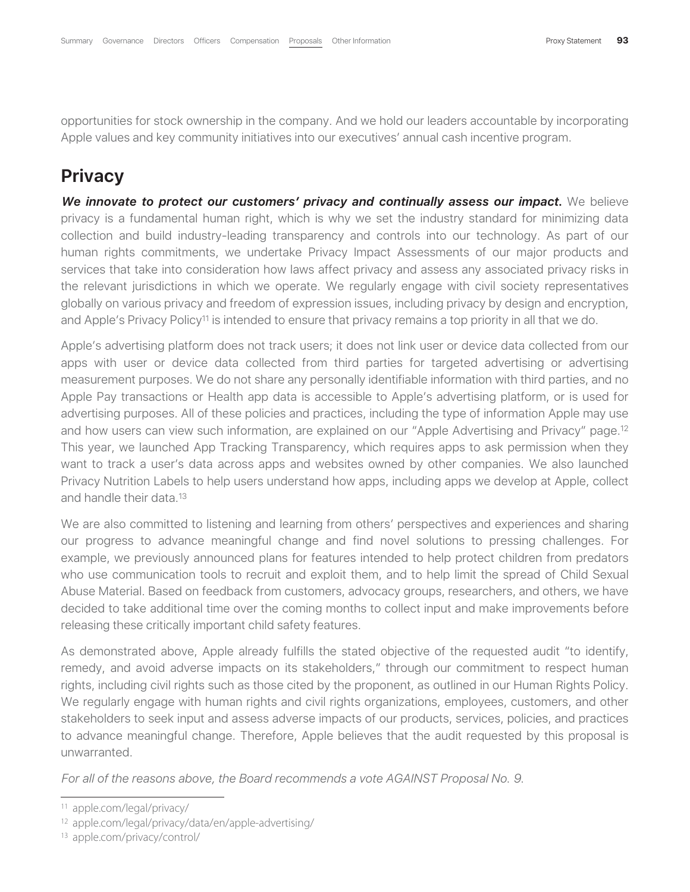opportunities for stock ownership in the company. And we hold our leaders accountable by incorporating Apple values and key community initiatives into our executives' annual cash incentive program.

## **Privacy**

*We innovate to protect our customers' privacy and continually assess our impact.* We believe privacy is a fundamental human right, which is why we set the industry standard for minimizing data collection and build industry-leading transparency and controls into our technology. As part of our human rights commitments, we undertake Privacy Impact Assessments of our major products and services that take into consideration how laws affect privacy and assess any associated privacy risks in the relevant jurisdictions in which we operate. We regularly engage with civil society representatives globally on various privacy and freedom of expression issues, including privacy by design and encryption, and Apple's Privacy Policy<sup>11</sup> is intended to ensure that privacy remains a top priority in all that we do.

Apple's advertising platform does not track users; it does not link user or device data collected from our apps with user or device data collected from third parties for targeted advertising or advertising measurement purposes. We do not share any personally identifiable information with third parties, and no Apple Pay transactions or Health app data is accessible to Apple's advertising platform, or is used for advertising purposes. All of these policies and practices, including the type of information Apple may use and how users can view such information, are explained on our "Apple Advertising and Privacy" page.12 This year, we launched App Tracking Transparency, which requires apps to ask permission when they want to track a user's data across apps and websites owned by other companies. We also launched Privacy Nutrition Labels to help users understand how apps, including apps we develop at Apple, collect and handle their data.13

We are also committed to listening and learning from others' perspectives and experiences and sharing our progress to advance meaningful change and find novel solutions to pressing challenges. For example, we previously announced plans for features intended to help protect children from predators who use communication tools to recruit and exploit them, and to help limit the spread of Child Sexual Abuse Material. Based on feedback from customers, advocacy groups, researchers, and others, we have decided to take additional time over the coming months to collect input and make improvements before releasing these critically important child safety features.

As demonstrated above, Apple already fulfills the stated objective of the requested audit "to identify, remedy, and avoid adverse impacts on its stakeholders," through our commitment to respect human rights, including civil rights such as those cited by the proponent, as outlined in our Human Rights Policy. We regularly engage with human rights and civil rights organizations, employees, customers, and other stakeholders to seek input and assess adverse impacts of our products, services, policies, and practices to advance meaningful change. Therefore, Apple believes that the audit requested by this proposal is unwarranted.

*For all of the reasons above, the Board recommends a vote AGAINST Proposal No. 9*.

<sup>11</sup> apple.com/legal/privacy/

<sup>12</sup> apple.com/legal/privacy/data/en/apple-advertising/

<sup>13</sup> apple.com/privacy/control/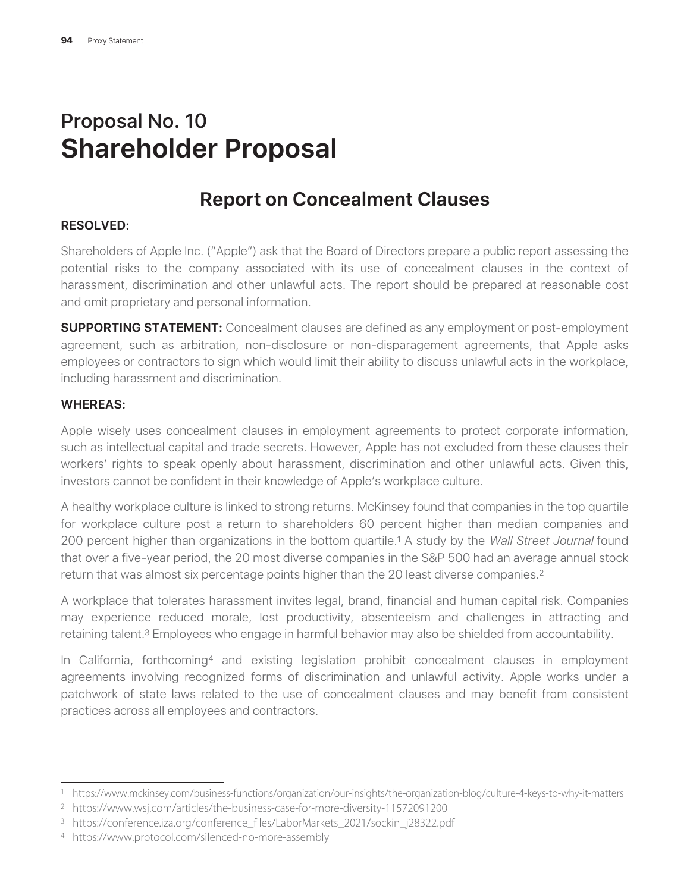# Proposal No. 10 **Shareholder Proposal**

# **Report on Concealment Clauses**

#### **RESOLVED:**

Shareholders of Apple Inc. ("Apple") ask that the Board of Directors prepare a public report assessing the potential risks to the company associated with its use of concealment clauses in the context of harassment, discrimination and other unlawful acts. The report should be prepared at reasonable cost and omit proprietary and personal information.

**SUPPORTING STATEMENT:** Concealment clauses are defined as any employment or post-employment agreement, such as arbitration, non-disclosure or non-disparagement agreements, that Apple asks employees or contractors to sign which would limit their ability to discuss unlawful acts in the workplace, including harassment and discrimination.

#### **WHEREAS:**

Apple wisely uses concealment clauses in employment agreements to protect corporate information, such as intellectual capital and trade secrets. However, Apple has not excluded from these clauses their workers' rights to speak openly about harassment, discrimination and other unlawful acts. Given this, investors cannot be confident in their knowledge of Apple's workplace culture.

A healthy workplace culture is linked to strong returns. McKinsey found that companies in the top quartile for workplace culture post a return to shareholders 60 percent higher than median companies and 200 percent higher than organizations in the bottom quartile.1 A study by the *Wall Street Journal* found that over a five-year period, the 20 most diverse companies in the S&P 500 had an average annual stock return that was almost six percentage points higher than the 20 least diverse companies.<sup>2</sup>

A workplace that tolerates harassment invites legal, brand, financial and human capital risk. Companies may experience reduced morale, lost productivity, absenteeism and challenges in attracting and retaining talent.3 Employees who engage in harmful behavior may also be shielded from accountability.

In California, forthcoming4 and existing legislation prohibit concealment clauses in employment agreements involving recognized forms of discrimination and unlawful activity. Apple works under a patchwork of state laws related to the use of concealment clauses and may benefit from consistent practices across all employees and contractors.

<sup>1</sup> https://www.mckinsey.com/business-functions/organization/our-insights/the-organization-blog/culture-4-keys-to-why-it-matters

<sup>2</sup> https://www.wsj.com/articles/the-business-case-for-more-diversity-11572091200

<sup>3</sup> https://conference.iza.org/conference\_files/LaborMarkets\_2021/sockin\_j28322.pdf

<sup>4</sup> https://www.protocol.com/silenced-no-more-assembly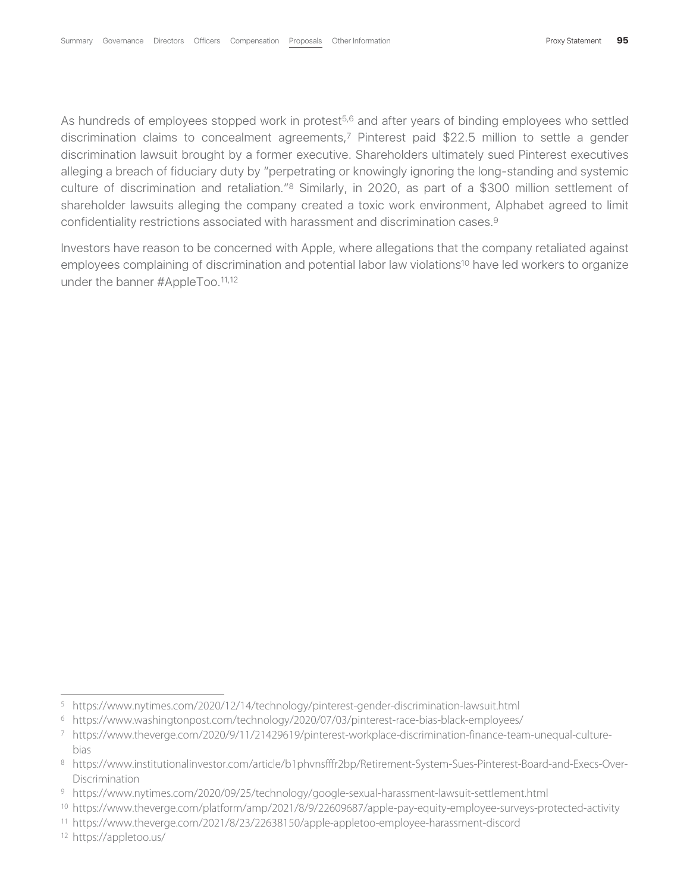As hundreds of employees stopped work in protest<sup>5,6</sup> and after years of binding employees who settled discrimination claims to concealment agreements,7 Pinterest paid \$22.5 million to settle a gender discrimination lawsuit brought by a former executive. Shareholders ultimately sued Pinterest executives alleging a breach of fiduciary duty by "perpetrating or knowingly ignoring the long-standing and systemic culture of discrimination and retaliation."8 Similarly, in 2020, as part of a \$300 million settlement of shareholder lawsuits alleging the company created a toxic work environment, Alphabet agreed to limit confidentiality restrictions associated with harassment and discrimination cases.9

Investors have reason to be concerned with Apple, where allegations that the company retaliated against employees complaining of discrimination and potential labor law violations<sup>10</sup> have led workers to organize under the banner #AppleToo.<sup>11,12</sup>

<sup>5</sup> https://www.nytimes.com/2020/12/14/technology/pinterest-gender-discrimination-lawsuit.html

<sup>6</sup> https://www.washingtonpost.com/technology/2020/07/03/pinterest-race-bias-black-employees/

<sup>7</sup> https://www.theverge.com/2020/9/11/21429619/pinterest-workplace-discrimination-finance-team-unequal-culturebias

<sup>8</sup> https://www.institutionalinvestor.com/article/b1phvnsfffr2bp/Retirement-System-Sues-Pinterest-Board-and-Execs-Over-Discrimination

<sup>9</sup> https://www.nytimes.com/2020/09/25/technology/google-sexual-harassment-lawsuit-settlement.html

<sup>10</sup> https://www.theverge.com/platform/amp/2021/8/9/22609687/apple-pay-equity-employee-surveys-protected-activity

<sup>11</sup> https://www.theverge.com/2021/8/23/22638150/apple-appletoo-employee-harassment-discord

<sup>12</sup> https://appletoo.us/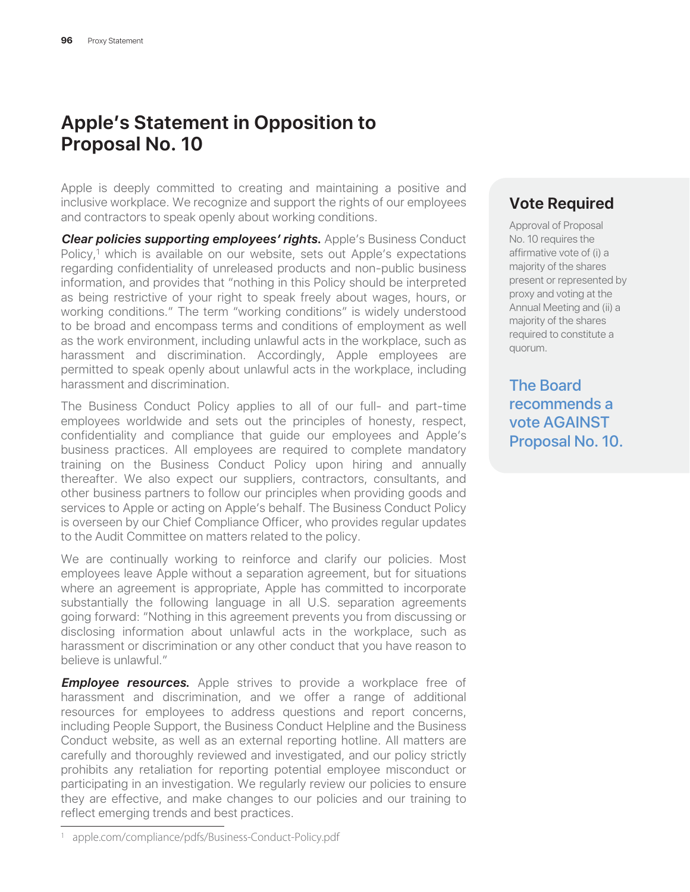# **Apple's Statement in Opposition to Proposal No. 10**

Apple is deeply committed to creating and maintaining a positive and inclusive workplace. We recognize and support the rights of our employees and contractors to speak openly about working conditions.

*Clear policies supporting employees' rights***.** Apple's Business Conduct Policy,<sup>1</sup> which is available on our website, sets out Apple's expectations regarding confidentiality of unreleased products and non-public business information, and provides that "nothing in this Policy should be interpreted as being restrictive of your right to speak freely about wages, hours, or working conditions." The term "working conditions" is widely understood to be broad and encompass terms and conditions of employment as well as the work environment, including unlawful acts in the workplace, such as harassment and discrimination. Accordingly, Apple employees are permitted to speak openly about unlawful acts in the workplace, including harassment and discrimination.

The Business Conduct Policy applies to all of our full- and part-time employees worldwide and sets out the principles of honesty, respect, confidentiality and compliance that guide our employees and Apple's business practices. All employees are required to complete mandatory training on the Business Conduct Policy upon hiring and annually thereafter. We also expect our suppliers, contractors, consultants, and other business partners to follow our principles when providing goods and services to Apple or acting on Apple's behalf. The Business Conduct Policy is overseen by our Chief Compliance Officer, who provides regular updates to the Audit Committee on matters related to the policy.

We are continually working to reinforce and clarify our policies. Most employees leave Apple without a separation agreement, but for situations where an agreement is appropriate, Apple has committed to incorporate substantially the following language in all U.S. separation agreements going forward: "Nothing in this agreement prevents you from discussing or disclosing information about unlawful acts in the workplace, such as harassment or discrimination or any other conduct that you have reason to believe is unlawful."

*Employee resources.* Apple strives to provide a workplace free of harassment and discrimination, and we offer a range of additional resources for employees to address questions and report concerns, including People Support, the Business Conduct Helpline and the Business Conduct website, as well as an external reporting hotline. All matters are carefully and thoroughly reviewed and investigated, and our policy strictly prohibits any retaliation for reporting potential employee misconduct or participating in an investigation. We regularly review our policies to ensure they are effective, and make changes to our policies and our training to reflect emerging trends and best practices.

#### **Vote Required**

Approval of Proposal No. 10 requires the affirmative vote of (i) a majority of the shares present or represented by proxy and voting at the Annual Meeting and (ii) a majority of the shares required to constitute a quorum.

The Board recommends a vote AGAINST Proposal No. 10.

<sup>1</sup> apple.com/compliance/pdfs/Business-Conduct-Policy.pdf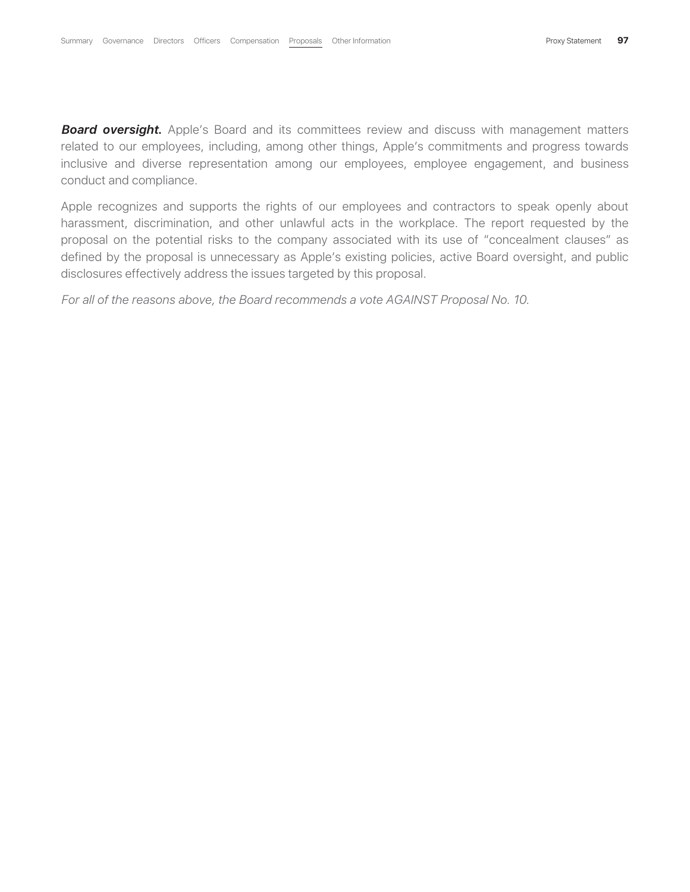**Board oversight.** Apple's Board and its committees review and discuss with management matters related to our employees, including, among other things, Apple's commitments and progress towards inclusive and diverse representation among our employees, employee engagement, and business conduct and compliance.

Apple recognizes and supports the rights of our employees and contractors to speak openly about harassment, discrimination, and other unlawful acts in the workplace. The report requested by the proposal on the potential risks to the company associated with its use of "concealment clauses" as defined by the proposal is unnecessary as Apple's existing policies, active Board oversight, and public disclosures effectively address the issues targeted by this proposal.

*For all of the reasons above, the Board recommends a vote AGAINST Proposal No. 10*.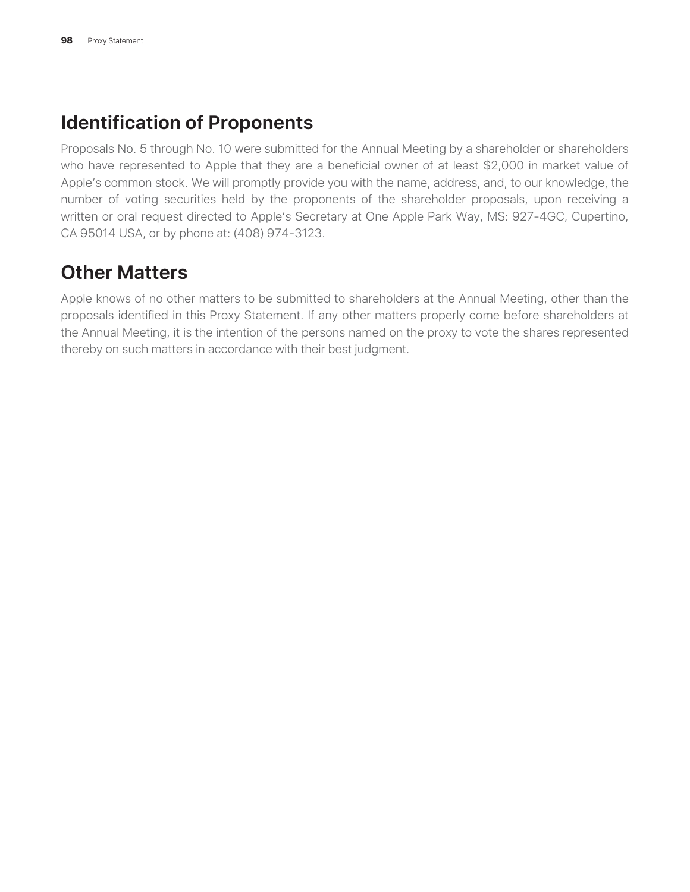# **Identification of Proponents**

Proposals No. 5 through No. 10 were submitted for the Annual Meeting by a shareholder or shareholders who have represented to Apple that they are a beneficial owner of at least \$2,000 in market value of Apple's common stock. We will promptly provide you with the name, address, and, to our knowledge, the number of voting securities held by the proponents of the shareholder proposals, upon receiving a written or oral request directed to Apple's Secretary at One Apple Park Way, MS: 927-4GC, Cupertino, CA 95014 USA, or by phone at: (408) 974-3123.

# **Other Matters**

Apple knows of no other matters to be submitted to shareholders at the Annual Meeting, other than the proposals identified in this Proxy Statement. If any other matters properly come before shareholders at the Annual Meeting, it is the intention of the persons named on the proxy to vote the shares represented thereby on such matters in accordance with their best judgment.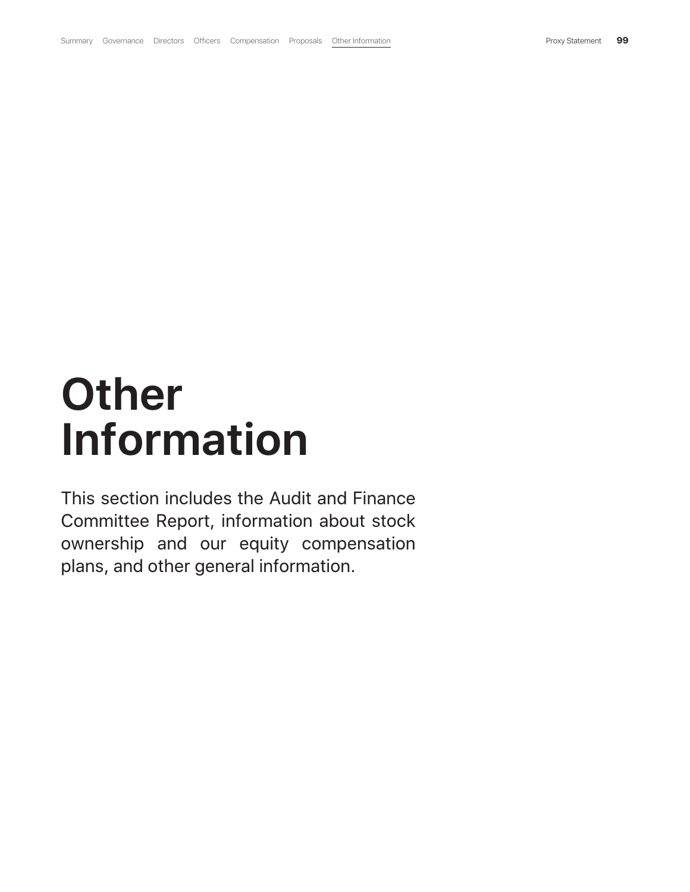# **Other Information**

This section includes the Audit and Finance Committee Report, information about stock ownership and our equity compensation plans, and other general information.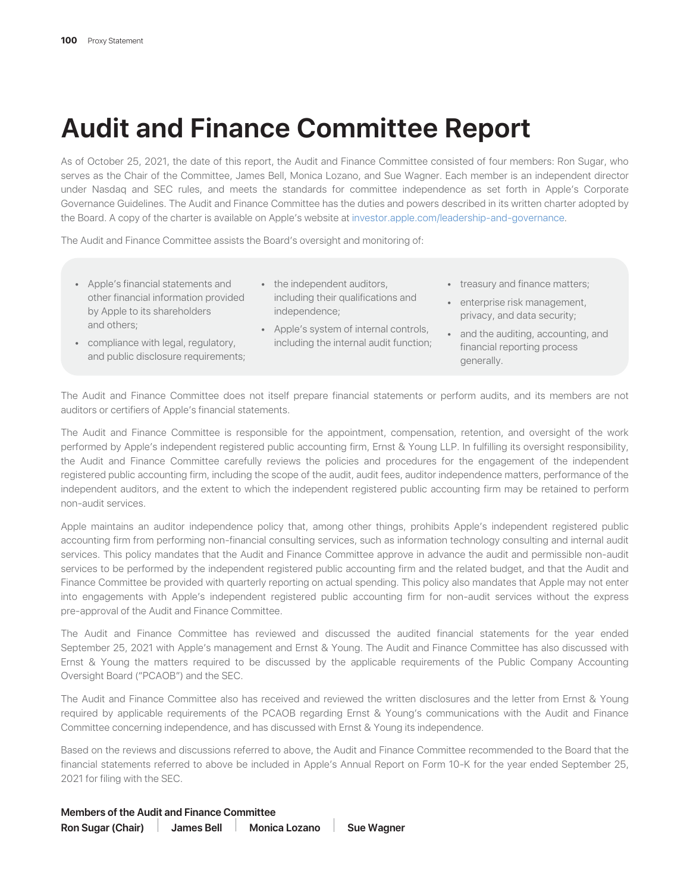# **Audit and Finance Committee Report**

As of October 25, 2021, the date of this report, the Audit and Finance Committee consisted of four members: Ron Sugar, who serves as the Chair of the Committee, James Bell, Monica Lozano, and Sue Wagner. Each member is an independent director under Nasdaq and SEC rules, and meets the standards for committee independence as set forth in Apple's Corporate Governance Guidelines. The Audit and Finance Committee has the duties and powers described in its written charter adopted by the Board. A copy of the charter is available on Apple's website at investor.apple.com/leadership-and-governance.

The Audit and Finance Committee assists the Board's oversight and monitoring of:

- Apple's financial statements and other financial information provided by Apple to its shareholders and others;
- the independent auditors, including their qualifications and independence;
- compliance with legal, regulatory, and public disclosure requirements;
- Apple's system of internal controls, including the internal audit function;
- treasury and finance matters;
- enterprise risk management, privacy, and data security;
- and the auditing, accounting, and financial reporting process generally.

The Audit and Finance Committee does not itself prepare financial statements or perform audits, and its members are not auditors or certifiers of Apple's financial statements.

The Audit and Finance Committee is responsible for the appointment, compensation, retention, and oversight of the work performed by Apple's independent registered public accounting firm, Ernst & Young LLP. In fulfilling its oversight responsibility, the Audit and Finance Committee carefully reviews the policies and procedures for the engagement of the independent registered public accounting firm, including the scope of the audit, audit fees, auditor independence matters, performance of the independent auditors, and the extent to which the independent registered public accounting firm may be retained to perform non-audit services.

Apple maintains an auditor independence policy that, among other things, prohibits Apple's independent registered public accounting firm from performing non-financial consulting services, such as information technology consulting and internal audit services. This policy mandates that the Audit and Finance Committee approve in advance the audit and permissible non-audit services to be performed by the independent registered public accounting firm and the related budget, and that the Audit and Finance Committee be provided with quarterly reporting on actual spending. This policy also mandates that Apple may not enter into engagements with Apple's independent registered public accounting firm for non-audit services without the express pre-approval of the Audit and Finance Committee.

The Audit and Finance Committee has reviewed and discussed the audited financial statements for the year ended September 25, 2021 with Apple's management and Ernst & Young. The Audit and Finance Committee has also discussed with Ernst & Young the matters required to be discussed by the applicable requirements of the Public Company Accounting Oversight Board ("PCAOB") and the SEC.

The Audit and Finance Committee also has received and reviewed the written disclosures and the letter from Ernst & Young required by applicable requirements of the PCAOB regarding Ernst & Young's communications with the Audit and Finance Committee concerning independence, and has discussed with Ernst & Young its independence.

Based on the reviews and discussions referred to above, the Audit and Finance Committee recommended to the Board that the financial statements referred to above be included in Apple's Annual Report on Form 10-K for the year ended September 25, 2021 for filing with the SEC.

#### **Members of the Audit and Finance Committee**

Ron Sugar (Chair) James Bell Monica Lozano Sue Wagner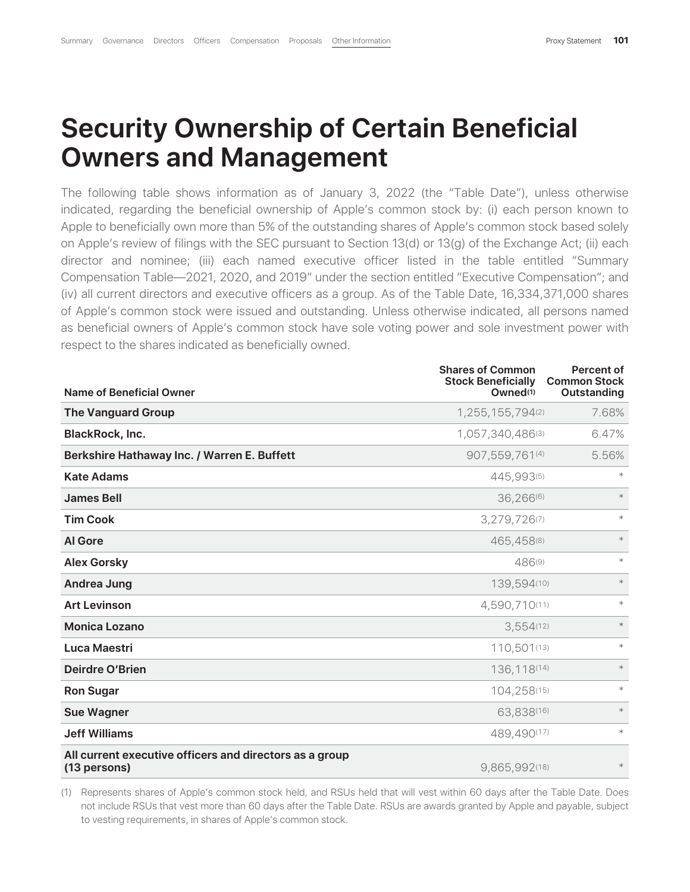# **Security Ownership of Certain Beneficial Owners and Management**

The following table shows information as of January 3, 2022 (the "Table Date"), unless otherwise indicated, regarding the beneficial ownership of Apple's common stock by: (i) each person known to Apple to beneficially own more than 5% of the outstanding shares of Apple's common stock based solely on Apple's review of filings with the SEC pursuant to Section 13(d) or 13(g) of the Exchange Act; (ii) each director and nominee; (iii) each named executive officer listed in the table entitled "Summary Compensation Table—2021, 2020, and 2019" under the section entitled "Executive Compensation"; and (iv) all current directors and executive officers as a group. As of the Table Date, 16,334,371,000 shares of Apple's common stock were issued and outstanding. Unless otherwise indicated, all persons named as beneficial owners of Apple's common stock have sole voting power and sole investment power with respect to the shares indicated as beneficially owned.

|                                                                         | <b>Shares of Common</b><br><b>Stock Beneficially</b> | <b>Percent of</b><br><b>Common Stock</b> |
|-------------------------------------------------------------------------|------------------------------------------------------|------------------------------------------|
| <b>Name of Beneficial Owner</b>                                         | Owned <sup>(1)</sup>                                 | Outstanding                              |
| <b>The Vanguard Group</b>                                               | 1,255,155,794(2)                                     | 7.68%                                    |
| <b>BlackRock, Inc.</b>                                                  | 1,057,340,486(3)                                     | 6.47%                                    |
| Berkshire Hathaway Inc. / Warren E. Buffett                             | 907,559,761(4)                                       | 5.56%                                    |
| <b>Kate Adams</b>                                                       | 445,993(5)                                           | $\ast$                                   |
| <b>James Bell</b>                                                       | 36,266(6)                                            | $*$                                      |
| <b>Tim Cook</b>                                                         | 3,279,726(7)                                         | $*$                                      |
| <b>Al Gore</b>                                                          | 465,458(8)                                           | $\ast$                                   |
| <b>Alex Gorsky</b>                                                      | 486(9)                                               | $\ast$                                   |
| <b>Andrea Jung</b>                                                      | 139,594(10)                                          | $\ast$                                   |
| <b>Art Levinson</b>                                                     | 4,590,710(11)                                        | $\ast$                                   |
| <b>Monica Lozano</b>                                                    | 3,554(12)                                            | $*$                                      |
| Luca Maestri                                                            | 110,501(13)                                          | $*$                                      |
| <b>Deirdre O'Brien</b>                                                  | 136,118(14)                                          | $*$                                      |
| <b>Ron Sugar</b>                                                        | 104,258(15)                                          | $*$                                      |
| <b>Sue Wagner</b>                                                       | 63,838(16)                                           | $\ast$                                   |
| <b>Jeff Williams</b>                                                    | 489,490(17)                                          | $*$                                      |
| All current executive officers and directors as a group<br>(13 persons) | 9,865,992(18)                                        | $\ast$                                   |

(1) Represents shares of Apple's common stock held, and RSUs held that will vest within 60 days after the Table Date. Does not include RSUs that vest more than 60 days after the Table Date. RSUs are awards granted by Apple and payable, subject to vesting requirements, in shares of Apple's common stock.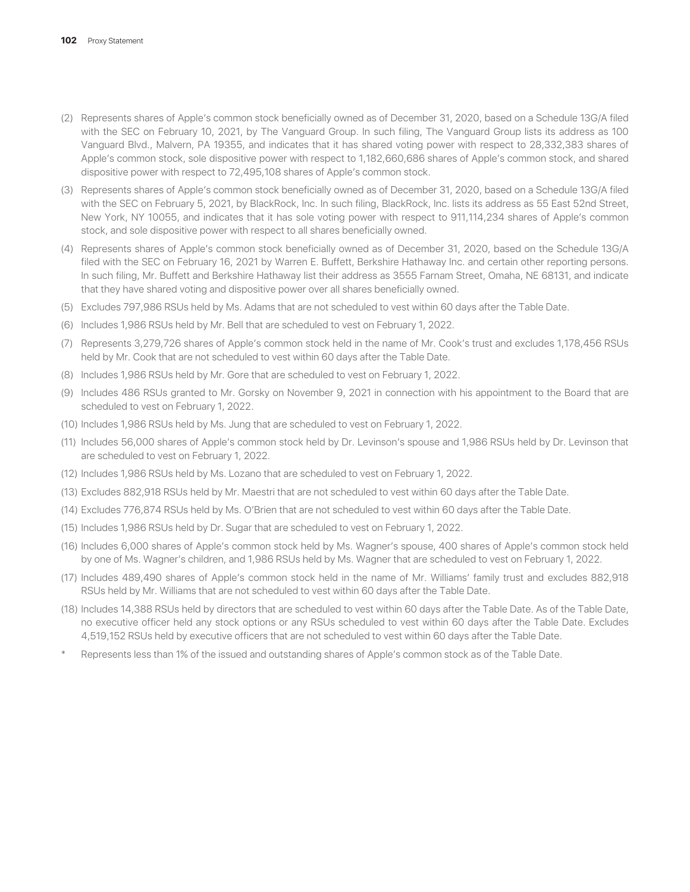- (2) Represents shares of Apple's common stock beneficially owned as of December 31, 2020, based on a Schedule 13G/A filed with the SEC on February 10, 2021, by The Vanguard Group. In such filing, The Vanguard Group lists its address as 100 Vanguard Blvd., Malvern, PA 19355, and indicates that it has shared voting power with respect to 28,332,383 shares of Apple's common stock, sole dispositive power with respect to 1,182,660,686 shares of Apple's common stock, and shared dispositive power with respect to 72,495,108 shares of Apple's common stock.
- (3) Represents shares of Apple's common stock beneficially owned as of December 31, 2020, based on a Schedule 13G/A filed with the SEC on February 5, 2021, by BlackRock, Inc. In such filing, BlackRock, Inc. lists its address as 55 East 52nd Street, New York, NY 10055, and indicates that it has sole voting power with respect to 911,114,234 shares of Apple's common stock, and sole dispositive power with respect to all shares beneficially owned.
- (4) Represents shares of Apple's common stock beneficially owned as of December 31, 2020, based on the Schedule 13G/A filed with the SEC on February 16, 2021 by Warren E. Buffett, Berkshire Hathaway Inc. and certain other reporting persons. In such filing, Mr. Buffett and Berkshire Hathaway list their address as 3555 Farnam Street, Omaha, NE 68131, and indicate that they have shared voting and dispositive power over all shares beneficially owned.
- (5) Excludes 797,986 RSUs held by Ms. Adams that are not scheduled to vest within 60 days after the Table Date.
- (6) Includes 1,986 RSUs held by Mr. Bell that are scheduled to vest on February 1, 2022.
- (7) Represents 3,279,726 shares of Apple's common stock held in the name of Mr. Cook's trust and excludes 1,178,456 RSUs held by Mr. Cook that are not scheduled to vest within 60 days after the Table Date.
- (8) Includes 1,986 RSUs held by Mr. Gore that are scheduled to vest on February 1, 2022.
- (9) Includes 486 RSUs granted to Mr. Gorsky on November 9, 2021 in connection with his appointment to the Board that are scheduled to vest on February 1, 2022.
- (10) Includes 1,986 RSUs held by Ms. Jung that are scheduled to vest on February 1, 2022.
- (11) Includes 56,000 shares of Apple's common stock held by Dr. Levinson's spouse and 1,986 RSUs held by Dr. Levinson that are scheduled to vest on February 1, 2022.
- (12) Includes 1,986 RSUs held by Ms. Lozano that are scheduled to vest on February 1, 2022.
- (13) Excludes 882,918 RSUs held by Mr. Maestri that are not scheduled to vest within 60 days after the Table Date.
- (14) Excludes 776,874 RSUs held by Ms. O'Brien that are not scheduled to vest within 60 days after the Table Date.
- (15) Includes 1,986 RSUs held by Dr. Sugar that are scheduled to vest on February 1, 2022.
- (16) Includes 6,000 shares of Apple's common stock held by Ms. Wagner's spouse, 400 shares of Apple's common stock held by one of Ms. Wagner's children, and 1,986 RSUs held by Ms. Wagner that are scheduled to vest on February 1, 2022.
- (17) Includes 489,490 shares of Apple's common stock held in the name of Mr. Williams' family trust and excludes 882,918 RSUs held by Mr. Williams that are not scheduled to vest within 60 days after the Table Date.
- (18) Includes 14,388 RSUs held by directors that are scheduled to vest within 60 days after the Table Date. As of the Table Date, no executive officer held any stock options or any RSUs scheduled to vest within 60 days after the Table Date. Excludes 4,519,152 RSUs held by executive officers that are not scheduled to vest within 60 days after the Table Date.
- Represents less than 1% of the issued and outstanding shares of Apple's common stock as of the Table Date.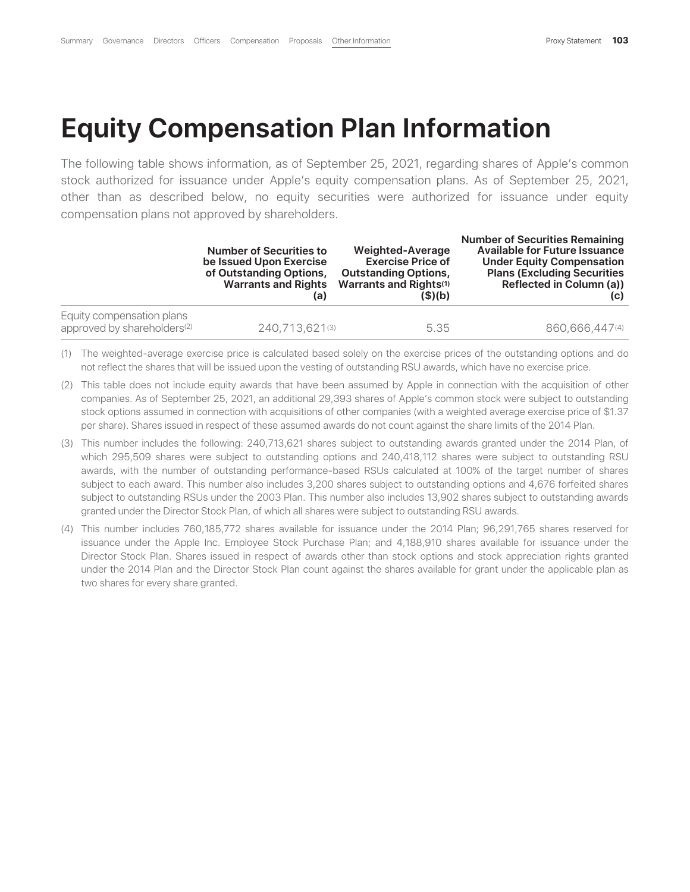# **Equity Compensation Plan Information**

The following table shows information, as of September 25, 2021, regarding shares of Apple's common stock authorized for issuance under Apple's equity compensation plans. As of September 25, 2021, other than as described below, no equity securities were authorized for issuance under equity compensation plans not approved by shareholders.

|                                                                      | <b>Number of Securities to</b><br>be Issued Upon Exercise<br>of Outstanding Options,<br><b>Warrants and Rights</b><br>(a) | Weighted-Average<br><b>Exercise Price of</b><br><b>Outstanding Options,</b><br>Warrants and Rights(1)<br>(S)(b) | <b>Number of Securities Remaining</b><br><b>Available for Future Issuance</b><br><b>Under Equity Compensation</b><br><b>Plans (Excluding Securities)</b><br>Reflected in Column (a))<br>(C) |
|----------------------------------------------------------------------|---------------------------------------------------------------------------------------------------------------------------|-----------------------------------------------------------------------------------------------------------------|---------------------------------------------------------------------------------------------------------------------------------------------------------------------------------------------|
| Equity compensation plans<br>approved by shareholders <sup>(2)</sup> | 240,713,621(3)                                                                                                            | 5.35                                                                                                            | 860,666,447(4)                                                                                                                                                                              |

(1) The weighted-average exercise price is calculated based solely on the exercise prices of the outstanding options and do not reflect the shares that will be issued upon the vesting of outstanding RSU awards, which have no exercise price.

- (2) This table does not include equity awards that have been assumed by Apple in connection with the acquisition of other companies. As of September 25, 2021, an additional 29,393 shares of Apple's common stock were subject to outstanding stock options assumed in connection with acquisitions of other companies (with a weighted average exercise price of \$1.37 per share). Shares issued in respect of these assumed awards do not count against the share limits of the 2014 Plan.
- (3) This number includes the following: 240,713,621 shares subject to outstanding awards granted under the 2014 Plan, of which 295,509 shares were subject to outstanding options and 240,418,112 shares were subject to outstanding RSU awards, with the number of outstanding performance-based RSUs calculated at 100% of the target number of shares subject to each award. This number also includes 3,200 shares subject to outstanding options and 4,676 forfeited shares subject to outstanding RSUs under the 2003 Plan. This number also includes 13,902 shares subject to outstanding awards granted under the Director Stock Plan, of which all shares were subject to outstanding RSU awards.
- (4) This number includes 760,185,772 shares available for issuance under the 2014 Plan; 96,291,765 shares reserved for issuance under the Apple Inc. Employee Stock Purchase Plan; and 4,188,910 shares available for issuance under the Director Stock Plan. Shares issued in respect of awards other than stock options and stock appreciation rights granted under the 2014 Plan and the Director Stock Plan count against the shares available for grant under the applicable plan as two shares for every share granted.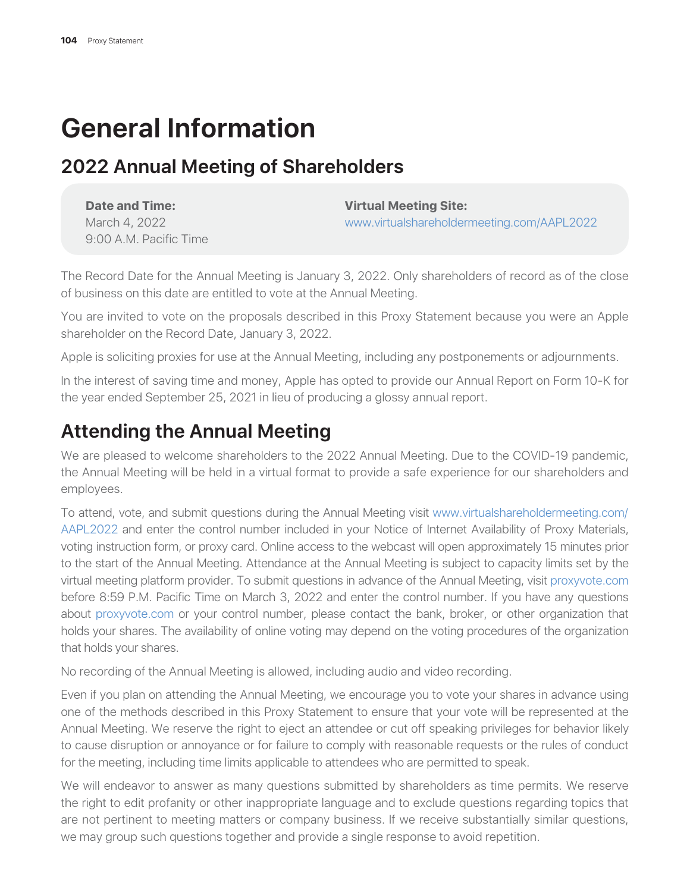# **General Information**

### **2022 Annual Meeting of Shareholders**

| Date and Time:         |
|------------------------|
| March 4, 2022          |
| 9:00 A.M. Pacific Time |

**Virtual Meeting Site:** 

www.virtualshareholdermeeting.com/AAPL2022

The Record Date for the Annual Meeting is January 3, 2022. Only shareholders of record as of the close of business on this date are entitled to vote at the Annual Meeting.

You are invited to vote on the proposals described in this Proxy Statement because you were an Apple shareholder on the Record Date, January 3, 2022.

Apple is soliciting proxies for use at the Annual Meeting, including any postponements or adjournments.

In the interest of saving time and money, Apple has opted to provide our Annual Report on Form 10-K for the year ended September 25, 2021 in lieu of producing a glossy annual report.

### **Attending the Annual Meeting**

We are pleased to welcome shareholders to the 2022 Annual Meeting. Due to the COVID-19 pandemic, the Annual Meeting will be held in a virtual format to provide a safe experience for our shareholders and employees.

To attend, vote, and submit questions during the Annual Meeting visit www.virtualshareholdermeeting.com/ AAPL2022 and enter the control number included in your Notice of Internet Availability of Proxy Materials, voting instruction form, or proxy card. Online access to the webcast will open approximately 15 minutes prior to the start of the Annual Meeting. Attendance at the Annual Meeting is subject to capacity limits set by the virtual meeting platform provider. To submit questions in advance of the Annual Meeting, visit proxyvote.com before 8:59 P.M. Pacific Time on March 3, 2022 and enter the control number. If you have any questions about proxyvote.com or your control number, please contact the bank, broker, or other organization that holds your shares. The availability of online voting may depend on the voting procedures of the organization that holds your shares.

No recording of the Annual Meeting is allowed, including audio and video recording.

Even if you plan on attending the Annual Meeting, we encourage you to vote your shares in advance using one of the methods described in this Proxy Statement to ensure that your vote will be represented at the Annual Meeting. We reserve the right to eject an attendee or cut off speaking privileges for behavior likely to cause disruption or annoyance or for failure to comply with reasonable requests or the rules of conduct for the meeting, including time limits applicable to attendees who are permitted to speak.

We will endeavor to answer as many questions submitted by shareholders as time permits. We reserve the right to edit profanity or other inappropriate language and to exclude questions regarding topics that are not pertinent to meeting matters or company business. If we receive substantially similar questions, we may group such questions together and provide a single response to avoid repetition.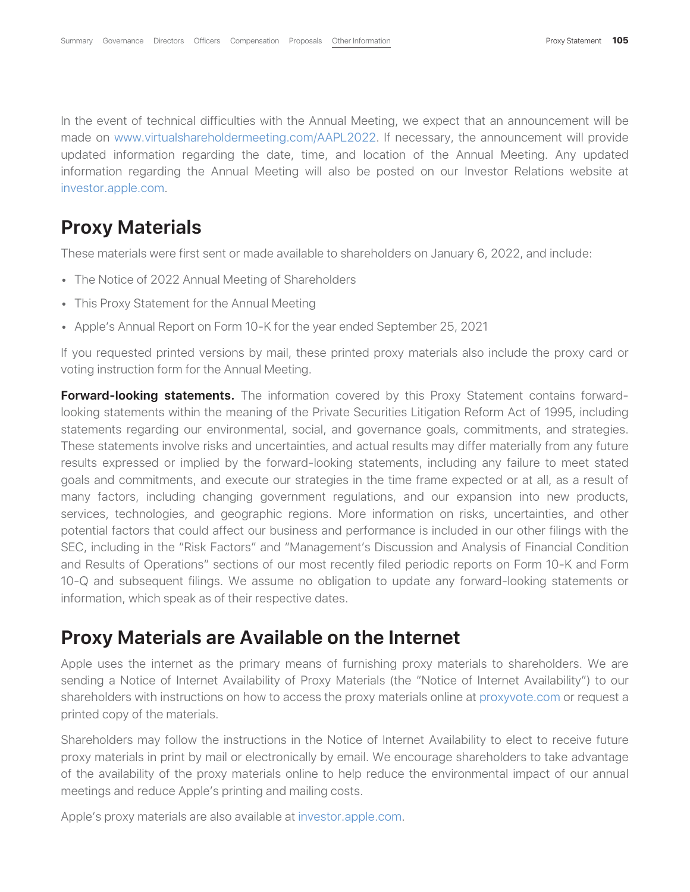In the event of technical difficulties with the Annual Meeting, we expect that an announcement will be made on www.virtualshareholdermeeting.com/AAPL2022. If necessary, the announcement will provide updated information regarding the date, time, and location of the Annual Meeting. Any updated information regarding the Annual Meeting will also be posted on our Investor Relations website at investor.apple.com.

### **Proxy Materials**

These materials were first sent or made available to shareholders on January 6, 2022, and include:

- The Notice of 2022 Annual Meeting of Shareholders
- This Proxy Statement for the Annual Meeting
- Apple's Annual Report on Form 10-K for the year ended September 25, 2021

If you requested printed versions by mail, these printed proxy materials also include the proxy card or voting instruction form for the Annual Meeting.

**Forward-looking statements.** The information covered by this Proxy Statement contains forwardlooking statements within the meaning of the Private Securities Litigation Reform Act of 1995, including statements regarding our environmental, social, and governance goals, commitments, and strategies. These statements involve risks and uncertainties, and actual results may differ materially from any future results expressed or implied by the forward-looking statements, including any failure to meet stated goals and commitments, and execute our strategies in the time frame expected or at all, as a result of many factors, including changing government regulations, and our expansion into new products, services, technologies, and geographic regions. More information on risks, uncertainties, and other potential factors that could affect our business and performance is included in our other filings with the SEC, including in the "Risk Factors" and "Management's Discussion and Analysis of Financial Condition and Results of Operations" sections of our most recently filed periodic reports on Form 10-K and Form 10-Q and subsequent filings. We assume no obligation to update any forward-looking statements or information, which speak as of their respective dates.

### **Proxy Materials are Available on the Internet**

Apple uses the internet as the primary means of furnishing proxy materials to shareholders. We are sending a Notice of Internet Availability of Proxy Materials (the "Notice of Internet Availability") to our shareholders with instructions on how to access the proxy materials online at proxyvote.com or request a printed copy of the materials.

Shareholders may follow the instructions in the Notice of Internet Availability to elect to receive future proxy materials in print by mail or electronically by email. We encourage shareholders to take advantage of the availability of the proxy materials online to help reduce the environmental impact of our annual meetings and reduce Apple's printing and mailing costs.

Apple's proxy materials are also available at investor.apple.com.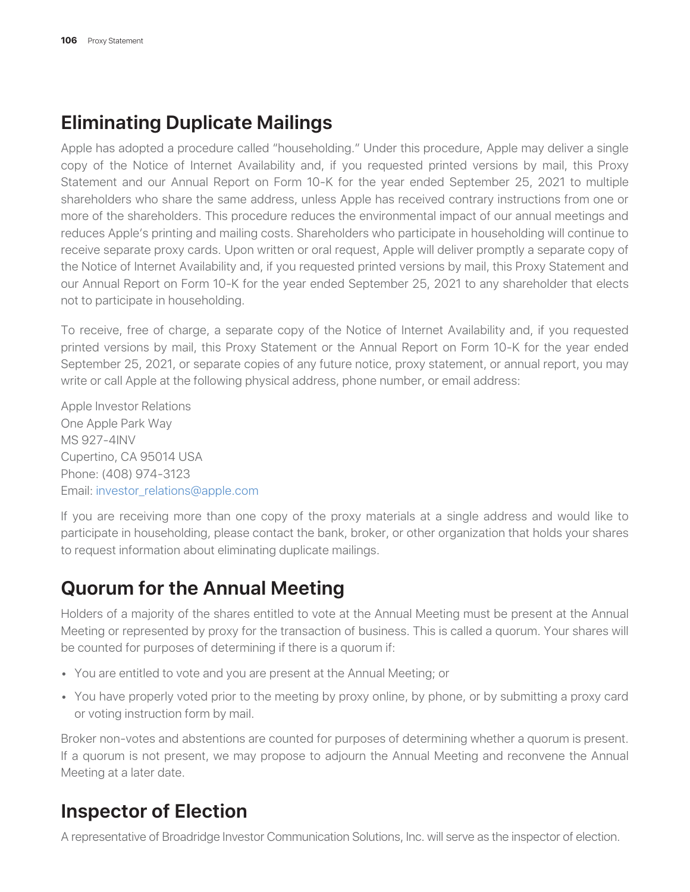### **Eliminating Duplicate Mailings**

Apple has adopted a procedure called "householding." Under this procedure, Apple may deliver a single copy of the Notice of Internet Availability and, if you requested printed versions by mail, this Proxy Statement and our Annual Report on Form 10-K for the year ended September 25, 2021 to multiple shareholders who share the same address, unless Apple has received contrary instructions from one or more of the shareholders. This procedure reduces the environmental impact of our annual meetings and reduces Apple's printing and mailing costs. Shareholders who participate in householding will continue to receive separate proxy cards. Upon written or oral request, Apple will deliver promptly a separate copy of the Notice of Internet Availability and, if you requested printed versions by mail, this Proxy Statement and our Annual Report on Form 10-K for the year ended September 25, 2021 to any shareholder that elects not to participate in householding.

To receive, free of charge, a separate copy of the Notice of Internet Availability and, if you requested printed versions by mail, this Proxy Statement or the Annual Report on Form 10-K for the year ended September 25, 2021, or separate copies of any future notice, proxy statement, or annual report, you may write or call Apple at the following physical address, phone number, or email address:

Apple Investor Relations One Apple Park Way MS 927-4INV Cupertino, CA 95014 USA Phone: (408) 974-3123 Email: investor\_relations@apple.com

If you are receiving more than one copy of the proxy materials at a single address and would like to participate in householding, please contact the bank, broker, or other organization that holds your shares to request information about eliminating duplicate mailings.

### **Quorum for the Annual Meeting**

Holders of a majority of the shares entitled to vote at the Annual Meeting must be present at the Annual Meeting or represented by proxy for the transaction of business. This is called a quorum. Your shares will be counted for purposes of determining if there is a quorum if:

- You are entitled to vote and you are present at the Annual Meeting; or
- You have properly voted prior to the meeting by proxy online, by phone, or by submitting a proxy card or voting instruction form by mail.

Broker non-votes and abstentions are counted for purposes of determining whether a quorum is present. If a quorum is not present, we may propose to adjourn the Annual Meeting and reconvene the Annual Meeting at a later date.

### **Inspector of Election**

A representative of Broadridge Investor Communication Solutions, Inc. will serve as the inspector of election.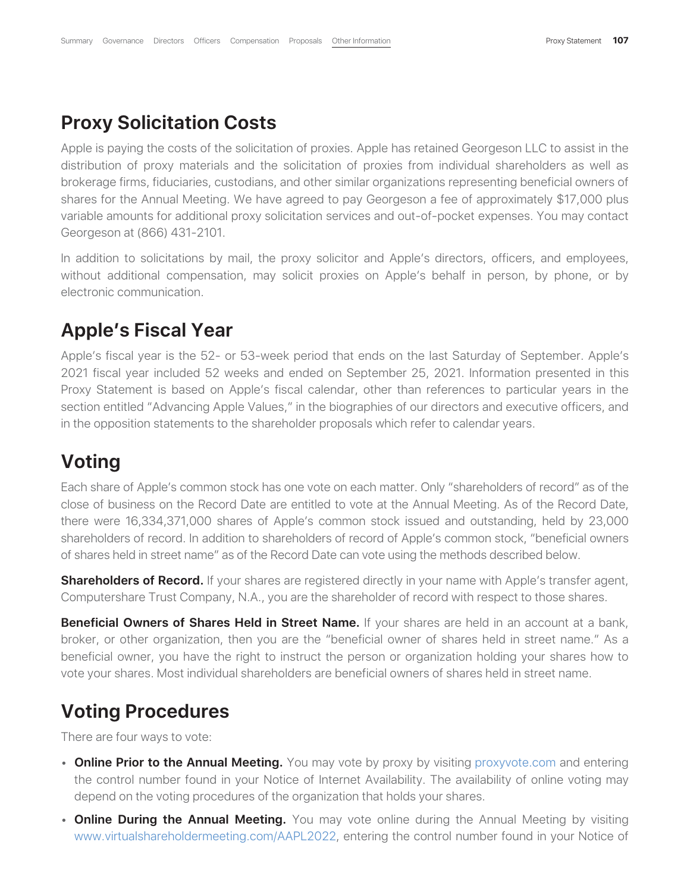### **Proxy Solicitation Costs**

Apple is paying the costs of the solicitation of proxies. Apple has retained Georgeson LLC to assist in the distribution of proxy materials and the solicitation of proxies from individual shareholders as well as brokerage firms, fiduciaries, custodians, and other similar organizations representing beneficial owners of shares for the Annual Meeting. We have agreed to pay Georgeson a fee of approximately \$17,000 plus variable amounts for additional proxy solicitation services and out-of-pocket expenses. You may contact Georgeson at (866) 431-2101.

In addition to solicitations by mail, the proxy solicitor and Apple's directors, officers, and employees, without additional compensation, may solicit proxies on Apple's behalf in person, by phone, or by electronic communication.

### **Apple's Fiscal Year**

Apple's fiscal year is the 52- or 53-week period that ends on the last Saturday of September. Apple's 2021 fiscal year included 52 weeks and ended on September 25, 2021. Information presented in this Proxy Statement is based on Apple's fiscal calendar, other than references to particular years in the section entitled "Advancing Apple Values," in the biographies of our directors and executive officers, and in the opposition statements to the shareholder proposals which refer to calendar years.

### **Voting**

Each share of Apple's common stock has one vote on each matter. Only "shareholders of record" as of the close of business on the Record Date are entitled to vote at the Annual Meeting. As of the Record Date, there were 16,334,371,000 shares of Apple's common stock issued and outstanding, held by 23,000 shareholders of record. In addition to shareholders of record of Apple's common stock, "beneficial owners of shares held in street name" as of the Record Date can vote using the methods described below.

**Shareholders of Record.** If your shares are registered directly in your name with Apple's transfer agent, Computershare Trust Company, N.A., you are the shareholder of record with respect to those shares.

**Beneficial Owners of Shares Held in Street Name.** If your shares are held in an account at a bank, broker, or other organization, then you are the "beneficial owner of shares held in street name." As a beneficial owner, you have the right to instruct the person or organization holding your shares how to vote your shares. Most individual shareholders are beneficial owners of shares held in street name.

### **Voting Procedures**

There are four ways to vote:

- **Online Prior to the Annual Meeting.** You may vote by proxy by visiting proxyvote.com and entering the control number found in your Notice of Internet Availability. The availability of online voting may depend on the voting procedures of the organization that holds your shares.
- **Online During the Annual Meeting.** You may vote online during the Annual Meeting by visiting www.virtualshareholdermeeting.com/AAPL2022, entering the control number found in your Notice of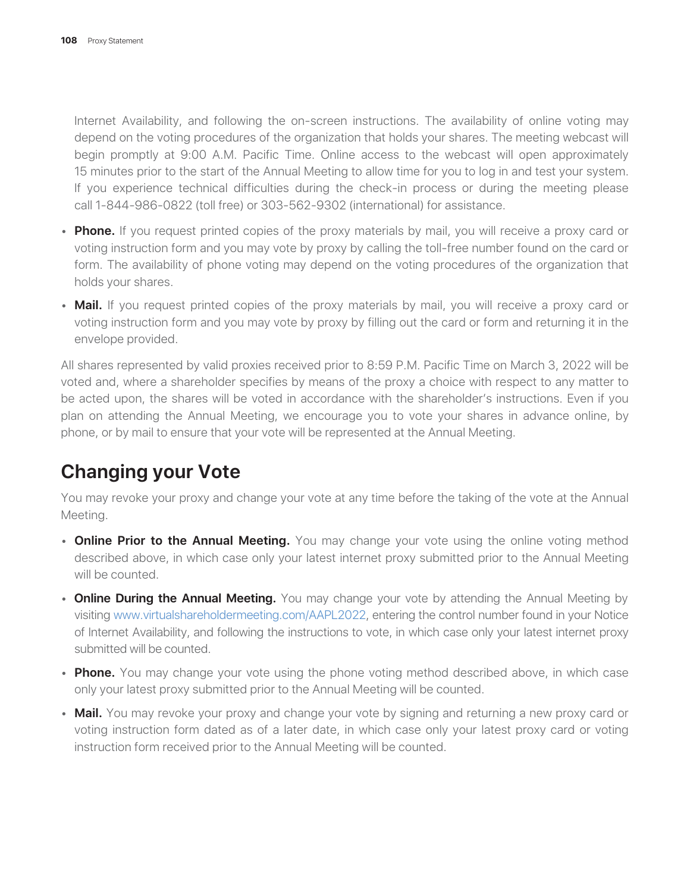Internet Availability, and following the on-screen instructions. The availability of online voting may depend on the voting procedures of the organization that holds your shares. The meeting webcast will begin promptly at 9:00 A.M. Pacific Time. Online access to the webcast will open approximately 15 minutes prior to the start of the Annual Meeting to allow time for you to log in and test your system. If you experience technical difficulties during the check-in process or during the meeting please call 1-844-986-0822 (toll free) or 303-562-9302 (international) for assistance.

- **Phone.** If you request printed copies of the proxy materials by mail, you will receive a proxy card or voting instruction form and you may vote by proxy by calling the toll-free number found on the card or form. The availability of phone voting may depend on the voting procedures of the organization that holds your shares.
- **Mail.** If you request printed copies of the proxy materials by mail, you will receive a proxy card or voting instruction form and you may vote by proxy by filling out the card or form and returning it in the envelope provided.

All shares represented by valid proxies received prior to 8:59 P.M. Pacific Time on March 3, 2022 will be voted and, where a shareholder specifies by means of the proxy a choice with respect to any matter to be acted upon, the shares will be voted in accordance with the shareholder's instructions. Even if you plan on attending the Annual Meeting, we encourage you to vote your shares in advance online, by phone, or by mail to ensure that your vote will be represented at the Annual Meeting.

### **Changing your Vote**

You may revoke your proxy and change your vote at any time before the taking of the vote at the Annual Meeting.

- **Online Prior to the Annual Meeting.** You may change your vote using the online voting method described above, in which case only your latest internet proxy submitted prior to the Annual Meeting will be counted.
- **Online During the Annual Meeting.** You may change your vote by attending the Annual Meeting by visiting www.virtualshareholdermeeting.com/AAPL2022, entering the control number found in your Notice of Internet Availability, and following the instructions to vote, in which case only your latest internet proxy submitted will be counted.
- **Phone.** You may change your vote using the phone voting method described above, in which case only your latest proxy submitted prior to the Annual Meeting will be counted.
- **Mail.** You may revoke your proxy and change your vote by signing and returning a new proxy card or voting instruction form dated as of a later date, in which case only your latest proxy card or voting instruction form received prior to the Annual Meeting will be counted.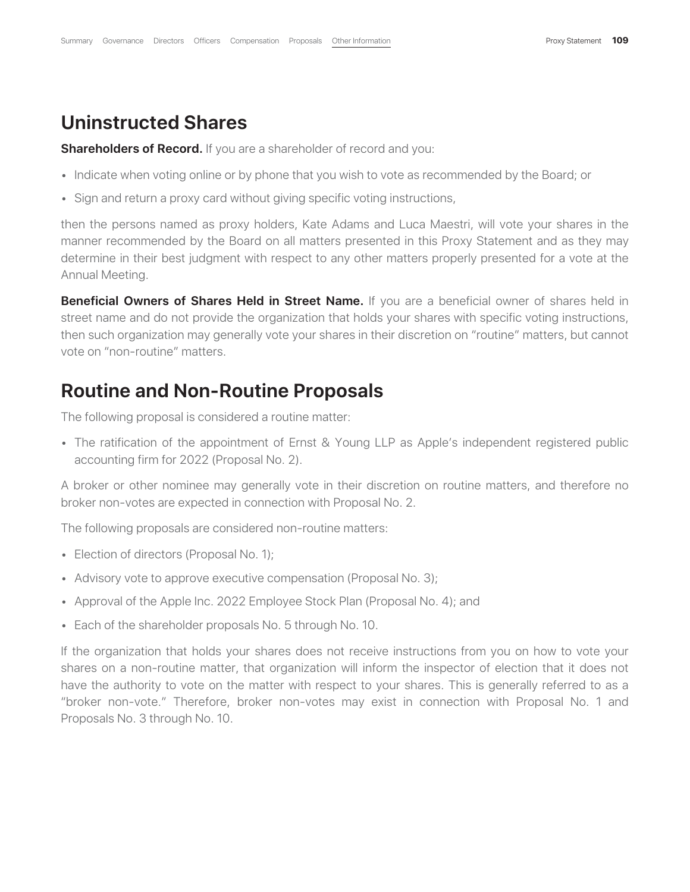#### **Uninstructed Shares**

**Shareholders of Record.** If you are a shareholder of record and you:

- Indicate when voting online or by phone that you wish to vote as recommended by the Board; or
- Sign and return a proxy card without giving specific voting instructions,

then the persons named as proxy holders, Kate Adams and Luca Maestri, will vote your shares in the manner recommended by the Board on all matters presented in this Proxy Statement and as they may determine in their best judgment with respect to any other matters properly presented for a vote at the Annual Meeting.

**Beneficial Owners of Shares Held in Street Name.** If you are a beneficial owner of shares held in street name and do not provide the organization that holds your shares with specific voting instructions, then such organization may generally vote your shares in their discretion on "routine" matters, but cannot vote on "non-routine" matters.

#### **Routine and Non-Routine Proposals**

The following proposal is considered a routine matter:

• The ratification of the appointment of Ernst & Young LLP as Apple's independent registered public accounting firm for 2022 (Proposal No. 2).

A broker or other nominee may generally vote in their discretion on routine matters, and therefore no broker non-votes are expected in connection with Proposal No. 2.

The following proposals are considered non-routine matters:

- Election of directors (Proposal No. 1);
- Advisory vote to approve executive compensation (Proposal No. 3);
- Approval of the Apple Inc. 2022 Employee Stock Plan (Proposal No. 4); and
- Each of the shareholder proposals No. 5 through No. 10.

If the organization that holds your shares does not receive instructions from you on how to vote your shares on a non-routine matter, that organization will inform the inspector of election that it does not have the authority to vote on the matter with respect to your shares. This is generally referred to as a "broker non-vote." Therefore, broker non-votes may exist in connection with Proposal No. 1 and Proposals No. 3 through No. 10.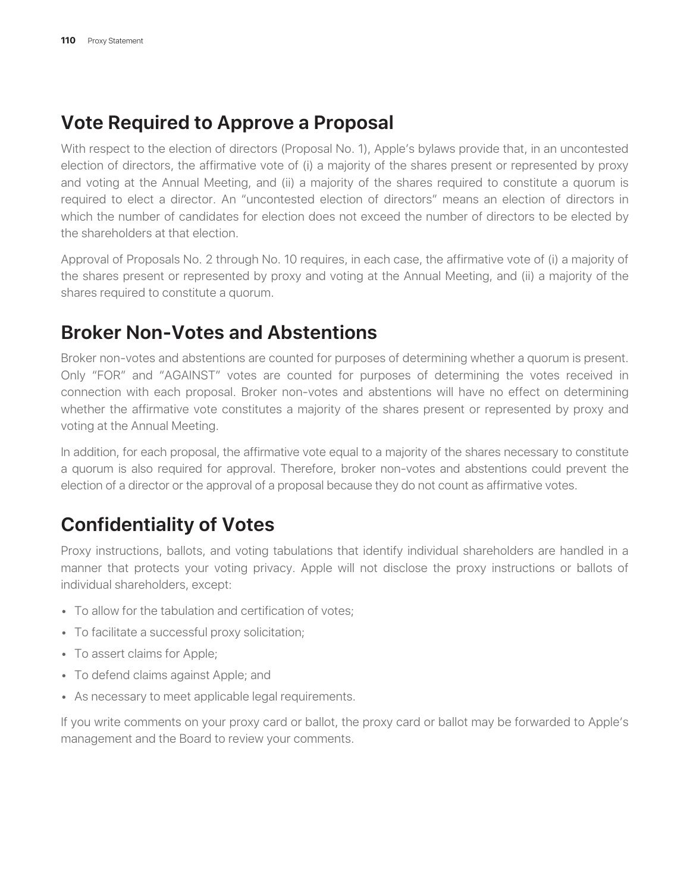### **Vote Required to Approve a Proposal**

With respect to the election of directors (Proposal No. 1), Apple's bylaws provide that, in an uncontested election of directors, the affirmative vote of (i) a majority of the shares present or represented by proxy and voting at the Annual Meeting, and (ii) a majority of the shares required to constitute a quorum is required to elect a director. An "uncontested election of directors" means an election of directors in which the number of candidates for election does not exceed the number of directors to be elected by the shareholders at that election.

Approval of Proposals No. 2 through No. 10 requires, in each case, the affirmative vote of (i) a majority of the shares present or represented by proxy and voting at the Annual Meeting, and (ii) a majority of the shares required to constitute a quorum.

### **Broker Non-Votes and Abstentions**

Broker non-votes and abstentions are counted for purposes of determining whether a quorum is present. Only "FOR" and "AGAINST" votes are counted for purposes of determining the votes received in connection with each proposal. Broker non-votes and abstentions will have no effect on determining whether the affirmative vote constitutes a majority of the shares present or represented by proxy and voting at the Annual Meeting.

In addition, for each proposal, the affirmative vote equal to a majority of the shares necessary to constitute a quorum is also required for approval. Therefore, broker non-votes and abstentions could prevent the election of a director or the approval of a proposal because they do not count as affirmative votes.

## **Confidentiality of Votes**

Proxy instructions, ballots, and voting tabulations that identify individual shareholders are handled in a manner that protects your voting privacy. Apple will not disclose the proxy instructions or ballots of individual shareholders, except:

- To allow for the tabulation and certification of votes;
- To facilitate a successful proxy solicitation;
- To assert claims for Apple;
- To defend claims against Apple; and
- As necessary to meet applicable legal requirements.

If you write comments on your proxy card or ballot, the proxy card or ballot may be forwarded to Apple's management and the Board to review your comments.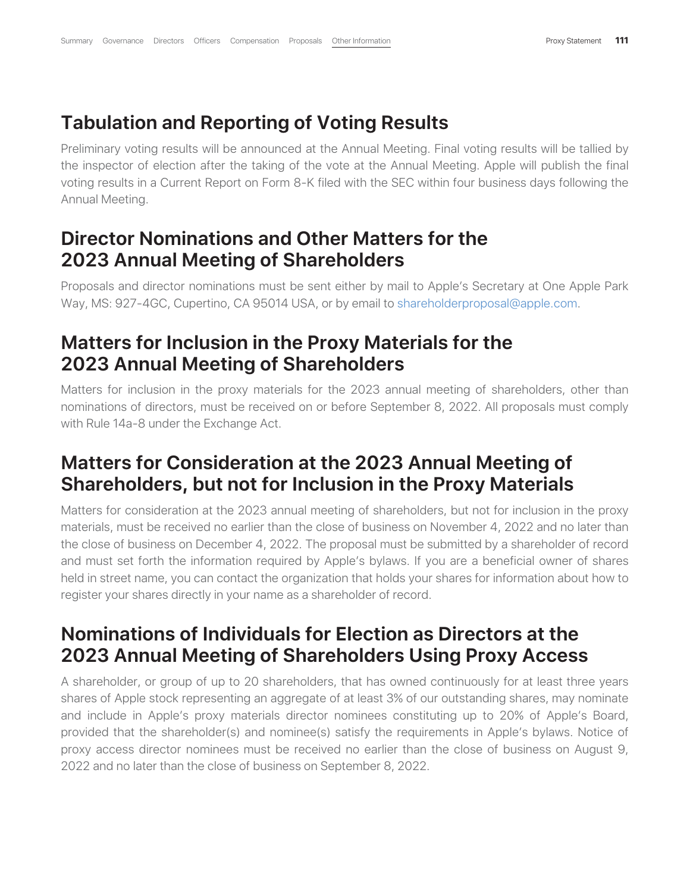### **Tabulation and Reporting of Voting Results**

Preliminary voting results will be announced at the Annual Meeting. Final voting results will be tallied by the inspector of election after the taking of the vote at the Annual Meeting. Apple will publish the final voting results in a Current Report on Form 8-K filed with the SEC within four business days following the Annual Meeting.

### **Director Nominations and Other Matters for the 2023 Annual Meeting of Shareholders**

Proposals and director nominations must be sent either by mail to Apple's Secretary at One Apple Park Way, MS: 927-4GC, Cupertino, CA 95014 USA, or by email to shareholderproposal@apple.com.

### **Matters for Inclusion in the Proxy Materials for the 2023 Annual Meeting of Shareholders**

Matters for inclusion in the proxy materials for the 2023 annual meeting of shareholders, other than nominations of directors, must be received on or before September 8, 2022. All proposals must comply with Rule 14a-8 under the Exchange Act.

### **Matters for Consideration at the 2023 Annual Meeting of Shareholders, but not for Inclusion in the Proxy Materials**

Matters for consideration at the 2023 annual meeting of shareholders, but not for inclusion in the proxy materials, must be received no earlier than the close of business on November 4, 2022 and no later than the close of business on December 4, 2022. The proposal must be submitted by a shareholder of record and must set forth the information required by Apple's bylaws. If you are a beneficial owner of shares held in street name, you can contact the organization that holds your shares for information about how to register your shares directly in your name as a shareholder of record.

### **Nominations of Individuals for Election as Directors at the 2023 Annual Meeting of Shareholders Using Proxy Access**

A shareholder, or group of up to 20 shareholders, that has owned continuously for at least three years shares of Apple stock representing an aggregate of at least 3% of our outstanding shares, may nominate and include in Apple's proxy materials director nominees constituting up to 20% of Apple's Board, provided that the shareholder(s) and nominee(s) satisfy the requirements in Apple's bylaws. Notice of proxy access director nominees must be received no earlier than the close of business on August 9, 2022 and no later than the close of business on September 8, 2022.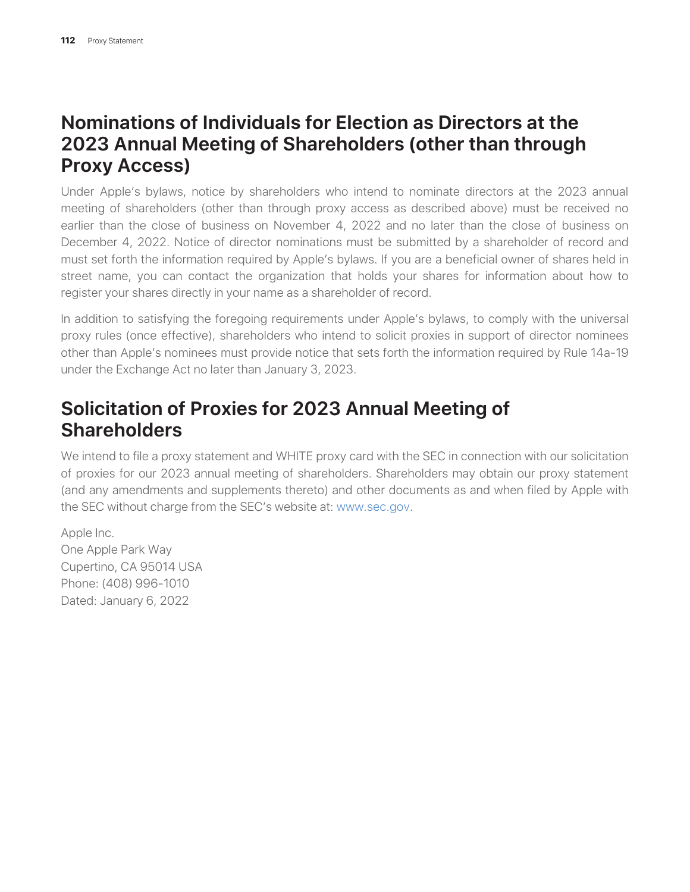### **Nominations of Individuals for Election as Directors at the 2023 Annual Meeting of Shareholders (other than through Proxy Access)**

Under Apple's bylaws, notice by shareholders who intend to nominate directors at the 2023 annual meeting of shareholders (other than through proxy access as described above) must be received no earlier than the close of business on November 4, 2022 and no later than the close of business on December 4, 2022. Notice of director nominations must be submitted by a shareholder of record and must set forth the information required by Apple's bylaws. If you are a beneficial owner of shares held in street name, you can contact the organization that holds your shares for information about how to register your shares directly in your name as a shareholder of record.

In addition to satisfying the foregoing requirements under Apple's bylaws, to comply with the universal proxy rules (once effective), shareholders who intend to solicit proxies in support of director nominees other than Apple's nominees must provide notice that sets forth the information required by Rule 14a-19 under the Exchange Act no later than January 3, 2023.

### **Solicitation of Proxies for 2023 Annual Meeting of Shareholders**

We intend to file a proxy statement and WHITE proxy card with the SEC in connection with our solicitation of proxies for our 2023 annual meeting of shareholders. Shareholders may obtain our proxy statement (and any amendments and supplements thereto) and other documents as and when filed by Apple with the SEC without charge from the SEC's website at: www.sec.gov.

Apple Inc. One Apple Park Way Cupertino, CA 95014 USA Phone: (408) 996-1010 Dated: January 6, 2022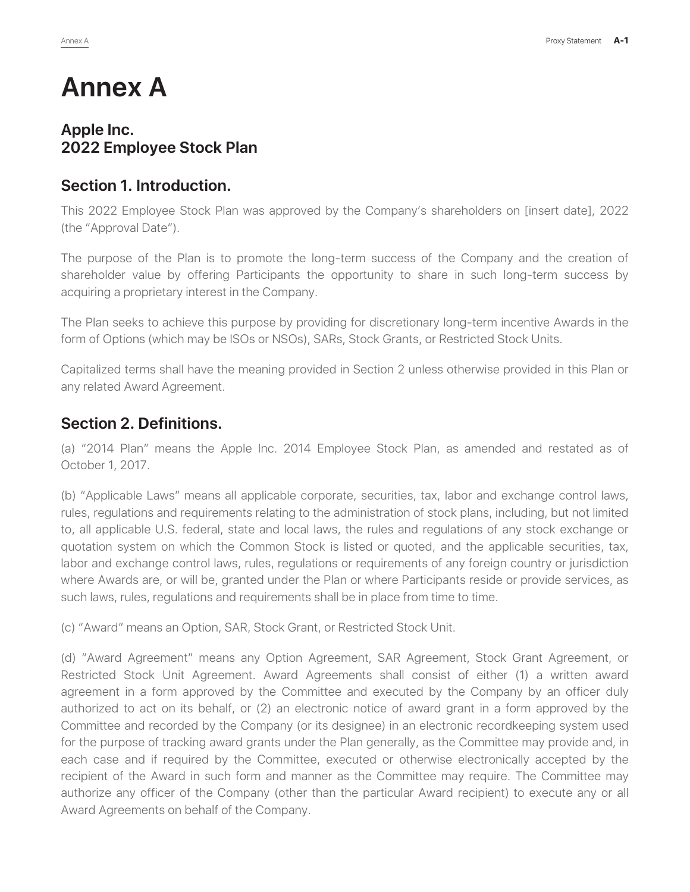## **Annex A**

#### **Apple Inc. 2022 Employee Stock Plan**

#### **Section 1. Introduction.**

This 2022 Employee Stock Plan was approved by the Company's shareholders on [insert date], 2022 (the "Approval Date").

The purpose of the Plan is to promote the long-term success of the Company and the creation of shareholder value by offering Participants the opportunity to share in such long-term success by acquiring a proprietary interest in the Company.

The Plan seeks to achieve this purpose by providing for discretionary long-term incentive Awards in the form of Options (which may be ISOs or NSOs), SARs, Stock Grants, or Restricted Stock Units.

Capitalized terms shall have the meaning provided in Section 2 unless otherwise provided in this Plan or any related Award Agreement.

#### **Section 2. Definitions.**

(a) "2014 Plan" means the Apple Inc. 2014 Employee Stock Plan, as amended and restated as of October 1, 2017.

(b) "Applicable Laws" means all applicable corporate, securities, tax, labor and exchange control laws, rules, regulations and requirements relating to the administration of stock plans, including, but not limited to, all applicable U.S. federal, state and local laws, the rules and regulations of any stock exchange or quotation system on which the Common Stock is listed or quoted, and the applicable securities, tax, labor and exchange control laws, rules, regulations or requirements of any foreign country or jurisdiction where Awards are, or will be, granted under the Plan or where Participants reside or provide services, as such laws, rules, regulations and requirements shall be in place from time to time.

(c) "Award" means an Option, SAR, Stock Grant, or Restricted Stock Unit.

(d) "Award Agreement" means any Option Agreement, SAR Agreement, Stock Grant Agreement, or Restricted Stock Unit Agreement. Award Agreements shall consist of either (1) a written award agreement in a form approved by the Committee and executed by the Company by an officer duly authorized to act on its behalf, or (2) an electronic notice of award grant in a form approved by the Committee and recorded by the Company (or its designee) in an electronic recordkeeping system used for the purpose of tracking award grants under the Plan generally, as the Committee may provide and, in each case and if required by the Committee, executed or otherwise electronically accepted by the recipient of the Award in such form and manner as the Committee may require. The Committee may authorize any officer of the Company (other than the particular Award recipient) to execute any or all Award Agreements on behalf of the Company.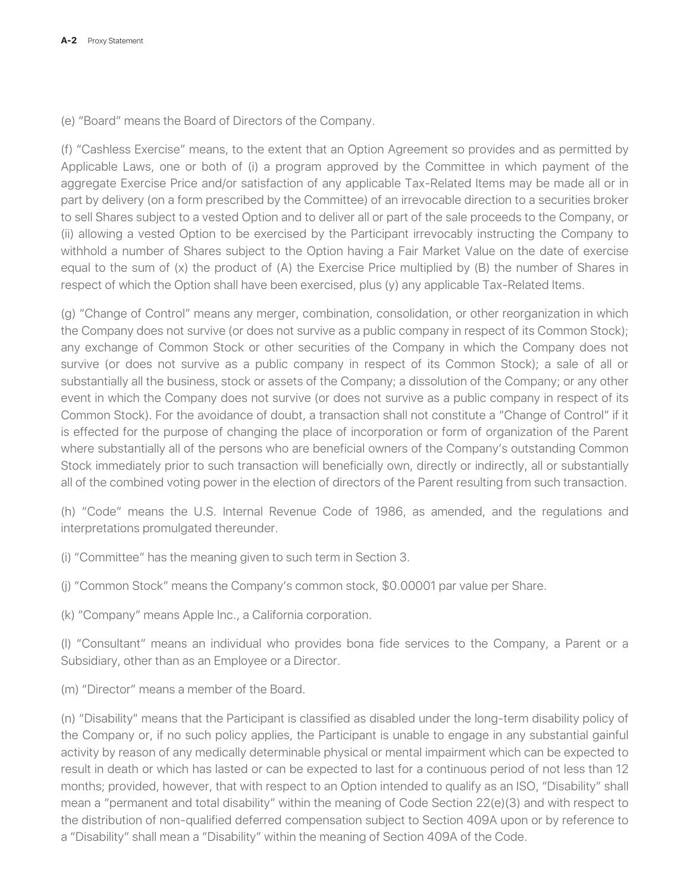(e) "Board" means the Board of Directors of the Company.

(f) "Cashless Exercise" means, to the extent that an Option Agreement so provides and as permitted by Applicable Laws, one or both of (i) a program approved by the Committee in which payment of the aggregate Exercise Price and/or satisfaction of any applicable Tax-Related Items may be made all or in part by delivery (on a form prescribed by the Committee) of an irrevocable direction to a securities broker to sell Shares subject to a vested Option and to deliver all or part of the sale proceeds to the Company, or (ii) allowing a vested Option to be exercised by the Participant irrevocably instructing the Company to withhold a number of Shares subject to the Option having a Fair Market Value on the date of exercise equal to the sum of (x) the product of (A) the Exercise Price multiplied by (B) the number of Shares in respect of which the Option shall have been exercised, plus (y) any applicable Tax-Related Items.

(g) "Change of Control" means any merger, combination, consolidation, or other reorganization in which the Company does not survive (or does not survive as a public company in respect of its Common Stock); any exchange of Common Stock or other securities of the Company in which the Company does not survive (or does not survive as a public company in respect of its Common Stock); a sale of all or substantially all the business, stock or assets of the Company; a dissolution of the Company; or any other event in which the Company does not survive (or does not survive as a public company in respect of its Common Stock). For the avoidance of doubt, a transaction shall not constitute a "Change of Control" if it is effected for the purpose of changing the place of incorporation or form of organization of the Parent where substantially all of the persons who are beneficial owners of the Company's outstanding Common Stock immediately prior to such transaction will beneficially own, directly or indirectly, all or substantially all of the combined voting power in the election of directors of the Parent resulting from such transaction.

(h) "Code" means the U.S. Internal Revenue Code of 1986, as amended, and the regulations and interpretations promulgated thereunder.

(i) "Committee" has the meaning given to such term in Section 3.

(j) "Common Stock" means the Company's common stock, \$0.00001 par value per Share.

(k) "Company" means Apple Inc., a California corporation.

(l) "Consultant" means an individual who provides bona fide services to the Company, a Parent or a Subsidiary, other than as an Employee or a Director.

(m) "Director" means a member of the Board.

(n) "Disability" means that the Participant is classified as disabled under the long-term disability policy of the Company or, if no such policy applies, the Participant is unable to engage in any substantial gainful activity by reason of any medically determinable physical or mental impairment which can be expected to result in death or which has lasted or can be expected to last for a continuous period of not less than 12 months; provided, however, that with respect to an Option intended to qualify as an ISO, "Disability" shall mean a "permanent and total disability" within the meaning of Code Section 22(e)(3) and with respect to the distribution of non-qualified deferred compensation subject to Section 409A upon or by reference to a "Disability" shall mean a "Disability" within the meaning of Section 409A of the Code.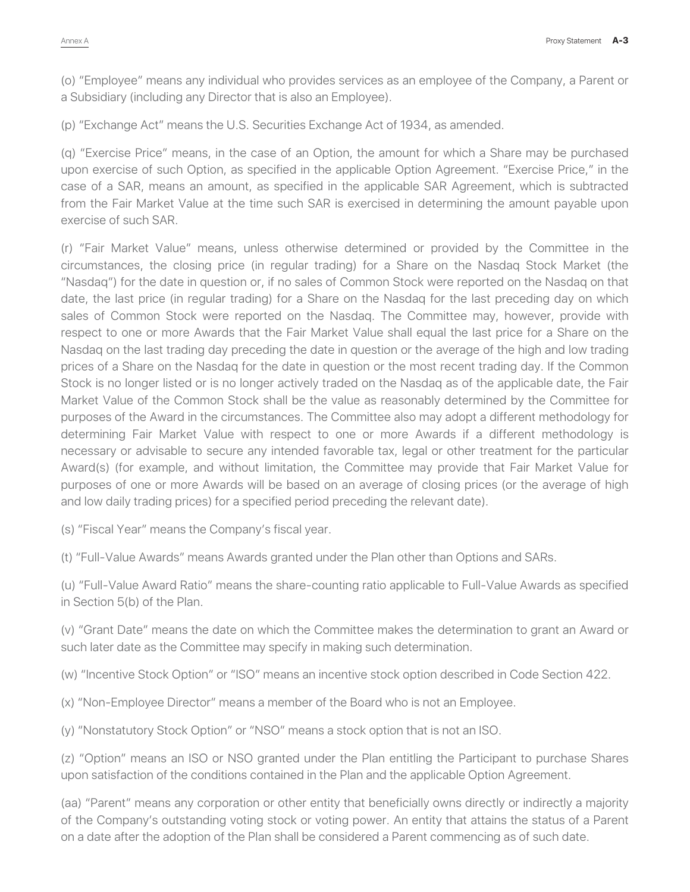(o) "Employee" means any individual who provides services as an employee of the Company, a Parent or a Subsidiary (including any Director that is also an Employee).

(p) "Exchange Act" means the U.S. Securities Exchange Act of 1934, as amended.

(q) "Exercise Price" means, in the case of an Option, the amount for which a Share may be purchased upon exercise of such Option, as specified in the applicable Option Agreement. "Exercise Price," in the case of a SAR, means an amount, as specified in the applicable SAR Agreement, which is subtracted from the Fair Market Value at the time such SAR is exercised in determining the amount payable upon exercise of such SAR.

(r) "Fair Market Value" means, unless otherwise determined or provided by the Committee in the circumstances, the closing price (in regular trading) for a Share on the Nasdaq Stock Market (the "Nasdaq") for the date in question or, if no sales of Common Stock were reported on the Nasdaq on that date, the last price (in regular trading) for a Share on the Nasdaq for the last preceding day on which sales of Common Stock were reported on the Nasdaq. The Committee may, however, provide with respect to one or more Awards that the Fair Market Value shall equal the last price for a Share on the Nasdaq on the last trading day preceding the date in question or the average of the high and low trading prices of a Share on the Nasdaq for the date in question or the most recent trading day. If the Common Stock is no longer listed or is no longer actively traded on the Nasdaq as of the applicable date, the Fair Market Value of the Common Stock shall be the value as reasonably determined by the Committee for purposes of the Award in the circumstances. The Committee also may adopt a different methodology for determining Fair Market Value with respect to one or more Awards if a different methodology is necessary or advisable to secure any intended favorable tax, legal or other treatment for the particular Award(s) (for example, and without limitation, the Committee may provide that Fair Market Value for purposes of one or more Awards will be based on an average of closing prices (or the average of high and low daily trading prices) for a specified period preceding the relevant date).

(s) "Fiscal Year" means the Company's fiscal year.

(t) "Full-Value Awards" means Awards granted under the Plan other than Options and SARs.

(u) "Full-Value Award Ratio" means the share-counting ratio applicable to Full-Value Awards as specified in Section 5(b) of the Plan.

(v) "Grant Date" means the date on which the Committee makes the determination to grant an Award or such later date as the Committee may specify in making such determination.

(w) "Incentive Stock Option" or "ISO" means an incentive stock option described in Code Section 422.

(x) "Non-Employee Director" means a member of the Board who is not an Employee.

(y) "Nonstatutory Stock Option" or "NSO" means a stock option that is not an ISO.

(z) "Option" means an ISO or NSO granted under the Plan entitling the Participant to purchase Shares upon satisfaction of the conditions contained in the Plan and the applicable Option Agreement.

(aa) "Parent" means any corporation or other entity that beneficially owns directly or indirectly a majority of the Company's outstanding voting stock or voting power. An entity that attains the status of a Parent on a date after the adoption of the Plan shall be considered a Parent commencing as of such date.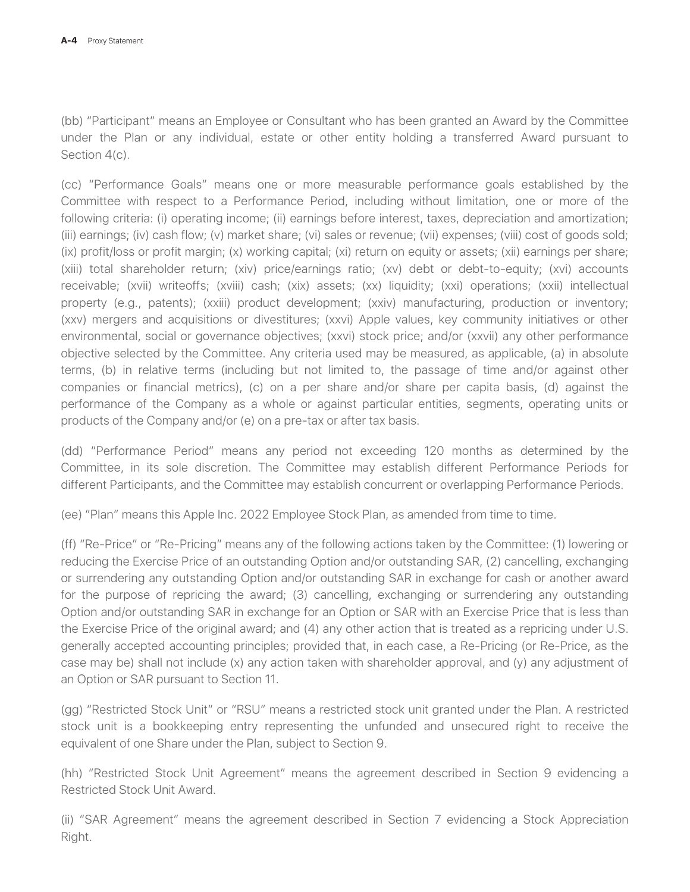(bb) "Participant" means an Employee or Consultant who has been granted an Award by the Committee under the Plan or any individual, estate or other entity holding a transferred Award pursuant to Section 4(c).

(cc) "Performance Goals" means one or more measurable performance goals established by the Committee with respect to a Performance Period, including without limitation, one or more of the following criteria: (i) operating income; (ii) earnings before interest, taxes, depreciation and amortization; (iii) earnings; (iv) cash flow; (v) market share; (vi) sales or revenue; (vii) expenses; (viii) cost of goods sold; (ix) profit/loss or profit margin; (x) working capital; (xi) return on equity or assets; (xii) earnings per share; (xiii) total shareholder return; (xiv) price/earnings ratio; (xv) debt or debt-to-equity; (xvi) accounts receivable; (xvii) writeoffs; (xviii) cash; (xix) assets; (xx) liquidity; (xxi) operations; (xxii) intellectual property (e.g., patents); (xxiii) product development; (xxiv) manufacturing, production or inventory; (xxv) mergers and acquisitions or divestitures; (xxvi) Apple values, key community initiatives or other environmental, social or governance objectives; (xxvi) stock price; and/or (xxvii) any other performance objective selected by the Committee. Any criteria used may be measured, as applicable, (a) in absolute terms, (b) in relative terms (including but not limited to, the passage of time and/or against other companies or financial metrics), (c) on a per share and/or share per capita basis, (d) against the performance of the Company as a whole or against particular entities, segments, operating units or products of the Company and/or (e) on a pre-tax or after tax basis.

(dd) "Performance Period" means any period not exceeding 120 months as determined by the Committee, in its sole discretion. The Committee may establish different Performance Periods for different Participants, and the Committee may establish concurrent or overlapping Performance Periods.

(ee) "Plan" means this Apple Inc. 2022 Employee Stock Plan, as amended from time to time.

(ff) "Re-Price" or "Re-Pricing" means any of the following actions taken by the Committee: (1) lowering or reducing the Exercise Price of an outstanding Option and/or outstanding SAR, (2) cancelling, exchanging or surrendering any outstanding Option and/or outstanding SAR in exchange for cash or another award for the purpose of repricing the award; (3) cancelling, exchanging or surrendering any outstanding Option and/or outstanding SAR in exchange for an Option or SAR with an Exercise Price that is less than the Exercise Price of the original award; and (4) any other action that is treated as a repricing under U.S. generally accepted accounting principles; provided that, in each case, a Re-Pricing (or Re-Price, as the case may be) shall not include (x) any action taken with shareholder approval, and (y) any adjustment of an Option or SAR pursuant to Section 11.

(gg) "Restricted Stock Unit" or "RSU" means a restricted stock unit granted under the Plan. A restricted stock unit is a bookkeeping entry representing the unfunded and unsecured right to receive the equivalent of one Share under the Plan, subject to Section 9.

(hh) "Restricted Stock Unit Agreement" means the agreement described in Section 9 evidencing a Restricted Stock Unit Award.

(ii) "SAR Agreement" means the agreement described in Section 7 evidencing a Stock Appreciation Right.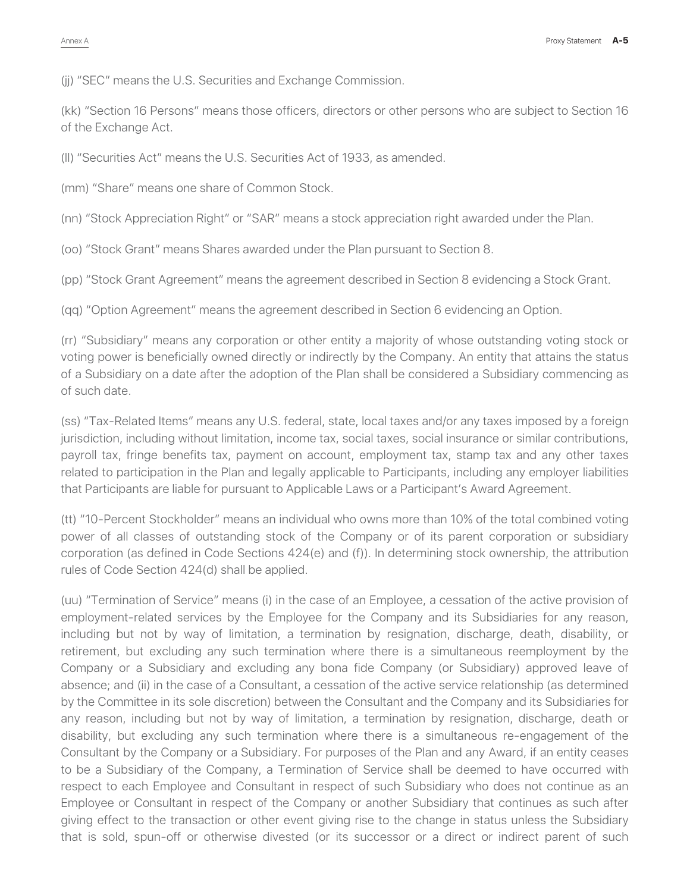(jj) "SEC" means the U.S. Securities and Exchange Commission.

(kk) "Section 16 Persons" means those officers, directors or other persons who are subject to Section 16 of the Exchange Act.

(ll) "Securities Act" means the U.S. Securities Act of 1933, as amended.

(mm) "Share" means one share of Common Stock.

(nn) "Stock Appreciation Right" or "SAR" means a stock appreciation right awarded under the Plan.

(oo) "Stock Grant" means Shares awarded under the Plan pursuant to Section 8.

(pp) "Stock Grant Agreement" means the agreement described in Section 8 evidencing a Stock Grant.

(qq) "Option Agreement" means the agreement described in Section 6 evidencing an Option.

(rr) "Subsidiary" means any corporation or other entity a majority of whose outstanding voting stock or voting power is beneficially owned directly or indirectly by the Company. An entity that attains the status of a Subsidiary on a date after the adoption of the Plan shall be considered a Subsidiary commencing as of such date.

(ss) "Tax-Related Items" means any U.S. federal, state, local taxes and/or any taxes imposed by a foreign jurisdiction, including without limitation, income tax, social taxes, social insurance or similar contributions, payroll tax, fringe benefits tax, payment on account, employment tax, stamp tax and any other taxes related to participation in the Plan and legally applicable to Participants, including any employer liabilities that Participants are liable for pursuant to Applicable Laws or a Participant's Award Agreement.

(tt) "10-Percent Stockholder" means an individual who owns more than 10% of the total combined voting power of all classes of outstanding stock of the Company or of its parent corporation or subsidiary corporation (as defined in Code Sections 424(e) and (f)). In determining stock ownership, the attribution rules of Code Section 424(d) shall be applied.

(uu) "Termination of Service" means (i) in the case of an Employee, a cessation of the active provision of employment-related services by the Employee for the Company and its Subsidiaries for any reason, including but not by way of limitation, a termination by resignation, discharge, death, disability, or retirement, but excluding any such termination where there is a simultaneous reemployment by the Company or a Subsidiary and excluding any bona fide Company (or Subsidiary) approved leave of absence; and (ii) in the case of a Consultant, a cessation of the active service relationship (as determined by the Committee in its sole discretion) between the Consultant and the Company and its Subsidiaries for any reason, including but not by way of limitation, a termination by resignation, discharge, death or disability, but excluding any such termination where there is a simultaneous re-engagement of the Consultant by the Company or a Subsidiary. For purposes of the Plan and any Award, if an entity ceases to be a Subsidiary of the Company, a Termination of Service shall be deemed to have occurred with respect to each Employee and Consultant in respect of such Subsidiary who does not continue as an Employee or Consultant in respect of the Company or another Subsidiary that continues as such after giving effect to the transaction or other event giving rise to the change in status unless the Subsidiary that is sold, spun-off or otherwise divested (or its successor or a direct or indirect parent of such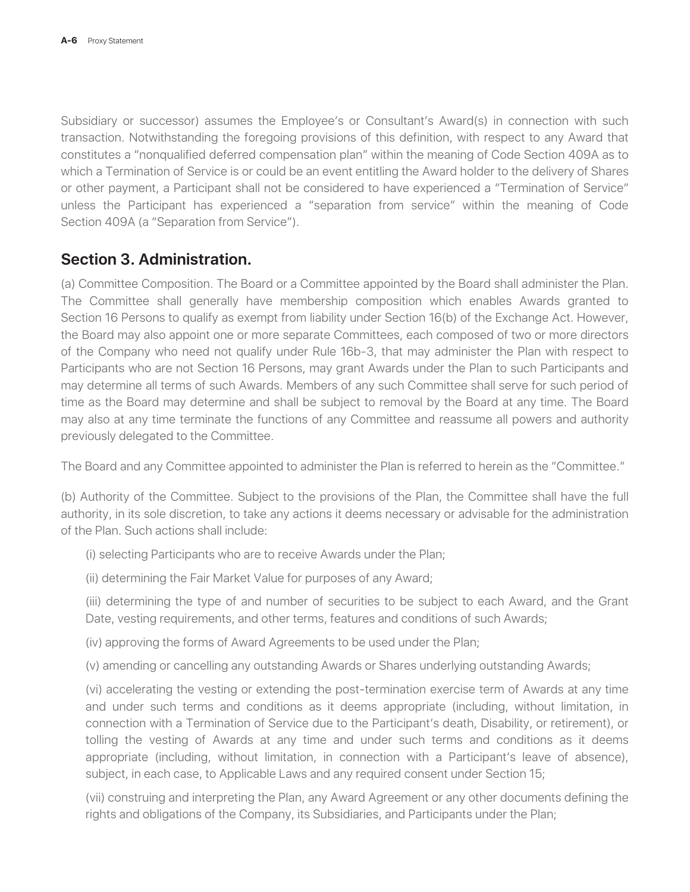Subsidiary or successor) assumes the Employee's or Consultant's Award(s) in connection with such transaction. Notwithstanding the foregoing provisions of this definition, with respect to any Award that constitutes a "nonqualified deferred compensation plan" within the meaning of Code Section 409A as to which a Termination of Service is or could be an event entitling the Award holder to the delivery of Shares or other payment, a Participant shall not be considered to have experienced a "Termination of Service" unless the Participant has experienced a "separation from service" within the meaning of Code Section 409A (a "Separation from Service").

#### **Section 3. Administration.**

(a) Committee Composition. The Board or a Committee appointed by the Board shall administer the Plan. The Committee shall generally have membership composition which enables Awards granted to Section 16 Persons to qualify as exempt from liability under Section 16(b) of the Exchange Act. However, the Board may also appoint one or more separate Committees, each composed of two or more directors of the Company who need not qualify under Rule 16b-3, that may administer the Plan with respect to Participants who are not Section 16 Persons, may grant Awards under the Plan to such Participants and may determine all terms of such Awards. Members of any such Committee shall serve for such period of time as the Board may determine and shall be subject to removal by the Board at any time. The Board may also at any time terminate the functions of any Committee and reassume all powers and authority previously delegated to the Committee.

The Board and any Committee appointed to administer the Plan is referred to herein as the "Committee."

(b) Authority of the Committee. Subject to the provisions of the Plan, the Committee shall have the full authority, in its sole discretion, to take any actions it deems necessary or advisable for the administration of the Plan. Such actions shall include:

- (i) selecting Participants who are to receive Awards under the Plan;
- (ii) determining the Fair Market Value for purposes of any Award;

(iii) determining the type of and number of securities to be subject to each Award, and the Grant Date, vesting requirements, and other terms, features and conditions of such Awards;

(iv) approving the forms of Award Agreements to be used under the Plan;

(v) amending or cancelling any outstanding Awards or Shares underlying outstanding Awards;

(vi) accelerating the vesting or extending the post-termination exercise term of Awards at any time and under such terms and conditions as it deems appropriate (including, without limitation, in connection with a Termination of Service due to the Participant's death, Disability, or retirement), or tolling the vesting of Awards at any time and under such terms and conditions as it deems appropriate (including, without limitation, in connection with a Participant's leave of absence), subject, in each case, to Applicable Laws and any required consent under Section 15;

(vii) construing and interpreting the Plan, any Award Agreement or any other documents defining the rights and obligations of the Company, its Subsidiaries, and Participants under the Plan;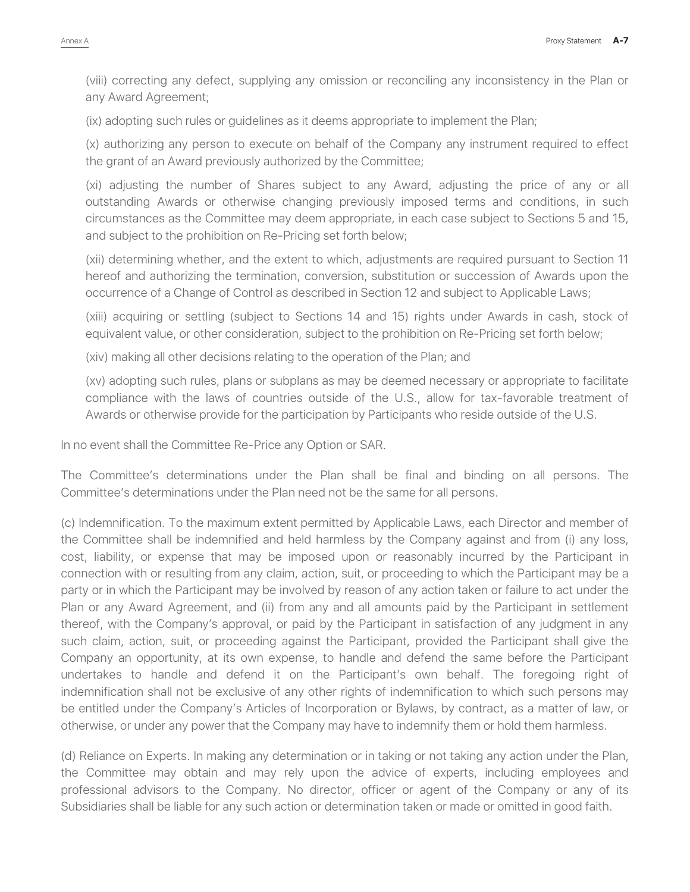(viii) correcting any defect, supplying any omission or reconciling any inconsistency in the Plan or any Award Agreement;

(ix) adopting such rules or guidelines as it deems appropriate to implement the Plan;

(x) authorizing any person to execute on behalf of the Company any instrument required to effect the grant of an Award previously authorized by the Committee;

(xi) adjusting the number of Shares subject to any Award, adjusting the price of any or all outstanding Awards or otherwise changing previously imposed terms and conditions, in such circumstances as the Committee may deem appropriate, in each case subject to Sections 5 and 15, and subject to the prohibition on Re-Pricing set forth below;

(xii) determining whether, and the extent to which, adjustments are required pursuant to Section 11 hereof and authorizing the termination, conversion, substitution or succession of Awards upon the occurrence of a Change of Control as described in Section 12 and subject to Applicable Laws;

(xiii) acquiring or settling (subject to Sections 14 and 15) rights under Awards in cash, stock of equivalent value, or other consideration, subject to the prohibition on Re-Pricing set forth below;

(xiv) making all other decisions relating to the operation of the Plan; and

(xv) adopting such rules, plans or subplans as may be deemed necessary or appropriate to facilitate compliance with the laws of countries outside of the U.S., allow for tax-favorable treatment of Awards or otherwise provide for the participation by Participants who reside outside of the U.S.

In no event shall the Committee Re-Price any Option or SAR.

The Committee's determinations under the Plan shall be final and binding on all persons. The Committee's determinations under the Plan need not be the same for all persons.

(c) Indemnification. To the maximum extent permitted by Applicable Laws, each Director and member of the Committee shall be indemnified and held harmless by the Company against and from (i) any loss, cost, liability, or expense that may be imposed upon or reasonably incurred by the Participant in connection with or resulting from any claim, action, suit, or proceeding to which the Participant may be a party or in which the Participant may be involved by reason of any action taken or failure to act under the Plan or any Award Agreement, and (ii) from any and all amounts paid by the Participant in settlement thereof, with the Company's approval, or paid by the Participant in satisfaction of any judgment in any such claim, action, suit, or proceeding against the Participant, provided the Participant shall give the Company an opportunity, at its own expense, to handle and defend the same before the Participant undertakes to handle and defend it on the Participant's own behalf. The foregoing right of indemnification shall not be exclusive of any other rights of indemnification to which such persons may be entitled under the Company's Articles of Incorporation or Bylaws, by contract, as a matter of law, or otherwise, or under any power that the Company may have to indemnify them or hold them harmless.

(d) Reliance on Experts. In making any determination or in taking or not taking any action under the Plan, the Committee may obtain and may rely upon the advice of experts, including employees and professional advisors to the Company. No director, officer or agent of the Company or any of its Subsidiaries shall be liable for any such action or determination taken or made or omitted in good faith.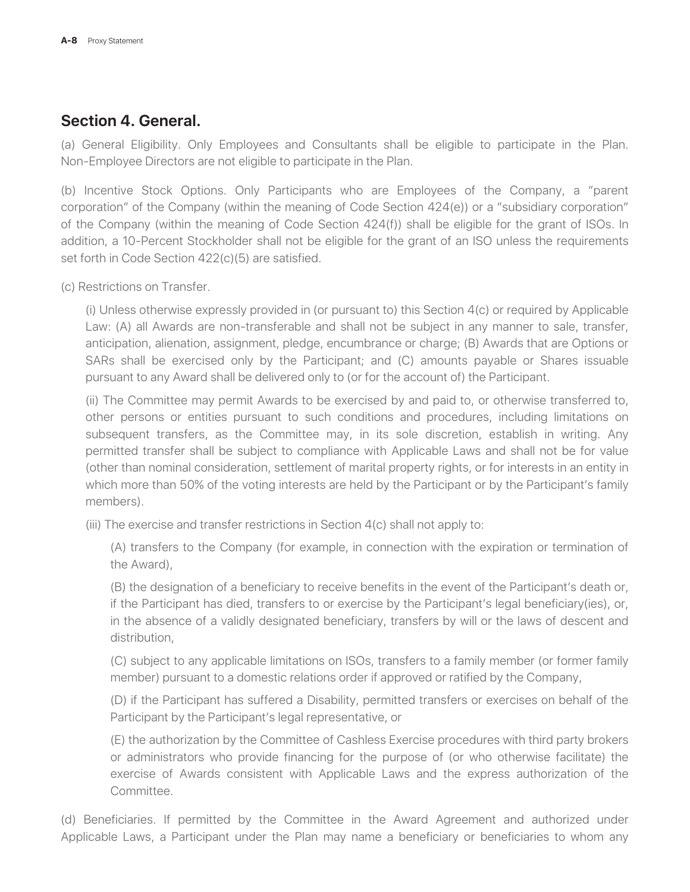#### **Section 4. General.**

(a) General Eligibility. Only Employees and Consultants shall be eligible to participate in the Plan. Non-Employee Directors are not eligible to participate in the Plan.

(b) Incentive Stock Options. Only Participants who are Employees of the Company, a "parent corporation" of the Company (within the meaning of Code Section 424(e)) or a "subsidiary corporation" of the Company (within the meaning of Code Section 424(f)) shall be eligible for the grant of ISOs. In addition, a 10-Percent Stockholder shall not be eligible for the grant of an ISO unless the requirements set forth in Code Section 422(c)(5) are satisfied.

(c) Restrictions on Transfer.

(i) Unless otherwise expressly provided in (or pursuant to) this Section 4(c) or required by Applicable Law: (A) all Awards are non-transferable and shall not be subject in any manner to sale, transfer, anticipation, alienation, assignment, pledge, encumbrance or charge; (B) Awards that are Options or SARs shall be exercised only by the Participant; and (C) amounts payable or Shares issuable pursuant to any Award shall be delivered only to (or for the account of) the Participant.

(ii) The Committee may permit Awards to be exercised by and paid to, or otherwise transferred to, other persons or entities pursuant to such conditions and procedures, including limitations on subsequent transfers, as the Committee may, in its sole discretion, establish in writing. Any permitted transfer shall be subject to compliance with Applicable Laws and shall not be for value (other than nominal consideration, settlement of marital property rights, or for interests in an entity in which more than 50% of the voting interests are held by the Participant or by the Participant's family members).

(iii) The exercise and transfer restrictions in Section 4(c) shall not apply to:

(A) transfers to the Company (for example, in connection with the expiration or termination of the Award),

(B) the designation of a beneficiary to receive benefits in the event of the Participant's death or, if the Participant has died, transfers to or exercise by the Participant's legal beneficiary(ies), or, in the absence of a validly designated beneficiary, transfers by will or the laws of descent and distribution,

(C) subject to any applicable limitations on ISOs, transfers to a family member (or former family member) pursuant to a domestic relations order if approved or ratified by the Company,

(D) if the Participant has suffered a Disability, permitted transfers or exercises on behalf of the Participant by the Participant's legal representative, or

(E) the authorization by the Committee of Cashless Exercise procedures with third party brokers or administrators who provide financing for the purpose of (or who otherwise facilitate) the exercise of Awards consistent with Applicable Laws and the express authorization of the Committee.

(d) Beneficiaries. If permitted by the Committee in the Award Agreement and authorized under Applicable Laws, a Participant under the Plan may name a beneficiary or beneficiaries to whom any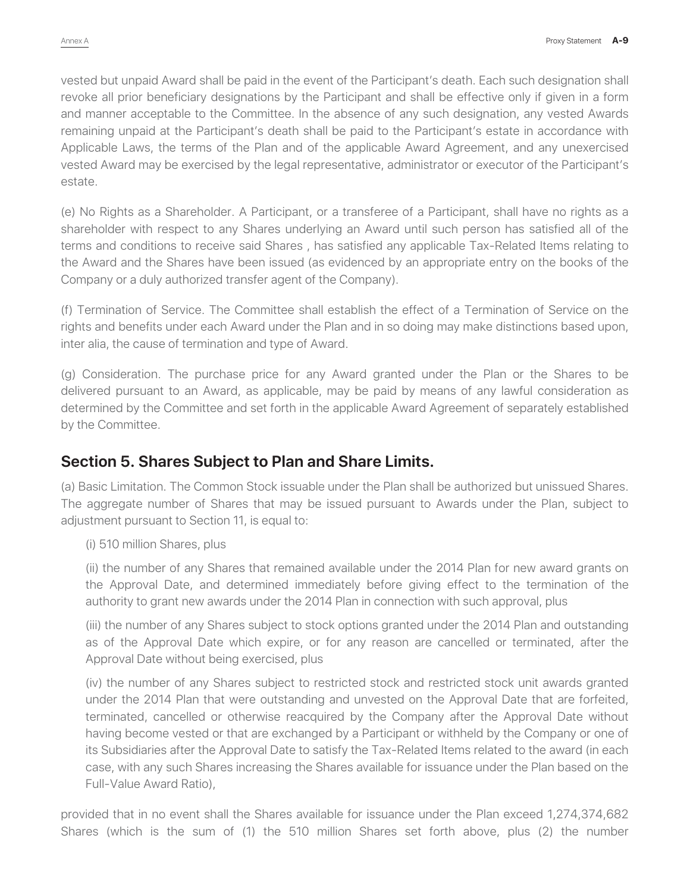vested but unpaid Award shall be paid in the event of the Participant's death. Each such designation shall revoke all prior beneficiary designations by the Participant and shall be effective only if given in a form and manner acceptable to the Committee. In the absence of any such designation, any vested Awards remaining unpaid at the Participant's death shall be paid to the Participant's estate in accordance with Applicable Laws, the terms of the Plan and of the applicable Award Agreement, and any unexercised vested Award may be exercised by the legal representative, administrator or executor of the Participant's estate.

(e) No Rights as a Shareholder. A Participant, or a transferee of a Participant, shall have no rights as a shareholder with respect to any Shares underlying an Award until such person has satisfied all of the terms and conditions to receive said Shares , has satisfied any applicable Tax-Related Items relating to the Award and the Shares have been issued (as evidenced by an appropriate entry on the books of the Company or a duly authorized transfer agent of the Company).

(f) Termination of Service. The Committee shall establish the effect of a Termination of Service on the rights and benefits under each Award under the Plan and in so doing may make distinctions based upon, inter alia, the cause of termination and type of Award.

(g) Consideration. The purchase price for any Award granted under the Plan or the Shares to be delivered pursuant to an Award, as applicable, may be paid by means of any lawful consideration as determined by the Committee and set forth in the applicable Award Agreement of separately established by the Committee.

#### **Section 5. Shares Subject to Plan and Share Limits.**

(a) Basic Limitation. The Common Stock issuable under the Plan shall be authorized but unissued Shares. The aggregate number of Shares that may be issued pursuant to Awards under the Plan, subject to adjustment pursuant to Section 11, is equal to:

(i) 510 million Shares, plus

(ii) the number of any Shares that remained available under the 2014 Plan for new award grants on the Approval Date, and determined immediately before giving effect to the termination of the authority to grant new awards under the 2014 Plan in connection with such approval, plus

(iii) the number of any Shares subject to stock options granted under the 2014 Plan and outstanding as of the Approval Date which expire, or for any reason are cancelled or terminated, after the Approval Date without being exercised, plus

(iv) the number of any Shares subject to restricted stock and restricted stock unit awards granted under the 2014 Plan that were outstanding and unvested on the Approval Date that are forfeited, terminated, cancelled or otherwise reacquired by the Company after the Approval Date without having become vested or that are exchanged by a Participant or withheld by the Company or one of its Subsidiaries after the Approval Date to satisfy the Tax-Related Items related to the award (in each case, with any such Shares increasing the Shares available for issuance under the Plan based on the Full-Value Award Ratio),

provided that in no event shall the Shares available for issuance under the Plan exceed 1,274,374,682 Shares (which is the sum of (1) the 510 million Shares set forth above, plus (2) the number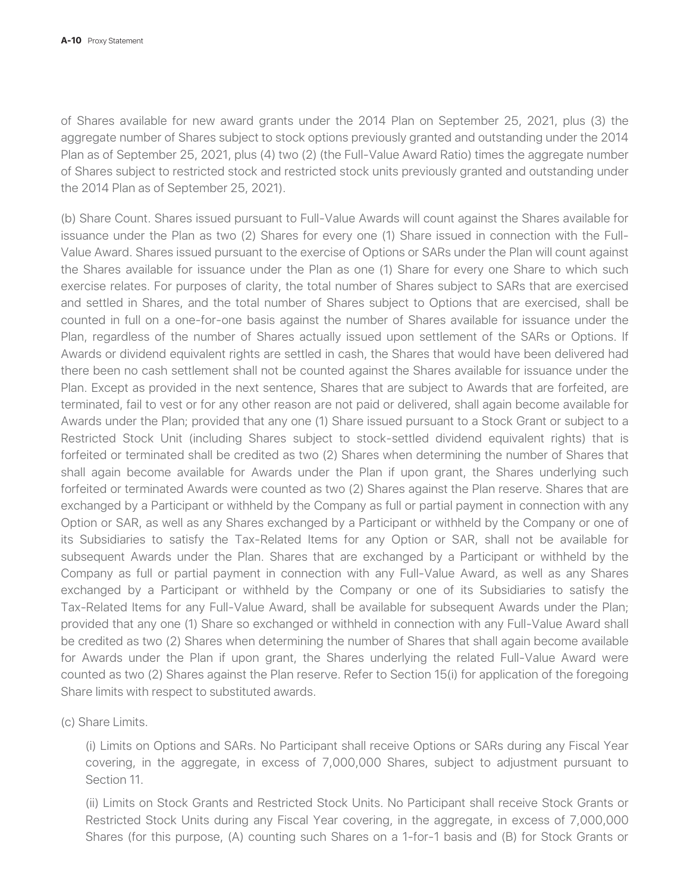of Shares available for new award grants under the 2014 Plan on September 25, 2021, plus (3) the aggregate number of Shares subject to stock options previously granted and outstanding under the 2014 Plan as of September 25, 2021, plus (4) two (2) (the Full-Value Award Ratio) times the aggregate number of Shares subject to restricted stock and restricted stock units previously granted and outstanding under the 2014 Plan as of September 25, 2021).

(b) Share Count. Shares issued pursuant to Full-Value Awards will count against the Shares available for issuance under the Plan as two (2) Shares for every one (1) Share issued in connection with the Full-Value Award. Shares issued pursuant to the exercise of Options or SARs under the Plan will count against the Shares available for issuance under the Plan as one (1) Share for every one Share to which such exercise relates. For purposes of clarity, the total number of Shares subject to SARs that are exercised and settled in Shares, and the total number of Shares subject to Options that are exercised, shall be counted in full on a one-for-one basis against the number of Shares available for issuance under the Plan, regardless of the number of Shares actually issued upon settlement of the SARs or Options. If Awards or dividend equivalent rights are settled in cash, the Shares that would have been delivered had there been no cash settlement shall not be counted against the Shares available for issuance under the Plan. Except as provided in the next sentence, Shares that are subject to Awards that are forfeited, are terminated, fail to vest or for any other reason are not paid or delivered, shall again become available for Awards under the Plan; provided that any one (1) Share issued pursuant to a Stock Grant or subject to a Restricted Stock Unit (including Shares subject to stock-settled dividend equivalent rights) that is forfeited or terminated shall be credited as two (2) Shares when determining the number of Shares that shall again become available for Awards under the Plan if upon grant, the Shares underlying such forfeited or terminated Awards were counted as two (2) Shares against the Plan reserve. Shares that are exchanged by a Participant or withheld by the Company as full or partial payment in connection with any Option or SAR, as well as any Shares exchanged by a Participant or withheld by the Company or one of its Subsidiaries to satisfy the Tax-Related Items for any Option or SAR, shall not be available for subsequent Awards under the Plan. Shares that are exchanged by a Participant or withheld by the Company as full or partial payment in connection with any Full-Value Award, as well as any Shares exchanged by a Participant or withheld by the Company or one of its Subsidiaries to satisfy the Tax-Related Items for any Full-Value Award, shall be available for subsequent Awards under the Plan; provided that any one (1) Share so exchanged or withheld in connection with any Full-Value Award shall be credited as two (2) Shares when determining the number of Shares that shall again become available for Awards under the Plan if upon grant, the Shares underlying the related Full-Value Award were counted as two (2) Shares against the Plan reserve. Refer to Section 15(i) for application of the foregoing Share limits with respect to substituted awards.

(c) Share Limits.

(i) Limits on Options and SARs. No Participant shall receive Options or SARs during any Fiscal Year covering, in the aggregate, in excess of 7,000,000 Shares, subject to adjustment pursuant to Section 11.

(ii) Limits on Stock Grants and Restricted Stock Units. No Participant shall receive Stock Grants or Restricted Stock Units during any Fiscal Year covering, in the aggregate, in excess of 7,000,000 Shares (for this purpose, (A) counting such Shares on a 1-for-1 basis and (B) for Stock Grants or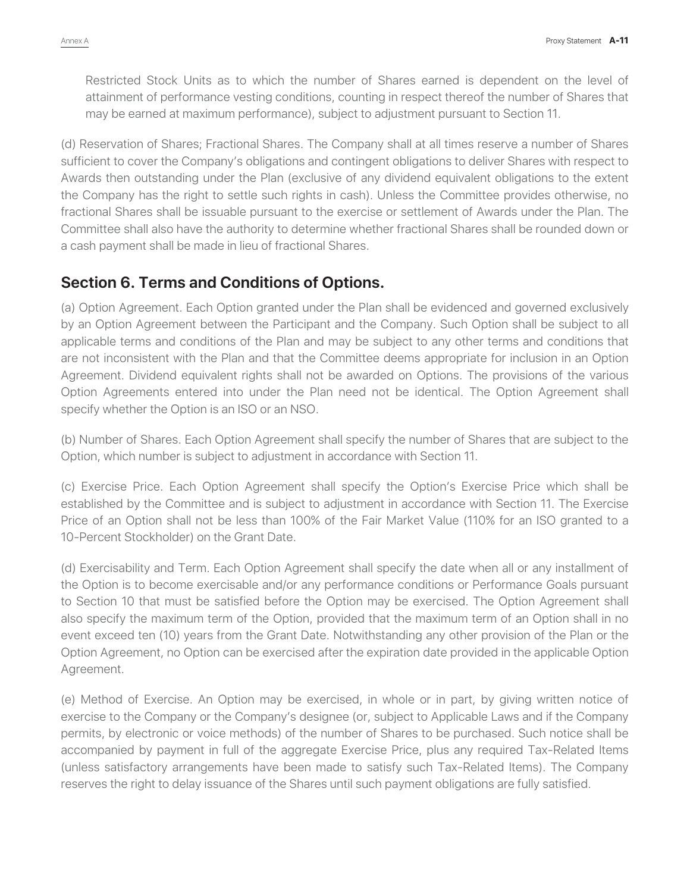Restricted Stock Units as to which the number of Shares earned is dependent on the level of attainment of performance vesting conditions, counting in respect thereof the number of Shares that may be earned at maximum performance), subject to adjustment pursuant to Section 11.

(d) Reservation of Shares; Fractional Shares. The Company shall at all times reserve a number of Shares sufficient to cover the Company's obligations and contingent obligations to deliver Shares with respect to Awards then outstanding under the Plan (exclusive of any dividend equivalent obligations to the extent the Company has the right to settle such rights in cash). Unless the Committee provides otherwise, no fractional Shares shall be issuable pursuant to the exercise or settlement of Awards under the Plan. The Committee shall also have the authority to determine whether fractional Shares shall be rounded down or a cash payment shall be made in lieu of fractional Shares.

#### **Section 6. Terms and Conditions of Options.**

(a) Option Agreement. Each Option granted under the Plan shall be evidenced and governed exclusively by an Option Agreement between the Participant and the Company. Such Option shall be subject to all applicable terms and conditions of the Plan and may be subject to any other terms and conditions that are not inconsistent with the Plan and that the Committee deems appropriate for inclusion in an Option Agreement. Dividend equivalent rights shall not be awarded on Options. The provisions of the various Option Agreements entered into under the Plan need not be identical. The Option Agreement shall specify whether the Option is an ISO or an NSO.

(b) Number of Shares. Each Option Agreement shall specify the number of Shares that are subject to the Option, which number is subject to adjustment in accordance with Section 11.

(c) Exercise Price. Each Option Agreement shall specify the Option's Exercise Price which shall be established by the Committee and is subject to adjustment in accordance with Section 11. The Exercise Price of an Option shall not be less than 100% of the Fair Market Value (110% for an ISO granted to a 10-Percent Stockholder) on the Grant Date.

(d) Exercisability and Term. Each Option Agreement shall specify the date when all or any installment of the Option is to become exercisable and/or any performance conditions or Performance Goals pursuant to Section 10 that must be satisfied before the Option may be exercised. The Option Agreement shall also specify the maximum term of the Option, provided that the maximum term of an Option shall in no event exceed ten (10) years from the Grant Date. Notwithstanding any other provision of the Plan or the Option Agreement, no Option can be exercised after the expiration date provided in the applicable Option Agreement.

(e) Method of Exercise. An Option may be exercised, in whole or in part, by giving written notice of exercise to the Company or the Company's designee (or, subject to Applicable Laws and if the Company permits, by electronic or voice methods) of the number of Shares to be purchased. Such notice shall be accompanied by payment in full of the aggregate Exercise Price, plus any required Tax-Related Items (unless satisfactory arrangements have been made to satisfy such Tax-Related Items). The Company reserves the right to delay issuance of the Shares until such payment obligations are fully satisfied.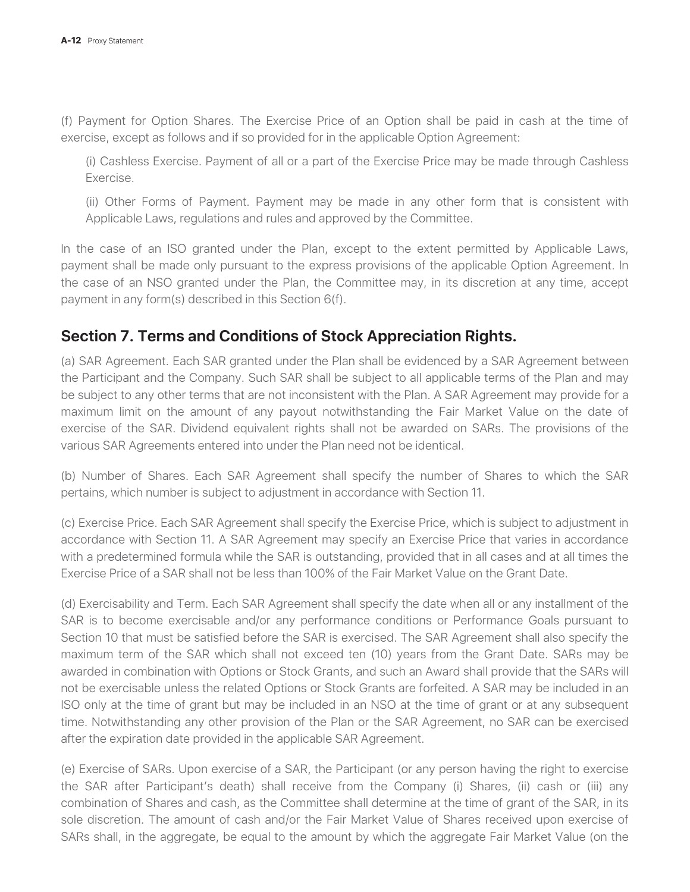(f) Payment for Option Shares. The Exercise Price of an Option shall be paid in cash at the time of exercise, except as follows and if so provided for in the applicable Option Agreement:

(i) Cashless Exercise. Payment of all or a part of the Exercise Price may be made through Cashless Exercise.

(ii) Other Forms of Payment. Payment may be made in any other form that is consistent with Applicable Laws, regulations and rules and approved by the Committee.

In the case of an ISO granted under the Plan, except to the extent permitted by Applicable Laws, payment shall be made only pursuant to the express provisions of the applicable Option Agreement. In the case of an NSO granted under the Plan, the Committee may, in its discretion at any time, accept payment in any form(s) described in this Section 6(f).

#### **Section 7. Terms and Conditions of Stock Appreciation Rights.**

(a) SAR Agreement. Each SAR granted under the Plan shall be evidenced by a SAR Agreement between the Participant and the Company. Such SAR shall be subject to all applicable terms of the Plan and may be subject to any other terms that are not inconsistent with the Plan. A SAR Agreement may provide for a maximum limit on the amount of any payout notwithstanding the Fair Market Value on the date of exercise of the SAR. Dividend equivalent rights shall not be awarded on SARs. The provisions of the various SAR Agreements entered into under the Plan need not be identical.

(b) Number of Shares. Each SAR Agreement shall specify the number of Shares to which the SAR pertains, which number is subject to adjustment in accordance with Section 11.

(c) Exercise Price. Each SAR Agreement shall specify the Exercise Price, which is subject to adjustment in accordance with Section 11. A SAR Agreement may specify an Exercise Price that varies in accordance with a predetermined formula while the SAR is outstanding, provided that in all cases and at all times the Exercise Price of a SAR shall not be less than 100% of the Fair Market Value on the Grant Date.

(d) Exercisability and Term. Each SAR Agreement shall specify the date when all or any installment of the SAR is to become exercisable and/or any performance conditions or Performance Goals pursuant to Section 10 that must be satisfied before the SAR is exercised. The SAR Agreement shall also specify the maximum term of the SAR which shall not exceed ten (10) years from the Grant Date. SARs may be awarded in combination with Options or Stock Grants, and such an Award shall provide that the SARs will not be exercisable unless the related Options or Stock Grants are forfeited. A SAR may be included in an ISO only at the time of grant but may be included in an NSO at the time of grant or at any subsequent time. Notwithstanding any other provision of the Plan or the SAR Agreement, no SAR can be exercised after the expiration date provided in the applicable SAR Agreement.

(e) Exercise of SARs. Upon exercise of a SAR, the Participant (or any person having the right to exercise the SAR after Participant's death) shall receive from the Company (i) Shares, (ii) cash or (iii) any combination of Shares and cash, as the Committee shall determine at the time of grant of the SAR, in its sole discretion. The amount of cash and/or the Fair Market Value of Shares received upon exercise of SARs shall, in the aggregate, be equal to the amount by which the aggregate Fair Market Value (on the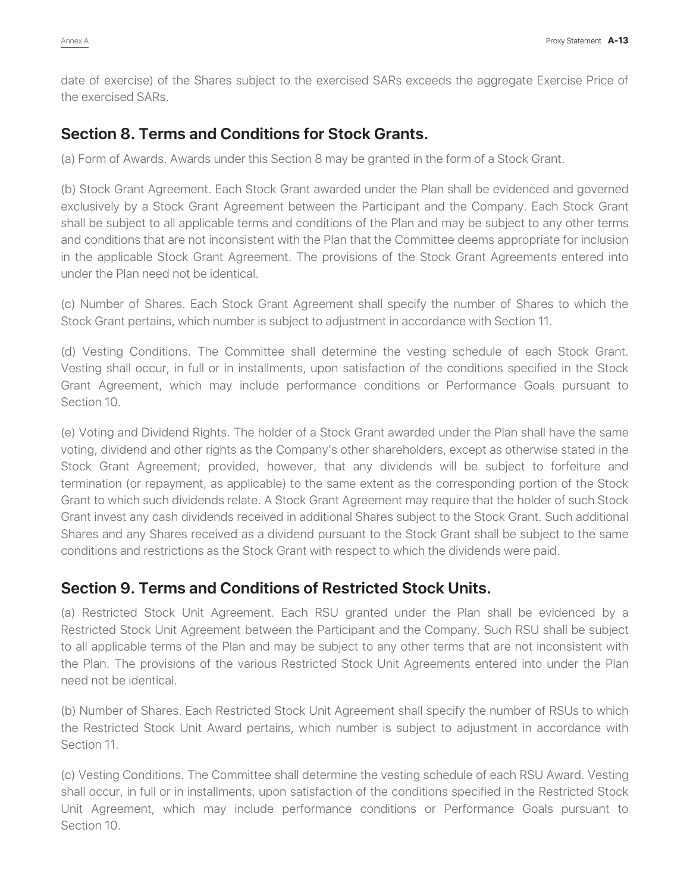date of exercise) of the Shares subject to the exercised SARs exceeds the aggregate Exercise Price of the exercised SARs.

#### **Section 8. Terms and Conditions for Stock Grants.**

(a) Form of Awards. Awards under this Section 8 may be granted in the form of a Stock Grant.

(b) Stock Grant Agreement. Each Stock Grant awarded under the Plan shall be evidenced and governed exclusively by a Stock Grant Agreement between the Participant and the Company. Each Stock Grant shall be subject to all applicable terms and conditions of the Plan and may be subject to any other terms and conditions that are not inconsistent with the Plan that the Committee deems appropriate for inclusion in the applicable Stock Grant Agreement. The provisions of the Stock Grant Agreements entered into under the Plan need not be identical.

(c) Number of Shares. Each Stock Grant Agreement shall specify the number of Shares to which the Stock Grant pertains, which number is subject to adjustment in accordance with Section 11.

(d) Vesting Conditions. The Committee shall determine the vesting schedule of each Stock Grant. Vesting shall occur, in full or in installments, upon satisfaction of the conditions specified in the Stock Grant Agreement, which may include performance conditions or Performance Goals pursuant to Section 10.

(e) Voting and Dividend Rights. The holder of a Stock Grant awarded under the Plan shall have the same voting, dividend and other rights as the Company's other shareholders, except as otherwise stated in the Stock Grant Agreement; provided, however, that any dividends will be subject to forfeiture and termination (or repayment, as applicable) to the same extent as the corresponding portion of the Stock Grant to which such dividends relate. A Stock Grant Agreement may require that the holder of such Stock Grant invest any cash dividends received in additional Shares subject to the Stock Grant. Such additional Shares and any Shares received as a dividend pursuant to the Stock Grant shall be subject to the same conditions and restrictions as the Stock Grant with respect to which the dividends were paid.

#### **Section 9. Terms and Conditions of Restricted Stock Units.**

(a) Restricted Stock Unit Agreement. Each RSU granted under the Plan shall be evidenced by a Restricted Stock Unit Agreement between the Participant and the Company. Such RSU shall be subject to all applicable terms of the Plan and may be subject to any other terms that are not inconsistent with the Plan. The provisions of the various Restricted Stock Unit Agreements entered into under the Plan need not be identical.

(b) Number of Shares. Each Restricted Stock Unit Agreement shall specify the number of RSUs to which the Restricted Stock Unit Award pertains, which number is subject to adjustment in accordance with Section 11.

(c) Vesting Conditions. The Committee shall determine the vesting schedule of each RSU Award. Vesting shall occur, in full or in installments, upon satisfaction of the conditions specified in the Restricted Stock Unit Agreement, which may include performance conditions or Performance Goals pursuant to Section 10.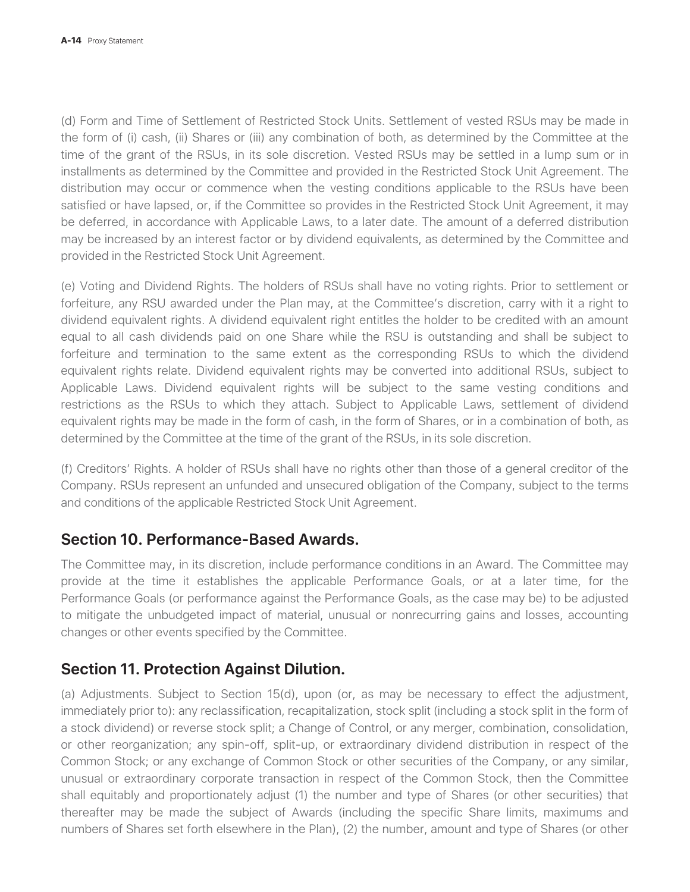(d) Form and Time of Settlement of Restricted Stock Units. Settlement of vested RSUs may be made in the form of (i) cash, (ii) Shares or (iii) any combination of both, as determined by the Committee at the time of the grant of the RSUs, in its sole discretion. Vested RSUs may be settled in a lump sum or in installments as determined by the Committee and provided in the Restricted Stock Unit Agreement. The distribution may occur or commence when the vesting conditions applicable to the RSUs have been satisfied or have lapsed, or, if the Committee so provides in the Restricted Stock Unit Agreement, it may be deferred, in accordance with Applicable Laws, to a later date. The amount of a deferred distribution may be increased by an interest factor or by dividend equivalents, as determined by the Committee and provided in the Restricted Stock Unit Agreement.

(e) Voting and Dividend Rights. The holders of RSUs shall have no voting rights. Prior to settlement or forfeiture, any RSU awarded under the Plan may, at the Committee's discretion, carry with it a right to dividend equivalent rights. A dividend equivalent right entitles the holder to be credited with an amount equal to all cash dividends paid on one Share while the RSU is outstanding and shall be subject to forfeiture and termination to the same extent as the corresponding RSUs to which the dividend equivalent rights relate. Dividend equivalent rights may be converted into additional RSUs, subject to Applicable Laws. Dividend equivalent rights will be subject to the same vesting conditions and restrictions as the RSUs to which they attach. Subject to Applicable Laws, settlement of dividend equivalent rights may be made in the form of cash, in the form of Shares, or in a combination of both, as determined by the Committee at the time of the grant of the RSUs, in its sole discretion.

(f) Creditors' Rights. A holder of RSUs shall have no rights other than those of a general creditor of the Company. RSUs represent an unfunded and unsecured obligation of the Company, subject to the terms and conditions of the applicable Restricted Stock Unit Agreement.

#### **Section 10. Performance-Based Awards.**

The Committee may, in its discretion, include performance conditions in an Award. The Committee may provide at the time it establishes the applicable Performance Goals, or at a later time, for the Performance Goals (or performance against the Performance Goals, as the case may be) to be adjusted to mitigate the unbudgeted impact of material, unusual or nonrecurring gains and losses, accounting changes or other events specified by the Committee.

#### **Section 11. Protection Against Dilution.**

(a) Adjustments. Subject to Section 15(d), upon (or, as may be necessary to effect the adjustment, immediately prior to): any reclassification, recapitalization, stock split (including a stock split in the form of a stock dividend) or reverse stock split; a Change of Control, or any merger, combination, consolidation, or other reorganization; any spin-off, split-up, or extraordinary dividend distribution in respect of the Common Stock; or any exchange of Common Stock or other securities of the Company, or any similar, unusual or extraordinary corporate transaction in respect of the Common Stock, then the Committee shall equitably and proportionately adjust (1) the number and type of Shares (or other securities) that thereafter may be made the subject of Awards (including the specific Share limits, maximums and numbers of Shares set forth elsewhere in the Plan), (2) the number, amount and type of Shares (or other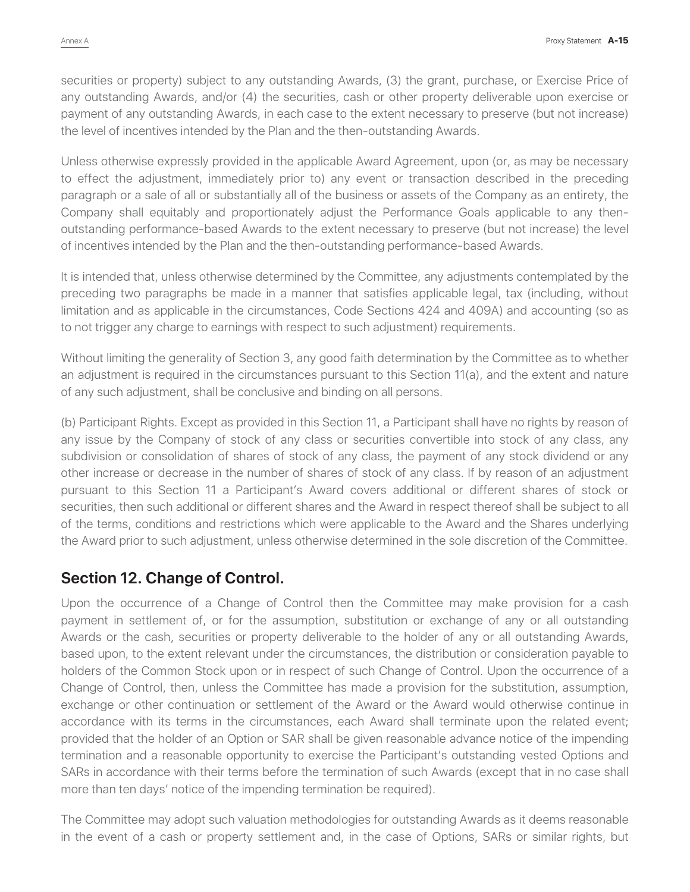securities or property) subject to any outstanding Awards, (3) the grant, purchase, or Exercise Price of any outstanding Awards, and/or (4) the securities, cash or other property deliverable upon exercise or payment of any outstanding Awards, in each case to the extent necessary to preserve (but not increase) the level of incentives intended by the Plan and the then-outstanding Awards.

Unless otherwise expressly provided in the applicable Award Agreement, upon (or, as may be necessary to effect the adjustment, immediately prior to) any event or transaction described in the preceding paragraph or a sale of all or substantially all of the business or assets of the Company as an entirety, the Company shall equitably and proportionately adjust the Performance Goals applicable to any thenoutstanding performance-based Awards to the extent necessary to preserve (but not increase) the level of incentives intended by the Plan and the then-outstanding performance-based Awards.

It is intended that, unless otherwise determined by the Committee, any adjustments contemplated by the preceding two paragraphs be made in a manner that satisfies applicable legal, tax (including, without limitation and as applicable in the circumstances, Code Sections 424 and 409A) and accounting (so as to not trigger any charge to earnings with respect to such adjustment) requirements.

Without limiting the generality of Section 3, any good faith determination by the Committee as to whether an adjustment is required in the circumstances pursuant to this Section 11(a), and the extent and nature of any such adjustment, shall be conclusive and binding on all persons.

(b) Participant Rights. Except as provided in this Section 11, a Participant shall have no rights by reason of any issue by the Company of stock of any class or securities convertible into stock of any class, any subdivision or consolidation of shares of stock of any class, the payment of any stock dividend or any other increase or decrease in the number of shares of stock of any class. If by reason of an adjustment pursuant to this Section 11 a Participant's Award covers additional or different shares of stock or securities, then such additional or different shares and the Award in respect thereof shall be subject to all of the terms, conditions and restrictions which were applicable to the Award and the Shares underlying the Award prior to such adjustment, unless otherwise determined in the sole discretion of the Committee.

#### **Section 12. Change of Control.**

Upon the occurrence of a Change of Control then the Committee may make provision for a cash payment in settlement of, or for the assumption, substitution or exchange of any or all outstanding Awards or the cash, securities or property deliverable to the holder of any or all outstanding Awards, based upon, to the extent relevant under the circumstances, the distribution or consideration payable to holders of the Common Stock upon or in respect of such Change of Control. Upon the occurrence of a Change of Control, then, unless the Committee has made a provision for the substitution, assumption, exchange or other continuation or settlement of the Award or the Award would otherwise continue in accordance with its terms in the circumstances, each Award shall terminate upon the related event; provided that the holder of an Option or SAR shall be given reasonable advance notice of the impending termination and a reasonable opportunity to exercise the Participant's outstanding vested Options and SARs in accordance with their terms before the termination of such Awards (except that in no case shall more than ten days' notice of the impending termination be required).

The Committee may adopt such valuation methodologies for outstanding Awards as it deems reasonable in the event of a cash or property settlement and, in the case of Options, SARs or similar rights, but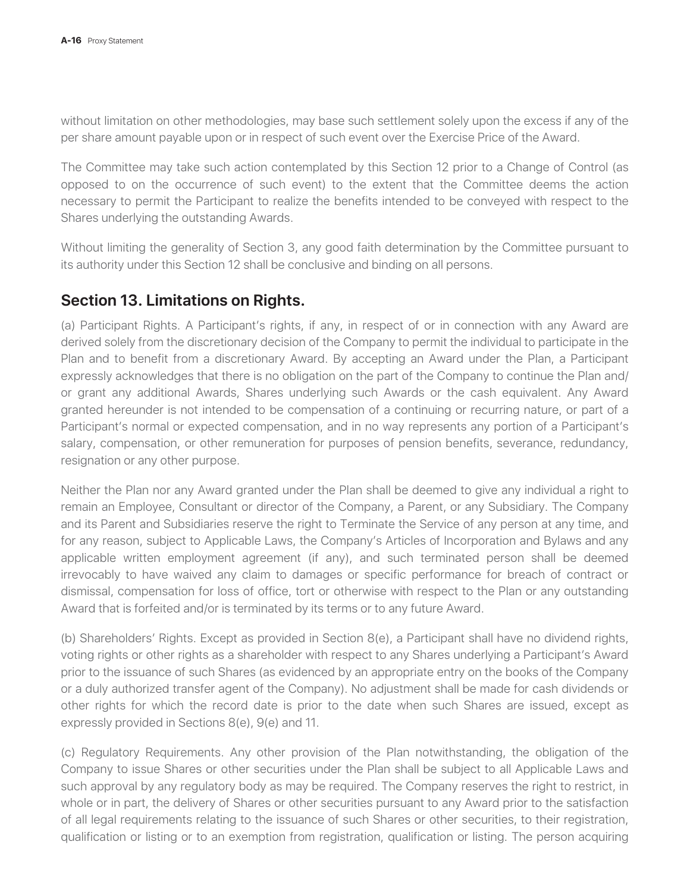without limitation on other methodologies, may base such settlement solely upon the excess if any of the per share amount payable upon or in respect of such event over the Exercise Price of the Award.

The Committee may take such action contemplated by this Section 12 prior to a Change of Control (as opposed to on the occurrence of such event) to the extent that the Committee deems the action necessary to permit the Participant to realize the benefits intended to be conveyed with respect to the Shares underlying the outstanding Awards.

Without limiting the generality of Section 3, any good faith determination by the Committee pursuant to its authority under this Section 12 shall be conclusive and binding on all persons.

#### **Section 13. Limitations on Rights.**

(a) Participant Rights. A Participant's rights, if any, in respect of or in connection with any Award are derived solely from the discretionary decision of the Company to permit the individual to participate in the Plan and to benefit from a discretionary Award. By accepting an Award under the Plan, a Participant expressly acknowledges that there is no obligation on the part of the Company to continue the Plan and/ or grant any additional Awards, Shares underlying such Awards or the cash equivalent. Any Award granted hereunder is not intended to be compensation of a continuing or recurring nature, or part of a Participant's normal or expected compensation, and in no way represents any portion of a Participant's salary, compensation, or other remuneration for purposes of pension benefits, severance, redundancy, resignation or any other purpose.

Neither the Plan nor any Award granted under the Plan shall be deemed to give any individual a right to remain an Employee, Consultant or director of the Company, a Parent, or any Subsidiary. The Company and its Parent and Subsidiaries reserve the right to Terminate the Service of any person at any time, and for any reason, subject to Applicable Laws, the Company's Articles of Incorporation and Bylaws and any applicable written employment agreement (if any), and such terminated person shall be deemed irrevocably to have waived any claim to damages or specific performance for breach of contract or dismissal, compensation for loss of office, tort or otherwise with respect to the Plan or any outstanding Award that is forfeited and/or is terminated by its terms or to any future Award.

(b) Shareholders' Rights. Except as provided in Section 8(e), a Participant shall have no dividend rights, voting rights or other rights as a shareholder with respect to any Shares underlying a Participant's Award prior to the issuance of such Shares (as evidenced by an appropriate entry on the books of the Company or a duly authorized transfer agent of the Company). No adjustment shall be made for cash dividends or other rights for which the record date is prior to the date when such Shares are issued, except as expressly provided in Sections 8(e), 9(e) and 11.

(c) Regulatory Requirements. Any other provision of the Plan notwithstanding, the obligation of the Company to issue Shares or other securities under the Plan shall be subject to all Applicable Laws and such approval by any regulatory body as may be required. The Company reserves the right to restrict, in whole or in part, the delivery of Shares or other securities pursuant to any Award prior to the satisfaction of all legal requirements relating to the issuance of such Shares or other securities, to their registration, qualification or listing or to an exemption from registration, qualification or listing. The person acquiring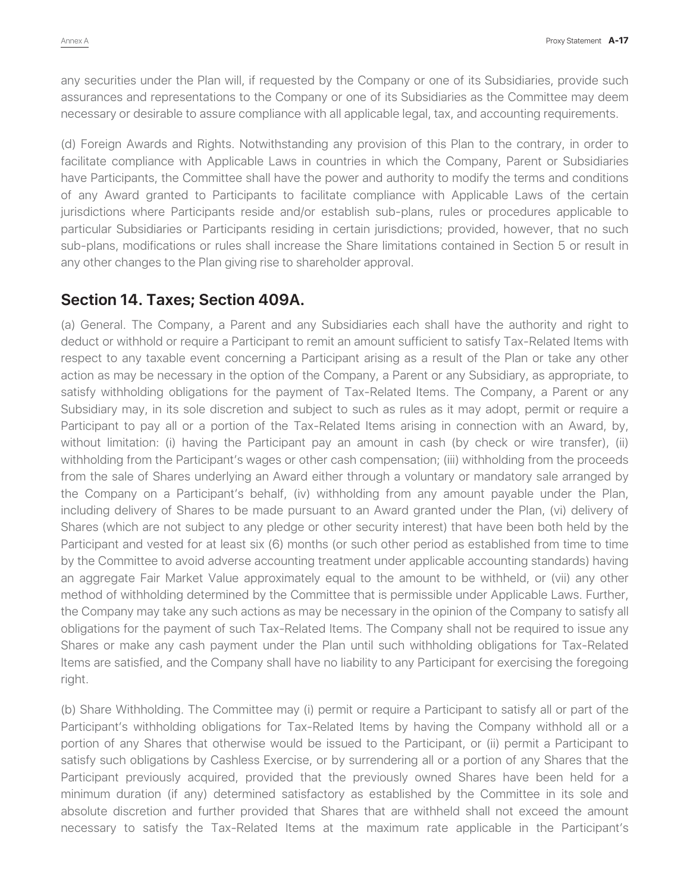any securities under the Plan will, if requested by the Company or one of its Subsidiaries, provide such assurances and representations to the Company or one of its Subsidiaries as the Committee may deem necessary or desirable to assure compliance with all applicable legal, tax, and accounting requirements.

(d) Foreign Awards and Rights. Notwithstanding any provision of this Plan to the contrary, in order to facilitate compliance with Applicable Laws in countries in which the Company, Parent or Subsidiaries have Participants, the Committee shall have the power and authority to modify the terms and conditions of any Award granted to Participants to facilitate compliance with Applicable Laws of the certain jurisdictions where Participants reside and/or establish sub-plans, rules or procedures applicable to particular Subsidiaries or Participants residing in certain jurisdictions; provided, however, that no such sub-plans, modifications or rules shall increase the Share limitations contained in Section 5 or result in any other changes to the Plan giving rise to shareholder approval.

#### **Section 14. Taxes; Section 409A.**

(a) General. The Company, a Parent and any Subsidiaries each shall have the authority and right to deduct or withhold or require a Participant to remit an amount sufficient to satisfy Tax-Related Items with respect to any taxable event concerning a Participant arising as a result of the Plan or take any other action as may be necessary in the option of the Company, a Parent or any Subsidiary, as appropriate, to satisfy withholding obligations for the payment of Tax-Related Items. The Company, a Parent or any Subsidiary may, in its sole discretion and subject to such as rules as it may adopt, permit or require a Participant to pay all or a portion of the Tax-Related Items arising in connection with an Award, by, without limitation: (i) having the Participant pay an amount in cash (by check or wire transfer), (ii) withholding from the Participant's wages or other cash compensation; (iii) withholding from the proceeds from the sale of Shares underlying an Award either through a voluntary or mandatory sale arranged by the Company on a Participant's behalf, (iv) withholding from any amount payable under the Plan, including delivery of Shares to be made pursuant to an Award granted under the Plan, (vi) delivery of Shares (which are not subject to any pledge or other security interest) that have been both held by the Participant and vested for at least six (6) months (or such other period as established from time to time by the Committee to avoid adverse accounting treatment under applicable accounting standards) having an aggregate Fair Market Value approximately equal to the amount to be withheld, or (vii) any other method of withholding determined by the Committee that is permissible under Applicable Laws. Further, the Company may take any such actions as may be necessary in the opinion of the Company to satisfy all obligations for the payment of such Tax-Related Items. The Company shall not be required to issue any Shares or make any cash payment under the Plan until such withholding obligations for Tax-Related Items are satisfied, and the Company shall have no liability to any Participant for exercising the foregoing right.

(b) Share Withholding. The Committee may (i) permit or require a Participant to satisfy all or part of the Participant's withholding obligations for Tax-Related Items by having the Company withhold all or a portion of any Shares that otherwise would be issued to the Participant, or (ii) permit a Participant to satisfy such obligations by Cashless Exercise, or by surrendering all or a portion of any Shares that the Participant previously acquired, provided that the previously owned Shares have been held for a minimum duration (if any) determined satisfactory as established by the Committee in its sole and absolute discretion and further provided that Shares that are withheld shall not exceed the amount necessary to satisfy the Tax-Related Items at the maximum rate applicable in the Participant's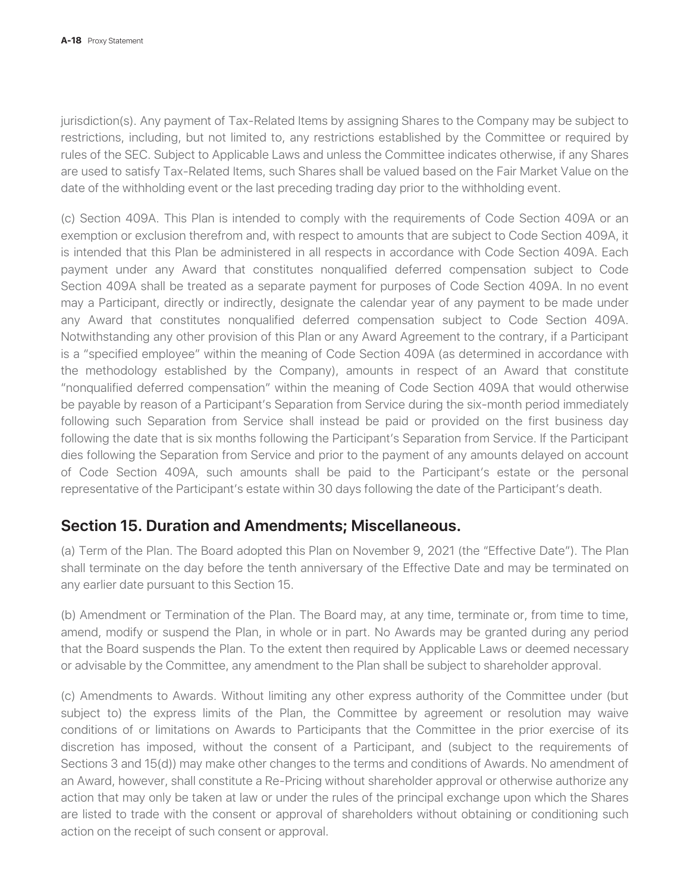jurisdiction(s). Any payment of Tax-Related Items by assigning Shares to the Company may be subject to restrictions, including, but not limited to, any restrictions established by the Committee or required by rules of the SEC. Subject to Applicable Laws and unless the Committee indicates otherwise, if any Shares are used to satisfy Tax-Related Items, such Shares shall be valued based on the Fair Market Value on the date of the withholding event or the last preceding trading day prior to the withholding event.

(c) Section 409A. This Plan is intended to comply with the requirements of Code Section 409A or an exemption or exclusion therefrom and, with respect to amounts that are subject to Code Section 409A, it is intended that this Plan be administered in all respects in accordance with Code Section 409A. Each payment under any Award that constitutes nonqualified deferred compensation subject to Code Section 409A shall be treated as a separate payment for purposes of Code Section 409A. In no event may a Participant, directly or indirectly, designate the calendar year of any payment to be made under any Award that constitutes nonqualified deferred compensation subject to Code Section 409A. Notwithstanding any other provision of this Plan or any Award Agreement to the contrary, if a Participant is a "specified employee" within the meaning of Code Section 409A (as determined in accordance with the methodology established by the Company), amounts in respect of an Award that constitute "nonqualified deferred compensation" within the meaning of Code Section 409A that would otherwise be payable by reason of a Participant's Separation from Service during the six-month period immediately following such Separation from Service shall instead be paid or provided on the first business day following the date that is six months following the Participant's Separation from Service. If the Participant dies following the Separation from Service and prior to the payment of any amounts delayed on account of Code Section 409A, such amounts shall be paid to the Participant's estate or the personal representative of the Participant's estate within 30 days following the date of the Participant's death.

#### **Section 15. Duration and Amendments; Miscellaneous.**

(a) Term of the Plan. The Board adopted this Plan on November 9, 2021 (the "Effective Date"). The Plan shall terminate on the day before the tenth anniversary of the Effective Date and may be terminated on any earlier date pursuant to this Section 15.

(b) Amendment or Termination of the Plan. The Board may, at any time, terminate or, from time to time, amend, modify or suspend the Plan, in whole or in part. No Awards may be granted during any period that the Board suspends the Plan. To the extent then required by Applicable Laws or deemed necessary or advisable by the Committee, any amendment to the Plan shall be subject to shareholder approval.

(c) Amendments to Awards. Without limiting any other express authority of the Committee under (but subject to) the express limits of the Plan, the Committee by agreement or resolution may waive conditions of or limitations on Awards to Participants that the Committee in the prior exercise of its discretion has imposed, without the consent of a Participant, and (subject to the requirements of Sections 3 and 15(d)) may make other changes to the terms and conditions of Awards. No amendment of an Award, however, shall constitute a Re-Pricing without shareholder approval or otherwise authorize any action that may only be taken at law or under the rules of the principal exchange upon which the Shares are listed to trade with the consent or approval of shareholders without obtaining or conditioning such action on the receipt of such consent or approval.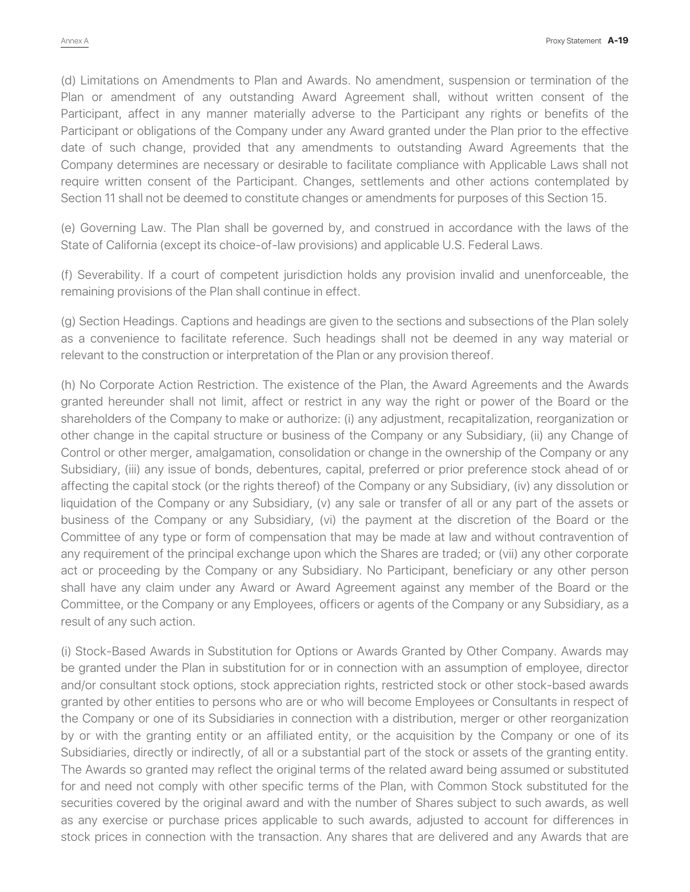(d) Limitations on Amendments to Plan and Awards. No amendment, suspension or termination of the Plan or amendment of any outstanding Award Agreement shall, without written consent of the Participant, affect in any manner materially adverse to the Participant any rights or benefits of the Participant or obligations of the Company under any Award granted under the Plan prior to the effective date of such change, provided that any amendments to outstanding Award Agreements that the Company determines are necessary or desirable to facilitate compliance with Applicable Laws shall not require written consent of the Participant. Changes, settlements and other actions contemplated by Section 11 shall not be deemed to constitute changes or amendments for purposes of this Section 15.

(e) Governing Law. The Plan shall be governed by, and construed in accordance with the laws of the State of California (except its choice-of-law provisions) and applicable U.S. Federal Laws.

(f) Severability. If a court of competent jurisdiction holds any provision invalid and unenforceable, the remaining provisions of the Plan shall continue in effect.

(g) Section Headings. Captions and headings are given to the sections and subsections of the Plan solely as a convenience to facilitate reference. Such headings shall not be deemed in any way material or relevant to the construction or interpretation of the Plan or any provision thereof.

(h) No Corporate Action Restriction. The existence of the Plan, the Award Agreements and the Awards granted hereunder shall not limit, affect or restrict in any way the right or power of the Board or the shareholders of the Company to make or authorize: (i) any adjustment, recapitalization, reorganization or other change in the capital structure or business of the Company or any Subsidiary, (ii) any Change of Control or other merger, amalgamation, consolidation or change in the ownership of the Company or any Subsidiary, (iii) any issue of bonds, debentures, capital, preferred or prior preference stock ahead of or affecting the capital stock (or the rights thereof) of the Company or any Subsidiary, (iv) any dissolution or liquidation of the Company or any Subsidiary, (v) any sale or transfer of all or any part of the assets or business of the Company or any Subsidiary, (vi) the payment at the discretion of the Board or the Committee of any type or form of compensation that may be made at law and without contravention of any requirement of the principal exchange upon which the Shares are traded; or (vii) any other corporate act or proceeding by the Company or any Subsidiary. No Participant, beneficiary or any other person shall have any claim under any Award or Award Agreement against any member of the Board or the Committee, or the Company or any Employees, officers or agents of the Company or any Subsidiary, as a result of any such action.

(i) Stock-Based Awards in Substitution for Options or Awards Granted by Other Company. Awards may be granted under the Plan in substitution for or in connection with an assumption of employee, director and/or consultant stock options, stock appreciation rights, restricted stock or other stock-based awards granted by other entities to persons who are or who will become Employees or Consultants in respect of the Company or one of its Subsidiaries in connection with a distribution, merger or other reorganization by or with the granting entity or an affiliated entity, or the acquisition by the Company or one of its Subsidiaries, directly or indirectly, of all or a substantial part of the stock or assets of the granting entity. The Awards so granted may reflect the original terms of the related award being assumed or substituted for and need not comply with other specific terms of the Plan, with Common Stock substituted for the securities covered by the original award and with the number of Shares subject to such awards, as well as any exercise or purchase prices applicable to such awards, adjusted to account for differences in stock prices in connection with the transaction. Any shares that are delivered and any Awards that are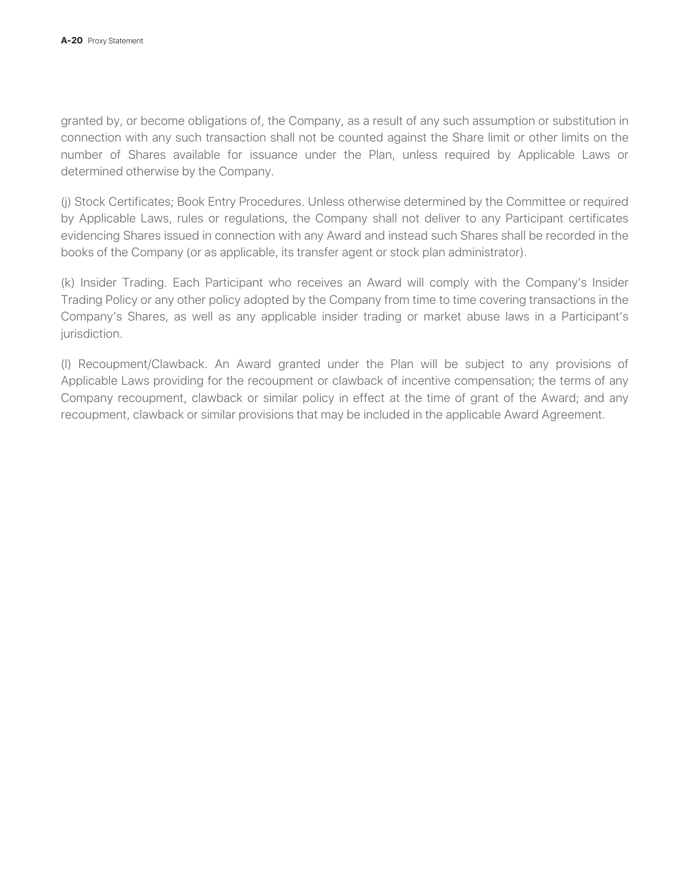granted by, or become obligations of, the Company, as a result of any such assumption or substitution in connection with any such transaction shall not be counted against the Share limit or other limits on the number of Shares available for issuance under the Plan, unless required by Applicable Laws or determined otherwise by the Company.

(j) Stock Certificates; Book Entry Procedures. Unless otherwise determined by the Committee or required by Applicable Laws, rules or regulations, the Company shall not deliver to any Participant certificates evidencing Shares issued in connection with any Award and instead such Shares shall be recorded in the books of the Company (or as applicable, its transfer agent or stock plan administrator).

(k) Insider Trading. Each Participant who receives an Award will comply with the Company's Insider Trading Policy or any other policy adopted by the Company from time to time covering transactions in the Company's Shares, as well as any applicable insider trading or market abuse laws in a Participant's jurisdiction.

(l) Recoupment/Clawback. An Award granted under the Plan will be subject to any provisions of Applicable Laws providing for the recoupment or clawback of incentive compensation; the terms of any Company recoupment, clawback or similar policy in effect at the time of grant of the Award; and any recoupment, clawback or similar provisions that may be included in the applicable Award Agreement.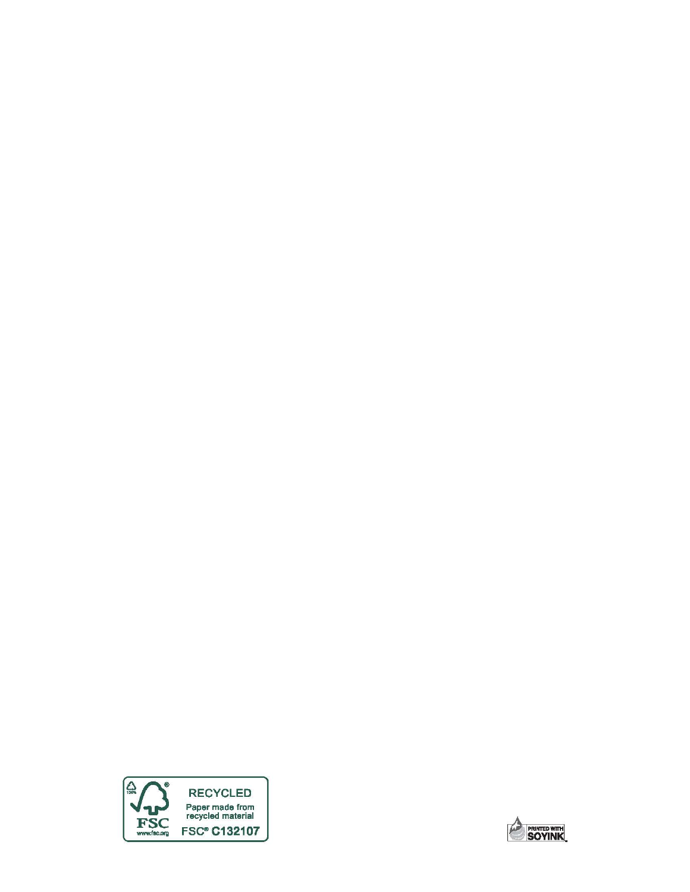